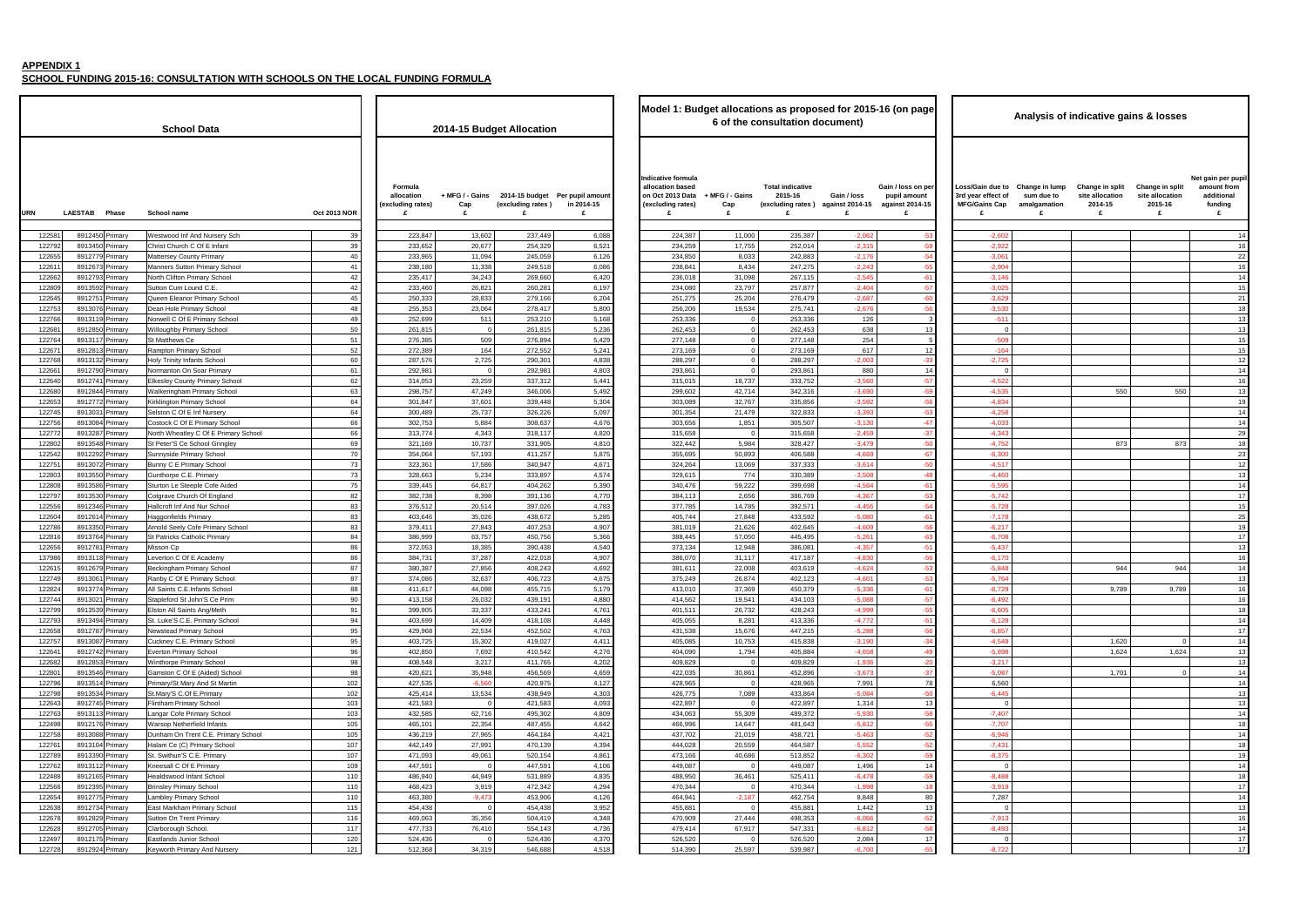**SCHOOL FUNDING 2015-16: CONSULTATION WITH SCHOOLS ON THE LOCAL FUNDING FORMULA**

| Indicative formula<br>Formula<br>allocation based<br><b>Total indicative</b><br>Gain / loss on per<br>Loss/Gain due to<br>+ MFG / - Gains<br>2014-15 budget Per pupil amount<br>on Oct 2013 Data<br>+ MFG / - Gains<br>2015-16<br>3rd year effect of<br>allocation<br>Gain / loss<br>pupil amount<br><b>MFG/Gains Cap</b><br>(excluding rates)<br>in 2014-15<br>(excluding rates) against 2014-15<br>against 2014-15<br>(excluding rates)<br>Cap<br>(excluding rates)<br>Cap<br><b>LAESTAB</b><br>Phase<br><b>Oct 2013 NOR</b><br>URN<br>School name<br>£<br>£<br>£<br>£<br>£<br>£<br>8912450 Primary<br>223,847<br>13,602<br>237,449<br>11,000<br>235,387<br>$-2,06$<br>$-2,602$<br>12258<br>Westwood Inf And Nursery Sch<br>39<br>6,088<br>224,387<br>-5:<br>39<br>233,652<br>20,677<br>$-2,315$<br>122792<br>8913450 Primary<br>Christ Church C Of E Infant<br>254,329<br>6,521<br>234,259<br>17,755<br>252,014<br>$-59$<br>$-2,922$<br>122655<br>8912779<br>40<br>233,965<br>11,094<br>245,059<br>6,126<br>234,850<br>8,033<br>242,883<br>$-2,176$<br>$-54$<br>$-3,061$<br><b>Mattersey County Primary</b><br>Primary<br>41<br>6,086<br>238,841<br>8,434<br>247,275<br>$-2,24$<br>$-2,904$<br>12261<br>891267<br>Manners Sutton Primary School<br>238,180<br>11,338<br>249,518<br>$-55$<br>Primary<br>42<br>235,417<br>34,243<br>269,660<br>6,420<br>236,018<br>31,098<br>267,115<br>$-2,545$<br>$-3,146$<br>122662<br>8912793<br>North Clifton Primary School<br>$-61$<br>Primary<br>122809<br>42<br>26,821<br>6,197<br>$-2,40$<br>$-57$<br>$-3,025$<br>8913592<br>Sutton Cum Lound C.E.<br>233,460<br>260,281<br>234,080<br>23,797<br>257,877<br>Primary<br>28,833<br>6,204<br>25,204<br>$-2,68$<br>$-60$<br>$-3,629$<br>122645<br>891275<br>45<br>250,333<br>279,166<br>251,275<br>276,479<br>Queen Eleanor Primary School<br>Primary<br>891307<br>255,353<br>5,800<br>19,534<br>$-2,676$<br>$-3,530$<br>122753<br>Dean Hole Primary School<br>48<br>23,064<br>278,417<br>256,206<br>275,741<br>$-56$<br>Primary<br>49<br>122766<br>8913119<br>252,699<br>511<br>253,210<br>5,168<br>253,336<br>253,336<br>126<br>$-511$<br>Norwell C Of E Primary School<br>$\Omega$<br>Primary<br>8912850<br>50<br>261,815<br>5,236<br>262,453<br>$\circ$<br>262,453<br>638<br>12268<br>Willoughby Primary School<br>261,815<br>$\Omega$<br>13<br>$\overline{0}$<br>Primary<br>509<br>5,429<br>254<br>12276<br>891311<br>St Matthews Ce<br>51<br>276,385<br>276,894<br>277,148<br>$\circ$<br>277,148<br>$-509$<br>Primary<br>52<br>272,389<br>164<br>5,241<br>617<br>12267<br>891281<br>272,552<br>273,169<br>$\mathbf 0$<br>273,169<br>12<br>$-164$<br>Rampton Primary School<br>Primary<br>2,725<br>122768<br>891313<br>60<br>287,576<br>4,838<br>288,297<br>$-2,00$<br>$-33$<br>$-2,725$<br>Holy Trinity Infants School<br>290,301<br>288,297<br>$\Omega$<br>Primary<br>61<br>4,803<br>293,861<br>880<br>12266<br>8912790<br>Normanton On Soar Primary<br>292,981<br>292,981<br>293,861<br>14<br>Primary<br>$\Omega$<br>$\Omega$<br>$\overline{0}$<br>122640<br>891274<br>62<br>23,259<br>337,312<br>5,441<br>18,737<br>333,752<br>$-3.560$<br>$-4,522$<br><b>Elkesley County Primary School</b><br>314,053<br>315,015<br>$-57$<br>Primary<br>63<br>$-4,535$<br>122680<br>298,757<br>47,249<br>346,006<br>5,492<br>42,714<br>342,316<br>$-3.69$<br>$-59$<br>8912844<br>Walkeringham Primary School<br>299,602<br>Primary<br>37,601<br>339,448<br>5,304<br>$-4,834$<br>122653<br>8912772<br>Kirklington Primary School<br>64<br>301,847<br>303,089<br>32,767<br>335,856<br>$-3,592$<br>$-56$<br>Primary<br>64<br>5,097<br>$-4,258$<br>122745<br>891303<br>Selston C Of E Inf Nursery<br>300,489<br>25,737<br>326,226<br>301,354<br>21,479<br>322,833<br>$-3,39$<br>$-53$<br>Primary<br>66<br>5,884<br>4,676<br>1,851<br>305,507<br>$-3,130$<br>122756<br>891308<br>Costock C Of E Primary School<br>302,753<br>308,637<br>303,656<br>$-47$<br>$-4,033$<br>Primary<br>4,343<br>122772<br>891328<br>66<br>313,774<br>4,820<br>315,658<br>315,658<br>$-2,459$<br>$-4,343$<br>North Wheatley C Of E Primary School<br>318,117<br>$-37$<br>Primary<br>$\Omega$<br>69<br>10,737<br>4,810<br>5,984<br>328,427<br>$-3,479$<br>$-4,752$<br>122802<br>8913548<br>St Peter'S Ce School Gringley<br>321,169<br>331,905<br>322,442<br>$-50$<br>Primary<br>$-4.669$<br>$-6,300$<br>57,193<br>411,257<br>5,875<br>$-67$<br>122542<br>8912292<br>Sunnyside Primary School<br>70<br>354,064<br>355,695<br>50,893<br>406,588<br>Primary<br>73<br>323,361<br>17,586<br>340,947<br>4,671<br>337,333<br>$-3,614$<br>$-4,517$<br>12275<br>891307<br>Bunny C E Primary School<br>324,264<br>13,069<br>$-50$<br>Primary<br>73<br>328,663<br>5,234<br>333,897<br>4,574<br>329,615<br>774<br>330,389<br>$-3,508$<br>$-4,460$<br>122803<br>8913550<br>Gunthorpe C.E. Primary<br>$-48$<br>Primary<br>75<br>5,390<br>59,222<br>$-4,56$<br>$-5,595$<br>12280<br>891358<br>339,445<br>64,817<br>404,262<br>399,698<br>$-61$<br>Sturton Le Steeple Cofe Aided<br>340,476<br>Primary<br>82<br>382,738<br>8,398<br>4,770<br>384,113<br>2,656<br>386,769<br>$-4,36$<br>$-53$<br>$-5,742$<br>12279<br>891353<br>Cotgrave Church Of England<br>391,136<br>Primary<br>83<br>4,783<br>$-5,728$<br>122556<br>8912346<br>Hallcroft Inf And Nur School<br>376,512<br>20,514<br>397,026<br>377,785<br>14,785<br>392,571<br>$-4,455$<br>$-54$<br>Primary<br>83<br>35,026<br>438,672<br>5,285<br>27,848<br>433,592<br>$-5,080$<br>$-7,178$<br>12260<br>8912614<br>403,646<br>405,744<br>$-61$<br><b>Haggonfields Primary</b><br>Primary<br>83<br>27,843<br>4,907<br>21,626<br>407,253<br>402,645<br>$-4,609$<br>$-56$<br>$-6,217$<br>122786<br>891335<br>Arnold Seely Cofe Primary School<br>379,411<br>381,019<br>Primary<br>122816<br>84<br>386,999<br>63,757<br>450,756<br>5,366<br>445,495<br>$-5,26'$<br>$-6,708$<br>891376<br>St Patricks Catholic Primary<br>388,445<br>57,050<br>$-63$<br>Primary<br>12265<br>891278<br>86<br>372,053<br>18,385<br>390,438<br>4,540<br>373,134<br>12,948<br>386,081<br>$-4,35$<br>$-51$<br>$-5,437$<br>Misson Cp<br>Primary<br>137986<br>37,287<br>4,907<br>$-4,830$<br>8913118<br>Leverton C Of E Academy<br>86<br>384,731<br>422,018<br>386,070<br>31,117<br>417,187<br>$-56$<br>$-6,170$<br>Primary<br>87<br>27,856<br>4,692<br>$-4,624$<br>$-5,848$<br>12261<br>8912679<br>380,387<br>408,243<br>381,611<br>22,008<br>403,619<br>$-53$<br>Beckingham Primary School<br>Primary<br>122749<br>87<br>32,637<br>4,675<br>375,249<br>$-4,60'$<br>$-5,764$<br>891306<br>Ranby C Of E Primary School<br>374,086<br>406,723<br>26,874<br>402,123<br>$-53$<br>Primary<br>122824<br>88<br>$-5.336$<br>$-6,729$<br>8913774 Primary<br>411.617<br>44.098<br>455,715<br>5.179<br>413,010<br>37,369<br>450,379<br>$-61$<br>All Saints C.E.Infants School<br>413,158<br>4,880<br>414,562<br>434,103<br>$-5,088$<br>122744<br>8913021 Primary<br>Stapleford St John'S Ce Prim<br>90<br>26,032<br>439,191<br>19,541<br>$-57$<br>$-6,492$<br>122799<br>8913539<br>91<br>399,905<br>33,337<br>433,241<br>4,761<br>$-4,999$<br>$-55$<br>$-6,605$<br>Elston All Saints Ang/Meth<br>401,511<br>26,732<br>428,243<br>Primary<br>94<br>$-51$<br>8913494 Primary<br>403,699<br>14,409<br>418,108<br>4,448<br>405,055<br>8,281<br>413,336<br>$-4,772$<br>122793<br>St. Luke'S C.E. Primary School<br>$-6,128$<br>95<br>22,534<br>$-5,288$<br>122658<br>8912787 Primary<br>Newstead Primary School<br>429,968<br>452,502<br>4,763<br>431,538<br>15,676<br>447,215<br>$-56$<br>$-6,857$<br>95<br>8913087<br>403,725<br>15,302<br>419,027<br>405,085<br>10,753<br>415,838<br>$-3,190$<br>$-34$<br>$-4,549$<br>12275<br>Cuckney C.E. Primary School<br>4,411<br>Primary<br>96<br>8912742<br>402,850<br>7,692<br>4,276<br>404,090<br>1,794<br>405,884<br>$-4,658$<br>$-49$<br>$-5,898$<br>122641<br><b>Everton Primary School</b><br>410,542<br>Primary<br>98<br>3,217<br>4,202<br>122682<br>8912853<br>Winthorpe Primary School<br>408,548<br>411,765<br>409,829<br>$\overline{0}$<br>409,829<br>$-1,936$<br>$-20$<br>$-3,217$<br>Primary<br>12280<br>8913546<br>98<br>420,621<br>35,948<br>456,569<br>4,659<br>422,035<br>30,861<br>452,896<br>$-3,673$<br>$-37$<br>$-5,087$<br>Gamston C Of E (Aided) School<br>Primary<br>102<br>122796<br>891351<br>427,535<br>$-6,560$<br>4,127<br>7,991<br>78<br>6,560<br>Primary/St Mary And St Martin<br>420,975<br>428,965<br>$\mathbf 0$<br>428,965<br>Primary<br>102<br>13,534<br>$-5,084$<br>122798<br>8913534 Primary<br>St.Mary'S C.Of E.Primary<br>425,414<br>438,949<br>4,303<br>426,775<br>7,089<br>433,864<br>$-50$<br>$-6,445$<br>103<br>122643<br>8912745 Primary<br><b>Flintham Primary School</b><br>421,583<br>421,583<br>4,093<br>422,897<br>422,897<br>1,314<br>13<br>$\Omega$<br>$\Omega$<br>$\mathbf 0$<br>103<br>432,585<br>62,716<br>55,309<br>$-5,930$<br>122763<br>8913113<br>Langar Cofe Primary School<br>495,302<br>4,809<br>434,063<br>489,372<br>$-58$<br>$-7,407$<br><b>Primary</b><br>14,647<br>105<br>465,101<br>22,354<br>487,455<br>4,642<br>481,643<br>$-5,812$<br>$-7,707$<br>122498<br>8912176<br>Warsop Netherfield Infants<br>466,996<br>$-55$<br>Primary<br>105<br>436,219<br>27,965<br>4,421<br>458,721<br>$-5,463$<br>$-52$<br>$-6,946$<br>122758<br>8913088 Primary<br>Dunham On Trent C.E. Primary School<br>464,184<br>437,702<br>21,019<br>$-5,552$<br>107<br>442,149<br>27,991<br>4,394<br>20,559<br>464,587<br>$-52$<br>12276<br>8913104<br>Halam Ce (C) Primary School<br>470,139<br>444,028<br>$-7,431$<br><b>Primary</b><br>107<br>4,861<br>$-6,302$<br>$-8,375$<br>122789<br>8913390<br>St. Swithun'S C.E. Primary<br>471,093<br>49,061<br>520,154<br>473,166<br>40,686<br>513,852<br>$-59$<br>Primary<br>109<br>447,591<br>1,496<br>122762<br>8913112<br>Kneesall C Of E Primary<br>$\mathbf 0$<br>447,591<br>4,106<br>449,087<br>$\mathbf 0$<br>449,087<br>14<br>Primary<br>$\overline{0}$<br>110<br>486,940<br>44,949<br>531,889<br>4,835<br>$-6,478$<br>$-8,488$<br>122488<br>8912165<br>Healdswood Infant School<br>488,950<br>36,461<br>525,411<br>$-59$<br>Primary<br>4,294<br>$-1,998$<br>122566<br>8912395<br><b>Brinsley Primary School</b><br>110<br>468,423<br>3,919<br>472,342<br>470,344<br>$\mathbf 0$<br>470,344<br>$-18$<br>$-3,919$<br>Primary<br>8912775 Primary<br>110<br>463,380<br>$-9,473$<br>453,906<br>4,126<br>464,941<br>$-2,187$<br>462,754<br>8,848<br>80<br>7,287<br>122654<br>Lambley Primary School<br>115<br>454,438<br>3,952<br>1,442<br>122638<br>8912734<br>East Markham Primary School<br>$\overline{0}$<br>454,438<br>455,881<br>$\mathbf 0$<br>455,881<br>13<br>Primary<br>$\overline{0}$<br>116<br>35,356<br>$-6,066$<br>469,063<br>4,348<br>27,444<br>498,353<br>$-52$<br>12267<br>8912829<br>Sutton On Trent Primary<br>504,419<br>470,909<br>$-7,913$<br>Primary<br>8912705 Primary<br>117<br>4,736<br>$-6,812$<br>122628<br>Clarborough School.<br>477,733<br>76,410<br>554,143<br>479,414<br>67,917<br>547,331<br>$-58$<br>$-8,493$<br>12249<br>120<br>524,436<br>4,370<br>526,520<br>2,084<br>17<br>8912175<br>Eastlands Junior School<br>524,436<br>$\Omega$<br>526,520<br>$\overline{0}$<br>Primary<br>$\mathbf 0$<br>121<br>512,368<br>34,319<br>4,518<br>514,390<br>25,597<br>539,987<br>$-6,700$<br>$-55$<br>122728<br>8912924 Primary<br>Keyworth Primary And Nursery<br>546,688<br>$-8,722$ |  | <b>School Data</b> |  | 2014-15 Budget Allocation | Model 1: Budget allocations as proposed for 2015-16 (on page | 6 of the consultation document) |  |  |
|---------------------------------------------------------------------------------------------------------------------------------------------------------------------------------------------------------------------------------------------------------------------------------------------------------------------------------------------------------------------------------------------------------------------------------------------------------------------------------------------------------------------------------------------------------------------------------------------------------------------------------------------------------------------------------------------------------------------------------------------------------------------------------------------------------------------------------------------------------------------------------------------------------------------------------------------------------------------------------------------------------------------------------------------------------------------------------------------------------------------------------------------------------------------------------------------------------------------------------------------------------------------------------------------------------------------------------------------------------------------------------------------------------------------------------------------------------------------------------------------------------------------------------------------------------------------------------------------------------------------------------------------------------------------------------------------------------------------------------------------------------------------------------------------------------------------------------------------------------------------------------------------------------------------------------------------------------------------------------------------------------------------------------------------------------------------------------------------------------------------------------------------------------------------------------------------------------------------------------------------------------------------------------------------------------------------------------------------------------------------------------------------------------------------------------------------------------------------------------------------------------------------------------------------------------------------------------------------------------------------------------------------------------------------------------------------------------------------------------------------------------------------------------------------------------------------------------------------------------------------------------------------------------------------------------------------------------------------------------------------------------------------------------------------------------------------------------------------------------------------------------------------------------------------------------------------------------------------------------------------------------------------------------------------------------------------------------------------------------------------------------------------------------------------------------------------------------------------------------------------------------------------------------------------------------------------------------------------------------------------------------------------------------------------------------------------------------------------------------------------------------------------------------------------------------------------------------------------------------------------------------------------------------------------------------------------------------------------------------------------------------------------------------------------------------------------------------------------------------------------------------------------------------------------------------------------------------------------------------------------------------------------------------------------------------------------------------------------------------------------------------------------------------------------------------------------------------------------------------------------------------------------------------------------------------------------------------------------------------------------------------------------------------------------------------------------------------------------------------------------------------------------------------------------------------------------------------------------------------------------------------------------------------------------------------------------------------------------------------------------------------------------------------------------------------------------------------------------------------------------------------------------------------------------------------------------------------------------------------------------------------------------------------------------------------------------------------------------------------------------------------------------------------------------------------------------------------------------------------------------------------------------------------------------------------------------------------------------------------------------------------------------------------------------------------------------------------------------------------------------------------------------------------------------------------------------------------------------------------------------------------------------------------------------------------------------------------------------------------------------------------------------------------------------------------------------------------------------------------------------------------------------------------------------------------------------------------------------------------------------------------------------------------------------------------------------------------------------------------------------------------------------------------------------------------------------------------------------------------------------------------------------------------------------------------------------------------------------------------------------------------------------------------------------------------------------------------------------------------------------------------------------------------------------------------------------------------------------------------------------------------------------------------------------------------------------------------------------------------------------------------------------------------------------------------------------------------------------------------------------------------------------------------------------------------------------------------------------------------------------------------------------------------------------------------------------------------------------------------------------------------------------------------------------------------------------------------------------------------------------------------------------------------------------------------------------------------------------------------------------------------------------------------------------------------------------------------------------------------------------------------------------------------------------------------------------------------------------------------------------------------------------------------------------------------------------------------------------------------------------------------------------------------------------------------------------------------------------------------------------------------------------------------------------------------------------------------------------------------------------------------------------------------------------------------------------------------------------------------------------------------------------------------------------------------------------------------------------------------------------------------------------------------------------------------------------------------------------------------------------------------------------------------------------------------------------------------------------------------------------------------------------------------------------------------------------------------------------------------------------------------------------------------------------------------------------------------------------------------------------------------------------------------------------------------------------------------------------------------------------------------------------------------------------------------------------------------------------------------------------------------------------------------------------------------------------------------------------------------------------------------------------------------------------------------------------------------------------------------------------------------------------------------------------------------------------------------------------------------------------------------------------------------------------------------------------------------------------------------------------------------------------------------------------------------------------------------------------------------------------------------------------------------------------------------------------------------------------------------------------------------------------------------------------------------------------------------------------------------------------------------------------------------------------------------------------------------------------------------------------------------------------------------------------------------------------------------------------------------------------------------------------------------------------------------------------------------------------------------------------------------------------------------------------------------------------------------------------------------------------------------------------------------------------------------------------------------------------------------------------------------------------------------------------------------------------------------------------------------------------------------------------------------------------------------------------------------------------------------------------------------------------------------------------------------------------------------------------------------------------------------------------------------------------------------------------------------------------------------------------------------------------------------------------------------------------------------------------------------------------------------------------------------|--|--------------------|--|---------------------------|--------------------------------------------------------------|---------------------------------|--|--|
|                                                                                                                                                                                                                                                                                                                                                                                                                                                                                                                                                                                                                                                                                                                                                                                                                                                                                                                                                                                                                                                                                                                                                                                                                                                                                                                                                                                                                                                                                                                                                                                                                                                                                                                                                                                                                                                                                                                                                                                                                                                                                                                                                                                                                                                                                                                                                                                                                                                                                                                                                                                                                                                                                                                                                                                                                                                                                                                                                                                                                                                                                                                                                                                                                                                                                                                                                                                                                                                                                                                                                                                                                                                                                                                                                                                                                                                                                                                                                                                                                                                                                                                                                                                                                                                                                                                                                                                                                                                                                                                                                                                                                                                                                                                                                                                                                                                                                                                                                                                                                                                                                                                                                                                                                                                                                                                                                                                                                                                                                                                                                                                                                                                                                                                                                                                                                                                                                                                                                                                                                                                                                                                                                                                                                                                                                                                                                                                                                                                                                                                                                                                                                                                                                                                                                                                                                                                                                                                                                                                                                                                                                                                                                                                                                                                                                                                                                                                                                                                                                                                                                                                                                                                                                                                                                                                                                                                                                                                                                                                                                                                                                                                                                                                                                                                                                                                                                                                                                                                                                                                                                                                                                                                                                                                                                                                                                                                                                                                                                                                                                                                                                                                                                                                                                                                                                                                                                                                                                                                                                                                                                                                                                                                                                                                                                                                                                                                                                                                                                                                                                                                                                                                                                                                                                                                                                                                                                                                                                                                                                                                                                                                                                                                                                                                                                                                                                                                                                                                                                                                                                                                                                                                                                                                                                                                                                                                                                                                                         |  |                    |  |                           |                                                              |                                 |  |  |
|                                                                                                                                                                                                                                                                                                                                                                                                                                                                                                                                                                                                                                                                                                                                                                                                                                                                                                                                                                                                                                                                                                                                                                                                                                                                                                                                                                                                                                                                                                                                                                                                                                                                                                                                                                                                                                                                                                                                                                                                                                                                                                                                                                                                                                                                                                                                                                                                                                                                                                                                                                                                                                                                                                                                                                                                                                                                                                                                                                                                                                                                                                                                                                                                                                                                                                                                                                                                                                                                                                                                                                                                                                                                                                                                                                                                                                                                                                                                                                                                                                                                                                                                                                                                                                                                                                                                                                                                                                                                                                                                                                                                                                                                                                                                                                                                                                                                                                                                                                                                                                                                                                                                                                                                                                                                                                                                                                                                                                                                                                                                                                                                                                                                                                                                                                                                                                                                                                                                                                                                                                                                                                                                                                                                                                                                                                                                                                                                                                                                                                                                                                                                                                                                                                                                                                                                                                                                                                                                                                                                                                                                                                                                                                                                                                                                                                                                                                                                                                                                                                                                                                                                                                                                                                                                                                                                                                                                                                                                                                                                                                                                                                                                                                                                                                                                                                                                                                                                                                                                                                                                                                                                                                                                                                                                                                                                                                                                                                                                                                                                                                                                                                                                                                                                                                                                                                                                                                                                                                                                                                                                                                                                                                                                                                                                                                                                                                                                                                                                                                                                                                                                                                                                                                                                                                                                                                                                                                                                                                                                                                                                                                                                                                                                                                                                                                                                                                                                                                                                                                                                                                                                                                                                                                                                                                                                                                                                                                                                         |  |                    |  |                           |                                                              |                                 |  |  |
|                                                                                                                                                                                                                                                                                                                                                                                                                                                                                                                                                                                                                                                                                                                                                                                                                                                                                                                                                                                                                                                                                                                                                                                                                                                                                                                                                                                                                                                                                                                                                                                                                                                                                                                                                                                                                                                                                                                                                                                                                                                                                                                                                                                                                                                                                                                                                                                                                                                                                                                                                                                                                                                                                                                                                                                                                                                                                                                                                                                                                                                                                                                                                                                                                                                                                                                                                                                                                                                                                                                                                                                                                                                                                                                                                                                                                                                                                                                                                                                                                                                                                                                                                                                                                                                                                                                                                                                                                                                                                                                                                                                                                                                                                                                                                                                                                                                                                                                                                                                                                                                                                                                                                                                                                                                                                                                                                                                                                                                                                                                                                                                                                                                                                                                                                                                                                                                                                                                                                                                                                                                                                                                                                                                                                                                                                                                                                                                                                                                                                                                                                                                                                                                                                                                                                                                                                                                                                                                                                                                                                                                                                                                                                                                                                                                                                                                                                                                                                                                                                                                                                                                                                                                                                                                                                                                                                                                                                                                                                                                                                                                                                                                                                                                                                                                                                                                                                                                                                                                                                                                                                                                                                                                                                                                                                                                                                                                                                                                                                                                                                                                                                                                                                                                                                                                                                                                                                                                                                                                                                                                                                                                                                                                                                                                                                                                                                                                                                                                                                                                                                                                                                                                                                                                                                                                                                                                                                                                                                                                                                                                                                                                                                                                                                                                                                                                                                                                                                                                                                                                                                                                                                                                                                                                                                                                                                                                                                                                                         |  |                    |  |                           |                                                              |                                 |  |  |
|                                                                                                                                                                                                                                                                                                                                                                                                                                                                                                                                                                                                                                                                                                                                                                                                                                                                                                                                                                                                                                                                                                                                                                                                                                                                                                                                                                                                                                                                                                                                                                                                                                                                                                                                                                                                                                                                                                                                                                                                                                                                                                                                                                                                                                                                                                                                                                                                                                                                                                                                                                                                                                                                                                                                                                                                                                                                                                                                                                                                                                                                                                                                                                                                                                                                                                                                                                                                                                                                                                                                                                                                                                                                                                                                                                                                                                                                                                                                                                                                                                                                                                                                                                                                                                                                                                                                                                                                                                                                                                                                                                                                                                                                                                                                                                                                                                                                                                                                                                                                                                                                                                                                                                                                                                                                                                                                                                                                                                                                                                                                                                                                                                                                                                                                                                                                                                                                                                                                                                                                                                                                                                                                                                                                                                                                                                                                                                                                                                                                                                                                                                                                                                                                                                                                                                                                                                                                                                                                                                                                                                                                                                                                                                                                                                                                                                                                                                                                                                                                                                                                                                                                                                                                                                                                                                                                                                                                                                                                                                                                                                                                                                                                                                                                                                                                                                                                                                                                                                                                                                                                                                                                                                                                                                                                                                                                                                                                                                                                                                                                                                                                                                                                                                                                                                                                                                                                                                                                                                                                                                                                                                                                                                                                                                                                                                                                                                                                                                                                                                                                                                                                                                                                                                                                                                                                                                                                                                                                                                                                                                                                                                                                                                                                                                                                                                                                                                                                                                                                                                                                                                                                                                                                                                                                                                                                                                                                                                                                         |  |                    |  |                           |                                                              |                                 |  |  |
|                                                                                                                                                                                                                                                                                                                                                                                                                                                                                                                                                                                                                                                                                                                                                                                                                                                                                                                                                                                                                                                                                                                                                                                                                                                                                                                                                                                                                                                                                                                                                                                                                                                                                                                                                                                                                                                                                                                                                                                                                                                                                                                                                                                                                                                                                                                                                                                                                                                                                                                                                                                                                                                                                                                                                                                                                                                                                                                                                                                                                                                                                                                                                                                                                                                                                                                                                                                                                                                                                                                                                                                                                                                                                                                                                                                                                                                                                                                                                                                                                                                                                                                                                                                                                                                                                                                                                                                                                                                                                                                                                                                                                                                                                                                                                                                                                                                                                                                                                                                                                                                                                                                                                                                                                                                                                                                                                                                                                                                                                                                                                                                                                                                                                                                                                                                                                                                                                                                                                                                                                                                                                                                                                                                                                                                                                                                                                                                                                                                                                                                                                                                                                                                                                                                                                                                                                                                                                                                                                                                                                                                                                                                                                                                                                                                                                                                                                                                                                                                                                                                                                                                                                                                                                                                                                                                                                                                                                                                                                                                                                                                                                                                                                                                                                                                                                                                                                                                                                                                                                                                                                                                                                                                                                                                                                                                                                                                                                                                                                                                                                                                                                                                                                                                                                                                                                                                                                                                                                                                                                                                                                                                                                                                                                                                                                                                                                                                                                                                                                                                                                                                                                                                                                                                                                                                                                                                                                                                                                                                                                                                                                                                                                                                                                                                                                                                                                                                                                                                                                                                                                                                                                                                                                                                                                                                                                                                                                                                                         |  |                    |  |                           |                                                              |                                 |  |  |
|                                                                                                                                                                                                                                                                                                                                                                                                                                                                                                                                                                                                                                                                                                                                                                                                                                                                                                                                                                                                                                                                                                                                                                                                                                                                                                                                                                                                                                                                                                                                                                                                                                                                                                                                                                                                                                                                                                                                                                                                                                                                                                                                                                                                                                                                                                                                                                                                                                                                                                                                                                                                                                                                                                                                                                                                                                                                                                                                                                                                                                                                                                                                                                                                                                                                                                                                                                                                                                                                                                                                                                                                                                                                                                                                                                                                                                                                                                                                                                                                                                                                                                                                                                                                                                                                                                                                                                                                                                                                                                                                                                                                                                                                                                                                                                                                                                                                                                                                                                                                                                                                                                                                                                                                                                                                                                                                                                                                                                                                                                                                                                                                                                                                                                                                                                                                                                                                                                                                                                                                                                                                                                                                                                                                                                                                                                                                                                                                                                                                                                                                                                                                                                                                                                                                                                                                                                                                                                                                                                                                                                                                                                                                                                                                                                                                                                                                                                                                                                                                                                                                                                                                                                                                                                                                                                                                                                                                                                                                                                                                                                                                                                                                                                                                                                                                                                                                                                                                                                                                                                                                                                                                                                                                                                                                                                                                                                                                                                                                                                                                                                                                                                                                                                                                                                                                                                                                                                                                                                                                                                                                                                                                                                                                                                                                                                                                                                                                                                                                                                                                                                                                                                                                                                                                                                                                                                                                                                                                                                                                                                                                                                                                                                                                                                                                                                                                                                                                                                                                                                                                                                                                                                                                                                                                                                                                                                                                                                                                         |  |                    |  |                           |                                                              |                                 |  |  |
|                                                                                                                                                                                                                                                                                                                                                                                                                                                                                                                                                                                                                                                                                                                                                                                                                                                                                                                                                                                                                                                                                                                                                                                                                                                                                                                                                                                                                                                                                                                                                                                                                                                                                                                                                                                                                                                                                                                                                                                                                                                                                                                                                                                                                                                                                                                                                                                                                                                                                                                                                                                                                                                                                                                                                                                                                                                                                                                                                                                                                                                                                                                                                                                                                                                                                                                                                                                                                                                                                                                                                                                                                                                                                                                                                                                                                                                                                                                                                                                                                                                                                                                                                                                                                                                                                                                                                                                                                                                                                                                                                                                                                                                                                                                                                                                                                                                                                                                                                                                                                                                                                                                                                                                                                                                                                                                                                                                                                                                                                                                                                                                                                                                                                                                                                                                                                                                                                                                                                                                                                                                                                                                                                                                                                                                                                                                                                                                                                                                                                                                                                                                                                                                                                                                                                                                                                                                                                                                                                                                                                                                                                                                                                                                                                                                                                                                                                                                                                                                                                                                                                                                                                                                                                                                                                                                                                                                                                                                                                                                                                                                                                                                                                                                                                                                                                                                                                                                                                                                                                                                                                                                                                                                                                                                                                                                                                                                                                                                                                                                                                                                                                                                                                                                                                                                                                                                                                                                                                                                                                                                                                                                                                                                                                                                                                                                                                                                                                                                                                                                                                                                                                                                                                                                                                                                                                                                                                                                                                                                                                                                                                                                                                                                                                                                                                                                                                                                                                                                                                                                                                                                                                                                                                                                                                                                                                                                                                                                                         |  |                    |  |                           |                                                              |                                 |  |  |
|                                                                                                                                                                                                                                                                                                                                                                                                                                                                                                                                                                                                                                                                                                                                                                                                                                                                                                                                                                                                                                                                                                                                                                                                                                                                                                                                                                                                                                                                                                                                                                                                                                                                                                                                                                                                                                                                                                                                                                                                                                                                                                                                                                                                                                                                                                                                                                                                                                                                                                                                                                                                                                                                                                                                                                                                                                                                                                                                                                                                                                                                                                                                                                                                                                                                                                                                                                                                                                                                                                                                                                                                                                                                                                                                                                                                                                                                                                                                                                                                                                                                                                                                                                                                                                                                                                                                                                                                                                                                                                                                                                                                                                                                                                                                                                                                                                                                                                                                                                                                                                                                                                                                                                                                                                                                                                                                                                                                                                                                                                                                                                                                                                                                                                                                                                                                                                                                                                                                                                                                                                                                                                                                                                                                                                                                                                                                                                                                                                                                                                                                                                                                                                                                                                                                                                                                                                                                                                                                                                                                                                                                                                                                                                                                                                                                                                                                                                                                                                                                                                                                                                                                                                                                                                                                                                                                                                                                                                                                                                                                                                                                                                                                                                                                                                                                                                                                                                                                                                                                                                                                                                                                                                                                                                                                                                                                                                                                                                                                                                                                                                                                                                                                                                                                                                                                                                                                                                                                                                                                                                                                                                                                                                                                                                                                                                                                                                                                                                                                                                                                                                                                                                                                                                                                                                                                                                                                                                                                                                                                                                                                                                                                                                                                                                                                                                                                                                                                                                                                                                                                                                                                                                                                                                                                                                                                                                                                                                                                         |  |                    |  |                           |                                                              |                                 |  |  |
|                                                                                                                                                                                                                                                                                                                                                                                                                                                                                                                                                                                                                                                                                                                                                                                                                                                                                                                                                                                                                                                                                                                                                                                                                                                                                                                                                                                                                                                                                                                                                                                                                                                                                                                                                                                                                                                                                                                                                                                                                                                                                                                                                                                                                                                                                                                                                                                                                                                                                                                                                                                                                                                                                                                                                                                                                                                                                                                                                                                                                                                                                                                                                                                                                                                                                                                                                                                                                                                                                                                                                                                                                                                                                                                                                                                                                                                                                                                                                                                                                                                                                                                                                                                                                                                                                                                                                                                                                                                                                                                                                                                                                                                                                                                                                                                                                                                                                                                                                                                                                                                                                                                                                                                                                                                                                                                                                                                                                                                                                                                                                                                                                                                                                                                                                                                                                                                                                                                                                                                                                                                                                                                                                                                                                                                                                                                                                                                                                                                                                                                                                                                                                                                                                                                                                                                                                                                                                                                                                                                                                                                                                                                                                                                                                                                                                                                                                                                                                                                                                                                                                                                                                                                                                                                                                                                                                                                                                                                                                                                                                                                                                                                                                                                                                                                                                                                                                                                                                                                                                                                                                                                                                                                                                                                                                                                                                                                                                                                                                                                                                                                                                                                                                                                                                                                                                                                                                                                                                                                                                                                                                                                                                                                                                                                                                                                                                                                                                                                                                                                                                                                                                                                                                                                                                                                                                                                                                                                                                                                                                                                                                                                                                                                                                                                                                                                                                                                                                                                                                                                                                                                                                                                                                                                                                                                                                                                                                                                                         |  |                    |  |                           |                                                              |                                 |  |  |
|                                                                                                                                                                                                                                                                                                                                                                                                                                                                                                                                                                                                                                                                                                                                                                                                                                                                                                                                                                                                                                                                                                                                                                                                                                                                                                                                                                                                                                                                                                                                                                                                                                                                                                                                                                                                                                                                                                                                                                                                                                                                                                                                                                                                                                                                                                                                                                                                                                                                                                                                                                                                                                                                                                                                                                                                                                                                                                                                                                                                                                                                                                                                                                                                                                                                                                                                                                                                                                                                                                                                                                                                                                                                                                                                                                                                                                                                                                                                                                                                                                                                                                                                                                                                                                                                                                                                                                                                                                                                                                                                                                                                                                                                                                                                                                                                                                                                                                                                                                                                                                                                                                                                                                                                                                                                                                                                                                                                                                                                                                                                                                                                                                                                                                                                                                                                                                                                                                                                                                                                                                                                                                                                                                                                                                                                                                                                                                                                                                                                                                                                                                                                                                                                                                                                                                                                                                                                                                                                                                                                                                                                                                                                                                                                                                                                                                                                                                                                                                                                                                                                                                                                                                                                                                                                                                                                                                                                                                                                                                                                                                                                                                                                                                                                                                                                                                                                                                                                                                                                                                                                                                                                                                                                                                                                                                                                                                                                                                                                                                                                                                                                                                                                                                                                                                                                                                                                                                                                                                                                                                                                                                                                                                                                                                                                                                                                                                                                                                                                                                                                                                                                                                                                                                                                                                                                                                                                                                                                                                                                                                                                                                                                                                                                                                                                                                                                                                                                                                                                                                                                                                                                                                                                                                                                                                                                                                                                                                                                         |  |                    |  |                           |                                                              |                                 |  |  |
|                                                                                                                                                                                                                                                                                                                                                                                                                                                                                                                                                                                                                                                                                                                                                                                                                                                                                                                                                                                                                                                                                                                                                                                                                                                                                                                                                                                                                                                                                                                                                                                                                                                                                                                                                                                                                                                                                                                                                                                                                                                                                                                                                                                                                                                                                                                                                                                                                                                                                                                                                                                                                                                                                                                                                                                                                                                                                                                                                                                                                                                                                                                                                                                                                                                                                                                                                                                                                                                                                                                                                                                                                                                                                                                                                                                                                                                                                                                                                                                                                                                                                                                                                                                                                                                                                                                                                                                                                                                                                                                                                                                                                                                                                                                                                                                                                                                                                                                                                                                                                                                                                                                                                                                                                                                                                                                                                                                                                                                                                                                                                                                                                                                                                                                                                                                                                                                                                                                                                                                                                                                                                                                                                                                                                                                                                                                                                                                                                                                                                                                                                                                                                                                                                                                                                                                                                                                                                                                                                                                                                                                                                                                                                                                                                                                                                                                                                                                                                                                                                                                                                                                                                                                                                                                                                                                                                                                                                                                                                                                                                                                                                                                                                                                                                                                                                                                                                                                                                                                                                                                                                                                                                                                                                                                                                                                                                                                                                                                                                                                                                                                                                                                                                                                                                                                                                                                                                                                                                                                                                                                                                                                                                                                                                                                                                                                                                                                                                                                                                                                                                                                                                                                                                                                                                                                                                                                                                                                                                                                                                                                                                                                                                                                                                                                                                                                                                                                                                                                                                                                                                                                                                                                                                                                                                                                                                                                                                                                                         |  |                    |  |                           |                                                              |                                 |  |  |
|                                                                                                                                                                                                                                                                                                                                                                                                                                                                                                                                                                                                                                                                                                                                                                                                                                                                                                                                                                                                                                                                                                                                                                                                                                                                                                                                                                                                                                                                                                                                                                                                                                                                                                                                                                                                                                                                                                                                                                                                                                                                                                                                                                                                                                                                                                                                                                                                                                                                                                                                                                                                                                                                                                                                                                                                                                                                                                                                                                                                                                                                                                                                                                                                                                                                                                                                                                                                                                                                                                                                                                                                                                                                                                                                                                                                                                                                                                                                                                                                                                                                                                                                                                                                                                                                                                                                                                                                                                                                                                                                                                                                                                                                                                                                                                                                                                                                                                                                                                                                                                                                                                                                                                                                                                                                                                                                                                                                                                                                                                                                                                                                                                                                                                                                                                                                                                                                                                                                                                                                                                                                                                                                                                                                                                                                                                                                                                                                                                                                                                                                                                                                                                                                                                                                                                                                                                                                                                                                                                                                                                                                                                                                                                                                                                                                                                                                                                                                                                                                                                                                                                                                                                                                                                                                                                                                                                                                                                                                                                                                                                                                                                                                                                                                                                                                                                                                                                                                                                                                                                                                                                                                                                                                                                                                                                                                                                                                                                                                                                                                                                                                                                                                                                                                                                                                                                                                                                                                                                                                                                                                                                                                                                                                                                                                                                                                                                                                                                                                                                                                                                                                                                                                                                                                                                                                                                                                                                                                                                                                                                                                                                                                                                                                                                                                                                                                                                                                                                                                                                                                                                                                                                                                                                                                                                                                                                                                                                                                         |  |                    |  |                           |                                                              |                                 |  |  |
|                                                                                                                                                                                                                                                                                                                                                                                                                                                                                                                                                                                                                                                                                                                                                                                                                                                                                                                                                                                                                                                                                                                                                                                                                                                                                                                                                                                                                                                                                                                                                                                                                                                                                                                                                                                                                                                                                                                                                                                                                                                                                                                                                                                                                                                                                                                                                                                                                                                                                                                                                                                                                                                                                                                                                                                                                                                                                                                                                                                                                                                                                                                                                                                                                                                                                                                                                                                                                                                                                                                                                                                                                                                                                                                                                                                                                                                                                                                                                                                                                                                                                                                                                                                                                                                                                                                                                                                                                                                                                                                                                                                                                                                                                                                                                                                                                                                                                                                                                                                                                                                                                                                                                                                                                                                                                                                                                                                                                                                                                                                                                                                                                                                                                                                                                                                                                                                                                                                                                                                                                                                                                                                                                                                                                                                                                                                                                                                                                                                                                                                                                                                                                                                                                                                                                                                                                                                                                                                                                                                                                                                                                                                                                                                                                                                                                                                                                                                                                                                                                                                                                                                                                                                                                                                                                                                                                                                                                                                                                                                                                                                                                                                                                                                                                                                                                                                                                                                                                                                                                                                                                                                                                                                                                                                                                                                                                                                                                                                                                                                                                                                                                                                                                                                                                                                                                                                                                                                                                                                                                                                                                                                                                                                                                                                                                                                                                                                                                                                                                                                                                                                                                                                                                                                                                                                                                                                                                                                                                                                                                                                                                                                                                                                                                                                                                                                                                                                                                                                                                                                                                                                                                                                                                                                                                                                                                                                                                                                                         |  |                    |  |                           |                                                              |                                 |  |  |
|                                                                                                                                                                                                                                                                                                                                                                                                                                                                                                                                                                                                                                                                                                                                                                                                                                                                                                                                                                                                                                                                                                                                                                                                                                                                                                                                                                                                                                                                                                                                                                                                                                                                                                                                                                                                                                                                                                                                                                                                                                                                                                                                                                                                                                                                                                                                                                                                                                                                                                                                                                                                                                                                                                                                                                                                                                                                                                                                                                                                                                                                                                                                                                                                                                                                                                                                                                                                                                                                                                                                                                                                                                                                                                                                                                                                                                                                                                                                                                                                                                                                                                                                                                                                                                                                                                                                                                                                                                                                                                                                                                                                                                                                                                                                                                                                                                                                                                                                                                                                                                                                                                                                                                                                                                                                                                                                                                                                                                                                                                                                                                                                                                                                                                                                                                                                                                                                                                                                                                                                                                                                                                                                                                                                                                                                                                                                                                                                                                                                                                                                                                                                                                                                                                                                                                                                                                                                                                                                                                                                                                                                                                                                                                                                                                                                                                                                                                                                                                                                                                                                                                                                                                                                                                                                                                                                                                                                                                                                                                                                                                                                                                                                                                                                                                                                                                                                                                                                                                                                                                                                                                                                                                                                                                                                                                                                                                                                                                                                                                                                                                                                                                                                                                                                                                                                                                                                                                                                                                                                                                                                                                                                                                                                                                                                                                                                                                                                                                                                                                                                                                                                                                                                                                                                                                                                                                                                                                                                                                                                                                                                                                                                                                                                                                                                                                                                                                                                                                                                                                                                                                                                                                                                                                                                                                                                                                                                                                                                         |  |                    |  |                           |                                                              |                                 |  |  |
|                                                                                                                                                                                                                                                                                                                                                                                                                                                                                                                                                                                                                                                                                                                                                                                                                                                                                                                                                                                                                                                                                                                                                                                                                                                                                                                                                                                                                                                                                                                                                                                                                                                                                                                                                                                                                                                                                                                                                                                                                                                                                                                                                                                                                                                                                                                                                                                                                                                                                                                                                                                                                                                                                                                                                                                                                                                                                                                                                                                                                                                                                                                                                                                                                                                                                                                                                                                                                                                                                                                                                                                                                                                                                                                                                                                                                                                                                                                                                                                                                                                                                                                                                                                                                                                                                                                                                                                                                                                                                                                                                                                                                                                                                                                                                                                                                                                                                                                                                                                                                                                                                                                                                                                                                                                                                                                                                                                                                                                                                                                                                                                                                                                                                                                                                                                                                                                                                                                                                                                                                                                                                                                                                                                                                                                                                                                                                                                                                                                                                                                                                                                                                                                                                                                                                                                                                                                                                                                                                                                                                                                                                                                                                                                                                                                                                                                                                                                                                                                                                                                                                                                                                                                                                                                                                                                                                                                                                                                                                                                                                                                                                                                                                                                                                                                                                                                                                                                                                                                                                                                                                                                                                                                                                                                                                                                                                                                                                                                                                                                                                                                                                                                                                                                                                                                                                                                                                                                                                                                                                                                                                                                                                                                                                                                                                                                                                                                                                                                                                                                                                                                                                                                                                                                                                                                                                                                                                                                                                                                                                                                                                                                                                                                                                                                                                                                                                                                                                                                                                                                                                                                                                                                                                                                                                                                                                                                                                                                                         |  |                    |  |                           |                                                              |                                 |  |  |
|                                                                                                                                                                                                                                                                                                                                                                                                                                                                                                                                                                                                                                                                                                                                                                                                                                                                                                                                                                                                                                                                                                                                                                                                                                                                                                                                                                                                                                                                                                                                                                                                                                                                                                                                                                                                                                                                                                                                                                                                                                                                                                                                                                                                                                                                                                                                                                                                                                                                                                                                                                                                                                                                                                                                                                                                                                                                                                                                                                                                                                                                                                                                                                                                                                                                                                                                                                                                                                                                                                                                                                                                                                                                                                                                                                                                                                                                                                                                                                                                                                                                                                                                                                                                                                                                                                                                                                                                                                                                                                                                                                                                                                                                                                                                                                                                                                                                                                                                                                                                                                                                                                                                                                                                                                                                                                                                                                                                                                                                                                                                                                                                                                                                                                                                                                                                                                                                                                                                                                                                                                                                                                                                                                                                                                                                                                                                                                                                                                                                                                                                                                                                                                                                                                                                                                                                                                                                                                                                                                                                                                                                                                                                                                                                                                                                                                                                                                                                                                                                                                                                                                                                                                                                                                                                                                                                                                                                                                                                                                                                                                                                                                                                                                                                                                                                                                                                                                                                                                                                                                                                                                                                                                                                                                                                                                                                                                                                                                                                                                                                                                                                                                                                                                                                                                                                                                                                                                                                                                                                                                                                                                                                                                                                                                                                                                                                                                                                                                                                                                                                                                                                                                                                                                                                                                                                                                                                                                                                                                                                                                                                                                                                                                                                                                                                                                                                                                                                                                                                                                                                                                                                                                                                                                                                                                                                                                                                                                                                         |  |                    |  |                           |                                                              |                                 |  |  |
|                                                                                                                                                                                                                                                                                                                                                                                                                                                                                                                                                                                                                                                                                                                                                                                                                                                                                                                                                                                                                                                                                                                                                                                                                                                                                                                                                                                                                                                                                                                                                                                                                                                                                                                                                                                                                                                                                                                                                                                                                                                                                                                                                                                                                                                                                                                                                                                                                                                                                                                                                                                                                                                                                                                                                                                                                                                                                                                                                                                                                                                                                                                                                                                                                                                                                                                                                                                                                                                                                                                                                                                                                                                                                                                                                                                                                                                                                                                                                                                                                                                                                                                                                                                                                                                                                                                                                                                                                                                                                                                                                                                                                                                                                                                                                                                                                                                                                                                                                                                                                                                                                                                                                                                                                                                                                                                                                                                                                                                                                                                                                                                                                                                                                                                                                                                                                                                                                                                                                                                                                                                                                                                                                                                                                                                                                                                                                                                                                                                                                                                                                                                                                                                                                                                                                                                                                                                                                                                                                                                                                                                                                                                                                                                                                                                                                                                                                                                                                                                                                                                                                                                                                                                                                                                                                                                                                                                                                                                                                                                                                                                                                                                                                                                                                                                                                                                                                                                                                                                                                                                                                                                                                                                                                                                                                                                                                                                                                                                                                                                                                                                                                                                                                                                                                                                                                                                                                                                                                                                                                                                                                                                                                                                                                                                                                                                                                                                                                                                                                                                                                                                                                                                                                                                                                                                                                                                                                                                                                                                                                                                                                                                                                                                                                                                                                                                                                                                                                                                                                                                                                                                                                                                                                                                                                                                                                                                                                                                                         |  |                    |  |                           |                                                              |                                 |  |  |
|                                                                                                                                                                                                                                                                                                                                                                                                                                                                                                                                                                                                                                                                                                                                                                                                                                                                                                                                                                                                                                                                                                                                                                                                                                                                                                                                                                                                                                                                                                                                                                                                                                                                                                                                                                                                                                                                                                                                                                                                                                                                                                                                                                                                                                                                                                                                                                                                                                                                                                                                                                                                                                                                                                                                                                                                                                                                                                                                                                                                                                                                                                                                                                                                                                                                                                                                                                                                                                                                                                                                                                                                                                                                                                                                                                                                                                                                                                                                                                                                                                                                                                                                                                                                                                                                                                                                                                                                                                                                                                                                                                                                                                                                                                                                                                                                                                                                                                                                                                                                                                                                                                                                                                                                                                                                                                                                                                                                                                                                                                                                                                                                                                                                                                                                                                                                                                                                                                                                                                                                                                                                                                                                                                                                                                                                                                                                                                                                                                                                                                                                                                                                                                                                                                                                                                                                                                                                                                                                                                                                                                                                                                                                                                                                                                                                                                                                                                                                                                                                                                                                                                                                                                                                                                                                                                                                                                                                                                                                                                                                                                                                                                                                                                                                                                                                                                                                                                                                                                                                                                                                                                                                                                                                                                                                                                                                                                                                                                                                                                                                                                                                                                                                                                                                                                                                                                                                                                                                                                                                                                                                                                                                                                                                                                                                                                                                                                                                                                                                                                                                                                                                                                                                                                                                                                                                                                                                                                                                                                                                                                                                                                                                                                                                                                                                                                                                                                                                                                                                                                                                                                                                                                                                                                                                                                                                                                                                                                                                         |  |                    |  |                           |                                                              |                                 |  |  |
|                                                                                                                                                                                                                                                                                                                                                                                                                                                                                                                                                                                                                                                                                                                                                                                                                                                                                                                                                                                                                                                                                                                                                                                                                                                                                                                                                                                                                                                                                                                                                                                                                                                                                                                                                                                                                                                                                                                                                                                                                                                                                                                                                                                                                                                                                                                                                                                                                                                                                                                                                                                                                                                                                                                                                                                                                                                                                                                                                                                                                                                                                                                                                                                                                                                                                                                                                                                                                                                                                                                                                                                                                                                                                                                                                                                                                                                                                                                                                                                                                                                                                                                                                                                                                                                                                                                                                                                                                                                                                                                                                                                                                                                                                                                                                                                                                                                                                                                                                                                                                                                                                                                                                                                                                                                                                                                                                                                                                                                                                                                                                                                                                                                                                                                                                                                                                                                                                                                                                                                                                                                                                                                                                                                                                                                                                                                                                                                                                                                                                                                                                                                                                                                                                                                                                                                                                                                                                                                                                                                                                                                                                                                                                                                                                                                                                                                                                                                                                                                                                                                                                                                                                                                                                                                                                                                                                                                                                                                                                                                                                                                                                                                                                                                                                                                                                                                                                                                                                                                                                                                                                                                                                                                                                                                                                                                                                                                                                                                                                                                                                                                                                                                                                                                                                                                                                                                                                                                                                                                                                                                                                                                                                                                                                                                                                                                                                                                                                                                                                                                                                                                                                                                                                                                                                                                                                                                                                                                                                                                                                                                                                                                                                                                                                                                                                                                                                                                                                                                                                                                                                                                                                                                                                                                                                                                                                                                                                                                                         |  |                    |  |                           |                                                              |                                 |  |  |
|                                                                                                                                                                                                                                                                                                                                                                                                                                                                                                                                                                                                                                                                                                                                                                                                                                                                                                                                                                                                                                                                                                                                                                                                                                                                                                                                                                                                                                                                                                                                                                                                                                                                                                                                                                                                                                                                                                                                                                                                                                                                                                                                                                                                                                                                                                                                                                                                                                                                                                                                                                                                                                                                                                                                                                                                                                                                                                                                                                                                                                                                                                                                                                                                                                                                                                                                                                                                                                                                                                                                                                                                                                                                                                                                                                                                                                                                                                                                                                                                                                                                                                                                                                                                                                                                                                                                                                                                                                                                                                                                                                                                                                                                                                                                                                                                                                                                                                                                                                                                                                                                                                                                                                                                                                                                                                                                                                                                                                                                                                                                                                                                                                                                                                                                                                                                                                                                                                                                                                                                                                                                                                                                                                                                                                                                                                                                                                                                                                                                                                                                                                                                                                                                                                                                                                                                                                                                                                                                                                                                                                                                                                                                                                                                                                                                                                                                                                                                                                                                                                                                                                                                                                                                                                                                                                                                                                                                                                                                                                                                                                                                                                                                                                                                                                                                                                                                                                                                                                                                                                                                                                                                                                                                                                                                                                                                                                                                                                                                                                                                                                                                                                                                                                                                                                                                                                                                                                                                                                                                                                                                                                                                                                                                                                                                                                                                                                                                                                                                                                                                                                                                                                                                                                                                                                                                                                                                                                                                                                                                                                                                                                                                                                                                                                                                                                                                                                                                                                                                                                                                                                                                                                                                                                                                                                                                                                                                                                                                         |  |                    |  |                           |                                                              |                                 |  |  |
|                                                                                                                                                                                                                                                                                                                                                                                                                                                                                                                                                                                                                                                                                                                                                                                                                                                                                                                                                                                                                                                                                                                                                                                                                                                                                                                                                                                                                                                                                                                                                                                                                                                                                                                                                                                                                                                                                                                                                                                                                                                                                                                                                                                                                                                                                                                                                                                                                                                                                                                                                                                                                                                                                                                                                                                                                                                                                                                                                                                                                                                                                                                                                                                                                                                                                                                                                                                                                                                                                                                                                                                                                                                                                                                                                                                                                                                                                                                                                                                                                                                                                                                                                                                                                                                                                                                                                                                                                                                                                                                                                                                                                                                                                                                                                                                                                                                                                                                                                                                                                                                                                                                                                                                                                                                                                                                                                                                                                                                                                                                                                                                                                                                                                                                                                                                                                                                                                                                                                                                                                                                                                                                                                                                                                                                                                                                                                                                                                                                                                                                                                                                                                                                                                                                                                                                                                                                                                                                                                                                                                                                                                                                                                                                                                                                                                                                                                                                                                                                                                                                                                                                                                                                                                                                                                                                                                                                                                                                                                                                                                                                                                                                                                                                                                                                                                                                                                                                                                                                                                                                                                                                                                                                                                                                                                                                                                                                                                                                                                                                                                                                                                                                                                                                                                                                                                                                                                                                                                                                                                                                                                                                                                                                                                                                                                                                                                                                                                                                                                                                                                                                                                                                                                                                                                                                                                                                                                                                                                                                                                                                                                                                                                                                                                                                                                                                                                                                                                                                                                                                                                                                                                                                                                                                                                                                                                                                                                                                                         |  |                    |  |                           |                                                              |                                 |  |  |
|                                                                                                                                                                                                                                                                                                                                                                                                                                                                                                                                                                                                                                                                                                                                                                                                                                                                                                                                                                                                                                                                                                                                                                                                                                                                                                                                                                                                                                                                                                                                                                                                                                                                                                                                                                                                                                                                                                                                                                                                                                                                                                                                                                                                                                                                                                                                                                                                                                                                                                                                                                                                                                                                                                                                                                                                                                                                                                                                                                                                                                                                                                                                                                                                                                                                                                                                                                                                                                                                                                                                                                                                                                                                                                                                                                                                                                                                                                                                                                                                                                                                                                                                                                                                                                                                                                                                                                                                                                                                                                                                                                                                                                                                                                                                                                                                                                                                                                                                                                                                                                                                                                                                                                                                                                                                                                                                                                                                                                                                                                                                                                                                                                                                                                                                                                                                                                                                                                                                                                                                                                                                                                                                                                                                                                                                                                                                                                                                                                                                                                                                                                                                                                                                                                                                                                                                                                                                                                                                                                                                                                                                                                                                                                                                                                                                                                                                                                                                                                                                                                                                                                                                                                                                                                                                                                                                                                                                                                                                                                                                                                                                                                                                                                                                                                                                                                                                                                                                                                                                                                                                                                                                                                                                                                                                                                                                                                                                                                                                                                                                                                                                                                                                                                                                                                                                                                                                                                                                                                                                                                                                                                                                                                                                                                                                                                                                                                                                                                                                                                                                                                                                                                                                                                                                                                                                                                                                                                                                                                                                                                                                                                                                                                                                                                                                                                                                                                                                                                                                                                                                                                                                                                                                                                                                                                                                                                                                                                                                         |  |                    |  |                           |                                                              |                                 |  |  |
|                                                                                                                                                                                                                                                                                                                                                                                                                                                                                                                                                                                                                                                                                                                                                                                                                                                                                                                                                                                                                                                                                                                                                                                                                                                                                                                                                                                                                                                                                                                                                                                                                                                                                                                                                                                                                                                                                                                                                                                                                                                                                                                                                                                                                                                                                                                                                                                                                                                                                                                                                                                                                                                                                                                                                                                                                                                                                                                                                                                                                                                                                                                                                                                                                                                                                                                                                                                                                                                                                                                                                                                                                                                                                                                                                                                                                                                                                                                                                                                                                                                                                                                                                                                                                                                                                                                                                                                                                                                                                                                                                                                                                                                                                                                                                                                                                                                                                                                                                                                                                                                                                                                                                                                                                                                                                                                                                                                                                                                                                                                                                                                                                                                                                                                                                                                                                                                                                                                                                                                                                                                                                                                                                                                                                                                                                                                                                                                                                                                                                                                                                                                                                                                                                                                                                                                                                                                                                                                                                                                                                                                                                                                                                                                                                                                                                                                                                                                                                                                                                                                                                                                                                                                                                                                                                                                                                                                                                                                                                                                                                                                                                                                                                                                                                                                                                                                                                                                                                                                                                                                                                                                                                                                                                                                                                                                                                                                                                                                                                                                                                                                                                                                                                                                                                                                                                                                                                                                                                                                                                                                                                                                                                                                                                                                                                                                                                                                                                                                                                                                                                                                                                                                                                                                                                                                                                                                                                                                                                                                                                                                                                                                                                                                                                                                                                                                                                                                                                                                                                                                                                                                                                                                                                                                                                                                                                                                                                                                                         |  |                    |  |                           |                                                              |                                 |  |  |
|                                                                                                                                                                                                                                                                                                                                                                                                                                                                                                                                                                                                                                                                                                                                                                                                                                                                                                                                                                                                                                                                                                                                                                                                                                                                                                                                                                                                                                                                                                                                                                                                                                                                                                                                                                                                                                                                                                                                                                                                                                                                                                                                                                                                                                                                                                                                                                                                                                                                                                                                                                                                                                                                                                                                                                                                                                                                                                                                                                                                                                                                                                                                                                                                                                                                                                                                                                                                                                                                                                                                                                                                                                                                                                                                                                                                                                                                                                                                                                                                                                                                                                                                                                                                                                                                                                                                                                                                                                                                                                                                                                                                                                                                                                                                                                                                                                                                                                                                                                                                                                                                                                                                                                                                                                                                                                                                                                                                                                                                                                                                                                                                                                                                                                                                                                                                                                                                                                                                                                                                                                                                                                                                                                                                                                                                                                                                                                                                                                                                                                                                                                                                                                                                                                                                                                                                                                                                                                                                                                                                                                                                                                                                                                                                                                                                                                                                                                                                                                                                                                                                                                                                                                                                                                                                                                                                                                                                                                                                                                                                                                                                                                                                                                                                                                                                                                                                                                                                                                                                                                                                                                                                                                                                                                                                                                                                                                                                                                                                                                                                                                                                                                                                                                                                                                                                                                                                                                                                                                                                                                                                                                                                                                                                                                                                                                                                                                                                                                                                                                                                                                                                                                                                                                                                                                                                                                                                                                                                                                                                                                                                                                                                                                                                                                                                                                                                                                                                                                                                                                                                                                                                                                                                                                                                                                                                                                                                                                                                         |  |                    |  |                           |                                                              |                                 |  |  |
|                                                                                                                                                                                                                                                                                                                                                                                                                                                                                                                                                                                                                                                                                                                                                                                                                                                                                                                                                                                                                                                                                                                                                                                                                                                                                                                                                                                                                                                                                                                                                                                                                                                                                                                                                                                                                                                                                                                                                                                                                                                                                                                                                                                                                                                                                                                                                                                                                                                                                                                                                                                                                                                                                                                                                                                                                                                                                                                                                                                                                                                                                                                                                                                                                                                                                                                                                                                                                                                                                                                                                                                                                                                                                                                                                                                                                                                                                                                                                                                                                                                                                                                                                                                                                                                                                                                                                                                                                                                                                                                                                                                                                                                                                                                                                                                                                                                                                                                                                                                                                                                                                                                                                                                                                                                                                                                                                                                                                                                                                                                                                                                                                                                                                                                                                                                                                                                                                                                                                                                                                                                                                                                                                                                                                                                                                                                                                                                                                                                                                                                                                                                                                                                                                                                                                                                                                                                                                                                                                                                                                                                                                                                                                                                                                                                                                                                                                                                                                                                                                                                                                                                                                                                                                                                                                                                                                                                                                                                                                                                                                                                                                                                                                                                                                                                                                                                                                                                                                                                                                                                                                                                                                                                                                                                                                                                                                                                                                                                                                                                                                                                                                                                                                                                                                                                                                                                                                                                                                                                                                                                                                                                                                                                                                                                                                                                                                                                                                                                                                                                                                                                                                                                                                                                                                                                                                                                                                                                                                                                                                                                                                                                                                                                                                                                                                                                                                                                                                                                                                                                                                                                                                                                                                                                                                                                                                                                                                                                                         |  |                    |  |                           |                                                              |                                 |  |  |
|                                                                                                                                                                                                                                                                                                                                                                                                                                                                                                                                                                                                                                                                                                                                                                                                                                                                                                                                                                                                                                                                                                                                                                                                                                                                                                                                                                                                                                                                                                                                                                                                                                                                                                                                                                                                                                                                                                                                                                                                                                                                                                                                                                                                                                                                                                                                                                                                                                                                                                                                                                                                                                                                                                                                                                                                                                                                                                                                                                                                                                                                                                                                                                                                                                                                                                                                                                                                                                                                                                                                                                                                                                                                                                                                                                                                                                                                                                                                                                                                                                                                                                                                                                                                                                                                                                                                                                                                                                                                                                                                                                                                                                                                                                                                                                                                                                                                                                                                                                                                                                                                                                                                                                                                                                                                                                                                                                                                                                                                                                                                                                                                                                                                                                                                                                                                                                                                                                                                                                                                                                                                                                                                                                                                                                                                                                                                                                                                                                                                                                                                                                                                                                                                                                                                                                                                                                                                                                                                                                                                                                                                                                                                                                                                                                                                                                                                                                                                                                                                                                                                                                                                                                                                                                                                                                                                                                                                                                                                                                                                                                                                                                                                                                                                                                                                                                                                                                                                                                                                                                                                                                                                                                                                                                                                                                                                                                                                                                                                                                                                                                                                                                                                                                                                                                                                                                                                                                                                                                                                                                                                                                                                                                                                                                                                                                                                                                                                                                                                                                                                                                                                                                                                                                                                                                                                                                                                                                                                                                                                                                                                                                                                                                                                                                                                                                                                                                                                                                                                                                                                                                                                                                                                                                                                                                                                                                                                                                                                         |  |                    |  |                           |                                                              |                                 |  |  |
|                                                                                                                                                                                                                                                                                                                                                                                                                                                                                                                                                                                                                                                                                                                                                                                                                                                                                                                                                                                                                                                                                                                                                                                                                                                                                                                                                                                                                                                                                                                                                                                                                                                                                                                                                                                                                                                                                                                                                                                                                                                                                                                                                                                                                                                                                                                                                                                                                                                                                                                                                                                                                                                                                                                                                                                                                                                                                                                                                                                                                                                                                                                                                                                                                                                                                                                                                                                                                                                                                                                                                                                                                                                                                                                                                                                                                                                                                                                                                                                                                                                                                                                                                                                                                                                                                                                                                                                                                                                                                                                                                                                                                                                                                                                                                                                                                                                                                                                                                                                                                                                                                                                                                                                                                                                                                                                                                                                                                                                                                                                                                                                                                                                                                                                                                                                                                                                                                                                                                                                                                                                                                                                                                                                                                                                                                                                                                                                                                                                                                                                                                                                                                                                                                                                                                                                                                                                                                                                                                                                                                                                                                                                                                                                                                                                                                                                                                                                                                                                                                                                                                                                                                                                                                                                                                                                                                                                                                                                                                                                                                                                                                                                                                                                                                                                                                                                                                                                                                                                                                                                                                                                                                                                                                                                                                                                                                                                                                                                                                                                                                                                                                                                                                                                                                                                                                                                                                                                                                                                                                                                                                                                                                                                                                                                                                                                                                                                                                                                                                                                                                                                                                                                                                                                                                                                                                                                                                                                                                                                                                                                                                                                                                                                                                                                                                                                                                                                                                                                                                                                                                                                                                                                                                                                                                                                                                                                                                                                                         |  |                    |  |                           |                                                              |                                 |  |  |
|                                                                                                                                                                                                                                                                                                                                                                                                                                                                                                                                                                                                                                                                                                                                                                                                                                                                                                                                                                                                                                                                                                                                                                                                                                                                                                                                                                                                                                                                                                                                                                                                                                                                                                                                                                                                                                                                                                                                                                                                                                                                                                                                                                                                                                                                                                                                                                                                                                                                                                                                                                                                                                                                                                                                                                                                                                                                                                                                                                                                                                                                                                                                                                                                                                                                                                                                                                                                                                                                                                                                                                                                                                                                                                                                                                                                                                                                                                                                                                                                                                                                                                                                                                                                                                                                                                                                                                                                                                                                                                                                                                                                                                                                                                                                                                                                                                                                                                                                                                                                                                                                                                                                                                                                                                                                                                                                                                                                                                                                                                                                                                                                                                                                                                                                                                                                                                                                                                                                                                                                                                                                                                                                                                                                                                                                                                                                                                                                                                                                                                                                                                                                                                                                                                                                                                                                                                                                                                                                                                                                                                                                                                                                                                                                                                                                                                                                                                                                                                                                                                                                                                                                                                                                                                                                                                                                                                                                                                                                                                                                                                                                                                                                                                                                                                                                                                                                                                                                                                                                                                                                                                                                                                                                                                                                                                                                                                                                                                                                                                                                                                                                                                                                                                                                                                                                                                                                                                                                                                                                                                                                                                                                                                                                                                                                                                                                                                                                                                                                                                                                                                                                                                                                                                                                                                                                                                                                                                                                                                                                                                                                                                                                                                                                                                                                                                                                                                                                                                                                                                                                                                                                                                                                                                                                                                                                                                                                                                                                         |  |                    |  |                           |                                                              |                                 |  |  |
|                                                                                                                                                                                                                                                                                                                                                                                                                                                                                                                                                                                                                                                                                                                                                                                                                                                                                                                                                                                                                                                                                                                                                                                                                                                                                                                                                                                                                                                                                                                                                                                                                                                                                                                                                                                                                                                                                                                                                                                                                                                                                                                                                                                                                                                                                                                                                                                                                                                                                                                                                                                                                                                                                                                                                                                                                                                                                                                                                                                                                                                                                                                                                                                                                                                                                                                                                                                                                                                                                                                                                                                                                                                                                                                                                                                                                                                                                                                                                                                                                                                                                                                                                                                                                                                                                                                                                                                                                                                                                                                                                                                                                                                                                                                                                                                                                                                                                                                                                                                                                                                                                                                                                                                                                                                                                                                                                                                                                                                                                                                                                                                                                                                                                                                                                                                                                                                                                                                                                                                                                                                                                                                                                                                                                                                                                                                                                                                                                                                                                                                                                                                                                                                                                                                                                                                                                                                                                                                                                                                                                                                                                                                                                                                                                                                                                                                                                                                                                                                                                                                                                                                                                                                                                                                                                                                                                                                                                                                                                                                                                                                                                                                                                                                                                                                                                                                                                                                                                                                                                                                                                                                                                                                                                                                                                                                                                                                                                                                                                                                                                                                                                                                                                                                                                                                                                                                                                                                                                                                                                                                                                                                                                                                                                                                                                                                                                                                                                                                                                                                                                                                                                                                                                                                                                                                                                                                                                                                                                                                                                                                                                                                                                                                                                                                                                                                                                                                                                                                                                                                                                                                                                                                                                                                                                                                                                                                                                                                                         |  |                    |  |                           |                                                              |                                 |  |  |
|                                                                                                                                                                                                                                                                                                                                                                                                                                                                                                                                                                                                                                                                                                                                                                                                                                                                                                                                                                                                                                                                                                                                                                                                                                                                                                                                                                                                                                                                                                                                                                                                                                                                                                                                                                                                                                                                                                                                                                                                                                                                                                                                                                                                                                                                                                                                                                                                                                                                                                                                                                                                                                                                                                                                                                                                                                                                                                                                                                                                                                                                                                                                                                                                                                                                                                                                                                                                                                                                                                                                                                                                                                                                                                                                                                                                                                                                                                                                                                                                                                                                                                                                                                                                                                                                                                                                                                                                                                                                                                                                                                                                                                                                                                                                                                                                                                                                                                                                                                                                                                                                                                                                                                                                                                                                                                                                                                                                                                                                                                                                                                                                                                                                                                                                                                                                                                                                                                                                                                                                                                                                                                                                                                                                                                                                                                                                                                                                                                                                                                                                                                                                                                                                                                                                                                                                                                                                                                                                                                                                                                                                                                                                                                                                                                                                                                                                                                                                                                                                                                                                                                                                                                                                                                                                                                                                                                                                                                                                                                                                                                                                                                                                                                                                                                                                                                                                                                                                                                                                                                                                                                                                                                                                                                                                                                                                                                                                                                                                                                                                                                                                                                                                                                                                                                                                                                                                                                                                                                                                                                                                                                                                                                                                                                                                                                                                                                                                                                                                                                                                                                                                                                                                                                                                                                                                                                                                                                                                                                                                                                                                                                                                                                                                                                                                                                                                                                                                                                                                                                                                                                                                                                                                                                                                                                                                                                                                                                                                         |  |                    |  |                           |                                                              |                                 |  |  |
|                                                                                                                                                                                                                                                                                                                                                                                                                                                                                                                                                                                                                                                                                                                                                                                                                                                                                                                                                                                                                                                                                                                                                                                                                                                                                                                                                                                                                                                                                                                                                                                                                                                                                                                                                                                                                                                                                                                                                                                                                                                                                                                                                                                                                                                                                                                                                                                                                                                                                                                                                                                                                                                                                                                                                                                                                                                                                                                                                                                                                                                                                                                                                                                                                                                                                                                                                                                                                                                                                                                                                                                                                                                                                                                                                                                                                                                                                                                                                                                                                                                                                                                                                                                                                                                                                                                                                                                                                                                                                                                                                                                                                                                                                                                                                                                                                                                                                                                                                                                                                                                                                                                                                                                                                                                                                                                                                                                                                                                                                                                                                                                                                                                                                                                                                                                                                                                                                                                                                                                                                                                                                                                                                                                                                                                                                                                                                                                                                                                                                                                                                                                                                                                                                                                                                                                                                                                                                                                                                                                                                                                                                                                                                                                                                                                                                                                                                                                                                                                                                                                                                                                                                                                                                                                                                                                                                                                                                                                                                                                                                                                                                                                                                                                                                                                                                                                                                                                                                                                                                                                                                                                                                                                                                                                                                                                                                                                                                                                                                                                                                                                                                                                                                                                                                                                                                                                                                                                                                                                                                                                                                                                                                                                                                                                                                                                                                                                                                                                                                                                                                                                                                                                                                                                                                                                                                                                                                                                                                                                                                                                                                                                                                                                                                                                                                                                                                                                                                                                                                                                                                                                                                                                                                                                                                                                                                                                                                                                                         |  |                    |  |                           |                                                              |                                 |  |  |
|                                                                                                                                                                                                                                                                                                                                                                                                                                                                                                                                                                                                                                                                                                                                                                                                                                                                                                                                                                                                                                                                                                                                                                                                                                                                                                                                                                                                                                                                                                                                                                                                                                                                                                                                                                                                                                                                                                                                                                                                                                                                                                                                                                                                                                                                                                                                                                                                                                                                                                                                                                                                                                                                                                                                                                                                                                                                                                                                                                                                                                                                                                                                                                                                                                                                                                                                                                                                                                                                                                                                                                                                                                                                                                                                                                                                                                                                                                                                                                                                                                                                                                                                                                                                                                                                                                                                                                                                                                                                                                                                                                                                                                                                                                                                                                                                                                                                                                                                                                                                                                                                                                                                                                                                                                                                                                                                                                                                                                                                                                                                                                                                                                                                                                                                                                                                                                                                                                                                                                                                                                                                                                                                                                                                                                                                                                                                                                                                                                                                                                                                                                                                                                                                                                                                                                                                                                                                                                                                                                                                                                                                                                                                                                                                                                                                                                                                                                                                                                                                                                                                                                                                                                                                                                                                                                                                                                                                                                                                                                                                                                                                                                                                                                                                                                                                                                                                                                                                                                                                                                                                                                                                                                                                                                                                                                                                                                                                                                                                                                                                                                                                                                                                                                                                                                                                                                                                                                                                                                                                                                                                                                                                                                                                                                                                                                                                                                                                                                                                                                                                                                                                                                                                                                                                                                                                                                                                                                                                                                                                                                                                                                                                                                                                                                                                                                                                                                                                                                                                                                                                                                                                                                                                                                                                                                                                                                                                                                                                         |  |                    |  |                           |                                                              |                                 |  |  |
|                                                                                                                                                                                                                                                                                                                                                                                                                                                                                                                                                                                                                                                                                                                                                                                                                                                                                                                                                                                                                                                                                                                                                                                                                                                                                                                                                                                                                                                                                                                                                                                                                                                                                                                                                                                                                                                                                                                                                                                                                                                                                                                                                                                                                                                                                                                                                                                                                                                                                                                                                                                                                                                                                                                                                                                                                                                                                                                                                                                                                                                                                                                                                                                                                                                                                                                                                                                                                                                                                                                                                                                                                                                                                                                                                                                                                                                                                                                                                                                                                                                                                                                                                                                                                                                                                                                                                                                                                                                                                                                                                                                                                                                                                                                                                                                                                                                                                                                                                                                                                                                                                                                                                                                                                                                                                                                                                                                                                                                                                                                                                                                                                                                                                                                                                                                                                                                                                                                                                                                                                                                                                                                                                                                                                                                                                                                                                                                                                                                                                                                                                                                                                                                                                                                                                                                                                                                                                                                                                                                                                                                                                                                                                                                                                                                                                                                                                                                                                                                                                                                                                                                                                                                                                                                                                                                                                                                                                                                                                                                                                                                                                                                                                                                                                                                                                                                                                                                                                                                                                                                                                                                                                                                                                                                                                                                                                                                                                                                                                                                                                                                                                                                                                                                                                                                                                                                                                                                                                                                                                                                                                                                                                                                                                                                                                                                                                                                                                                                                                                                                                                                                                                                                                                                                                                                                                                                                                                                                                                                                                                                                                                                                                                                                                                                                                                                                                                                                                                                                                                                                                                                                                                                                                                                                                                                                                                                                                                                                         |  |                    |  |                           |                                                              |                                 |  |  |
|                                                                                                                                                                                                                                                                                                                                                                                                                                                                                                                                                                                                                                                                                                                                                                                                                                                                                                                                                                                                                                                                                                                                                                                                                                                                                                                                                                                                                                                                                                                                                                                                                                                                                                                                                                                                                                                                                                                                                                                                                                                                                                                                                                                                                                                                                                                                                                                                                                                                                                                                                                                                                                                                                                                                                                                                                                                                                                                                                                                                                                                                                                                                                                                                                                                                                                                                                                                                                                                                                                                                                                                                                                                                                                                                                                                                                                                                                                                                                                                                                                                                                                                                                                                                                                                                                                                                                                                                                                                                                                                                                                                                                                                                                                                                                                                                                                                                                                                                                                                                                                                                                                                                                                                                                                                                                                                                                                                                                                                                                                                                                                                                                                                                                                                                                                                                                                                                                                                                                                                                                                                                                                                                                                                                                                                                                                                                                                                                                                                                                                                                                                                                                                                                                                                                                                                                                                                                                                                                                                                                                                                                                                                                                                                                                                                                                                                                                                                                                                                                                                                                                                                                                                                                                                                                                                                                                                                                                                                                                                                                                                                                                                                                                                                                                                                                                                                                                                                                                                                                                                                                                                                                                                                                                                                                                                                                                                                                                                                                                                                                                                                                                                                                                                                                                                                                                                                                                                                                                                                                                                                                                                                                                                                                                                                                                                                                                                                                                                                                                                                                                                                                                                                                                                                                                                                                                                                                                                                                                                                                                                                                                                                                                                                                                                                                                                                                                                                                                                                                                                                                                                                                                                                                                                                                                                                                                                                                                                                                         |  |                    |  |                           |                                                              |                                 |  |  |
|                                                                                                                                                                                                                                                                                                                                                                                                                                                                                                                                                                                                                                                                                                                                                                                                                                                                                                                                                                                                                                                                                                                                                                                                                                                                                                                                                                                                                                                                                                                                                                                                                                                                                                                                                                                                                                                                                                                                                                                                                                                                                                                                                                                                                                                                                                                                                                                                                                                                                                                                                                                                                                                                                                                                                                                                                                                                                                                                                                                                                                                                                                                                                                                                                                                                                                                                                                                                                                                                                                                                                                                                                                                                                                                                                                                                                                                                                                                                                                                                                                                                                                                                                                                                                                                                                                                                                                                                                                                                                                                                                                                                                                                                                                                                                                                                                                                                                                                                                                                                                                                                                                                                                                                                                                                                                                                                                                                                                                                                                                                                                                                                                                                                                                                                                                                                                                                                                                                                                                                                                                                                                                                                                                                                                                                                                                                                                                                                                                                                                                                                                                                                                                                                                                                                                                                                                                                                                                                                                                                                                                                                                                                                                                                                                                                                                                                                                                                                                                                                                                                                                                                                                                                                                                                                                                                                                                                                                                                                                                                                                                                                                                                                                                                                                                                                                                                                                                                                                                                                                                                                                                                                                                                                                                                                                                                                                                                                                                                                                                                                                                                                                                                                                                                                                                                                                                                                                                                                                                                                                                                                                                                                                                                                                                                                                                                                                                                                                                                                                                                                                                                                                                                                                                                                                                                                                                                                                                                                                                                                                                                                                                                                                                                                                                                                                                                                                                                                                                                                                                                                                                                                                                                                                                                                                                                                                                                                                                                                         |  |                    |  |                           |                                                              |                                 |  |  |
|                                                                                                                                                                                                                                                                                                                                                                                                                                                                                                                                                                                                                                                                                                                                                                                                                                                                                                                                                                                                                                                                                                                                                                                                                                                                                                                                                                                                                                                                                                                                                                                                                                                                                                                                                                                                                                                                                                                                                                                                                                                                                                                                                                                                                                                                                                                                                                                                                                                                                                                                                                                                                                                                                                                                                                                                                                                                                                                                                                                                                                                                                                                                                                                                                                                                                                                                                                                                                                                                                                                                                                                                                                                                                                                                                                                                                                                                                                                                                                                                                                                                                                                                                                                                                                                                                                                                                                                                                                                                                                                                                                                                                                                                                                                                                                                                                                                                                                                                                                                                                                                                                                                                                                                                                                                                                                                                                                                                                                                                                                                                                                                                                                                                                                                                                                                                                                                                                                                                                                                                                                                                                                                                                                                                                                                                                                                                                                                                                                                                                                                                                                                                                                                                                                                                                                                                                                                                                                                                                                                                                                                                                                                                                                                                                                                                                                                                                                                                                                                                                                                                                                                                                                                                                                                                                                                                                                                                                                                                                                                                                                                                                                                                                                                                                                                                                                                                                                                                                                                                                                                                                                                                                                                                                                                                                                                                                                                                                                                                                                                                                                                                                                                                                                                                                                                                                                                                                                                                                                                                                                                                                                                                                                                                                                                                                                                                                                                                                                                                                                                                                                                                                                                                                                                                                                                                                                                                                                                                                                                                                                                                                                                                                                                                                                                                                                                                                                                                                                                                                                                                                                                                                                                                                                                                                                                                                                                                                                                                         |  |                    |  |                           |                                                              |                                 |  |  |
|                                                                                                                                                                                                                                                                                                                                                                                                                                                                                                                                                                                                                                                                                                                                                                                                                                                                                                                                                                                                                                                                                                                                                                                                                                                                                                                                                                                                                                                                                                                                                                                                                                                                                                                                                                                                                                                                                                                                                                                                                                                                                                                                                                                                                                                                                                                                                                                                                                                                                                                                                                                                                                                                                                                                                                                                                                                                                                                                                                                                                                                                                                                                                                                                                                                                                                                                                                                                                                                                                                                                                                                                                                                                                                                                                                                                                                                                                                                                                                                                                                                                                                                                                                                                                                                                                                                                                                                                                                                                                                                                                                                                                                                                                                                                                                                                                                                                                                                                                                                                                                                                                                                                                                                                                                                                                                                                                                                                                                                                                                                                                                                                                                                                                                                                                                                                                                                                                                                                                                                                                                                                                                                                                                                                                                                                                                                                                                                                                                                                                                                                                                                                                                                                                                                                                                                                                                                                                                                                                                                                                                                                                                                                                                                                                                                                                                                                                                                                                                                                                                                                                                                                                                                                                                                                                                                                                                                                                                                                                                                                                                                                                                                                                                                                                                                                                                                                                                                                                                                                                                                                                                                                                                                                                                                                                                                                                                                                                                                                                                                                                                                                                                                                                                                                                                                                                                                                                                                                                                                                                                                                                                                                                                                                                                                                                                                                                                                                                                                                                                                                                                                                                                                                                                                                                                                                                                                                                                                                                                                                                                                                                                                                                                                                                                                                                                                                                                                                                                                                                                                                                                                                                                                                                                                                                                                                                                                                                                                                         |  |                    |  |                           |                                                              |                                 |  |  |
|                                                                                                                                                                                                                                                                                                                                                                                                                                                                                                                                                                                                                                                                                                                                                                                                                                                                                                                                                                                                                                                                                                                                                                                                                                                                                                                                                                                                                                                                                                                                                                                                                                                                                                                                                                                                                                                                                                                                                                                                                                                                                                                                                                                                                                                                                                                                                                                                                                                                                                                                                                                                                                                                                                                                                                                                                                                                                                                                                                                                                                                                                                                                                                                                                                                                                                                                                                                                                                                                                                                                                                                                                                                                                                                                                                                                                                                                                                                                                                                                                                                                                                                                                                                                                                                                                                                                                                                                                                                                                                                                                                                                                                                                                                                                                                                                                                                                                                                                                                                                                                                                                                                                                                                                                                                                                                                                                                                                                                                                                                                                                                                                                                                                                                                                                                                                                                                                                                                                                                                                                                                                                                                                                                                                                                                                                                                                                                                                                                                                                                                                                                                                                                                                                                                                                                                                                                                                                                                                                                                                                                                                                                                                                                                                                                                                                                                                                                                                                                                                                                                                                                                                                                                                                                                                                                                                                                                                                                                                                                                                                                                                                                                                                                                                                                                                                                                                                                                                                                                                                                                                                                                                                                                                                                                                                                                                                                                                                                                                                                                                                                                                                                                                                                                                                                                                                                                                                                                                                                                                                                                                                                                                                                                                                                                                                                                                                                                                                                                                                                                                                                                                                                                                                                                                                                                                                                                                                                                                                                                                                                                                                                                                                                                                                                                                                                                                                                                                                                                                                                                                                                                                                                                                                                                                                                                                                                                                                                                                         |  |                    |  |                           |                                                              |                                 |  |  |
|                                                                                                                                                                                                                                                                                                                                                                                                                                                                                                                                                                                                                                                                                                                                                                                                                                                                                                                                                                                                                                                                                                                                                                                                                                                                                                                                                                                                                                                                                                                                                                                                                                                                                                                                                                                                                                                                                                                                                                                                                                                                                                                                                                                                                                                                                                                                                                                                                                                                                                                                                                                                                                                                                                                                                                                                                                                                                                                                                                                                                                                                                                                                                                                                                                                                                                                                                                                                                                                                                                                                                                                                                                                                                                                                                                                                                                                                                                                                                                                                                                                                                                                                                                                                                                                                                                                                                                                                                                                                                                                                                                                                                                                                                                                                                                                                                                                                                                                                                                                                                                                                                                                                                                                                                                                                                                                                                                                                                                                                                                                                                                                                                                                                                                                                                                                                                                                                                                                                                                                                                                                                                                                                                                                                                                                                                                                                                                                                                                                                                                                                                                                                                                                                                                                                                                                                                                                                                                                                                                                                                                                                                                                                                                                                                                                                                                                                                                                                                                                                                                                                                                                                                                                                                                                                                                                                                                                                                                                                                                                                                                                                                                                                                                                                                                                                                                                                                                                                                                                                                                                                                                                                                                                                                                                                                                                                                                                                                                                                                                                                                                                                                                                                                                                                                                                                                                                                                                                                                                                                                                                                                                                                                                                                                                                                                                                                                                                                                                                                                                                                                                                                                                                                                                                                                                                                                                                                                                                                                                                                                                                                                                                                                                                                                                                                                                                                                                                                                                                                                                                                                                                                                                                                                                                                                                                                                                                                                                                                         |  |                    |  |                           |                                                              |                                 |  |  |
|                                                                                                                                                                                                                                                                                                                                                                                                                                                                                                                                                                                                                                                                                                                                                                                                                                                                                                                                                                                                                                                                                                                                                                                                                                                                                                                                                                                                                                                                                                                                                                                                                                                                                                                                                                                                                                                                                                                                                                                                                                                                                                                                                                                                                                                                                                                                                                                                                                                                                                                                                                                                                                                                                                                                                                                                                                                                                                                                                                                                                                                                                                                                                                                                                                                                                                                                                                                                                                                                                                                                                                                                                                                                                                                                                                                                                                                                                                                                                                                                                                                                                                                                                                                                                                                                                                                                                                                                                                                                                                                                                                                                                                                                                                                                                                                                                                                                                                                                                                                                                                                                                                                                                                                                                                                                                                                                                                                                                                                                                                                                                                                                                                                                                                                                                                                                                                                                                                                                                                                                                                                                                                                                                                                                                                                                                                                                                                                                                                                                                                                                                                                                                                                                                                                                                                                                                                                                                                                                                                                                                                                                                                                                                                                                                                                                                                                                                                                                                                                                                                                                                                                                                                                                                                                                                                                                                                                                                                                                                                                                                                                                                                                                                                                                                                                                                                                                                                                                                                                                                                                                                                                                                                                                                                                                                                                                                                                                                                                                                                                                                                                                                                                                                                                                                                                                                                                                                                                                                                                                                                                                                                                                                                                                                                                                                                                                                                                                                                                                                                                                                                                                                                                                                                                                                                                                                                                                                                                                                                                                                                                                                                                                                                                                                                                                                                                                                                                                                                                                                                                                                                                                                                                                                                                                                                                                                                                                                                                                         |  |                    |  |                           |                                                              |                                 |  |  |
|                                                                                                                                                                                                                                                                                                                                                                                                                                                                                                                                                                                                                                                                                                                                                                                                                                                                                                                                                                                                                                                                                                                                                                                                                                                                                                                                                                                                                                                                                                                                                                                                                                                                                                                                                                                                                                                                                                                                                                                                                                                                                                                                                                                                                                                                                                                                                                                                                                                                                                                                                                                                                                                                                                                                                                                                                                                                                                                                                                                                                                                                                                                                                                                                                                                                                                                                                                                                                                                                                                                                                                                                                                                                                                                                                                                                                                                                                                                                                                                                                                                                                                                                                                                                                                                                                                                                                                                                                                                                                                                                                                                                                                                                                                                                                                                                                                                                                                                                                                                                                                                                                                                                                                                                                                                                                                                                                                                                                                                                                                                                                                                                                                                                                                                                                                                                                                                                                                                                                                                                                                                                                                                                                                                                                                                                                                                                                                                                                                                                                                                                                                                                                                                                                                                                                                                                                                                                                                                                                                                                                                                                                                                                                                                                                                                                                                                                                                                                                                                                                                                                                                                                                                                                                                                                                                                                                                                                                                                                                                                                                                                                                                                                                                                                                                                                                                                                                                                                                                                                                                                                                                                                                                                                                                                                                                                                                                                                                                                                                                                                                                                                                                                                                                                                                                                                                                                                                                                                                                                                                                                                                                                                                                                                                                                                                                                                                                                                                                                                                                                                                                                                                                                                                                                                                                                                                                                                                                                                                                                                                                                                                                                                                                                                                                                                                                                                                                                                                                                                                                                                                                                                                                                                                                                                                                                                                                                                                                                                         |  |                    |  |                           |                                                              |                                 |  |  |
|                                                                                                                                                                                                                                                                                                                                                                                                                                                                                                                                                                                                                                                                                                                                                                                                                                                                                                                                                                                                                                                                                                                                                                                                                                                                                                                                                                                                                                                                                                                                                                                                                                                                                                                                                                                                                                                                                                                                                                                                                                                                                                                                                                                                                                                                                                                                                                                                                                                                                                                                                                                                                                                                                                                                                                                                                                                                                                                                                                                                                                                                                                                                                                                                                                                                                                                                                                                                                                                                                                                                                                                                                                                                                                                                                                                                                                                                                                                                                                                                                                                                                                                                                                                                                                                                                                                                                                                                                                                                                                                                                                                                                                                                                                                                                                                                                                                                                                                                                                                                                                                                                                                                                                                                                                                                                                                                                                                                                                                                                                                                                                                                                                                                                                                                                                                                                                                                                                                                                                                                                                                                                                                                                                                                                                                                                                                                                                                                                                                                                                                                                                                                                                                                                                                                                                                                                                                                                                                                                                                                                                                                                                                                                                                                                                                                                                                                                                                                                                                                                                                                                                                                                                                                                                                                                                                                                                                                                                                                                                                                                                                                                                                                                                                                                                                                                                                                                                                                                                                                                                                                                                                                                                                                                                                                                                                                                                                                                                                                                                                                                                                                                                                                                                                                                                                                                                                                                                                                                                                                                                                                                                                                                                                                                                                                                                                                                                                                                                                                                                                                                                                                                                                                                                                                                                                                                                                                                                                                                                                                                                                                                                                                                                                                                                                                                                                                                                                                                                                                                                                                                                                                                                                                                                                                                                                                                                                                                                                                         |  |                    |  |                           |                                                              |                                 |  |  |
|                                                                                                                                                                                                                                                                                                                                                                                                                                                                                                                                                                                                                                                                                                                                                                                                                                                                                                                                                                                                                                                                                                                                                                                                                                                                                                                                                                                                                                                                                                                                                                                                                                                                                                                                                                                                                                                                                                                                                                                                                                                                                                                                                                                                                                                                                                                                                                                                                                                                                                                                                                                                                                                                                                                                                                                                                                                                                                                                                                                                                                                                                                                                                                                                                                                                                                                                                                                                                                                                                                                                                                                                                                                                                                                                                                                                                                                                                                                                                                                                                                                                                                                                                                                                                                                                                                                                                                                                                                                                                                                                                                                                                                                                                                                                                                                                                                                                                                                                                                                                                                                                                                                                                                                                                                                                                                                                                                                                                                                                                                                                                                                                                                                                                                                                                                                                                                                                                                                                                                                                                                                                                                                                                                                                                                                                                                                                                                                                                                                                                                                                                                                                                                                                                                                                                                                                                                                                                                                                                                                                                                                                                                                                                                                                                                                                                                                                                                                                                                                                                                                                                                                                                                                                                                                                                                                                                                                                                                                                                                                                                                                                                                                                                                                                                                                                                                                                                                                                                                                                                                                                                                                                                                                                                                                                                                                                                                                                                                                                                                                                                                                                                                                                                                                                                                                                                                                                                                                                                                                                                                                                                                                                                                                                                                                                                                                                                                                                                                                                                                                                                                                                                                                                                                                                                                                                                                                                                                                                                                                                                                                                                                                                                                                                                                                                                                                                                                                                                                                                                                                                                                                                                                                                                                                                                                                                                                                                                                                                         |  |                    |  |                           |                                                              |                                 |  |  |
|                                                                                                                                                                                                                                                                                                                                                                                                                                                                                                                                                                                                                                                                                                                                                                                                                                                                                                                                                                                                                                                                                                                                                                                                                                                                                                                                                                                                                                                                                                                                                                                                                                                                                                                                                                                                                                                                                                                                                                                                                                                                                                                                                                                                                                                                                                                                                                                                                                                                                                                                                                                                                                                                                                                                                                                                                                                                                                                                                                                                                                                                                                                                                                                                                                                                                                                                                                                                                                                                                                                                                                                                                                                                                                                                                                                                                                                                                                                                                                                                                                                                                                                                                                                                                                                                                                                                                                                                                                                                                                                                                                                                                                                                                                                                                                                                                                                                                                                                                                                                                                                                                                                                                                                                                                                                                                                                                                                                                                                                                                                                                                                                                                                                                                                                                                                                                                                                                                                                                                                                                                                                                                                                                                                                                                                                                                                                                                                                                                                                                                                                                                                                                                                                                                                                                                                                                                                                                                                                                                                                                                                                                                                                                                                                                                                                                                                                                                                                                                                                                                                                                                                                                                                                                                                                                                                                                                                                                                                                                                                                                                                                                                                                                                                                                                                                                                                                                                                                                                                                                                                                                                                                                                                                                                                                                                                                                                                                                                                                                                                                                                                                                                                                                                                                                                                                                                                                                                                                                                                                                                                                                                                                                                                                                                                                                                                                                                                                                                                                                                                                                                                                                                                                                                                                                                                                                                                                                                                                                                                                                                                                                                                                                                                                                                                                                                                                                                                                                                                                                                                                                                                                                                                                                                                                                                                                                                                                                                                                         |  |                    |  |                           |                                                              |                                 |  |  |
|                                                                                                                                                                                                                                                                                                                                                                                                                                                                                                                                                                                                                                                                                                                                                                                                                                                                                                                                                                                                                                                                                                                                                                                                                                                                                                                                                                                                                                                                                                                                                                                                                                                                                                                                                                                                                                                                                                                                                                                                                                                                                                                                                                                                                                                                                                                                                                                                                                                                                                                                                                                                                                                                                                                                                                                                                                                                                                                                                                                                                                                                                                                                                                                                                                                                                                                                                                                                                                                                                                                                                                                                                                                                                                                                                                                                                                                                                                                                                                                                                                                                                                                                                                                                                                                                                                                                                                                                                                                                                                                                                                                                                                                                                                                                                                                                                                                                                                                                                                                                                                                                                                                                                                                                                                                                                                                                                                                                                                                                                                                                                                                                                                                                                                                                                                                                                                                                                                                                                                                                                                                                                                                                                                                                                                                                                                                                                                                                                                                                                                                                                                                                                                                                                                                                                                                                                                                                                                                                                                                                                                                                                                                                                                                                                                                                                                                                                                                                                                                                                                                                                                                                                                                                                                                                                                                                                                                                                                                                                                                                                                                                                                                                                                                                                                                                                                                                                                                                                                                                                                                                                                                                                                                                                                                                                                                                                                                                                                                                                                                                                                                                                                                                                                                                                                                                                                                                                                                                                                                                                                                                                                                                                                                                                                                                                                                                                                                                                                                                                                                                                                                                                                                                                                                                                                                                                                                                                                                                                                                                                                                                                                                                                                                                                                                                                                                                                                                                                                                                                                                                                                                                                                                                                                                                                                                                                                                                                                                                         |  |                    |  |                           |                                                              |                                 |  |  |
|                                                                                                                                                                                                                                                                                                                                                                                                                                                                                                                                                                                                                                                                                                                                                                                                                                                                                                                                                                                                                                                                                                                                                                                                                                                                                                                                                                                                                                                                                                                                                                                                                                                                                                                                                                                                                                                                                                                                                                                                                                                                                                                                                                                                                                                                                                                                                                                                                                                                                                                                                                                                                                                                                                                                                                                                                                                                                                                                                                                                                                                                                                                                                                                                                                                                                                                                                                                                                                                                                                                                                                                                                                                                                                                                                                                                                                                                                                                                                                                                                                                                                                                                                                                                                                                                                                                                                                                                                                                                                                                                                                                                                                                                                                                                                                                                                                                                                                                                                                                                                                                                                                                                                                                                                                                                                                                                                                                                                                                                                                                                                                                                                                                                                                                                                                                                                                                                                                                                                                                                                                                                                                                                                                                                                                                                                                                                                                                                                                                                                                                                                                                                                                                                                                                                                                                                                                                                                                                                                                                                                                                                                                                                                                                                                                                                                                                                                                                                                                                                                                                                                                                                                                                                                                                                                                                                                                                                                                                                                                                                                                                                                                                                                                                                                                                                                                                                                                                                                                                                                                                                                                                                                                                                                                                                                                                                                                                                                                                                                                                                                                                                                                                                                                                                                                                                                                                                                                                                                                                                                                                                                                                                                                                                                                                                                                                                                                                                                                                                                                                                                                                                                                                                                                                                                                                                                                                                                                                                                                                                                                                                                                                                                                                                                                                                                                                                                                                                                                                                                                                                                                                                                                                                                                                                                                                                                                                                                                                                         |  |                    |  |                           |                                                              |                                 |  |  |
|                                                                                                                                                                                                                                                                                                                                                                                                                                                                                                                                                                                                                                                                                                                                                                                                                                                                                                                                                                                                                                                                                                                                                                                                                                                                                                                                                                                                                                                                                                                                                                                                                                                                                                                                                                                                                                                                                                                                                                                                                                                                                                                                                                                                                                                                                                                                                                                                                                                                                                                                                                                                                                                                                                                                                                                                                                                                                                                                                                                                                                                                                                                                                                                                                                                                                                                                                                                                                                                                                                                                                                                                                                                                                                                                                                                                                                                                                                                                                                                                                                                                                                                                                                                                                                                                                                                                                                                                                                                                                                                                                                                                                                                                                                                                                                                                                                                                                                                                                                                                                                                                                                                                                                                                                                                                                                                                                                                                                                                                                                                                                                                                                                                                                                                                                                                                                                                                                                                                                                                                                                                                                                                                                                                                                                                                                                                                                                                                                                                                                                                                                                                                                                                                                                                                                                                                                                                                                                                                                                                                                                                                                                                                                                                                                                                                                                                                                                                                                                                                                                                                                                                                                                                                                                                                                                                                                                                                                                                                                                                                                                                                                                                                                                                                                                                                                                                                                                                                                                                                                                                                                                                                                                                                                                                                                                                                                                                                                                                                                                                                                                                                                                                                                                                                                                                                                                                                                                                                                                                                                                                                                                                                                                                                                                                                                                                                                                                                                                                                                                                                                                                                                                                                                                                                                                                                                                                                                                                                                                                                                                                                                                                                                                                                                                                                                                                                                                                                                                                                                                                                                                                                                                                                                                                                                                                                                                                                                                                                         |  |                    |  |                           |                                                              |                                 |  |  |
|                                                                                                                                                                                                                                                                                                                                                                                                                                                                                                                                                                                                                                                                                                                                                                                                                                                                                                                                                                                                                                                                                                                                                                                                                                                                                                                                                                                                                                                                                                                                                                                                                                                                                                                                                                                                                                                                                                                                                                                                                                                                                                                                                                                                                                                                                                                                                                                                                                                                                                                                                                                                                                                                                                                                                                                                                                                                                                                                                                                                                                                                                                                                                                                                                                                                                                                                                                                                                                                                                                                                                                                                                                                                                                                                                                                                                                                                                                                                                                                                                                                                                                                                                                                                                                                                                                                                                                                                                                                                                                                                                                                                                                                                                                                                                                                                                                                                                                                                                                                                                                                                                                                                                                                                                                                                                                                                                                                                                                                                                                                                                                                                                                                                                                                                                                                                                                                                                                                                                                                                                                                                                                                                                                                                                                                                                                                                                                                                                                                                                                                                                                                                                                                                                                                                                                                                                                                                                                                                                                                                                                                                                                                                                                                                                                                                                                                                                                                                                                                                                                                                                                                                                                                                                                                                                                                                                                                                                                                                                                                                                                                                                                                                                                                                                                                                                                                                                                                                                                                                                                                                                                                                                                                                                                                                                                                                                                                                                                                                                                                                                                                                                                                                                                                                                                                                                                                                                                                                                                                                                                                                                                                                                                                                                                                                                                                                                                                                                                                                                                                                                                                                                                                                                                                                                                                                                                                                                                                                                                                                                                                                                                                                                                                                                                                                                                                                                                                                                                                                                                                                                                                                                                                                                                                                                                                                                                                                                                                                         |  |                    |  |                           |                                                              |                                 |  |  |
|                                                                                                                                                                                                                                                                                                                                                                                                                                                                                                                                                                                                                                                                                                                                                                                                                                                                                                                                                                                                                                                                                                                                                                                                                                                                                                                                                                                                                                                                                                                                                                                                                                                                                                                                                                                                                                                                                                                                                                                                                                                                                                                                                                                                                                                                                                                                                                                                                                                                                                                                                                                                                                                                                                                                                                                                                                                                                                                                                                                                                                                                                                                                                                                                                                                                                                                                                                                                                                                                                                                                                                                                                                                                                                                                                                                                                                                                                                                                                                                                                                                                                                                                                                                                                                                                                                                                                                                                                                                                                                                                                                                                                                                                                                                                                                                                                                                                                                                                                                                                                                                                                                                                                                                                                                                                                                                                                                                                                                                                                                                                                                                                                                                                                                                                                                                                                                                                                                                                                                                                                                                                                                                                                                                                                                                                                                                                                                                                                                                                                                                                                                                                                                                                                                                                                                                                                                                                                                                                                                                                                                                                                                                                                                                                                                                                                                                                                                                                                                                                                                                                                                                                                                                                                                                                                                                                                                                                                                                                                                                                                                                                                                                                                                                                                                                                                                                                                                                                                                                                                                                                                                                                                                                                                                                                                                                                                                                                                                                                                                                                                                                                                                                                                                                                                                                                                                                                                                                                                                                                                                                                                                                                                                                                                                                                                                                                                                                                                                                                                                                                                                                                                                                                                                                                                                                                                                                                                                                                                                                                                                                                                                                                                                                                                                                                                                                                                                                                                                                                                                                                                                                                                                                                                                                                                                                                                                                                                                                                         |  |                    |  |                           |                                                              |                                 |  |  |
|                                                                                                                                                                                                                                                                                                                                                                                                                                                                                                                                                                                                                                                                                                                                                                                                                                                                                                                                                                                                                                                                                                                                                                                                                                                                                                                                                                                                                                                                                                                                                                                                                                                                                                                                                                                                                                                                                                                                                                                                                                                                                                                                                                                                                                                                                                                                                                                                                                                                                                                                                                                                                                                                                                                                                                                                                                                                                                                                                                                                                                                                                                                                                                                                                                                                                                                                                                                                                                                                                                                                                                                                                                                                                                                                                                                                                                                                                                                                                                                                                                                                                                                                                                                                                                                                                                                                                                                                                                                                                                                                                                                                                                                                                                                                                                                                                                                                                                                                                                                                                                                                                                                                                                                                                                                                                                                                                                                                                                                                                                                                                                                                                                                                                                                                                                                                                                                                                                                                                                                                                                                                                                                                                                                                                                                                                                                                                                                                                                                                                                                                                                                                                                                                                                                                                                                                                                                                                                                                                                                                                                                                                                                                                                                                                                                                                                                                                                                                                                                                                                                                                                                                                                                                                                                                                                                                                                                                                                                                                                                                                                                                                                                                                                                                                                                                                                                                                                                                                                                                                                                                                                                                                                                                                                                                                                                                                                                                                                                                                                                                                                                                                                                                                                                                                                                                                                                                                                                                                                                                                                                                                                                                                                                                                                                                                                                                                                                                                                                                                                                                                                                                                                                                                                                                                                                                                                                                                                                                                                                                                                                                                                                                                                                                                                                                                                                                                                                                                                                                                                                                                                                                                                                                                                                                                                                                                                                                                                                                         |  |                    |  |                           |                                                              |                                 |  |  |
|                                                                                                                                                                                                                                                                                                                                                                                                                                                                                                                                                                                                                                                                                                                                                                                                                                                                                                                                                                                                                                                                                                                                                                                                                                                                                                                                                                                                                                                                                                                                                                                                                                                                                                                                                                                                                                                                                                                                                                                                                                                                                                                                                                                                                                                                                                                                                                                                                                                                                                                                                                                                                                                                                                                                                                                                                                                                                                                                                                                                                                                                                                                                                                                                                                                                                                                                                                                                                                                                                                                                                                                                                                                                                                                                                                                                                                                                                                                                                                                                                                                                                                                                                                                                                                                                                                                                                                                                                                                                                                                                                                                                                                                                                                                                                                                                                                                                                                                                                                                                                                                                                                                                                                                                                                                                                                                                                                                                                                                                                                                                                                                                                                                                                                                                                                                                                                                                                                                                                                                                                                                                                                                                                                                                                                                                                                                                                                                                                                                                                                                                                                                                                                                                                                                                                                                                                                                                                                                                                                                                                                                                                                                                                                                                                                                                                                                                                                                                                                                                                                                                                                                                                                                                                                                                                                                                                                                                                                                                                                                                                                                                                                                                                                                                                                                                                                                                                                                                                                                                                                                                                                                                                                                                                                                                                                                                                                                                                                                                                                                                                                                                                                                                                                                                                                                                                                                                                                                                                                                                                                                                                                                                                                                                                                                                                                                                                                                                                                                                                                                                                                                                                                                                                                                                                                                                                                                                                                                                                                                                                                                                                                                                                                                                                                                                                                                                                                                                                                                                                                                                                                                                                                                                                                                                                                                                                                                                                                                                         |  |                    |  |                           |                                                              |                                 |  |  |
|                                                                                                                                                                                                                                                                                                                                                                                                                                                                                                                                                                                                                                                                                                                                                                                                                                                                                                                                                                                                                                                                                                                                                                                                                                                                                                                                                                                                                                                                                                                                                                                                                                                                                                                                                                                                                                                                                                                                                                                                                                                                                                                                                                                                                                                                                                                                                                                                                                                                                                                                                                                                                                                                                                                                                                                                                                                                                                                                                                                                                                                                                                                                                                                                                                                                                                                                                                                                                                                                                                                                                                                                                                                                                                                                                                                                                                                                                                                                                                                                                                                                                                                                                                                                                                                                                                                                                                                                                                                                                                                                                                                                                                                                                                                                                                                                                                                                                                                                                                                                                                                                                                                                                                                                                                                                                                                                                                                                                                                                                                                                                                                                                                                                                                                                                                                                                                                                                                                                                                                                                                                                                                                                                                                                                                                                                                                                                                                                                                                                                                                                                                                                                                                                                                                                                                                                                                                                                                                                                                                                                                                                                                                                                                                                                                                                                                                                                                                                                                                                                                                                                                                                                                                                                                                                                                                                                                                                                                                                                                                                                                                                                                                                                                                                                                                                                                                                                                                                                                                                                                                                                                                                                                                                                                                                                                                                                                                                                                                                                                                                                                                                                                                                                                                                                                                                                                                                                                                                                                                                                                                                                                                                                                                                                                                                                                                                                                                                                                                                                                                                                                                                                                                                                                                                                                                                                                                                                                                                                                                                                                                                                                                                                                                                                                                                                                                                                                                                                                                                                                                                                                                                                                                                                                                                                                                                                                                                                                                                         |  |                    |  |                           |                                                              |                                 |  |  |

|                                 | <b>Oct 2013 NOR</b> | Formula<br>allocation<br>(excluding rates)<br>£ | + MFG / - Gains<br>Cap<br>£ | (excluding rates)<br>£ | 2014-15 budget Per pupil amount<br>in 2014-15<br>£ | Indicative formula<br>allocation based<br>on Oct 2013 Data + MFG / - Gains<br>(excluding rates)<br>£ | Cap<br>£              | <b>Total indicative</b><br>2015-16<br>(excluding rates)<br>£ |
|---------------------------------|---------------------|-------------------------------------------------|-----------------------------|------------------------|----------------------------------------------------|------------------------------------------------------------------------------------------------------|-----------------------|--------------------------------------------------------------|
|                                 |                     |                                                 |                             |                        |                                                    |                                                                                                      |                       |                                                              |
| ursery Sch                      | 39                  | 223,847                                         | 13,602                      | 237,449                | 6,088                                              | 224,387                                                                                              | 11,000                | 235,387                                                      |
| E Infant                        | 39<br>40            | 233,652<br>233,965                              | 20,677<br>11,094            | 254,329<br>245,059     | 6,521<br>6,126                                     | 234,259<br>234,850                                                                                   | 17,755<br>8,033       | 252,014<br>242,883                                           |
| imary<br>าary School            | 41                  | 238,180                                         | 11,338                      | 249,518                | 6,086                                              | 238,841                                                                                              | 8,434                 | 247,275                                                      |
| / School                        | 42                  | 235,417                                         | 34,243                      | 269,660                | 6,420                                              | 236,018                                                                                              | 31,098                | 267,115                                                      |
| ۵E.                             | 42                  | 233,460                                         | 26,821                      | 260,281                | 6,197                                              | 234,080                                                                                              | 23,797                | 257,877                                                      |
| ary School                      | 45                  | 250,333                                         | 28,833                      | 279,166                | 6,204                                              | 251,275                                                                                              | 25,204                | 276,479                                                      |
| <b>School</b>                   | 48                  | 255,353                                         | 23,064                      | 278,417                | 5,800                                              | 256,206                                                                                              | 19,534                | 275,741                                                      |
| ary School                      | 49                  | 252,699                                         | 511                         | 253,210                | 5,168                                              | 253,336                                                                                              | $\mathbf 0$           | 253,336                                                      |
| School                          | 50                  | 261,815                                         | 0                           | 261,815                | 5,236                                              | 262,453                                                                                              | $\mathbf 0$           | 262,453                                                      |
|                                 | 51                  | 276,385                                         | 509                         | 276,894                | 5,429                                              | 277,148                                                                                              | $\mathbf 0$           | 277,148                                                      |
| hool                            | 52                  | 272,389                                         | 164                         | 272,552                | 5,241                                              | 273,169                                                                                              | 0                     | 273,169                                                      |
| ichool                          | 60                  | 287,576                                         | 2,725                       | 290,301                | 4,838                                              | 288,297                                                                                              | $\mathbf 0$           | 288,297                                                      |
| Primary                         | 61                  | 292,981                                         | $\mathbf 0$                 | 292,981                | 4,803                                              | 293,861                                                                                              | $\mathbf 0$           | 293,861                                                      |
| nary School                     | 62<br>63            | 314,053                                         | 23,259                      | 337,312                | 5,441                                              | 315,015                                                                                              | 18,737                | 333,752                                                      |
| ary School<br>}chool            | 64                  | 298,757<br>301,847                              | 47,249<br>37,601            | 346,006<br>339,448     | 5,492<br>5,304                                     | 299,602<br>303,089                                                                                   | 42,714<br>32,767      | 342,316<br>335,856                                           |
| ursery                          | 64                  | 300,489                                         | 25,737                      | 326,226                | 5,097                                              | 301,354                                                                                              | 21,479                | 322,833                                                      |
| ary School                      | 66                  | 302,753                                         | 5,884                       | 308,637                | 4,676                                              | 303,656                                                                                              | 1,851                 | 305,507                                                      |
| f E Primary School              | 66                  | 313,774                                         | 4,343                       | 318,117                | 4,820                                              | 315,658                                                                                              | 0                     | 315,658                                                      |
| I Gringley                      | 69                  | 321,169                                         | 10,737                      | 331,905                | 4,810                                              | 322,442                                                                                              | 5,984                 | 328,427                                                      |
| chool                           | 70                  | 354,064                                         | 57,193                      | 411,257                | 5,875                                              | 355,695                                                                                              | 50,893                | 406,588                                                      |
| <b>School</b>                   | 73                  | 323,361                                         | 17,586                      | 340,947                | 4,671                                              | 324,264                                                                                              | 13,069                | 337,333                                                      |
| ary                             | 73                  | 328,663                                         | 5,234                       | 333,897                | 4,574                                              | 329,615                                                                                              | 774                   | 330,389                                                      |
| ofe Aided:                      | 75                  | 339,445                                         | 64,817                      | 404,262                | 5,390                                              | 340,476                                                                                              | 59,222                | 399,698                                                      |
| England                         | 82                  | 382,738                                         | 8,398                       | 391,136                | 4,770                                              | 384,113                                                                                              | 2,656                 | 386,769                                                      |
| School                          | 83                  | 376,512                                         | 20,514                      | 397,026                | 4,783                                              | 377,785                                                                                              | 14,785                | 392,571                                                      |
|                                 | 83                  | 403,646                                         | 35,026                      | 438,672                | 5,285                                              | 405,744                                                                                              | 27,848                | 433,592                                                      |
| rimary School                   | 83                  | 379,411                                         | 27,843                      | 407,253                | 4,907                                              | 381,019                                                                                              | 21,626                | 402,645                                                      |
| Primary                         | 84<br>86            | 386,999<br>372,053                              | 63,757<br>18,385            | 450,756<br>390,438     | 5,366<br>4,540                                     | 388,445<br>373,134                                                                                   | 57,050<br>12,948      | 445,495<br>386,081                                           |
| demy                            | 86                  | 384,731                                         | 37,287                      | 422,018                | 4,907                                              | 386,070                                                                                              | 31,117                | 417,187                                                      |
| School                          | 87                  | 380,387                                         | 27,856                      | 408,243                | 4,692                                              | 381,611                                                                                              | 22,008                | 403,619                                                      |
| ry School                       | 87                  | 374,086                                         | 32,637                      | 406,723                | 4,675                                              | 375,249                                                                                              | 26,874                | 402,123                                                      |
| School                          | 88                  | 411,617                                         | 44,098                      | 455,715                | 5,179                                              | 413,010                                                                                              | 37,369                | 450,379                                                      |
| Ce Prim                         | 90                  | 413,158                                         | 26,032                      | 439,191                | 4,880                                              | 414,562                                                                                              | 19,541                | 434,103                                                      |
| )/Meth                          | 91                  | 399,905                                         | 33,337                      | 433,241                | 4,761                                              | 401,511                                                                                              | 26,732                | 428,243                                                      |
| ary School                      | 94                  | 403,699                                         | 14,409                      | 418,108                | 4,448                                              | 405,055                                                                                              | 8,281                 | 413,336                                                      |
| chool                           | 95                  | 429,968                                         | 22,534                      | 452,502                | 4,763                                              | 431,538                                                                                              | 15,676                | 447,215                                                      |
| ry School                       | 95                  | 403,725                                         | 15,302                      | 419,027                | 4,411                                              | 405,085                                                                                              | 10,753                | 415,838                                                      |
| ool                             | 96                  | 402,850                                         | 7,692                       | 410,542                | 4,276                                              | 404,090                                                                                              | 1,794                 | 405,884                                                      |
| chool                           | 98                  | 408,548                                         | 3,217                       | 411,765                | 4,202                                              | 409,829                                                                                              | 0                     | 409,829                                                      |
| ded) School<br><b>St Martin</b> | 98<br>102           | 420,621<br>427,535                              | 35,948<br>$-6,560$          | 456,569<br>420,975     | 4,659<br>4,127                                     | 422,035<br>428,965                                                                                   | 30,861<br>$\mathbf 0$ | 452,896<br>428,965                                           |
| mary                            | 102                 | 425,414                                         | 13,534                      | 438,949                | 4,303                                              | 426,775                                                                                              | 7,089                 | 433,864                                                      |
| hool                            | 103                 | 421,583                                         | $\mathbf 0$                 | 421,583                | 4,093                                              | 422,897                                                                                              | $\mathbf 0$           | 422,897                                                      |
| School                          | 103                 | 432,585                                         | 62,716                      | 495,302                | 4,809                                              | 434,063                                                                                              | 55,309                | 489,372                                                      |
| Infants                         | 105                 | 465,101                                         | 22,354                      | 487,455                | 4,642                                              | 466,996                                                                                              | 14,647                | 481,643                                                      |
| .E. Primary School              | 105                 | 436,219                                         | 27,965                      | 464,184                | 4,421                                              | 437,702                                                                                              | 21,019                | 458,721                                                      |
| ry School                       | 107                 | 442,149                                         | 27,991                      | 470,139                | 4,394                                              | 444,028                                                                                              | 20,559                | 464,587                                                      |
| rimary                          | 107                 | 471,093                                         | 49,061                      | 520,154                | 4,861                                              | 473,166                                                                                              | 40,686                | 513,852                                                      |
| nary                            | 109                 | 447,591                                         | $\mathbf 0$                 | 447,591                | 4,106                                              | 449,087                                                                                              | $\mathbf 0$           | 449,087                                                      |
| ichool                          | 110                 | 486,940                                         | 44,949                      | 531,889                | 4,835                                              | 488,950                                                                                              | 36,461                | 525,411                                                      |
| lool                            | 110                 | 468,423                                         | 3,919                       | 472,342                | 4,294                                              | 470,344                                                                                              | $\mathbf 0$           | 470,344                                                      |
| loor                            | 110                 | 463,380                                         | $-9,473$                    | 453,906                | 4,126                                              | 464,941                                                                                              | $-2,187$              | 462,754                                                      |
| <b>iry School</b>               | 115                 | 454,438                                         | 0                           | 454,438                | 3,952                                              | 455,881                                                                                              | 0                     | 455,881                                                      |
| nary                            | 116                 | 469,063                                         | 35,356                      | 504,419                | 4,348                                              | 470,909                                                                                              | 27,444                | 498,353                                                      |
|                                 | 117                 | 477,733                                         | 76,410                      | 554,143                | 4,736                                              | 479,414                                                                                              | 67,917                | 547,331                                                      |
| loor                            | 120                 | 524,436                                         | 0                           | 524,436                | 4,370                                              | 526,520                                                                                              | 0                     | 526,520                                                      |
| nd Nursery                      | 121                 | 512,368                                         | 34,319                      | 546,688                | 4,518                                              | 514,390                                                                                              | 25,597                | 539,987                                                      |

| hool Data                                                   |                     |                                            |                         | 2014-15 Budget Allocation                                            |                |                                                                                |                             | Model 1: Budget allocations as proposed for 2015-16 (on page<br>6 of the consultation document) |                      |                                                                       |                                                                                    |                                 | Analysis of indicative gains & losses              |                                                    |                                                           |
|-------------------------------------------------------------|---------------------|--------------------------------------------|-------------------------|----------------------------------------------------------------------|----------------|--------------------------------------------------------------------------------|-----------------------------|-------------------------------------------------------------------------------------------------|----------------------|-----------------------------------------------------------------------|------------------------------------------------------------------------------------|---------------------------------|----------------------------------------------------|----------------------------------------------------|-----------------------------------------------------------|
| ame                                                         | <b>Oct 2013 NOR</b> | Formula<br>allocation<br>(excluding rates) | Cap<br>£                | + MFG / - Gains 2014-15 budget Per pupil amount<br>(excluding rates) | in 2014-15     | ndicative formula<br>allocation based<br>on Oct 2013 Data<br>(excluding rates) | + MFG / - Gains<br>Cap<br>£ | <b>Total indicative</b><br>2015-16<br>(excluding rates)                                         | Gain / loss<br>£     | Gain / loss on per<br>pupil amount<br>against 2014-15 against 2014-15 | Loss/Gain due to Change in lump<br>3rd year effect of<br><b>MFG/Gains Cap</b><br>£ | sum due to<br>amalgamation<br>£ | Change in split<br>site allocation<br>2014-15<br>£ | Change in split<br>site allocation<br>2015-16<br>£ | Net gain per pupi<br>amount from<br>additional<br>funding |
| d Inf And Nursery Sch                                       | 39                  | 223,847                                    | 13,602                  | 237,449                                                              | 6,088          | 224,387                                                                        | 11,000                      | 235,387                                                                                         | $-2.062$             | $-53$                                                                 | $-2.602$                                                                           |                                 |                                                    |                                                    | 14                                                        |
| urch C Of E Infant                                          | 39                  | 233,652                                    | 20,677                  | 254,329                                                              | 6,521          | 234,259                                                                        | 17,755                      | 252,014                                                                                         | $-2,315$             | $-59$                                                                 | $-2,922$                                                                           |                                 |                                                    |                                                    | 16                                                        |
| / County Primary                                            | 40                  | 233,965                                    | 11,094                  | 245,059                                                              | 6,126          | 234,850                                                                        | 8,033                       | 242,883                                                                                         | $-2,176$             | $-54$                                                                 | $-3,061$                                                                           |                                 |                                                    |                                                    | 22                                                        |
| Sutton Primary School                                       | 41                  | 238,180                                    | 11,338                  | 249,518                                                              | 6,086          | 238,841                                                                        | 8,434                       | 247,275                                                                                         | $-2,243$             | $-55$                                                                 | $-2,904$                                                                           |                                 |                                                    |                                                    | 16                                                        |
| ton Primary School                                          | 42                  | 235,417                                    | 34,243                  | 269,660                                                              | 6,420          | 236,018                                                                        | 31,098                      | 267,115                                                                                         | $-2,545$             | $-61$                                                                 | $-3,146$                                                                           |                                 |                                                    |                                                    | 14                                                        |
| um Lound C.E.<br>eanor Primary School                       | 42<br>45            | 233,460<br>250,333                         | 26,821<br>28,833        | 260,281<br>279,166                                                   | 6,197<br>6,204 | 234,080<br>251,275                                                             | 23,797<br>25,204            | 257,877<br>276,479                                                                              | $-2,404$<br>$-2,687$ | $-57$<br>$-60$                                                        | $-3,025$<br>$-3,629$                                                               |                                 |                                                    |                                                    | 15<br>21                                                  |
| e Primary School                                            | 48                  | 255,353                                    | 23,064                  | 278,417                                                              | 5,800          | 256,206                                                                        | 19,534                      | 275,741                                                                                         | $-2,676$             | $-56$                                                                 | $-3,530$                                                                           |                                 |                                                    |                                                    | 18                                                        |
| Of E Primary School                                         | 49                  | 252,699                                    | 511                     | 253,210                                                              | 5,168          | 253,336                                                                        |                             | 253,336                                                                                         | 126                  |                                                                       | $-511$                                                                             |                                 |                                                    |                                                    | 13                                                        |
| by Primary School                                           | 50                  | 261,815                                    | $\overline{0}$          | 261,815                                                              | 5,236          | 262,453                                                                        |                             | 262,453                                                                                         | 638                  | 13                                                                    | $\Omega$                                                                           |                                 |                                                    |                                                    | 13                                                        |
| ws Ce                                                       | 51                  | 276,385                                    | 509                     | 276,894                                                              | 5,429          | 277,148                                                                        |                             | 277,148                                                                                         | 254                  |                                                                       | $-509$                                                                             |                                 |                                                    |                                                    | 15                                                        |
| <b>Primary School</b>                                       | 52                  | 272,389                                    | 164                     | 272,552                                                              | 5,241          | 273,169                                                                        | $\Omega$                    | 273,169                                                                                         | 617                  | 12                                                                    | $-164$                                                                             |                                 |                                                    |                                                    | 15                                                        |
| ity Infants School<br>on On Soar Primary                    | 60<br>61            | 287,576<br>292,981                         | 2,725<br>$\overline{0}$ | 290,301<br>292,981                                                   | 4,838<br>4,803 | 288,297<br>293,861                                                             | $\Omega$                    | 288,297<br>293,861                                                                              | $-2,003$<br>880      | $-33$<br>14                                                           | $-2,725$<br>$\Omega$                                                               |                                 |                                                    |                                                    | 12<br>14                                                  |
| County Primary School                                       | 62                  | 314,053                                    | 23,259                  | 337,312                                                              | 5,441          | 315,015                                                                        | 18,737                      | 333,752                                                                                         | $-3,560$             | $-57$                                                                 | $-4,522$                                                                           |                                 |                                                    |                                                    | 16                                                        |
| gham Primary School                                         | 63                  | 298,757                                    | 47,249                  | 346,006                                                              | 5,492          | 299,602                                                                        | 42,714                      | 342,316                                                                                         | $-3,690$             | $-59$                                                                 | $-4,535$                                                                           |                                 | 550                                                | 550                                                | 13                                                        |
| n Primary School                                            | 64                  | 301,847                                    | 37,601                  | 339,448                                                              | 5,304          | 303,089                                                                        | 32,767                      | 335,856                                                                                         | $-3,592$             | $-56$                                                                 | $-4.834$                                                                           |                                 |                                                    |                                                    | 15                                                        |
| Of E Inf Nursery                                            | 64                  | 300,489                                    | 25,737                  | 326,226                                                              | 5,097          | 301,354                                                                        | 21,479                      | 322,833                                                                                         | $-3,393$             | $-53$                                                                 | $-4,258$                                                                           |                                 |                                                    |                                                    | 14                                                        |
| C Of E Primary School                                       | 66                  | 302,753                                    | 5,884                   | 308,637                                                              | 4,676          | 303,656                                                                        | 1,851                       | 305,507                                                                                         | $-3,130$             | $-47$                                                                 | $-4,033$                                                                           |                                 |                                                    |                                                    | 14                                                        |
| eatley C Of E Primary School<br><b>S Ce School Gringley</b> | 66<br>69            | 313,774<br>321,169                         | 4,343<br>10,737         | 318,117<br>331,905                                                   | 4,820<br>4,810 | 315,658<br>322,442                                                             | 5,984                       | 315,658<br>328,427                                                                              | $-2.459$<br>$-3,479$ | $-37$<br>$-50$                                                        | $-4.343$<br>$-4,752$                                                               |                                 | 873                                                | 873                                                | 29<br>18                                                  |
| e Primary School                                            | 70                  | 354,064                                    | 57,193                  | 411,257                                                              | 5,875          | 355,695                                                                        | 50,893                      | 406,588                                                                                         | $-4,669$             | $-67$                                                                 | $-6,300$                                                                           |                                 |                                                    |                                                    | 23                                                        |
| E Primary School                                            | 73                  | 323,361                                    | 17,586                  | 340,947                                                              | 4,671          | 324,264                                                                        | 13,069                      | 337,333                                                                                         | $-3.614$             | $-50$                                                                 | $-4,517$                                                                           |                                 |                                                    |                                                    | 12                                                        |
| e C.E. Primary                                              | 73                  | 328,663                                    | 5,234                   | 333,897                                                              | 4,574          | 329,615                                                                        | 774                         | 330,389                                                                                         | $-3,508$             | $-48$                                                                 | $-4,460$                                                                           |                                 |                                                    |                                                    | 13                                                        |
| e Steeple Cofe Aided                                        | 75                  | 339,445                                    | 64,817                  | 404,262                                                              | 5,390          | 340,476                                                                        | 59,222                      | 399,698                                                                                         | $-4.564$             | $-61$                                                                 | $-5.595$                                                                           |                                 |                                                    |                                                    | 14                                                        |
| Church Of England                                           | 82                  | 382,738                                    | 8,398                   | 391,136                                                              | 4,770          | 384,113                                                                        | 2,656                       | 386,769                                                                                         | $-4.367$             | $-53$                                                                 | $-5,742$                                                                           |                                 |                                                    |                                                    | 17                                                        |
| nf And Nur School<br>elds Primary                           | 83<br>83            | 376,512<br>403,646                         | 20,514<br>35,026        | 397,026<br>438,672                                                   | 4,783<br>5,285 | 377,785<br>405,744                                                             | 14,785<br>27,848            | 392,571<br>433,592                                                                              | $-4,455$<br>$-5,080$ | $-54$<br>$-61$                                                        | $-5,728$<br>$-7,178$                                                               |                                 |                                                    |                                                    | 15<br>25                                                  |
| ely Cofe Primary School                                     | 83                  | 379,411                                    | 27,843                  | 407,253                                                              | 4,907          | 381,019                                                                        | 21,626                      | 402,645                                                                                         | $-4.609$             | $-56$                                                                 | $-6,217$                                                                           |                                 |                                                    |                                                    | 15                                                        |
| s Catholic Primary                                          | 84                  | 386,999                                    | 63,757                  | 450,756                                                              | 5,366          | 388,445                                                                        | 57,050                      | 445,495                                                                                         | $-5,261$             | $-63$                                                                 | $-6,708$                                                                           |                                 |                                                    |                                                    | 17                                                        |
|                                                             | 86                  | 372,053                                    | 18,385                  | 390,438                                                              | 4,540          | 373,134                                                                        | 12,948                      | 386,081                                                                                         | $-4,357$             | $-51$                                                                 | $-5,437$                                                                           |                                 |                                                    |                                                    | 13                                                        |
| C Of E Academy                                              | 86                  | 384,731                                    | 37,287                  | 422,018                                                              | 4,907          | 386,070                                                                        | 31,117                      | 417,187                                                                                         | $-4.830$             | $-56$                                                                 | $-6,170$                                                                           |                                 |                                                    |                                                    | 16                                                        |
| am Primary School<br>Of E Primary School                    | 87                  | 380,387                                    | 27,856                  | 408,243                                                              | 4,692          | 381,611                                                                        | 22,008                      | 403,619                                                                                         | $-4,624$             | $-53$                                                                 | $-5,848$                                                                           |                                 | 944                                                | 944                                                | 14                                                        |
| C.E.Infants School                                          | 87<br>88            | 374,086<br>411,617                         | 32,637<br>44,098        | 406,723<br>455,715                                                   | 4,675<br>5,179 | 375,249<br>413,010                                                             | 26,874<br>37,369            | 402,123<br>450,379                                                                              | $-4,601$<br>$-5,336$ | $-53$<br>$-61$                                                        | $-5,764$<br>$-6,729$                                                               |                                 | 9,789                                              | 9,789                                              | 13<br>16                                                  |
| d St John'S Ce Prim                                         | 90                  | 413,158                                    | 26,032                  | 439,191                                                              | 4,880          | 414,562                                                                        | 19,541                      | 434,103                                                                                         | $-5,088$             | $-57$                                                                 | $-6,492$                                                                           |                                 |                                                    |                                                    | 16                                                        |
| Saints Ang/Meth                                             | 91                  | 399,905                                    | 33,337                  | 433,241                                                              | 4,761          | 401,511                                                                        | 26,732                      | 428,243                                                                                         | $-4,999$             | $-55$                                                                 | $-6,605$                                                                           |                                 |                                                    |                                                    | 18                                                        |
| <b>S C.E. Primary School</b>                                | 94                  | 403,699                                    | 14,409                  | 418,108                                                              | 4,448          | 405,055                                                                        | 8,281                       | 413,336                                                                                         | $-4,772$             | $-51$                                                                 | $-6,128$                                                                           |                                 |                                                    |                                                    | 14                                                        |
| I Primary School                                            | 95                  | 429.968                                    | 22,534                  | 452,502                                                              | 4,763          | 431,538                                                                        | 15,676                      | 447,215                                                                                         | $-5,288$             | $-56$                                                                 | $-6,857$                                                                           |                                 |                                                    |                                                    | 17                                                        |
| C.E. Primary School<br>rimary School                        | 95<br>96            | 403,725<br>402,850                         | 15,302<br>7,692         | 419,027<br>410,542                                                   | 4,411<br>4,276 | 405,085<br>404,090                                                             | 10,753<br>1,794             | 415,838<br>405,884                                                                              | $-3,190$<br>$-4,658$ | $-34$<br>$-49$                                                        | $-4,549$<br>$-5,898$                                                               |                                 | 1,620<br>1,624                                     | $^{\circ}$<br>1,624                                | 14<br>13                                                  |
| e Primary School                                            | 98                  | 408.548                                    | 3,217                   | 411,765                                                              | 4,202          | 409,829                                                                        | $\Omega$                    | 409.829                                                                                         | $-1,936$             | $-20$                                                                 | $-3,217$                                                                           |                                 |                                                    |                                                    | 13                                                        |
| C Of E (Aided) School                                       | 98                  | 420,621                                    | 35,948                  | 456,569                                                              | 4,659          | 422,035                                                                        | 30,861                      | 452,896                                                                                         | $-3,673$             | $-37$                                                                 | $-5,087$                                                                           |                                 | 1,701                                              |                                                    | 14                                                        |
| it Mary And St Martin                                       | 102                 | 427,535                                    | $-6.560$                | 420,975                                                              | 4,127          | 428,965                                                                        | $\overline{0}$              | 428,965                                                                                         | 7,991                | 78                                                                    | 6,560                                                                              |                                 |                                                    |                                                    | 14                                                        |
| C.Of E.Primary                                              | 102                 | 425,414                                    | 13,534                  | 438,949                                                              | 4,303          | 426,775                                                                        | 7,089                       | 433,864                                                                                         | $-5.084$             | $-50$                                                                 | $-6,445$                                                                           |                                 |                                                    |                                                    | 13                                                        |
| <b>Primary School</b>                                       | 103                 | 421,583                                    | $\overline{0}$          | 421,583                                                              | 4,093          | 422,897                                                                        |                             | 422,897                                                                                         | 1,314                | 13                                                                    | $\overline{0}$                                                                     |                                 |                                                    |                                                    | 13                                                        |
| ofe Primary School<br><b>Jetherfield Infants</b>            | 103<br>105          | 432,585<br>465,101                         | 62,716<br>22,354        | 495,302<br>487,455                                                   | 4,809<br>4,642 | 434,063<br>466,996                                                             | 55,309<br>14,647            | 489,372<br>481,643                                                                              | $-5,930$<br>$-5,812$ | $-58$<br>$-55$                                                        | $-7,407$<br>$-7,707$                                                               |                                 |                                                    |                                                    | 14<br>18                                                  |
| On Trent C.E. Primary School                                | 105                 | 436,219                                    | 27,965                  | 464,184                                                              | 4,421          | 437,702                                                                        | 21,019                      | 458,721                                                                                         | $-5,463$             | $-52$                                                                 | $-6,946$                                                                           |                                 |                                                    |                                                    | 14                                                        |
| e (C) Primary School                                        | 107                 | 442,149                                    | 27,991                  | 470,139                                                              | 4,394          | 444,028                                                                        | 20,559                      | 464,587                                                                                         | $-5,552$             | $-52$                                                                 | $-7,431$                                                                           |                                 |                                                    |                                                    | 18                                                        |
| un'S C.E. Primary                                           | 107                 | 471.093                                    | 49,061                  | 520,154                                                              | 4,861          | 473,166                                                                        | 40,686                      | 513,852                                                                                         | $-6.302$             | $-59$                                                                 | $-8.375$                                                                           |                                 |                                                    |                                                    | 15                                                        |
| C Of E Primary                                              | 109                 | 447,591                                    | $\overline{0}$          | 447,591                                                              | 4,106          | 449,087                                                                        | $\Omega$                    | 449,087                                                                                         | 1,496                | 14                                                                    | $\overline{0}$                                                                     |                                 |                                                    |                                                    | 14                                                        |
| od Infant School                                            | 110                 | 486,940                                    | 44,949                  | 531,889                                                              | 4,835          | 488,950                                                                        | 36,461                      | 525,411                                                                                         | $-6,478$             | $-59$                                                                 | $-8,488$                                                                           |                                 |                                                    |                                                    | 18                                                        |
| Primary School<br>Primary School                            | 110<br>110          | 468.423<br>463,380                         | 3,919<br>$-9,473$       | 472,342<br>453,906                                                   | 4,294<br>4,126 | 470,344<br>464,941                                                             | $-2,187$                    | 470.344<br>462,754                                                                              | $-1.998$<br>8,848    | $-18$<br>80                                                           | $-3,919$<br>7,287                                                                  |                                 |                                                    |                                                    | 17<br>14                                                  |
| kham Primary School                                         | 115                 | 454,438                                    | $\overline{0}$          | 454,438                                                              | 3,952          | 455,881                                                                        | $\Omega$                    | 455,881                                                                                         | 1,442                | 13                                                                    | $\Omega$                                                                           |                                 |                                                    |                                                    | 13                                                        |
| y Trent Primary                                             | 116                 | 469.063                                    | 35,356                  | 504,419                                                              | 4,348          | 470,909                                                                        | 27,444                      | 498.353                                                                                         | $-6.066$             | $-52$                                                                 | $-7,913$                                                                           |                                 |                                                    |                                                    | 16                                                        |
| ıgh School.                                                 | 117                 | 477,733                                    | 76,410                  | 554,143                                                              | 4,736          | 479,414                                                                        | 67,917                      | 547,331                                                                                         | $-6,812$             | $-58$                                                                 | $-8,493$                                                                           |                                 |                                                    |                                                    | 14                                                        |
| s Junior School                                             | 120                 | 524,436                                    | $\overline{0}$          | 524,436                                                              | 4,370          | 526,520                                                                        | $\overline{0}$              | 526,520                                                                                         | 2,084                | 17                                                                    | $\overline{0}$                                                                     |                                 |                                                    |                                                    | 17                                                        |
| <b>Primary And Nursery</b>                                  | 121                 | 512,368                                    | 34,319                  | 546,688                                                              | 4,518          | 514,390                                                                        | 25,597                      | 539,987                                                                                         | $-6,700$             | $-55$                                                                 | $-8,722$                                                                           |                                 |                                                    |                                                    | 17                                                        |

┓ — г

|                                                                                                                                                                                       | Gain / loss<br>) against 2014-15<br>£ | Gain / loss on per<br>pupil amount<br>against 2014-15<br>£ | Loss/Gain due to<br>3rd year effect of<br><b>MFG/Gains Cap</b><br>£ | Change in lump<br>sum due to<br>amalgamation<br>£ | Change in split<br>site allocation<br>2014-15<br>£ | Change in split<br>site allocation<br>2015-16<br>£ | Net gain per pupil<br>amount from<br>additional<br>funding<br>£ |
|---------------------------------------------------------------------------------------------------------------------------------------------------------------------------------------|---------------------------------------|------------------------------------------------------------|---------------------------------------------------------------------|---------------------------------------------------|----------------------------------------------------|----------------------------------------------------|-----------------------------------------------------------------|
|                                                                                                                                                                                       |                                       |                                                            |                                                                     |                                                   |                                                    |                                                    |                                                                 |
| $\overline{1}$<br>$\frac{4}{1}$                                                                                                                                                       | $-2,062$<br>$-2,315$                  | $-53$<br>$-59$                                             | $-2,602$<br>$-2,922$                                                |                                                   |                                                    |                                                    | 14<br>16                                                        |
|                                                                                                                                                                                       | $-2,176$                              | $-54$                                                      | $-3,061$                                                            |                                                   |                                                    |                                                    | 22                                                              |
| $\frac{3}{5}$                                                                                                                                                                         | $-2,243$                              | $-55$                                                      | $-2,904$                                                            |                                                   |                                                    |                                                    | 16                                                              |
|                                                                                                                                                                                       | $-2,545$                              | $-61$                                                      | $-3,146$                                                            |                                                   |                                                    |                                                    | 14                                                              |
| $\frac{5}{7}$                                                                                                                                                                         | $-2,404$<br>$-2,687$                  | $-57$<br>$-60$                                             | $-3,025$<br>$-3,629$                                                |                                                   |                                                    |                                                    | 15<br>21                                                        |
|                                                                                                                                                                                       | $-2,676$                              | $-56$                                                      | $-3,530$                                                            |                                                   |                                                    |                                                    | 18                                                              |
| $\frac{1}{6}$                                                                                                                                                                         | 126                                   | 3                                                          | $-511$                                                              |                                                   |                                                    |                                                    | 13                                                              |
|                                                                                                                                                                                       | 638                                   | 13                                                         | 0                                                                   |                                                   |                                                    |                                                    | 13                                                              |
| $\frac{8}{2}$                                                                                                                                                                         | 254<br>617                            | 5<br>12                                                    | $-509$<br>$-164$                                                    |                                                   |                                                    |                                                    | 15<br>15                                                        |
| $\frac{9}{7}$                                                                                                                                                                         | $-2,003$                              | $-33$                                                      | $-2,725$                                                            |                                                   |                                                    |                                                    | 12                                                              |
|                                                                                                                                                                                       | 880                                   | 14                                                         | 0                                                                   |                                                   |                                                    |                                                    | 14                                                              |
|                                                                                                                                                                                       | $-3,560$                              | $-57$                                                      | $-4,522$                                                            |                                                   |                                                    |                                                    | 16                                                              |
|                                                                                                                                                                                       | $-3,690$<br>$-3,592$                  | $-59$<br>$-56$                                             | $-4,535$<br>$-4,834$                                                |                                                   | 550                                                | 550                                                | 13<br>19                                                        |
|                                                                                                                                                                                       | $-3,393$                              | $-53$                                                      | $-4,258$                                                            |                                                   |                                                    |                                                    | 14                                                              |
|                                                                                                                                                                                       | $-3,130$                              | $-47$                                                      | $-4,033$                                                            |                                                   |                                                    |                                                    | 14                                                              |
|                                                                                                                                                                                       | $-2,459$                              | $-37$                                                      | $-4,343$                                                            |                                                   |                                                    |                                                    | 29                                                              |
|                                                                                                                                                                                       | $-3,479$                              | $-50$                                                      | $-4,752$                                                            |                                                   | 873                                                | 873                                                | 18                                                              |
|                                                                                                                                                                                       | $-4,669$<br>$-3,614$                  | -67<br>$-50$                                               | $-6,300$<br>$-4,517$                                                |                                                   |                                                    |                                                    | 23<br>12                                                        |
|                                                                                                                                                                                       | $-3,508$                              | $-48$                                                      | $-4,460$                                                            |                                                   |                                                    |                                                    | 13                                                              |
|                                                                                                                                                                                       | $-4,564$                              | -61                                                        | $-5,595$                                                            |                                                   |                                                    |                                                    | 14                                                              |
|                                                                                                                                                                                       | $-4,367$                              | $-53$                                                      | $-5,742$                                                            |                                                   |                                                    |                                                    | 17                                                              |
|                                                                                                                                                                                       | $-4,455$<br>$-5,080$                  | $-54$<br>$-61$                                             | $-5,728$<br>$-7,178$                                                |                                                   |                                                    |                                                    | 15<br>25                                                        |
|                                                                                                                                                                                       | $-4,609$                              | $-56$                                                      | $-6,217$                                                            |                                                   |                                                    |                                                    | 19                                                              |
|                                                                                                                                                                                       | $-5,261$                              | $-63$                                                      | $-6,708$                                                            |                                                   |                                                    |                                                    | 17                                                              |
| $\frac{1}{2}$ $\frac{2}{6}$ $\frac{6}{6}$ $\frac{6}{3}$ $\frac{3}{7}$ $\frac{7}{8}$ $\frac{8}{3}$ $\frac{9}{9}$ $\frac{8}{9}$ $\frac{9}{1}$ $\frac{1}{2}$ $\frac{2}{5}$ $\frac{5}{5}$ | $-4,357$                              | $-51$                                                      | $-5,437$                                                            |                                                   |                                                    |                                                    | 13                                                              |
|                                                                                                                                                                                       | $-4,830$<br>$-4,624$                  | $-56$<br>$-53$                                             | $-6,170$<br>$-5,848$                                                |                                                   | 944                                                | 944                                                | 16<br>$14$                                                      |
| $\frac{9}{9}$                                                                                                                                                                         | $-4,601$                              | $-53$                                                      | $-5,764$                                                            |                                                   |                                                    |                                                    | 13                                                              |
|                                                                                                                                                                                       | $-5,336$                              | $-61$                                                      | $-6,729$                                                            |                                                   | 9,789                                              | 9,789                                              | 16                                                              |
|                                                                                                                                                                                       | $-5,088$                              | -57                                                        | $-6,492$                                                            |                                                   |                                                    |                                                    | 16                                                              |
| $\frac{3}{3}$ $\frac{3}{6}$ $\frac{6}{5}$ $\frac{8}{8}$ $\frac{4}{4}$                                                                                                                 | $-4,999$<br>$-4,772$                  | $-55$<br>$-51$                                             | $-6,605$<br>$-6,128$                                                |                                                   |                                                    |                                                    | 18<br>$14$                                                      |
|                                                                                                                                                                                       | $-5,288$                              | $-56$                                                      | $-6,857$                                                            |                                                   |                                                    |                                                    | 17                                                              |
|                                                                                                                                                                                       | $-3,190$                              | $-34$                                                      | $-4,549$                                                            |                                                   | 1,620                                              | 0                                                  | 14                                                              |
|                                                                                                                                                                                       | $-4,658$                              | $-49$                                                      | $-5,898$                                                            |                                                   | 1,624                                              | 1,624                                              | 13                                                              |
| 9                                                                                                                                                                                     | $-1,936$<br>$-3,673$                  | $-20$<br>$-37$                                             | $-3,217$                                                            |                                                   |                                                    | 0                                                  | 13<br>14                                                        |
|                                                                                                                                                                                       | 7,991                                 | 78                                                         | $-5,087$<br>6,560                                                   |                                                   | 1,701                                              |                                                    | $14$                                                            |
|                                                                                                                                                                                       | $-5,084$                              | $-50$                                                      | $-6,445$                                                            |                                                   |                                                    |                                                    | 13                                                              |
|                                                                                                                                                                                       | 1,314                                 | 13                                                         | $\pmb{0}$                                                           |                                                   |                                                    |                                                    | $13\,$                                                          |
|                                                                                                                                                                                       | $-5,930$                              | $-58$                                                      | $-7,407$                                                            |                                                   |                                                    |                                                    | 14                                                              |
| $6\overline{)5}$ 4 $\overline{)7}$ 2 $\overline{)3}$ 1 $\overline{)7}$ $\overline{)7}$ 1                                                                                              | $-5,812$<br>$-5,463$                  | $-55$<br>$-52$                                             | $-7,707$<br>$-6,946$                                                |                                                   |                                                    |                                                    | 18<br>14                                                        |
|                                                                                                                                                                                       | $-5,552$                              | $-52$                                                      | $-7,431$                                                            |                                                   |                                                    |                                                    | 18                                                              |
|                                                                                                                                                                                       | $-6,302$                              | $-59$                                                      | $-8,375$                                                            |                                                   |                                                    |                                                    | 19                                                              |
|                                                                                                                                                                                       | 1,496                                 | 14                                                         | $\pmb{0}$                                                           |                                                   |                                                    |                                                    | $14$                                                            |
|                                                                                                                                                                                       | $-6,478$<br>$-1,998$                  | $-59$<br>$-18$                                             | $-8,488$<br>$-3,919$                                                |                                                   |                                                    |                                                    | 18<br>$17\,$                                                    |
| $\frac{4}{4}$                                                                                                                                                                         | 8,848                                 | 80                                                         | 7,287                                                               |                                                   |                                                    |                                                    | $14$                                                            |
|                                                                                                                                                                                       | 1,442                                 | 13                                                         | $\pmb{0}$                                                           |                                                   |                                                    |                                                    | 13                                                              |
| $\frac{1}{3}$                                                                                                                                                                         | $-6,066$                              | $-52$                                                      | $-7,913$                                                            |                                                   |                                                    |                                                    | $16\,$                                                          |
|                                                                                                                                                                                       | $-6,812$<br>2,084                     | $-58$<br>17                                                | $-8,493$<br>$\mathbf 0$                                             |                                                   |                                                    |                                                    | 14<br>17                                                        |
| $\frac{0}{7}$                                                                                                                                                                         | $-6,700$                              | $-55$                                                      | $-8,722$                                                            |                                                   |                                                    |                                                    | 17                                                              |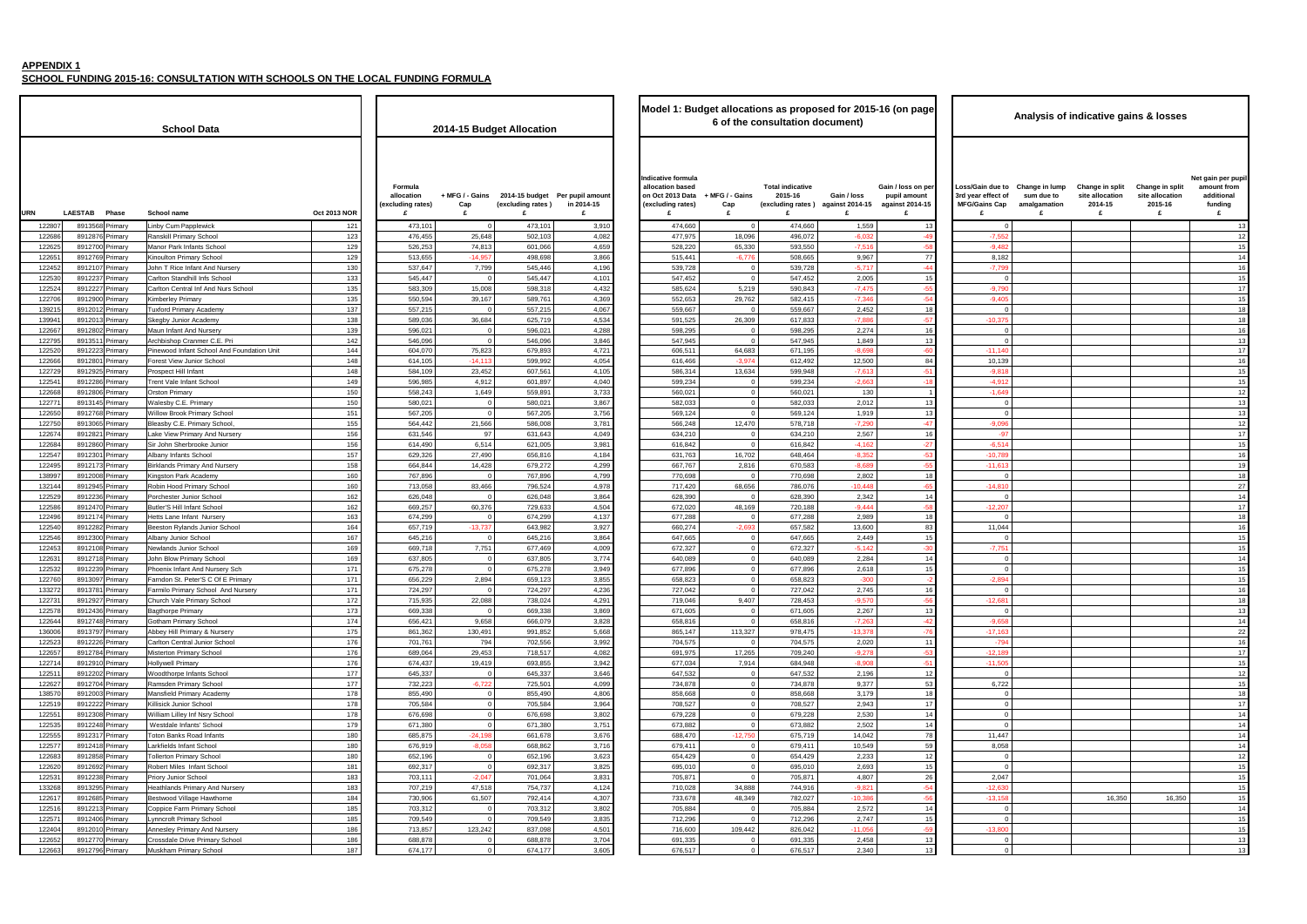**SCHOOL FUNDING 2015-16: CONSULTATION WITH SCHOOLS ON THE LOCAL FUNDING FORMULA**

 $\blacksquare$ 

|                                            |                     |                                                |                             |                           |                                                    |                                                                                      |                             |                                                                         |                       | Model 1: Budget allocations as proposed for 2015-16 (on page |                                                                     |                                                   | Analysis of indicative gains & losses              |                                                           |                                                                |
|--------------------------------------------|---------------------|------------------------------------------------|-----------------------------|---------------------------|----------------------------------------------------|--------------------------------------------------------------------------------------|-----------------------------|-------------------------------------------------------------------------|-----------------------|--------------------------------------------------------------|---------------------------------------------------------------------|---------------------------------------------------|----------------------------------------------------|-----------------------------------------------------------|----------------------------------------------------------------|
| l Data                                     |                     |                                                |                             | 2014-15 Budget Allocation |                                                    |                                                                                      |                             | 6 of the consultation document)                                         |                       |                                                              |                                                                     |                                                   |                                                    |                                                           |                                                                |
|                                            | <b>Oct 2013 NOR</b> | Formula<br>allocation<br>(excluding rates<br>£ | + MFG / - Gains<br>Cap<br>£ | (excluding rates)<br>£    | 2014-15 budget Per pupil amount<br>in 2014-15<br>£ | Indicative formula<br>allocation based<br>on Oct 2013 Data<br>(excluding rates)<br>£ | + MFG / - Gains<br>Cap<br>£ | <b>Total indicative</b><br>2015-16<br>(excluding rates) against 2014-15 | Gain / loss<br>£      | Gain / loss on per<br>pupil amount<br>against 2014-15<br>£   | Loss/Gain due to<br>3rd year effect of<br><b>MFG/Gains Cap</b><br>£ | Change in lump<br>sum due to<br>amalgamation<br>£ | Change in split<br>site allocation<br>2014-15<br>£ | <b>Change in split</b><br>site allocation<br>2015-16<br>£ | Net gain per pupi<br>amount from<br>additional<br>funding<br>£ |
| pplewick                                   | 121                 | 473,101                                        | $\Omega$                    | 473,101                   | 3,910                                              | 474,660                                                                              | $\Omega$                    | 474,660                                                                 | 1,559                 | 13                                                           | $\Omega$                                                            |                                                   |                                                    |                                                           | 13                                                             |
| <b>iry School</b>                          | 123                 | 476,455                                        | 25,648                      | 502,103                   | 4,082                                              | 477,975                                                                              | 18,096                      | 496,072                                                                 | $-6,032$              | $-49$                                                        | $-7,552$                                                            |                                                   |                                                    |                                                           | 12                                                             |
| fants School                               | 129                 | 526,253                                        | 74,813                      | 601,066                   | 4,659                                              | 528,220                                                                              | 65,330                      | 593,550                                                                 | $-7,516$              | $-58$                                                        | $-9,482$                                                            |                                                   |                                                    |                                                           | 15                                                             |
| ary School                                 | 129                 | 513,655                                        | $-14,957$                   | 498,698                   | 3,866                                              | 515,441                                                                              | $-6,776$                    | 508,665                                                                 | 9,967                 | 77                                                           | 8,182                                                               |                                                   |                                                    |                                                           | 14                                                             |
| nfant And Nursery                          | 130<br>133          | 537,647<br>545,447                             | 7,799<br>$\Omega$           | 545,446<br>545,447        | 4,196                                              | 539,728                                                                              |                             | 539,728<br>547,452                                                      | $-5,717$<br>2,005     | $-44$                                                        | $-7,799$                                                            |                                                   |                                                    |                                                           | 16                                                             |
| hill Infs School<br>al Inf And Nurs School | 135                 | 583,309                                        | 15,008                      | 598,318                   | 4,101<br>4,432                                     | 547,452<br>585,624                                                                   | 5,219                       | 590,843                                                                 | $-7,475$              | 15<br>$-55$                                                  | $-9,790$                                                            |                                                   |                                                    |                                                           | 15<br>17                                                       |
| nary                                       | 135                 | 550,594                                        | 39,167                      | 589,761                   | 4,369                                              | 552,653                                                                              | 29,762                      | 582,415                                                                 | $-7,346$              | -54                                                          | $-9,405$                                                            |                                                   |                                                    |                                                           | 15                                                             |
| ry Academy                                 | 137                 | 557,215                                        | $\Omega$                    | 557,215                   | 4,067                                              | 559,667                                                                              |                             | 559,667                                                                 | 2,452                 | 18                                                           |                                                                     |                                                   |                                                    |                                                           | 18                                                             |
| Academy                                    | 138                 | 589,036                                        | 36,684                      | 625,719                   | 4,534                                              | 591,525                                                                              | 26,309                      | 617,833                                                                 | $-7,88$               | $-57$                                                        | $-10,375$                                                           |                                                   |                                                    |                                                           | 18                                                             |
| nd Nursery                                 | 139                 | 596,021                                        |                             | 596,021                   | 4,288                                              | 598,295                                                                              |                             | 598,295                                                                 | 2,274                 | 16                                                           |                                                                     |                                                   |                                                    |                                                           | 16                                                             |
| anmer C.E. Pri                             | 142                 | 546,096                                        | $\Omega$                    | 546,096                   | 3,846                                              | 547,945                                                                              |                             | 547,945                                                                 | 1,849                 | 13                                                           |                                                                     |                                                   |                                                    |                                                           | 13                                                             |
| Int School And Foundation Unit             | 144                 | 604,070                                        | 75,823                      | 679,893                   | 4,721                                              | 606,511                                                                              | 64,683                      | 671,195                                                                 | $-8.698$              | -60                                                          | $-11,140$                                                           |                                                   |                                                    |                                                           | 17                                                             |
| unior School<br>nfant                      | 148<br>148          | 614,105<br>584,109                             | $-14,113$<br>23,452         | 599,992<br>607,561        | 4,054<br>4,105                                     | 616,466<br>586,314                                                                   | $-3,974$<br>13,634          | 612,492<br>599,948                                                      | 12,500<br>$-7,61$     | 84<br>$-51$                                                  | 10,139<br>$-9,818$                                                  |                                                   |                                                    |                                                           | 16<br>15                                                       |
| ant School                                 | 149                 | 596,985                                        | 4,912                       | 601,897                   | 4,040                                              | 599,234                                                                              |                             | 599,234                                                                 | $-2,663$              | $-18$                                                        | $-4,912$                                                            |                                                   |                                                    |                                                           | 15                                                             |
|                                            | 150                 | 558,243                                        | 1,649                       | 559,891                   | 3,733                                              | 560,021                                                                              |                             | 560,021                                                                 | 130                   |                                                              | $-1,649$                                                            |                                                   |                                                    |                                                           | 12                                                             |
| Primary                                    | 150                 | 580,021                                        | $\Omega$                    | 580,021                   | 3,867                                              | 582,033                                                                              | $\Omega$                    | 582,033                                                                 | 2,012                 | 13                                                           |                                                                     |                                                   |                                                    |                                                           | 13                                                             |
| <b>Primary School</b>                      | 151                 | 567,205                                        | $\Omega$                    | 567,205                   | 3,756                                              | 569,124                                                                              | $\Omega$                    | 569,124                                                                 | 1,919                 | 13                                                           | $\Omega$                                                            |                                                   |                                                    |                                                           | 13                                                             |
| <b>Primary School</b>                      | 155                 | 564,442                                        | 21,566                      | 586,008                   | 3,781                                              | 566,248                                                                              | 12,470                      | 578,718                                                                 | $-7,29$               | $-47$                                                        | $-9,096$                                                            |                                                   |                                                    |                                                           | 12                                                             |
| mary And Nursery                           | 156                 | 631,546                                        | 97                          | 631,643                   | 4,049                                              | 634,210                                                                              | $\Omega$                    | 634,210                                                                 | 2,567                 | 16                                                           | $-97$                                                               |                                                   |                                                    |                                                           | 17                                                             |
| brooke Junior                              | 156<br>157          | 614,490<br>629,326                             | 6,514<br>27,490             | 621,005<br>656,816        | 3,981<br>4,184                                     | 616,842<br>631,763                                                                   | $\Omega$<br>16,702          | 616,842<br>648,464                                                      | $-4,162$<br>$-8,35$   | $-27$<br>$-53$                                               | $-6,514$<br>$-10,78$                                                |                                                   |                                                    |                                                           | 15<br>16                                                       |
| School<br>ary And Nursery                  | 158                 | 664,844                                        | 14,428                      | 679,272                   | 4,299                                              | 667,767                                                                              | 2,816                       | 670,583                                                                 | $-8,689$              | $-55$                                                        | $-11,613$                                                           |                                                   |                                                    |                                                           | 15                                                             |
| Academy                                    | 160                 | 767,896                                        | $\Omega$                    | 767,896                   | 4,799                                              | 770,698                                                                              | $\mathbf{0}$                | 770,698                                                                 | 2,802                 | 18                                                           |                                                                     |                                                   |                                                    |                                                           | 18                                                             |
| rimary School                              | 160                 | 713,058                                        | 83,466                      | 796,524                   | 4,978                                              | 717,420                                                                              | 68,656                      | 786,076                                                                 | $-10,448$             | $-65$                                                        | $-14,810$                                                           |                                                   |                                                    |                                                           | 27                                                             |
| nior School                                | 162                 | 626,048                                        | $\Omega$                    | 626,048                   | 3,864                                              | 628,390                                                                              |                             | 628,390                                                                 | 2,342                 | 14                                                           |                                                                     |                                                   |                                                    |                                                           | 14                                                             |
| fant School                                | 162                 | 669,257                                        | 60,376                      | 729,633                   | 4,504                                              | 672,020                                                                              | 48,169                      | 720,188                                                                 | $-9,444$              | $-58$                                                        | $-12,20$                                                            |                                                   |                                                    |                                                           | 17                                                             |
| ant Nursery                                | 163                 | 674,299                                        |                             | 674,299                   | 4,137                                              | 677,288                                                                              |                             | 677,288                                                                 | 2,989                 | 18                                                           |                                                                     |                                                   |                                                    |                                                           | 18                                                             |
| nds Junior School                          | 164                 | 657,719                                        | $-13,737$                   | 643,982                   | 3,927                                              | 660,274                                                                              | $-2,693$                    | 657,582                                                                 | 13,600                | 83                                                           | 11,044                                                              |                                                   |                                                    |                                                           | 16                                                             |
| School<br>ior School                       | 167<br>169          | 645,216<br>669,718                             | $\Omega$<br>7,751           | 645,216<br>677,469        | 3,864<br>4,009                                     | 647,665<br>672,327                                                                   | $\Omega$<br>$\Omega$        | 647,665<br>672,327                                                      | 2,449<br>$-5,142$     | 15<br>$-30$                                                  | $-7,751$                                                            |                                                   |                                                    |                                                           | 15<br>15                                                       |
| mary School                                | 169                 | 637,805                                        | $\Omega$                    | 637,805                   | 3,774                                              | 640,089                                                                              | $\Omega$                    | 640,089                                                                 | 2,284                 | 14                                                           |                                                                     |                                                   |                                                    |                                                           | 14                                                             |
| t And Nursery Sch                          | 171                 | 675,278                                        | $\Omega$                    | 675,278                   | 3,949                                              | 677,896                                                                              |                             | 677,896                                                                 | 2,618                 | 15                                                           |                                                                     |                                                   |                                                    |                                                           | 15                                                             |
| eter'S C Of E Primary                      | 171                 | 656,229                                        | 2,894                       | 659,123                   | 3,855                                              | 658,823                                                                              |                             | 658,823                                                                 | $-300$                |                                                              | $-2,89$                                                             |                                                   |                                                    |                                                           | 15                                                             |
| ry School And Nursery                      | 171                 | 724,297                                        |                             | 724,297                   | 4,236                                              | 727,042                                                                              |                             | 727,042                                                                 | 2,745                 | 16                                                           |                                                                     |                                                   |                                                    |                                                           | 16                                                             |
| rimary School                              | 172                 | 715,935                                        | 22,088                      | 738,024                   | 4,291                                              | 719,046                                                                              | 9,407                       | 728,453                                                                 | $-9,570$              |                                                              | $-12,68$                                                            |                                                   |                                                    |                                                           |                                                                |
| mary                                       | 173                 | 669,338                                        | $\Omega$                    | 669,338                   | 3,869                                              | 671,605                                                                              | $\Omega$                    | 671,605                                                                 | 2,267                 | 13                                                           |                                                                     |                                                   |                                                    |                                                           | 13                                                             |
| ıry School<br>mary & Nursery               | 174<br>175          | 656,421<br>861,362                             | 9,658<br>130,491            | 666,079<br>991,852        | 3,828<br>5,668                                     | 658,816<br>865,147                                                                   | $\Omega$<br>113,327         | 658,816<br>978,475                                                      | $-7,263$<br>$-13,378$ | $-42$<br>$-76$                                               | $-9,658$<br>$-17,163$                                               |                                                   |                                                    |                                                           | 14<br>22                                                       |
| al Junior School                           | 176                 | 701,761                                        | 794                         | 702,556                   | 3,992                                              | 704,575                                                                              | $\Omega$                    | 704,575                                                                 | 2,020                 | 11                                                           | $-794$                                                              |                                                   |                                                    |                                                           | 16                                                             |
| ary School                                 | 176                 | 689,064                                        | 29,453                      | 718,517                   | 4,082                                              | 691,975                                                                              | 17,265                      | 709,240                                                                 | $-9,278$              | $-53$                                                        | $-12,189$                                                           |                                                   |                                                    |                                                           | 17                                                             |
| ary                                        | 176                 | 674,437                                        | 19,419                      | 693,855                   | 3,942                                              | 677,034                                                                              | 7,914                       | 684,948                                                                 | $-8,908$              | $-51$                                                        | $-11,505$                                                           |                                                   |                                                    |                                                           | 15                                                             |
| nfants School                              | 177                 | 645,337                                        | $\Omega$                    | 645,337                   | 3,646                                              | 647,532                                                                              | $\overline{0}$              | 647,532                                                                 | 2,196                 | 12                                                           | $\Omega$                                                            |                                                   |                                                    |                                                           | 12                                                             |
| nary School                                | 177                 | 732,223                                        | $-6,722$                    | 725,501                   | 4,099                                              | 734,878                                                                              | $\Omega$                    | 734,878                                                                 | 9,377                 | 53                                                           | 6,722                                                               |                                                   |                                                    |                                                           | 15                                                             |
| nary Academy                               | 178                 | 855,490                                        | $\overline{0}$              | 855,490                   | 4,806                                              | 858,668                                                                              | $\overline{0}$              | 858,668                                                                 | 3,179                 | 18                                                           | $\overline{0}$                                                      |                                                   |                                                    |                                                           | 18                                                             |
| School<br>Inf Nsry School                  | 178<br>178          | 705,584<br>676,698                             | $\Omega$<br>$\mathbf 0$     | 705,584<br>676,698        | 3,964<br>3,802                                     | 708,527<br>679,228                                                                   | $\circ$                     | 708,527<br>679,228                                                      | 2,943<br>2,530        | 17<br>14 <sup>1</sup>                                        | $\overline{0}$<br>$\Omega$                                          |                                                   |                                                    |                                                           | 17<br>14                                                       |
| ants' School                               | 179                 | 671,380                                        | $\overline{0}$              | 671,380                   | 3,751                                              | 673,882                                                                              | $\mathbf{0}$                | 673,882                                                                 | 2,502                 | 14                                                           | $\Omega$                                                            |                                                   |                                                    |                                                           | 14                                                             |
| रेoad Infants                              | 180                 | 685,875                                        | $-24,198$                   | 661,678                   | 3,676                                              | 688,470                                                                              | $-12,750$                   | 675,719                                                                 | 14,042                | 78                                                           | 11,447                                                              |                                                   |                                                    |                                                           | 14                                                             |
| nt School                                  | 180                 | 676,919                                        | $-8,058$                    | 668,862                   | 3,716                                              | 679,411                                                                              | $\Omega$                    | 679,411                                                                 | 10,549                | 59                                                           | 8,058                                                               |                                                   |                                                    |                                                           | 14                                                             |
| ary School                                 | 180                 | 652,196                                        | $\overline{0}$              | 652,196                   | 3,623                                              | 654,429                                                                              | $\overline{0}$              | 654,429                                                                 | 2,233                 | 12                                                           | $\overline{0}$                                                      |                                                   |                                                    |                                                           | 12                                                             |
| Infant School                              | 181                 | 692,317                                        | $\overline{0}$              | 692,317                   | 3,825                                              | 695,010                                                                              | $\circ$                     | 695,010                                                                 | 2,693                 | 15                                                           | $\overline{0}$                                                      |                                                   |                                                    |                                                           | 15                                                             |
| School                                     | 183                 | 703,111                                        | $-2,047$                    | 701,064                   | 3,831                                              | 705,871                                                                              | $\Omega$                    | 705,871                                                                 | 4,807                 | 26                                                           | 2,047                                                               |                                                   |                                                    |                                                           | 15                                                             |
| imary And Nursery                          | 183<br>184          | 707,219                                        | 47,518                      | 754,737                   | 4,124<br>4,307                                     | 710,028                                                                              | 34,888<br>48,349            | 744,916                                                                 | $-9,821$<br>$-10,386$ | -54<br>$-56$                                                 | $-12,630$<br>$-13,158$                                              |                                                   | 16,350                                             | 16,350                                                    | 15<br>15                                                       |
| age Hawthorne<br>Primary School            | 185                 | 730,906<br>703,312                             | 61,507<br>$\overline{0}$    | 792,414<br>703,312        | 3,802                                              | 733,678<br>705,884                                                                   | $\overline{0}$              | 782,027<br>705,884                                                      | 2,572                 | 14                                                           | $\Omega$                                                            |                                                   |                                                    |                                                           | 14                                                             |
| ary School                                 | 185                 | 709,549                                        | $\overline{0}$              | 709,549                   | 3,835                                              | 712,296                                                                              | $\Omega$                    | 712,296                                                                 | 2,747                 | 15                                                           | $\Omega$                                                            |                                                   |                                                    |                                                           | 15                                                             |
| ary And Nursery                            | 186                 | 713,857                                        | 123,242                     | 837,098                   | 4,501                                              | 716,600                                                                              | 109,442                     | 826,042                                                                 | $-11,056$             | $-59$                                                        | $-13,800$                                                           |                                                   |                                                    |                                                           | 15                                                             |
| ve Primary School                          | 186                 | 688,878                                        | $\Omega$                    | 688,878                   | 3,704                                              | 691,335                                                                              |                             | 691,335                                                                 | 2,458                 | 13                                                           | $\Omega$                                                            |                                                   |                                                    |                                                           | 13                                                             |
| nary School                                | 187                 | 674,177                                        | $\mathbf 0$                 | 674,177                   | 3,605                                              | 676,517                                                                              | $\overline{0}$              | 676,517                                                                 | 2,340                 | 13                                                           | $\mathbf 0$                                                         |                                                   |                                                    |                                                           | 13                                                             |
|                                            |                     |                                                |                             |                           |                                                    |                                                                                      |                             |                                                                         |                       |                                                              |                                                                     |                                                   |                                                    |                                                           |                                                                |

|                            | <b>Oct 2013 NOR</b> | Formula<br>allocation<br>(excluding rates)<br>£ | + MFG / - Gains<br>Cap<br>£ | (excluding rates)<br>£ | 2014-15 budget Per pupil amount<br>in 2014-15<br>£ | Indicative formula<br>allocation based<br>on Oct 2013 Data<br>(excluding rates)<br>£ | + MFG / - Gains<br>Cap<br>£ | <b>Total indicative</b><br>2015-16<br>(excluding rates<br>£ |
|----------------------------|---------------------|-------------------------------------------------|-----------------------------|------------------------|----------------------------------------------------|--------------------------------------------------------------------------------------|-----------------------------|-------------------------------------------------------------|
| lewick                     | 121                 | 473,101                                         | $\mathbf 0$                 | 473,101                | 3,910                                              | 474,660                                                                              | $\mathbf 0$                 | 474,660                                                     |
| School                     | 123                 | 476,455                                         | 25,648                      | 502,103                | 4,082                                              | 477,975                                                                              | 18,096                      | 496,072                                                     |
| nts School                 | 129                 | 526,253                                         | 74,813                      | 601,066                | 4,659                                              | 528,220                                                                              | 65,330                      | 593,550                                                     |
| ry School                  | 129                 | 513,655                                         | $-14,957$                   | 498,698                | 3,866                                              | 515,441                                                                              | $-6,776$                    | 508,665                                                     |
| nt And Nursery             | 130                 | 537,647                                         | 7,799                       | 545.446                | 4,196                                              | 539,728                                                                              | 0                           | 539,728                                                     |
| I Infs School              | 133                 | 545,447                                         | $\mathbf 0$                 | 545,447                | 4,101                                              | 547,452                                                                              | $\mathbf 0$                 | 547,452                                                     |
| Inf And Nurs School        | 135                 | 583,309                                         | 15,008                      | 598,318                | 4,432                                              | 585,624                                                                              | 5,219                       | 590,843                                                     |
| ry                         | 135                 | 550,594                                         | 39,167                      | 589,761                | 4,369                                              | 552,653                                                                              | 29,762                      | 582,415                                                     |
| Academy                    | 137                 | 557,215                                         | $\mathbf 0$                 | 557,215                | 4,067                                              | 559,667                                                                              | $\mathbf 0$                 | 559,667                                                     |
| cademy.                    | 138                 | 589,036                                         | 36,684                      | 625,719                | 4,534                                              | 591,525                                                                              | 26,309                      | 617,833                                                     |
| l Nursery                  | 139                 | 596,021                                         | 0                           | 596,021                | 4,288                                              | 598,295                                                                              | 0                           | 598,295                                                     |
| nmer C.E. Pri              | 142                 | 546,096                                         | $\mathbf 0$                 | 546,096                | 3,846                                              | 547,945                                                                              | $\mathbf 0$                 | 547,945                                                     |
| School And Foundation Unit | 144                 | 604,070                                         | 75,823                      | 679,893                | 4,721                                              | 606,511                                                                              | 64,683                      | 671,195                                                     |
| ior School                 | 148                 | 614,105                                         | $-14,113$                   | 599,992                | 4,054                                              | 616,466                                                                              | $-3,974$                    | 612,492                                                     |
| ant                        | 148                 | 584,109                                         | 23,452                      | 607,561                | 4,105                                              | 586,314                                                                              | 13,634                      | 599,948                                                     |
| t School                   | 149                 | 596,985                                         | 4,912                       | 601,897                | 4,040                                              | 599,234                                                                              | 0                           | 599,234                                                     |
|                            | 150                 | 558,243                                         | 1,649                       | 559,891                | 3,733                                              | 560,021                                                                              | $\mathbf 0$                 | 560,021                                                     |
| 'imary                     | 150                 | 580,021                                         | 0                           | 580,021                | 3,867                                              | 582,033                                                                              | $\mathbf 0$                 | 582,033                                                     |
| imary School               | 151                 | 567,205                                         | $\mathbf 0$                 | 567,205                | 3,756                                              | 569,124                                                                              | $\mathbf 0$                 | 569,124                                                     |
| mary School,               | 155                 | 564,442                                         | 21,566                      | 586,008                | 3,781                                              | 566,248                                                                              | 12,470                      | 578,718                                                     |
| ary And Nursery            | 156                 | 631,546                                         | 97                          | 631,643                | 4,049                                              | 634,210                                                                              | 0                           | 634,210                                                     |
| ooke Junior                | 156                 | 614,490                                         | 6,514                       | 621,005                | 3,981                                              | 616,842                                                                              | $\mathbf 0$                 | 616,842                                                     |
| chool                      | 157                 | 629,326                                         | 27,490                      | 656,816                | 4,184                                              | 631,763                                                                              | 16,702                      | 648,464                                                     |
| y And Nursery              | 158                 | 664,844                                         | 14,428                      | 679,272                | 4,299                                              | 667,767                                                                              | 2,816                       | 670,583                                                     |
| cademy                     | 160                 | 767,896                                         | 0                           | 767,896                | 4,799                                              | 770,698                                                                              | 0                           | 770,698                                                     |
| nary School                | 160                 | 713,058                                         | 83,466                      | 796,524                | 4,978                                              | 717,420                                                                              | 68,656                      | 786,076                                                     |
| or School                  | 162                 | 626,048                                         | 0                           | 626,048                | 3,864                                              | 628,390                                                                              | 0                           | 628,390                                                     |
| nt School                  | 162                 | 669,257                                         | 60,376                      | 729,633                | 4,504                                              | 672,020                                                                              | 48,169                      | 720,188                                                     |
| it Nursery                 | 163                 | 674,299                                         | 0                           | 674,299                | 4,137                                              | 677,288                                                                              | 0                           | 677,288                                                     |
| s Junior School            | 164                 | 657,719                                         | $-13,737$                   | 643,982                | 3,927                                              | 660,274                                                                              | $-2,693$                    | 657,582                                                     |
| chool                      | 167                 | 645,216                                         | 0                           | 645,216                | 3,864                                              | 647,665                                                                              | $\mathbf 0$                 | 647,665                                                     |
| r School                   | 169                 | 669,718                                         | 7,751                       | 677,469                | 4,009                                              | 672,327                                                                              | $\mathbf 0$                 | 672,327                                                     |
| ary School                 | 169                 | 637,805                                         | 0                           | 637,805                | 3,774                                              | 640,089                                                                              | $\mathbf 0$                 | 640,089                                                     |
| nd Nursery Sch             | 171                 | 675,278                                         | $\mathbf 0$                 | 675,278                | 3,949                                              | 677,896                                                                              | $\mathbf 0$                 | 677,896                                                     |
| er'S C Of E Primary        | 171                 | 656,229                                         | 2,894                       | 659,123                | 3,855                                              | 658,823                                                                              | $\mathbf 0$                 | 658,823                                                     |
| School And Nursery         | 171                 | 724,297                                         | 0                           | 724,297                | 4,236                                              | 727,042                                                                              | $\mathbf 0$                 | 727,042                                                     |
| nary School                | 172                 | 715,935                                         | 22,088                      | 738,024                | 4,291                                              | 719,046                                                                              | 9,407                       | 728,453                                                     |
| ary                        | 173                 | 669,338                                         | 0                           | 669,338                | 3,869                                              | 671,605                                                                              | $\mathbf 0$                 | 671,605                                                     |
| School                     | 174                 | 656,421                                         | 9,658                       | 666,079                | 3,828                                              | 658,816                                                                              | $\mathbf 0$                 | 658,816                                                     |
| ary & Nursery              | 175                 | 861,362                                         | 130,491                     | 991,852                | 5,668                                              | 865,147                                                                              | 113,327                     | 978,475                                                     |
| Junior School              | 176                 | 701,761                                         | 794                         | 702,556                | 3,992                                              | 704,575                                                                              | $\mathbf 0$                 | 704,575                                                     |
| y School                   | 176                 | 689,064                                         | 29,453                      | 718,517                | 4,082                                              | 691,975                                                                              | 17,265                      | 709,240                                                     |
| y                          | 176                 | 674,437                                         | 19,419                      | 693,855                | 3,942                                              | 677,034                                                                              | 7,914                       | 684,948                                                     |
| ants School                | 177                 | 645,337                                         | 0                           | 645,337                | 3,646                                              | 647,532                                                                              | 0                           | 647,532                                                     |
| ry School                  | 177                 | 732,223                                         | $-6,722$                    | 725,501                | 4,099                                              | 734,878                                                                              | $\mathbf 0$                 | 734,878                                                     |
| ry Academy                 | 178                 | 855,490                                         | 0                           | 855,490                | 4,806                                              | 858,668                                                                              | $\mathbf 0$                 | 858,668                                                     |
| chool                      | 178                 | 705,584                                         | $\mathbf 0$                 | 705,584                | 3,964                                              | 708,527                                                                              | $\mathbf 0$                 | 708,527                                                     |
| Nsry School                | 178                 | 676,698                                         | $\mathbf 0$                 | 676,698                | 3,802                                              | 679,228                                                                              | $\mathbf 0$                 | 679,228                                                     |
| s' School                  | 179                 | 671,380                                         | $\mathbf 0$                 | 671,380                | 3,751                                              | 673,882                                                                              | $\mathbf 0$                 | 673,882                                                     |
| ad Infants                 | 180                 | 685,875                                         | $-24,198$                   | 661,678                | 3,676                                              | 688,470                                                                              | $-12,750$                   | 675,719                                                     |
| School                     | 180                 | 676,919                                         | $-8,058$                    | 668,862                | 3,716                                              | 679,411                                                                              | 0                           | 679,411                                                     |
| y School                   | 180                 | 652,196                                         | 0                           | 652,196                | 3,623                                              | 654,429                                                                              | $\mathbf 0$                 | 654,429                                                     |
| ant School                 | 181                 | 692,317                                         | $\mathbf 0$                 | 692,317                | 3,825                                              | 695,010                                                                              | $\mathbf 0$                 | 695,010                                                     |
| hool                       | 183                 | 703,111                                         | $-2,047$                    | 701,064                | 3,831                                              | 705,871                                                                              | $\mathbf 0$                 | 705,871                                                     |
| ary And Nursery            | 183                 | 707,219                                         | 47,518                      | 754,737                | 4,124                                              | 710,028                                                                              | 34,888                      | 744,916                                                     |
| e Hawthorne                | 184                 | 730,906                                         | 61,507                      | 792,414                | 4,307                                              | 733,678                                                                              | 48,349                      | 782,027                                                     |
| rimary School              | 185                 | 703,312                                         | 0                           | 703,312                | 3,802                                              | 705,884                                                                              | 0                           | 705,884                                                     |
| y School                   | 185                 | 709,549                                         | 0                           | 709,549                | 3,835                                              | 712,296                                                                              | $\mathbf 0$                 | 712,296                                                     |
| y And Nursery              | 186                 | 713,857                                         | 123,242                     | 837,098                | 4,501                                              | 716,600                                                                              | 109,442                     | 826,042                                                     |
| <b>Primary School</b>      | 186                 | 688,878                                         | 0                           | 688,878                | 3,704                                              | 691,335                                                                              | 0                           | 691,335                                                     |
| ry School                  | 187                 | 674,177                                         | $\pmb{0}$                   | 674,177                | 3,605                                              | 676,517                                                                              | $\mathbf 0$                 | 676,517                                                     |
|                            |                     |                                                 |                             |                        |                                                    |                                                                                      |                             |                                                             |

|                  |                                    |         |                                                                     |                     |                                                |                               |                           |                                                    | Model 1: Budget allocations as proposed for 2015-16 (on page<br>6 of the consultation document) |                               |                                                         |                                     |                                                            |                                                                     |
|------------------|------------------------------------|---------|---------------------------------------------------------------------|---------------------|------------------------------------------------|-------------------------------|---------------------------|----------------------------------------------------|-------------------------------------------------------------------------------------------------|-------------------------------|---------------------------------------------------------|-------------------------------------|------------------------------------------------------------|---------------------------------------------------------------------|
|                  |                                    |         | <b>School Data</b>                                                  |                     |                                                |                               | 2014-15 Budget Allocation |                                                    |                                                                                                 |                               |                                                         |                                     |                                                            |                                                                     |
| <b>URN</b>       | <b>LAESTAB</b>                     | Phase   | School name                                                         | <b>Oct 2013 NOR</b> | Formula<br>allocation<br>excluding rates)<br>£ | + MFG / - Gains<br>Cap<br>£   | (excluding rates)<br>£    | 2014-15 budget Per pupil amount<br>in 2014-15<br>£ | Indicative formula<br>allocation based<br>on Oct 2013 Data<br>(excluding rates)<br>£            | + MFG / - Gains<br>Cap<br>£   | <b>Total indicative</b><br>2015-16<br>(excluding rates) | Gain / loss<br>against 2014-15<br>£ | Gain / loss on per<br>pupil amount<br>against 2014-15<br>£ | Loss/Gain due to<br>3rd year effect of<br><b>MFG/Gains Cap</b><br>£ |
| 12280            | 8913568 Primary                    |         | Linby Cum Papplewick                                                | 121                 | 473,101                                        | $\overline{0}$                | 473,101                   | 3,910                                              | 474,660                                                                                         | $\overline{0}$                | 474,660                                                 | 1,559                               | 13                                                         | $\overline{0}$                                                      |
| 12268            | 8912876                            | Primary | Ranskill Primary School                                             | 123                 | 476,455                                        | 25,648                        | 502,103                   | 4,082                                              | 477,975                                                                                         | 18,096                        | 496,072                                                 | $-6,03$                             | $-49$                                                      | $-7,552$                                                            |
| 12262            | 8912700 Primary                    |         | Manor Park Infants School                                           | 129                 | 526,253                                        | 74,813                        | 601,066                   | 4,659                                              | 528,220                                                                                         | 65,330                        | 593,550                                                 | $-7,51$                             | -58                                                        | $-9,482$                                                            |
| 12265            | 8912769 Primary                    |         | Kinoulton Primary School                                            | 129                 | 513,655                                        | $-14,957$                     | 498,698                   | 3,866                                              | 515,441                                                                                         | $-6,776$                      | 508,665                                                 | 9,967                               | 77                                                         | 8,182                                                               |
| 122452<br>12253  | 8912107 Primary<br>8912237         | Primary | John T Rice Infant And Nursery<br>Carlton Standhill Infs School     | 130<br>133          | 537,647<br>545,447                             | 7,799<br>$\overline{0}$       | 545,446<br>545,447        | 4,196<br>4,101                                     | 539,728<br>547,452                                                                              | $\overline{0}$<br>$\mathbf 0$ | 539,728<br>547,452                                      | $-5,717$<br>2,005                   | $-44$<br>15                                                | $-7,799$<br>$\overline{0}$                                          |
| 122524           | 8912227                            | Primary | Carlton Central Inf And Nurs School                                 | 135                 | 583,309                                        | 15,008                        | 598,318                   | 4,432                                              | 585,624                                                                                         | 5,219                         | 590,843                                                 | $-7,475$                            | $-55$                                                      | $-9,790$                                                            |
| 12270            | 8912900                            | Primary | <b>Kimberley Primary</b>                                            | 135                 | 550,594                                        | 39,167                        | 589,761                   | 4,369                                              | 552,653                                                                                         | 29,762                        | 582,415                                                 | $-7,346$                            | $-54$                                                      | $-9,405$                                                            |
| 13921            | 8912012                            | Primary | <b>Tuxford Primary Academy</b>                                      | 137                 | 557,215                                        |                               | 557,215                   | 4,067                                              | 559,667                                                                                         | $\Omega$                      | 559,667                                                 | 2,452                               | 18                                                         | $\overline{0}$                                                      |
| 13994            | 8912013 Primary                    |         | Skegby Junior Academy                                               | 138                 | 589,036                                        | 36,684                        | 625,719                   | 4,534                                              | 591,525                                                                                         | 26,309                        | 617,833                                                 | $-7,886$                            | $-57$                                                      | $-10,375$                                                           |
| 12266<br>122795  | 8912802 Primary<br>8913511         | Primary | Maun Infant And Nursery<br>Archbishop Cranmer C.E. Pri              | 139<br>142          | 596,021<br>546,096                             | $\Omega$<br>$\Omega$          | 596,021<br>546,096        | 4,288<br>3,846                                     | 598,295<br>547,945                                                                              | $\mathbf 0$<br>$\circ$        | 598,295<br>547,945                                      | 2,274<br>1,849                      | 16<br>13                                                   | $\overline{0}$<br>$\overline{0}$                                    |
| 12252            | 8912223                            | Primary | Pinewood Infant School And Foundation Unit                          | 144                 | 604,070                                        | 75,823                        | 679,893                   | 4,721                                              | 606,51                                                                                          | 64,683                        | 671,195                                                 | $-8,698$                            | $-60$                                                      | $-11,140$                                                           |
| 12266            | 8912801                            | Primary | Forest View Junior School                                           | 148                 | 614,105                                        | $-14,113$                     | 599,992                   | 4,054                                              | 616,466                                                                                         | $-3,974$                      | 612,492                                                 | 12,500                              | 84                                                         | 10,139                                                              |
| 12272            | 8912925                            | Primary | <b>Prospect Hill Infant</b>                                         | 148                 | 584,109                                        | 23,452                        | 607,561                   | 4,105                                              | 586,314                                                                                         | 13,634                        | 599,948                                                 | $-7,613$                            | $-51$                                                      | $-9,818$                                                            |
| 12254            | 8912286 Primary                    |         | Trent Vale Infant School                                            | 149                 | 596,985                                        | 4,912                         | 601,897                   | 4,040                                              | 599,234                                                                                         | $\Omega$<br>$\circ$           | 599,234                                                 | $-2,663$                            | $-18$                                                      | $-4,912$                                                            |
| 122668<br>12277  | 8912806 Primary<br>8913145 Primary |         | <b>Orston Primary</b><br>Walesby C.E. Primary                       | 150<br>150          | 558,243<br>580,021                             | 1,649<br>$\Omega$             | 559,891<br>580,021        | 3,733<br>3,867                                     | 560,021<br>582,033                                                                              | $\circ$                       | 560,021<br>582,033                                      | 130<br>2,012                        | 13                                                         | $-1,649$<br>$\overline{0}$                                          |
| 12265            | 8912768 Primary                    |         | Willow Brook Primary School                                         | 151                 | 567,205                                        | $\overline{0}$                | 567,205                   | 3,756                                              | 569,124                                                                                         | $\overline{0}$                | 569,124                                                 | 1,919                               | 13                                                         | $\overline{0}$                                                      |
| 122750           | 8913065                            | Primary | Bleasby C.E. Primary School,                                        | 155                 | 564,442                                        | 21,566                        | 586,008                   | 3,781                                              | 566,248                                                                                         | 12,470                        | 578,718                                                 | $-7,290$                            | $-47$                                                      | $-9,096$                                                            |
| 12267            | 8912821                            | Primary | Lake View Primary And Nursery                                       | 156                 | 631,546                                        | 97                            | 631,643                   | 4,049                                              | 634,210                                                                                         | $\Omega$                      | 634,210                                                 | 2,567                               | 16                                                         | $-97$                                                               |
| 122684           | 8912860                            | Primary | Sir John Sherbrooke Junior                                          | 156                 | 614,490                                        | 6,514                         | 621,005                   | 3,981                                              | 616,842                                                                                         | $\Omega$                      | 616,842                                                 | $-4,162$                            | $-27$                                                      | $-6,514$                                                            |
| 12254<br>122495  | 8912301<br>8912173 Primary         | Primary | Albany Infants School<br><b>Birklands Primary And Nursery</b>       | 157<br>158          | 629,326<br>664,844                             | 27,490<br>14,428              | 656,816<br>679,272        | 4,184<br>4,299                                     | 631,763<br>667,767                                                                              | 16,702<br>2,816               | 648,464<br>670,583                                      | $-8,352$<br>$-8,689$                | $-53$<br>$-55$                                             | $-10,789$                                                           |
| 138997           | 8912008 Primary                    |         | Kingston Park Academy                                               | 160                 | 767,896                                        | $\Omega$                      | 767,896                   | 4,799                                              | 770,698                                                                                         | $\mathbf 0$                   | 770,698                                                 | 2,802                               | 18                                                         | $-11,613$<br>$\overline{0}$                                         |
| 13214            | 8912945                            | Primary | Robin Hood Primary School                                           | 160                 | 713,058                                        | 83,466                        | 796,524                   | 4,978                                              | 717,420                                                                                         | 68,656                        | 786,076                                                 | $-10,44i$                           | $-65$                                                      | $-14,810$                                                           |
| 12252            | 8912236                            | Primary | Porchester Junior School                                            | 162                 | 626,048                                        |                               | 626,048                   | 3,864                                              | 628,390                                                                                         | $\Omega$                      | 628,390                                                 | 2,342                               | 14                                                         | $\overline{0}$                                                      |
| 122586           | 8912470 Primary                    |         | Butler'S Hill Infant School                                         | 162                 | 669,257                                        | 60,376                        | 729,633                   | 4,504                                              | 672,020                                                                                         | 48,169                        | 720,188                                                 | $-9,444$                            | $-58$                                                      | $-12,207$                                                           |
| 122496           | 8912174 Primary                    |         | Hetts Lane Infant Nursery                                           | 163                 | 674,299                                        | $\Omega$                      | 674,299                   | 4,137                                              | 677,288                                                                                         | $\Omega$                      | 677,288                                                 | 2,989                               | 18                                                         | $\overline{0}$                                                      |
| 12254<br>122546  | 8912282 Primary<br>8912300 Primary |         | Beeston Rylands Junior School<br>Albany Junior School               | 164<br>167          | 657,719<br>645,216                             | $-13,737$<br>$\overline{0}$   | 643,982<br>645,216        | 3,927<br>3,864                                     | 660,274<br>647,665                                                                              | $-2.693$<br>$\Omega$          | 657,582<br>647,665                                      | 13,600<br>2,449                     | 83<br>15                                                   | 11,044<br>$\mathbf 0$                                               |
| 122453           | 8912108 Primary                    |         | Newlands Junior School                                              | 169                 | 669,718                                        | 7,751                         | 677,469                   | 4,009                                              | 672,327                                                                                         | $\overline{0}$                | 672,327                                                 | $-5,142$                            | $-30$                                                      | $-7,751$                                                            |
| 12263            | 8912718                            | Primary | John Blow Primary School                                            | 169                 | 637,805                                        | $\Omega$                      | 637,805                   | 3,774                                              | 640,089                                                                                         | $\circ$                       | 640,089                                                 | 2,284                               | 14                                                         | $\overline{0}$                                                      |
| 12253            | 8912239 Primary                    |         | Phoenix Infant And Nursery Sch                                      | 171                 | 675,278                                        | $\Omega$                      | 675,278                   | 3,949                                              | 677,896                                                                                         | $\Omega$                      | 677,896                                                 | 2,618                               | 15                                                         | $\overline{0}$                                                      |
| 122760           | 8913097 Primary                    |         | Farndon St. Peter'S C Of E Primary                                  | 171                 | 656,229                                        | 2,894                         | 659,123                   | 3,855                                              | 658,823                                                                                         | $\Omega$                      | 658,823                                                 | $-300$                              |                                                            | $-2,894$                                                            |
| 133272<br>122731 | 8913781 Primary<br>8912927 Primary |         | Farmilo Primary School And Nursery<br>Church Vale Primary School    | 171<br>172          | 724,297<br>715,935                             | $\mathbf 0$<br>22,088         | 724,297<br>738,024        | 4,236<br>4,291                                     | 727,042<br>719,046                                                                              | $\circ$<br>9,407              | 727,042<br>728,453                                      | 2,745<br>$-9,570$                   | 16<br>$-56$                                                | $\mathbf 0$<br>$-12,681$                                            |
| 122578           | 8912436 Primary                    |         | <b>Bagthorpe Primary</b>                                            | 173                 | 669,338                                        | $\overline{0}$                | 669,338                   | 3,869                                              | 671,605                                                                                         | $\overline{0}$                | 671,605                                                 | 2,267                               | 13                                                         | $\overline{0}$                                                      |
| 12264            | 8912748 Primary                    |         | Gotham Primary School                                               | 174                 | 656,421                                        | 9,658                         | 666,079                   | 3,828                                              | 658,816                                                                                         | $\overline{0}$                | 658,816                                                 | $-7,263$                            | $-42$                                                      | $-9,658$                                                            |
| 136006           | 8913797 Primary                    |         | Abbey Hill Primary & Nursery                                        | 175                 | 861,362                                        | 130,491                       | 991,852                   | 5,668                                              | 865,147                                                                                         | 113,327                       | 978,475                                                 | $-13,37$                            | $-76$                                                      | $-17,163$                                                           |
| 122523           | 8912226 Primary                    |         | Carlton Central Junior School                                       | 176                 | 701,761                                        | 794                           | 702,556                   | 3,992                                              | 704,575                                                                                         | $\mathbf 0$                   | 704,575                                                 | 2,020                               | 11                                                         | $-794$                                                              |
| 122657<br>122714 | 8912784 Primary<br>8912910 Primary |         | Misterton Primary School<br><b>Hollywell Primary</b>                | 176<br>176          | 689,064<br>674,437                             | 29,453<br>19,419              | 718,517<br>693,855        | 4,082<br>3,942                                     | 691,975<br>677,034                                                                              | 17,265<br>7,914               | 709,240<br>684,948                                      | $-9,278$<br>$-8,908$                | $-53$<br>$-51$                                             | $-12,189$<br>$-11,505$                                              |
| 12251            | 8912202 Primary                    |         | Woodthorpe Infants School                                           | 177                 | 645,337                                        | $\overline{0}$                | 645,337                   | 3,646                                              | 647,532                                                                                         | $\overline{0}$                | 647,532                                                 | 2,196                               | 12                                                         | $\overline{0}$                                                      |
| 122627           | 8912704 Primary                    |         | Ramsden Primary School                                              | 177                 | 732,223                                        | $-6,722$                      | 725,501                   | 4,099                                              | 734,878                                                                                         | $\overline{0}$                | 734,878                                                 | 9,377                               | 53                                                         | 6,722                                                               |
| 13857            | 8912003 Primary                    |         | Mansfield Primary Academy                                           | 178                 | 855,490                                        | $\overline{0}$                | 855,490                   | 4,806                                              | 858,668                                                                                         | $\circ$                       | 858,668                                                 | 3,179                               | 18                                                         | $\mathbf 0$                                                         |
| 12251            | 8912222 Primary                    |         | Killisick Junior School                                             | 178                 | 705,584                                        | $\mathbf 0$                   | 705,584                   | 3,964                                              | 708,527                                                                                         | $\overline{0}$                | 708,527                                                 | 2,943                               | 17                                                         | $\overline{0}$                                                      |
| 12255<br>122535  | 8912308 Primary<br>8912248 Primary |         | William Lilley Inf Nsry School<br>Westdale Infants' School          | 178<br>179          | 676,698<br>671,380                             | $\mathbf 0$<br>$\overline{0}$ | 676,698<br>671,380        | 3,802<br>3,751                                     | 679,228<br>673,882                                                                              | $\circ$<br>$\circ$            | 679,228<br>673,882                                      | 2,530<br>2,502                      | 14<br>14                                                   | $\mathbf 0$<br>$\mathbf 0$                                          |
| 122555           | 8912317 Primary                    |         | Toton Banks Road Infants                                            | 180                 | 685,875                                        | $-24,198$                     | 661,678                   | 3,676                                              | 688,470                                                                                         | $-12,750$                     | 675,719                                                 | 14,042                              | 78                                                         | 11,447                                                              |
| 122577           | 8912418 Primary                    |         | Larkfields Infant School                                            | 180                 | 676,919                                        | $-8,058$                      | 668,862                   | 3,716                                              | 679,411                                                                                         | $\overline{0}$                | 679,411                                                 | 10,549                              | 59                                                         | 8,058                                                               |
| 122683           | 8912858 Primary                    |         | <b>Tollerton Primary School</b>                                     | 180                 | 652,196                                        | $\overline{0}$                | 652,196                   | 3,623                                              | 654,429                                                                                         | $\circ$                       | 654,429                                                 | 2,233                               | 12                                                         | $\overline{0}$                                                      |
| 122620           | 8912692 Primary                    |         | Robert Miles Infant School                                          | 181                 | 692,317                                        | $\Omega$                      | 692,317                   | 3,825                                              | 695,010                                                                                         | $\Omega$                      | 695,010                                                 | 2,693                               | 15                                                         | $\overline{0}$                                                      |
| 12253            | 8912238 Primary                    |         | Priory Junior School                                                | 183                 | 703,111                                        | $-2,047$                      | 701,064                   | 3,831                                              | 705,871                                                                                         | $\circ$                       | 705,871                                                 | 4,807                               | 26                                                         | 2,047                                                               |
| 133268<br>12261  | 8913295 Primary<br>8912685 Primary |         | <b>Heathlands Primary And Nursery</b><br>Bestwood Village Hawthorne | 183<br>184          | 707,219<br>730,906                             | 47,518<br>61,507              | 754,737<br>792,414        | 4,124<br>4,307                                     | 710,028<br>733,678                                                                              | 34,888<br>48,349              | 744,916<br>782,027                                      | $-9,821$<br>$-10,386$               | $-54$<br>$-56$                                             | $-12,630$<br>$-13,158$                                              |
| 12251            | 8912213 Primary                    |         | Coppice Farm Primary School                                         | 185                 | 703,312                                        | $\mathbf 0$                   | 703,312                   | 3,802                                              | 705,884                                                                                         | $\mathbf{0}$                  | 705,884                                                 | 2,572                               | 14                                                         | $\overline{0}$                                                      |
| 12257            | 8912406 Primary                    |         | Lynncroft Primary School                                            | 185                 | 709,549                                        | $\overline{0}$                | 709,549                   | 3,835                                              | 712,296                                                                                         | $\overline{0}$                | 712,296                                                 | 2,747                               | 15                                                         | $\mathbf 0$                                                         |
| 122404           | 8912010 Primary                    |         | Annesley Primary And Nursery                                        | 186                 | 713,857                                        | 123,242                       | 837,098                   | 4,501                                              | 716,600                                                                                         | 109,442                       | 826,042                                                 | $-11,056$                           | -59                                                        | $-13,800$                                                           |
| 122652           | 8912770 Primary                    |         | Crossdale Drive Primary School                                      | 186                 | 688,878                                        | $\mathbf 0$                   | 688,878                   | 3,704                                              | 691,335                                                                                         | $\overline{0}$                | 691,335                                                 | 2,458                               | 13                                                         | $\overline{0}$                                                      |
| 122663           | 8912796 Primary                    |         | Muskham Primary School                                              | 187                 | 674,177                                        | $\mathbf 0$                   | 674,177                   | 3,605                                              | 676,517                                                                                         | $\overline{0}$                | 676,517                                                 | 2,340                               | 13                                                         | $\overline{0}$                                                      |

|                                  | consultation document)                                                       |                       | ions as proposed for 2015-16 (on page                      |                                                                     |                                                   | Analysis of indicative gains & losses              |                                                    |                                                                 |
|----------------------------------|------------------------------------------------------------------------------|-----------------------|------------------------------------------------------------|---------------------------------------------------------------------|---------------------------------------------------|----------------------------------------------------|----------------------------------------------------|-----------------------------------------------------------------|
|                                  | <b>Total indicative</b><br>2015-16<br>(excluding rates) against 2014-15<br>£ | Gain / loss<br>£      | Gain / loss on per<br>pupil amount<br>against 2014-15<br>£ | Loss/Gain due to<br>3rd year effect of<br><b>MFG/Gains Cap</b><br>£ | Change in lump<br>sum due to<br>amalgamation<br>£ | Change in split<br>site allocation<br>2014-15<br>£ | Change in split<br>site allocation<br>2015-16<br>£ | Net gain per pupil<br>amount from<br>additional<br>funding<br>£ |
| $\overline{0}$                   | 474,660                                                                      | 1,559                 | 13                                                         | 0                                                                   |                                                   |                                                    |                                                    | 13                                                              |
| 6                                | 496,072                                                                      | $-6,032$              | $-49$                                                      | $-7,552$                                                            |                                                   |                                                    |                                                    | 12                                                              |
|                                  | 593,550                                                                      | $-7,516$              | $-58$                                                      | $-9,482$                                                            |                                                   |                                                    |                                                    | 15                                                              |
| $\frac{0}{6}$                    | 508,665                                                                      | 9,967                 | 77                                                         | 8,182                                                               |                                                   |                                                    |                                                    | 14                                                              |
| $\overline{0}$                   | 539,728                                                                      | $-5,717$              | $-44$                                                      | $-7,799$                                                            |                                                   |                                                    |                                                    | 16                                                              |
| $\overline{0}$                   | 547,452                                                                      | 2,005                 | 15                                                         | $\mathbf 0$                                                         |                                                   |                                                    |                                                    | 15                                                              |
| $\frac{9}{2}$                    | 590,843                                                                      | $-7,475$              | $-55$                                                      | $-9,790$                                                            |                                                   |                                                    |                                                    | 17                                                              |
| $\overline{0}$                   | 582,415<br>559,667                                                           | $-7,346$<br>2,452     | $-54$<br>18                                                | $-9,405$<br>$\mathbf 0$                                             |                                                   |                                                    |                                                    | 15<br>18                                                        |
| 9                                | 617,833                                                                      | $-7,886$              | $-57$                                                      | $-10,375$                                                           |                                                   |                                                    |                                                    | 18                                                              |
| $\overline{0}$                   | 598,295                                                                      | 2,274                 | 16                                                         | 0                                                                   |                                                   |                                                    |                                                    | 16                                                              |
| $\overline{0}$                   | 547,945                                                                      | 1,849                 | 13                                                         | $\mathbf 0$                                                         |                                                   |                                                    |                                                    | 13                                                              |
|                                  | 671,195                                                                      | $-8,698$              | $-60$                                                      | $-11,140$                                                           |                                                   |                                                    |                                                    | $17$                                                            |
| $\frac{3}{4}$                    | 612,492                                                                      | 12,500                | 84                                                         | 10,139                                                              |                                                   |                                                    |                                                    | 16                                                              |
|                                  | 599,948                                                                      | $-7,613$              | $-51$                                                      | $-9,818$                                                            |                                                   |                                                    |                                                    | 15                                                              |
| $\overline{0}$<br>$\frac{0}{2}$  | 599,234<br>560,021                                                           | $-2,663$<br>130       | $-18$<br>$\mathbf{1}$                                      | $-4,912$<br>$-1,649$                                                |                                                   |                                                    |                                                    | 15<br>12                                                        |
| $\overline{0}$                   | 582,033                                                                      | 2,012                 | 13                                                         | 0                                                                   |                                                   |                                                    |                                                    | $13$                                                            |
| $\overline{0}$                   | 569,124                                                                      | 1,919                 | 13                                                         | $\mathbf 0$                                                         |                                                   |                                                    |                                                    | 13                                                              |
| $\overline{0}$                   | 578,718                                                                      | $-7,290$              | $-47$                                                      | $-9,096$                                                            |                                                   |                                                    |                                                    | 12                                                              |
| $\overline{0}$                   | 634,210                                                                      | 2,567                 | 16                                                         | $-97$                                                               |                                                   |                                                    |                                                    | 17                                                              |
| $\frac{0}{2}$                    | 616,842                                                                      | $-4,162$              | $-27$                                                      | $-6,514$                                                            |                                                   |                                                    |                                                    | 15                                                              |
|                                  | 648,464                                                                      | $-8,352$              | $-53$                                                      | $-10,789$                                                           |                                                   |                                                    |                                                    | 16                                                              |
| 6<br>$\overline{0}$              | 670,583<br>770,698                                                           | $-8,689$<br>2,802     | $-55$<br>18                                                | $-11,613$<br>0                                                      |                                                   |                                                    |                                                    | 19<br>18                                                        |
| 6                                | 786,076                                                                      | $-10,448$             | $-65$                                                      | $-14,810$                                                           |                                                   |                                                    |                                                    | $27\,$                                                          |
| $\overline{0}$                   | 628,390                                                                      | 2,342                 | 14                                                         | $\pmb{0}$                                                           |                                                   |                                                    |                                                    | 14                                                              |
| 9                                | 720,188                                                                      | $-9,444$              | $-58$                                                      | $-12,207$                                                           |                                                   |                                                    |                                                    | 17                                                              |
| $\overline{0}$                   | 677,288                                                                      | 2,989                 | 18                                                         | 0                                                                   |                                                   |                                                    |                                                    | 18                                                              |
| $\overline{\mathbf{3}}$          | 657,582                                                                      | 13,600                | 83                                                         | 11,044                                                              |                                                   |                                                    |                                                    | 16                                                              |
| $\overline{0}$                   | 647,665<br>672,327                                                           | 2,449<br>$-5,142$     | 15<br>$-30$                                                | $\mathbf 0$<br>$-7,751$                                             |                                                   |                                                    |                                                    | 15<br>15                                                        |
| $\overline{0}$<br>$\overline{0}$ | 640,089                                                                      | 2,284                 | 14                                                         | $\mathbf 0$                                                         |                                                   |                                                    |                                                    | 14                                                              |
| 0                                | 677,896                                                                      | 2,618                 | 15                                                         | $\pmb{0}$                                                           |                                                   |                                                    |                                                    | 15                                                              |
| $\overline{0}$                   | 658,823                                                                      | $-300$                | $-2$                                                       | $-2,894$                                                            |                                                   |                                                    |                                                    | $15\,$                                                          |
| 0                                | 727,042                                                                      | 2,745                 | 16                                                         | $\mathbf 0$                                                         |                                                   |                                                    |                                                    | 16                                                              |
| $\overline{7}$                   | 728,453                                                                      | $-9,570$              | -56                                                        | $-12,681$                                                           |                                                   |                                                    |                                                    | 18                                                              |
| $\frac{0}{0}$                    | 671,605                                                                      | 2,267                 | 13                                                         | $\mathbf 0$                                                         |                                                   |                                                    |                                                    | $13$                                                            |
| $\overline{7}$                   | 658,816<br>978,475                                                           | $-7,263$<br>$-13,378$ | $-42$<br>$-76$                                             | $-9,658$<br>$-17,163$                                               |                                                   |                                                    |                                                    | $14$<br>22                                                      |
|                                  | 704,575                                                                      | 2,020                 | 11                                                         | $-794$                                                              |                                                   |                                                    |                                                    | $16\,$                                                          |
| $\frac{0}{5}$                    | 709,240                                                                      | $-9,278$              | $-53$                                                      | $-12,189$                                                           |                                                   |                                                    |                                                    | $17\,$                                                          |
| $\frac{4}{1}$                    | 684,948                                                                      | $-8,908$              | $-51$                                                      | $-11,505$                                                           |                                                   |                                                    |                                                    | 15                                                              |
| $\overline{0}$                   | 647,532                                                                      | 2,196                 | 12                                                         | $\pmb{0}$                                                           |                                                   |                                                    |                                                    | 12                                                              |
| $\overline{0}$                   | 734,878                                                                      | 9,377                 | 53                                                         | 6,722                                                               |                                                   |                                                    |                                                    | $15\,$                                                          |
| $\overline{0}$                   | 858,668<br>708,527                                                           | 3,179<br>2,943        | 18<br>17                                                   | $\pmb{0}$<br>$\pmb{0}$                                              |                                                   |                                                    |                                                    | $18\,$<br>$17\,$                                                |
| $\overline{0}$                   | 679,228                                                                      | 2,530                 | 14                                                         | $\pmb{0}$                                                           |                                                   |                                                    |                                                    | $14$                                                            |
| $\frac{0}{0}$                    | 673,882                                                                      | 2,502                 | 14                                                         | $\pmb{0}$                                                           |                                                   |                                                    |                                                    | $14$                                                            |
|                                  | 675,719                                                                      | 14,042                | 78                                                         | 11,447                                                              |                                                   |                                                    |                                                    | $14$                                                            |
| $\frac{0}{0}$                    | 679,411                                                                      | 10,549                | 59                                                         | 8,058                                                               |                                                   |                                                    |                                                    | $14$                                                            |
| $\overline{0}$                   | 654,429                                                                      | 2,233                 | 12                                                         | $\pmb{0}$                                                           |                                                   |                                                    |                                                    | $12$                                                            |
| $\overline{0}$                   | 695,010                                                                      | 2,693                 | 15                                                         | $\pmb{0}$                                                           |                                                   |                                                    |                                                    | $15\,$                                                          |
| $\overline{0}$                   | 705,871<br>744,916                                                           | 4,807<br>$-9,821$     | 26<br>$-54$                                                | 2,047<br>$-12,630$                                                  |                                                   |                                                    |                                                    | 15<br>$15\,$                                                    |
| $\frac{8}{1}$                    | 782,027                                                                      | $-10,386$             | $-56$                                                      | $-13,158$                                                           |                                                   | 16,350                                             | 16,350                                             | $15\,$                                                          |
| $\frac{9}{0}$                    | 705,884                                                                      | 2,572                 | 14                                                         | $\pmb{0}$                                                           |                                                   |                                                    |                                                    | $14\,$                                                          |
| $\frac{0}{2}$                    | 712,296                                                                      | 2,747                 | 15                                                         | $\pmb{0}$                                                           |                                                   |                                                    |                                                    | 15                                                              |
|                                  | 826,042                                                                      | $-11,056$             | $-59$                                                      | $-13,800$                                                           |                                                   |                                                    |                                                    | $15\,$                                                          |
| $\frac{0}{0}$                    | 691,335                                                                      | 2,458                 | 13                                                         | $\pmb{0}$                                                           |                                                   |                                                    |                                                    | $\overline{13}$                                                 |
|                                  | 676,517                                                                      | 2,340                 | 13                                                         | $\pmb{0}$                                                           |                                                   |                                                    |                                                    | 13                                                              |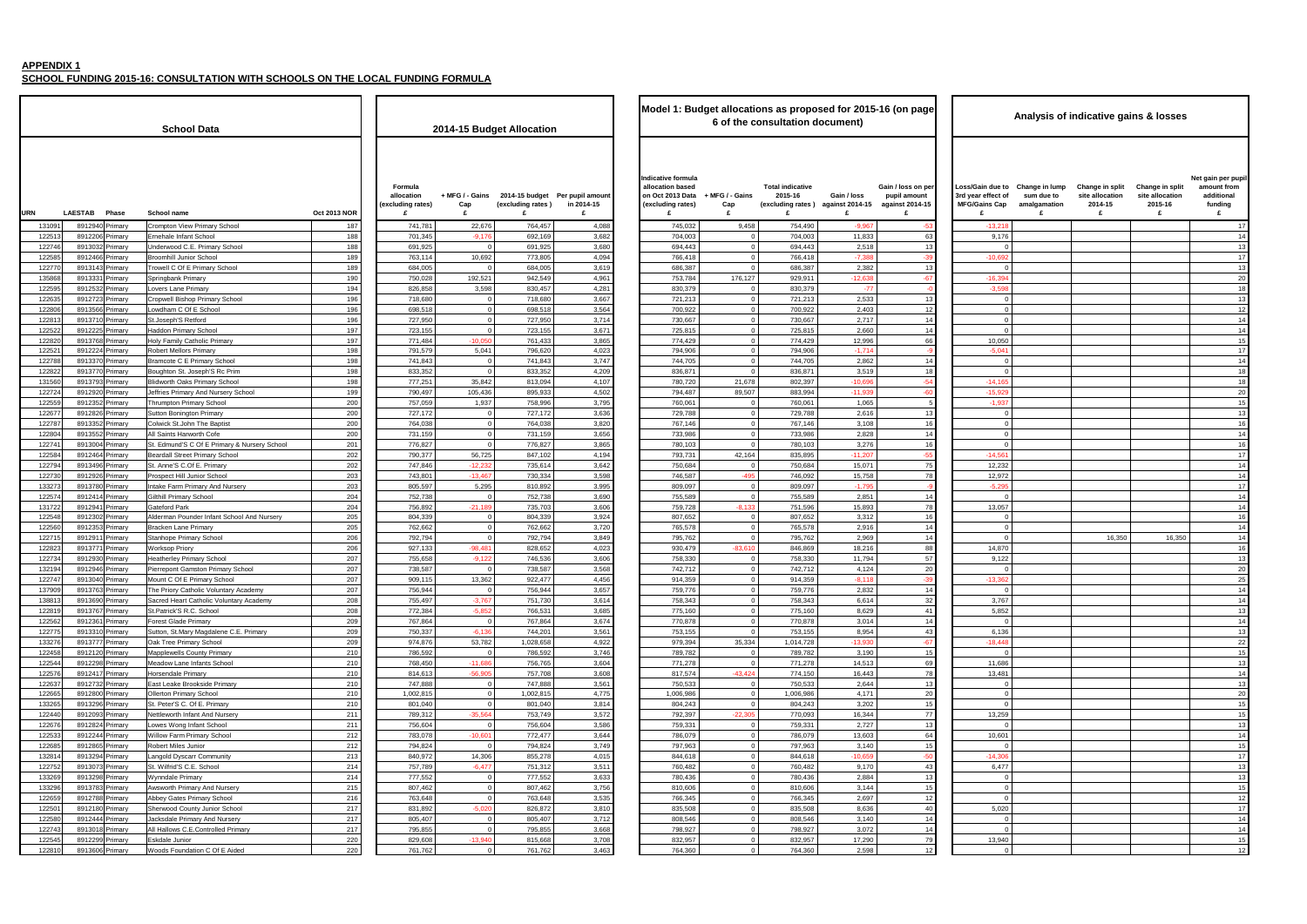**SCHOOL FUNDING 2015-16: CONSULTATION WITH SCHOOLS ON THE LOCAL FUNDING FORMULA**

- 6

|                                 | <b>Oct 2013 NOR</b> | Formula<br>allocation<br>(excluding rates)<br>£ | + MFG / - Gains<br>Cap<br>£ | (excluding rates)<br>£ | 2014-15 budget Per pupil amount<br>in 2014-15<br>£ | Indicative formula<br>allocation based<br>on Oct 2013 Data + MFG / - Gains<br>(excluding rates)<br>£ | Cap<br>£                   | <b>Total indicative</b><br>2015-16<br>(excluding rates<br>£ |
|---------------------------------|---------------------|-------------------------------------------------|-----------------------------|------------------------|----------------------------------------------------|------------------------------------------------------------------------------------------------------|----------------------------|-------------------------------------------------------------|
| mary School                     | 187                 | 741,781                                         | 22,676                      | 764,457                | 4,088                                              | 745,032                                                                                              | 9,458                      | 754,490                                                     |
| hool                            | 188                 | 701,345                                         | $-9,176$                    | 692,169                | 3,682                                              | 704,003                                                                                              | 0                          | 704,003                                                     |
| rimary School                   | 188                 | 691,925                                         | 0                           | 691,925                | 3,680                                              | 694,443                                                                                              | $\mathbf 0$                | 694,443                                                     |
| chool                           | 189                 | 763,114                                         | 10,692                      | 773,805                | 4,094                                              | 766,418                                                                                              | $\mathbf 0$                | 766,418                                                     |
| nary School                     | 189                 | 684,005                                         | 0                           | 684,005                | 3,619                                              | 686,387                                                                                              | 0                          | 686,387                                                     |
|                                 | 190                 | 750,028                                         | 192,521                     | 942,549                | 4,961                                              | 753,784                                                                                              | 176,127                    | 929,911                                                     |
| ıry                             | 194                 | 826,858                                         | 3,598                       | 830,457                | 4,281                                              | 830,379                                                                                              | 0                          | 830,379                                                     |
| rimary School                   | 196                 | 718,680                                         | 0                           | 718,680                | 3,667                                              | 721,213                                                                                              | $\mathbf 0$                | 721,213                                                     |
| chool                           | 196                 | 698,518                                         | $\pmb{0}$                   | 698,518                | 3,564                                              | 700,922                                                                                              | $\mathbf 0$                | 700,922                                                     |
| d                               | 196                 | 727,950                                         | $\pmb{0}$                   | 727,950                | 3,714                                              | 730,667                                                                                              | $\mathbf 0$                | 730,667                                                     |
| chool                           | 197                 | 723,155                                         | $\mathbf 0$                 | 723,155                | 3,671                                              | 725,815                                                                                              | $\mathbf 0$                | 725,815                                                     |
| lic Primary                     | 197                 | 771,484                                         | $-10,050$                   | 761,433                | 3,865                                              | 774,429                                                                                              | 0                          | 774,429                                                     |
| nary                            | 198                 | 791,579                                         | 5,041                       | 796,620                | 4,023                                              | 794,906                                                                                              | $\mathbf 0$<br>$\mathbf 0$ | 794,906                                                     |
| ary School                      | 198<br>198          | 741,843                                         | $\mathbf 0$<br>$\mathbf 0$  | 741,843                | 3,747                                              | 744,705                                                                                              | $\mathbf 0$                | 744,705                                                     |
| ph'S Rc Prim<br>mary School     | 198                 | 833,352<br>777,251                              | 35,842                      | 833,352<br>813,094     | 4,209<br>4,107                                     | 836,871<br>780,720                                                                                   | 21,678                     | 836,871<br>802,397                                          |
| d Nursery School                | 199                 | 790,497                                         | 105,436                     | 895,933                | 4,502                                              | 794,487                                                                                              | 89,507                     | 883,994                                                     |
| / School                        | 200                 | 757,059                                         | 1,937                       | 758,996                | 3,795                                              | 760,061                                                                                              | 0                          | 760,061                                                     |
| Primary                         | 200                 | 727,172                                         | $\mathbf 0$                 | 727,172                | 3,636                                              | 729,788                                                                                              | $\mathbf 0$                | 729,788                                                     |
| e Baptist                       | 200                 | 764,038                                         | $\pmb{0}$                   | 764,038                | 3,820                                              | 767,146                                                                                              | 0                          | 767,146                                                     |
| ∟Cofe                           | 200                 | 731,159                                         | $\pmb{0}$                   | 731,159                | 3,656                                              | 733,986                                                                                              | $\mathbf 0$                | 733,986                                                     |
| E Primary & Nursery School      | 201                 | 776,827                                         | $\pmb{0}$                   | 776,827                | 3,865                                              | 780,103                                                                                              | $\mathbf 0$                | 780,103                                                     |
| mary School                     | 202                 | 790,377                                         | 56,725                      | 847,102                | 4,194                                              | 793,731                                                                                              | 42,164                     | 835,895                                                     |
| Primary                         | 202                 | 747,846                                         | $-12,232$                   | 735,614                | 3,642                                              | 750,684                                                                                              | 0                          | 750,684                                                     |
| r School                        | 203                 | 743,801                                         | $-13,467$                   | 730,334                | 3,598                                              | 746,587                                                                                              | $-495$                     | 746,092                                                     |
| ry And Nursery                  | 203                 | 805,597                                         | 5,295                       | 810,892                | 3,995                                              | 809,097                                                                                              | 0                          | 809,097                                                     |
| ool                             | 204                 | 752,738                                         | 0                           | 752,738                | 3,690                                              | 755,589                                                                                              | $\mathbf 0$                | 755,589                                                     |
|                                 | 204                 | 756,892                                         | $-21,189$                   | 735,703                | 3,606                                              | 759,728                                                                                              | $-8,133$                   | 751,596                                                     |
| Infant School And Nursery       | 205                 | 804,339                                         | $\pmb{0}$                   | 804,339                | 3,924                                              | 807,652                                                                                              | 0                          | 807,652                                                     |
| ary                             | 205                 | 762,662                                         | $\mathbf 0$                 | 762,662                | 3,720                                              | 765,578                                                                                              | 0                          | 765,578                                                     |
| School                          | 206                 | 792,794                                         | $\mathbf 0$                 | 792,794                | 3,849                                              | 795,762                                                                                              | 0                          | 795,762                                                     |
|                                 | 206                 | 927,133                                         | $-98,481$                   | 828,652                | 4,023                                              | 930,479                                                                                              | $-83,610$                  | 846,869                                                     |
| / School                        | 207                 | 755,658                                         | $-9,122$                    | 746,536                | 3,606                                              | 758,330                                                                                              | 0                          | 758,330                                                     |
| n Primary School                | 207                 | 738,587                                         | 0                           | 738,587                | 3,568                                              | 742,712                                                                                              | $\mathbf 0$                | 742,712                                                     |
| ary School                      | 207                 | 909,115                                         | 13,362                      | 922,477                | 4,456                                              | 914,359                                                                                              | 0                          | 914,359                                                     |
| <b>Voluntary Academy</b>        | 207<br>208          | 756,944<br>755,497                              | 0                           | 756,944<br>751,730     | 3,657<br>3,614                                     | 759,776                                                                                              | 0<br>$\mathbf 0$           | 759,776<br>758,343                                          |
| olic Voluntary Academy<br>chool | 208                 | 772,384                                         | $-3,767$<br>$-5,852$        | 766,531                | 3,685                                              | 758,343<br>775,160                                                                                   | $\mathbf 0$                | 775,160                                                     |
| ary                             | 209                 | 767,864                                         | $\mathbf 0$                 | 767,864                | 3,674                                              | 770,878                                                                                              | 0                          | 770,878                                                     |
| agdalene C.E. Primary           | 209                 | 750,337                                         | $-6,136$                    | 744,201                | 3,561                                              | 753,155                                                                                              | $\mathbf 0$                | 753,155                                                     |
| School                          | 209                 | 974,876                                         | 53,782                      | 1,028,658              | 4,922                                              | 979,394                                                                                              | 35,334                     | 1,014,728                                                   |
| ty Primary                      | 210                 | 786,592                                         | $\pmb{0}$                   | 786,592                | 3,746                                              | 789,782                                                                                              |                            | 789,782                                                     |
| nts School                      | 210                 | 768,450                                         | $-11,686$                   | 756,765                | 3,604                                              | 771,278                                                                                              | $\mathbf 0$                | 771,278                                                     |
|                                 | 210                 | 814,613                                         | $-56,905$                   | 757,708                | 3,608                                              | 817,574                                                                                              | $-43,424$                  | 774,150                                                     |
| ide Primary                     | 210                 | 747,888                                         | 0                           | 747,888                | 3,561                                              | 750,533                                                                                              | 0                          | 750,533                                                     |
| chool                           | 210                 | 1,002,815                                       | $\pmb{0}$                   | 1,002,815              | 4,775                                              | 1,006,986                                                                                            | $\mathbf 0$                | 1,006,986                                                   |
| . Primary                       | 210                 | 801,040                                         | $\pmb{0}$                   | 801,040                | 3,814                                              | 804,243                                                                                              | $\mathbf 0$                | 804,243                                                     |
| And Nursery                     | 211                 | 789,312                                         | $-35,564$                   | 753,749                | 3,572                                              | 792,397                                                                                              | $-22,305$                  | 770,093                                                     |
| t School                        | 211                 | 756,604                                         | $\mathbf 0$                 | 756,604                | 3,586                                              | 759,331                                                                                              | 0                          | 759,331                                                     |
| iry School                      | 212                 | 783,078                                         | $-10,601$                   | 772,477                | 3,644                                              | 786,079                                                                                              | 0                          | 786,079                                                     |
|                                 | 212                 | 794,824                                         | 0                           | 794,824                | 3,749                                              | 797,963                                                                                              | 0                          | 797,963                                                     |
| ommunity                        | 213                 | 840,972                                         | 14,306                      | 855,278                | 4,015                                              | 844,618                                                                                              | 0                          | 844,618                                                     |
| chool                           | 214                 | 757,789                                         | $-6,477$                    | 751,312                | 3,511                                              | 760,482                                                                                              | $\mathbf 0$                | 760,482                                                     |
|                                 | 214                 | 777,552                                         | 0                           | 777,552                | 3,633                                              | 780,436                                                                                              | 0                          | 780,436                                                     |
| And Nursery                     | 215<br>216          | 807,462                                         | $\mathbf 0$<br>$\pmb{0}$    | 807,462                | 3,756                                              | 810,606                                                                                              | 0<br>$\mathbf 0$           | 810,606                                                     |
| ary School<br>Junior School     | 217                 | 763,648<br>831,892                              | $-5,020$                    | 763,648<br>826,872     | 3,535<br>3,810                                     | 766,345<br>835,508                                                                                   | 0                          | 766,345<br>835,508                                          |
| And Nursery                     | 217                 | 805,407                                         | 0                           | 805,407                | 3,712                                              | 808,546                                                                                              | $\mathbf 0$                | 808,546                                                     |
| ntrolled Primary                | 217                 | 795,855                                         | $\pmb{0}$                   | 795,855                | 3,668                                              | 798,927                                                                                              | $\mathbf 0$                | 798,927                                                     |
|                                 | 220                 | 829,608                                         | $-13,940$                   | 815,668                | 3,708                                              | 832,957                                                                                              | $\mathbf 0$                | 832,957                                                     |
|                                 | 220                 | 761,762                                         | $\pmb{0}$                   | 761,762                | 3,463                                              | 764,360                                                                                              | $\mathbf 0$                | 764,360                                                     |

 $\Gamma$ 

| <b>School Data</b>                                                                                                                 |                                            | 2014-15 Budget Allocation |                                                      |                | Model 1: Budget allocations as proposed for 2015-16 (on page<br>6 of the consultation document) |                             |                                    |                                                       |                                                            |                                                               |                                              | Analysis of indicative gains & losses              |                                                           |                                                                |
|------------------------------------------------------------------------------------------------------------------------------------|--------------------------------------------|---------------------------|------------------------------------------------------|----------------|-------------------------------------------------------------------------------------------------|-----------------------------|------------------------------------|-------------------------------------------------------|------------------------------------------------------------|---------------------------------------------------------------|----------------------------------------------|----------------------------------------------------|-----------------------------------------------------------|----------------------------------------------------------------|
| <b>LAESTAB</b><br><b>Oct 2013 NOR</b><br><b>URN</b><br>Phase<br>School name                                                        | Formula<br>allocation<br>(excluding rates) | + MFG / - Gains<br>Cap    | 2014-15 budget Per pupil amount<br>(excluding rates) | in 2014-15     | Indicative formula<br>allocation based<br>on Oct 2013 Data<br>(excluding rates)                 | + MFG / - Gains<br>Cap<br>£ | <b>Total indicative</b><br>2015-16 | Gain / loss<br>(excluding rates) against 2014-15<br>£ | Gain / loss on per<br>pupil amount<br>against 2014-15<br>£ | oss/Gain due to<br>3rd year effect of<br><b>MFG/Gains Cap</b> | Change in lump<br>sum due to<br>amalgamation | Change in split<br>site allocation<br>2014-15<br>£ | <b>Change in split</b><br>site allocation<br>2015-16<br>£ | Net gain per pupi<br>amount from<br>additional<br>funding<br>£ |
| 8912940 Primary<br>131091<br>Crompton View Primary School                                                                          | 741,781<br>187                             | 22,676                    | 764,457                                              | 4,088          | 745,032                                                                                         | 9,458                       | 754,490                            | $-9,967$                                              |                                                            | $-13,218$                                                     |                                              |                                                    |                                                           | 17                                                             |
| 122513<br>8912206 Primary<br>rnehale Infant School                                                                                 | 701,345<br>188                             | $-9,176$                  | 692,169                                              | 3,682          | 704,003                                                                                         |                             | 704,003                            | 11,833                                                | 63                                                         | 9,176                                                         |                                              |                                                    |                                                           | 14                                                             |
| 122746<br>8913032 Primary<br>Jnderwood C.E. Primary School<br>122585<br>8912466 Primary<br><b>Broomhill Junior School</b>          | 691,925<br>188<br>189<br>763,114           | 10,692                    | 691,925<br>773,805                                   | 3,680<br>4,094 | 694,443<br>766,418                                                                              |                             | 694,443<br>766,418                 | 2,518<br>$-7,388$                                     |                                                            | $-10,692$                                                     |                                              |                                                    |                                                           | 13<br>17                                                       |
| 122770<br>Frowell C Of E Primary School<br>8913143 Primary                                                                         | 189<br>684,005                             |                           | 684,005                                              | 3,619          | 686,387                                                                                         |                             | 686,387                            | 2,382                                                 | -13                                                        |                                                               |                                              |                                                    |                                                           | 13                                                             |
| 135868<br>8913331 Primary<br>Springbank Primary                                                                                    | 190<br>750,028                             | 192,521                   | 942,549                                              | 4,961          | 753,784                                                                                         | 176,127                     | 929,911                            | $-12,638$                                             | $-67$                                                      | $-16,394$                                                     |                                              |                                                    |                                                           | 20                                                             |
| 122595<br>8912532 Primary<br>overs Lane Primary                                                                                    | 194<br>826,858                             | 3,598                     | 830,457                                              | 4,281          | 830,379                                                                                         |                             | 830,379                            | $-77$                                                 |                                                            | $-3,598$                                                      |                                              |                                                    |                                                           | 18                                                             |
| 122635<br>8912723 Primary<br>Cropwell Bishop Primary School                                                                        | 196<br>718,680                             |                           | 718,680                                              | 3,667          | 721,213                                                                                         |                             | 721,213                            | 2,533                                                 |                                                            |                                                               |                                              |                                                    |                                                           | 13                                                             |
| 122806<br>8913566 Primary<br>owdham C Of E School<br>122813<br>8913710 Primary<br>St.Joseph'S Retford                              | 196<br>698,518<br>196<br>727,950           |                           | 698,518<br>727,950                                   | 3,564<br>3,714 | 700,922<br>730,667                                                                              |                             | 700,922<br>730,667                 | 2,403<br>2,717                                        | -12<br>14                                                  |                                                               |                                              |                                                    |                                                           | 12<br>14                                                       |
| 122522<br><b>Haddon Primary School</b><br>8912225 Primary                                                                          | 197<br>723,155                             |                           | 723,155                                              | 3,67'          | 725,815                                                                                         |                             | 725,815                            | 2,660                                                 | 14                                                         |                                                               |                                              |                                                    |                                                           | 14                                                             |
| 122820<br>8913768 Primary<br>Holy Family Catholic Primary                                                                          | 197<br>771,484                             | $-10,050$                 | 761,433                                              | 3,865          | 774,429                                                                                         |                             | 774,429                            | 12,996                                                | 66                                                         | 10,050                                                        |                                              |                                                    |                                                           | 15                                                             |
| 122521<br>8912224 Primary<br>Robert Mellors Primary                                                                                | 198<br>791,579                             | 5,041                     | 796,620                                              | 4,023          | 794,906                                                                                         |                             | 794,906                            | $-1,714$                                              |                                                            | $-5,041$                                                      |                                              |                                                    |                                                           | 17                                                             |
| 122788<br>8913370 Primary<br><b>Bramcote C E Primary School</b>                                                                    | 198<br>741,843                             |                           | 741,843                                              | 3,747          | 744,705                                                                                         |                             | 744,705                            | 2,862                                                 |                                                            |                                                               |                                              |                                                    |                                                           | 14                                                             |
| 122822<br>8913770 Primary<br>Boughton St. Joseph'S Rc Prim<br>131560<br>8913793 Primary<br><b>Blidworth Oaks Primary School</b>    | 198<br>833,352<br>198<br>777,251           | 35,842                    | 833,352<br>813,094                                   | 4,209<br>4,107 | 836,871<br>780,720                                                                              | 21,678                      | 836,871<br>802,397                 | 3,519<br>$-10,69$                                     |                                                            | $-14,165$                                                     |                                              |                                                    |                                                           | 18                                                             |
| 122724<br>8912920 Primary<br>leffries Primary And Nursery School                                                                   | 199<br>790,497                             | 105,436                   | 895,933                                              | 4,502          | 794,487                                                                                         | 89,507                      | 883,994                            | $-11.939$                                             |                                                            | $-15,929$                                                     |                                              |                                                    |                                                           | 20                                                             |
| 122559<br>8912352 Primary<br>Thrumpton Primary School                                                                              | 200<br>757,059                             | 1,937                     | 758,996                                              | 3,795          | 760,061                                                                                         |                             | 760,061                            | 1,065                                                 |                                                            | $-1,937$                                                      |                                              |                                                    |                                                           | 15                                                             |
| 122677<br>8912826 Primary<br>Sutton Bonington Primary                                                                              | 200<br>727,172                             |                           | 727,172                                              | 3,636          | 729,788                                                                                         |                             | 729,788                            | 2,616                                                 | 13                                                         |                                                               |                                              |                                                    |                                                           | 13                                                             |
| 122787<br>8913352 Primary<br>Colwick St.John The Baptis                                                                            | 200<br>764,038                             |                           | 764,038                                              | 3,820          | 767,146                                                                                         |                             | 767,146                            | 3,108                                                 | 16                                                         |                                                               |                                              |                                                    |                                                           | 16                                                             |
| 122804<br>8913552 Primary<br>All Saints Harworth Cofe<br>8913004 Primary<br>122741<br>St. Edmund'S C Of E Primary & Nursery School | 200<br>731,159<br>201<br>776,827           |                           | 731,159<br>776,827                                   | 3,656<br>3,865 | 733,986<br>780,103                                                                              |                             | 733,986<br>780,103                 | 2,828<br>3,276                                        | 16                                                         |                                                               |                                              |                                                    |                                                           | 14<br>16                                                       |
| 122584<br>8912464 Primary<br><b>Beardall Street Primary School</b>                                                                 | 202<br>790,377                             | 56,725                    | 847,102                                              | 4,194          | 793,731                                                                                         | 42,164                      | 835,895                            | $-11.20$                                              |                                                            | $-14.561$                                                     |                                              |                                                    |                                                           | 17                                                             |
| 122794<br>8913496 Primary<br>St. Anne'S C.Of E. Primary                                                                            | 202<br>747,846                             | $-12,232$                 | 735,614                                              | 3,642          | 750,684                                                                                         |                             | 750,684                            | 15,071                                                |                                                            | 12,232                                                        |                                              |                                                    |                                                           | 14                                                             |
| 122730<br>8912926 Primary<br>Prospect Hill Junior School                                                                           | 203<br>743,801                             | $-13,467$                 | 730,334                                              | 3,598          | 746,587                                                                                         | $-495$                      | 746,092                            | 15,758                                                | 78                                                         | 12,972                                                        |                                              |                                                    |                                                           | 14                                                             |
| 133273<br>8913780 Primary<br>ntake Farm Primary And Nursery                                                                        | 203<br>805,597                             | 5,295                     | 810,892                                              | 3,995          | 809,097                                                                                         |                             | 809,097                            | $-1,795$                                              |                                                            | $-5,295$                                                      |                                              |                                                    |                                                           | 17                                                             |
| 122574<br>8912414 Primary<br>Gilthill Primary School                                                                               | 204<br>752,738                             |                           | 752,738                                              | 3,690          | 755,589                                                                                         | $-8,133$                    | 755,589                            | 2,851                                                 |                                                            |                                                               |                                              |                                                    |                                                           | 14                                                             |
| 131722<br>8912941 Primary<br>Gateford Park<br>122548<br>8912302 Primary<br>Alderman Pounder Infant School And Nursery              | 204<br>756,892<br>205<br>804,339           | $-21,189$                 | 735,703<br>804,339                                   | 3,606<br>3,924 | 759,728<br>807,652                                                                              |                             | 751,596<br>807,652                 | 15,893<br>3,312                                       | 78<br>16                                                   | 13,057<br>$\Omega$                                            |                                              |                                                    |                                                           | 14<br>16                                                       |
| 122560<br>8912353 Primary<br><b>Bracken Lane Primary</b>                                                                           | 205<br>762,662                             |                           | 762,662                                              | 3,720          | 765,578                                                                                         |                             | 765,578                            | 2,916                                                 | 14                                                         | $\Omega$                                                      |                                              |                                                    |                                                           | 14                                                             |
| 122715<br>8912911 Primary<br><b>Stanhope Primary School</b>                                                                        | 206<br>792,794                             |                           | 792,794                                              | 3,849          | 795,762                                                                                         |                             | 795,762                            | 2,969                                                 |                                                            |                                                               |                                              | 16,350                                             | 16,350                                                    | 14                                                             |
| 122823<br>8913771 Primary<br><b>Norksop Priory</b>                                                                                 | 206<br>927,133                             | $-98,481$                 | 828,652                                              | 4,023          | 930,479                                                                                         | $-83,610$                   | 846,869                            | 18,216                                                | 88                                                         | 14,870                                                        |                                              |                                                    |                                                           | 16                                                             |
| 122734<br>8912930 Primary<br>Heatherley Primary School                                                                             | 207<br>755,658                             | $-9,122$                  | 746,536                                              | 3,606          | 758,330                                                                                         |                             | 758,330                            | 11,794                                                | 57                                                         | 9,122                                                         |                                              |                                                    |                                                           | 13                                                             |
| 132194<br>8912946 Primary<br>Pierrepont Gamston Primary School<br>122747<br>8913040 Primary<br>Mount C Of E Primary School         | 207<br>738,587<br>207<br>909,115           | 13,362                    | 738,587<br>922,477                                   | 3,568<br>4,456 | 742,712<br>914,359                                                                              |                             | 742,712<br>914,359                 | 4,124<br>$-8,118$                                     | 2C<br>-39                                                  | $-13,362$                                                     |                                              |                                                    |                                                           | 20<br>-25                                                      |
| 137909<br>8913763 Primary<br>The Priory Catholic Voluntary Academy                                                                 | 207<br>756.944                             |                           | 756.944                                              | 3,657          | 759,776                                                                                         | $\Omega$                    | 759,776                            | 2,832                                                 | 14                                                         |                                                               |                                              |                                                    |                                                           | 14                                                             |
| 138813<br>8913690 Primary<br>Sacred Heart Catholic Voluntary Academy                                                               | 208<br>755,497                             | $-3,767$                  | 751,730                                              | 3,614          | 758,343                                                                                         | $\Omega$                    | 758,343                            | 6,614                                                 | 32                                                         | 3,767                                                         |                                              |                                                    |                                                           | 14                                                             |
| 122819<br>8913767 Primary<br>St.Patrick'S R.C. School                                                                              | 208<br>772,384                             | $-5,852$                  | 766,531                                              | 3,685          | 775,160                                                                                         |                             | 775,160                            | 8,629                                                 | 41                                                         | 5,852                                                         |                                              |                                                    |                                                           | 13                                                             |
| 122562<br>8912361 Primary<br><b>Forest Glade Primary</b>                                                                           | 209<br>767,864                             |                           | 767,864                                              | 3,674          | 770,878                                                                                         |                             | 770,878                            | 3,014                                                 |                                                            |                                                               |                                              |                                                    |                                                           | 14                                                             |
| 8913310 Primary<br>Sutton, St.Mary Magdalene C.E. Primary<br>122775<br>8913777 Primary<br>Oak Tree Primary School<br>133276        | 209<br>750,337<br>209<br>974,876           | $-6,136$<br>53,782        | 744,201<br>1,028,658                                 | 3,561<br>4,922 | 753,155<br>979,394                                                                              | 35,334                      | 753,155<br>1,014,728               | 8,954<br>$-13,930$                                    | 43<br>$-67$                                                | 6,136<br>$-18,448$                                            |                                              |                                                    |                                                           | 13<br>22                                                       |
| 122458<br>8912120 Primary<br><b>Mapplewells County Primary</b>                                                                     | 210<br>786,592                             |                           | 786,592                                              | 3,746          | 789,782                                                                                         | $\Omega$                    | 789,782                            | 3,190                                                 | 15                                                         | $\Omega$                                                      |                                              |                                                    |                                                           | 15                                                             |
| 122544<br>8912298 Primary<br>Meadow Lane Infants School                                                                            | 210<br>768,450                             | $-11,686$                 | 756,765                                              | 3,604          | 771,278                                                                                         | $\Omega$                    | 771,278                            | 14,513                                                | 69                                                         | 11,686                                                        |                                              |                                                    |                                                           | 13                                                             |
| 122576<br>8912417 Primary<br>Horsendale Primary                                                                                    | 210<br>814,613                             | $-56.905$                 | 757,708                                              | 3,608          | 817,574                                                                                         | $-43,424$                   | 774,150                            | 16,443                                                | 78                                                         | 13,481                                                        |                                              |                                                    |                                                           | 14                                                             |
| 122637<br>8912732 Primary<br>East Leake Brookside Primary                                                                          | 210<br>747,888                             |                           | 747,888                                              | 3,561          | 750,533                                                                                         |                             | 750,533                            | 2,644                                                 | 13                                                         |                                                               |                                              |                                                    |                                                           | 13                                                             |
| 122665<br>8912800 Primary<br>Ollerton Primary School<br>133265<br>8913296 Primary<br>St. Peter'S C. Of E. Primary                  | 210<br>1,002,815<br>210<br>801,040         |                           | 1,002,815<br>801,040                                 | 4,775<br>3,814 | 1,006,986<br>804,243                                                                            |                             | 1,006,986<br>804,243               | 4,171<br>3,202                                        | 20<br>15                                                   |                                                               |                                              |                                                    |                                                           | 20<br>15                                                       |
| 122440<br>8912093 Primary<br>Nettleworth Infant And Nursery                                                                        | 211<br>789,312                             | $-35.564$                 | 753,749                                              | 3,572          | 792,397                                                                                         | $-22,305$                   | 770,093                            | 16,344                                                | 77                                                         | 13,259                                                        |                                              |                                                    |                                                           | 15                                                             |
| 122676<br>8912824 Primary<br>Lowes Wong Infant School                                                                              | 211<br>756,604                             |                           | 756,604                                              | 3,586          | 759,331                                                                                         | $\Omega$                    | 759,331                            | 2,727                                                 | 13                                                         | $\Omega$                                                      |                                              |                                                    |                                                           | 13                                                             |
| 8912244 Primary<br>122533<br>Willow Farm Primary School                                                                            | 212<br>783,078                             | $-10,601$                 | 772,477                                              | 3,644          | 786,079                                                                                         | $\Omega$                    | 786,079                            | 13,603                                                | 64                                                         | 10,601                                                        |                                              |                                                    |                                                           | 14                                                             |
| 122685<br>8912865 Primary<br>Robert Miles Junior                                                                                   | 212<br>794,824                             |                           | 794.824                                              | 3,749          | 797,963                                                                                         | $\Omega$                    | 797,963                            | 3,140                                                 | 15                                                         |                                                               |                                              |                                                    |                                                           | 15                                                             |
| 132814<br>8913294 Primary<br><b>Langold Dyscarr Community</b><br>122752<br>8913073 Primary<br>St. Wilfrid'S C.E. School            | 213<br>840,972<br>214<br>757,789           | 14,306<br>$-6,477$        | 855,278<br>751,312                                   | 4,015<br>3,511 | 844,618<br>760,482                                                                              |                             | 844,618<br>760,482                 | $-10,659$<br>9,170                                    | $-5$<br>43                                                 | $-14,306$<br>6,477                                            |                                              |                                                    |                                                           | 17<br>13                                                       |
| 8913298 Primary<br>133269<br>Wynndale Primary                                                                                      | 214<br>777,552                             |                           | 777,552                                              | 3,633          | 780,436                                                                                         | $\Omega$                    | 780,436                            | 2,884                                                 | 13                                                         | $\Omega$                                                      |                                              |                                                    |                                                           | 13                                                             |
| 133296<br>8913783 Primary<br>Awsworth Primary And Nursery                                                                          | 215<br>807,462                             |                           | 807,462                                              | 3,756          | 810,606                                                                                         |                             | 810,606                            | 3,144                                                 |                                                            | $\Omega$                                                      |                                              |                                                    |                                                           | 15                                                             |
| 122659<br>8912788 Primary<br>Abbey Gates Primary School                                                                            | 216<br>763,648                             |                           | 763,648                                              | 3,535          | 766,345                                                                                         |                             | 766,345                            | 2,697                                                 | 12                                                         | $\Omega$                                                      |                                              |                                                    |                                                           | 12                                                             |
| 122501<br>8912180 Primary<br>Sherwood County Junior School                                                                         | 217<br>831,892                             | $-5,020$                  | 826,872                                              | 3,810          | 835,508                                                                                         |                             | 835,508                            | 8,636                                                 | 40                                                         | 5,020                                                         |                                              |                                                    |                                                           | 17                                                             |
| 122580<br>8912444 Primary<br>Jacksdale Primary And Nursery<br>122743<br>8913018 Primary<br>All Hallows C.E.Controlled Primary      | 217<br>805.407<br>217<br>795,855           |                           | 805,407<br>795,855                                   | 3,712<br>3,668 | 808.546<br>798,927                                                                              |                             | 808.546<br>798,927                 | 3.140<br>3,072                                        | 14<br>14                                                   | $\Omega$                                                      |                                              |                                                    |                                                           | 14                                                             |
| 122545<br>8912299 Primary<br>Eskdale Junior                                                                                        | 220<br>829,608                             | $-13,940$                 | 815,668                                              | 3,708          | 832,957                                                                                         |                             | 832,957                            | 17,290                                                | 79                                                         | 13,940                                                        |                                              |                                                    |                                                           | 14<br>15                                                       |
| 122810<br>8913606 Primary<br>Woods Foundation C Of E Aided                                                                         | 220<br>761,762                             |                           | 761,762                                              | 3,463          | 764,360                                                                                         |                             | 764,360                            | 2,598                                                 | 12                                                         | $\Omega$                                                      |                                              |                                                    |                                                           | 12                                                             |
|                                                                                                                                    |                                            |                           |                                                      |                |                                                                                                 |                             |                                    |                                                       |                                                            |                                                               |                                              |                                                    |                                                           |                                                                |

|                                                |                     |                                                 |                                  |                                                          |                                     | Model 1: Budget allocations as proposed for 2015-16 (on page                    |                             | 6 of the consultation document)    |                                                       |                                                            |                                                                     |                                                   | Analysis of indicative gains & losses              |                                                    |                                                                |
|------------------------------------------------|---------------------|-------------------------------------------------|----------------------------------|----------------------------------------------------------|-------------------------------------|---------------------------------------------------------------------------------|-----------------------------|------------------------------------|-------------------------------------------------------|------------------------------------------------------------|---------------------------------------------------------------------|---------------------------------------------------|----------------------------------------------------|----------------------------------------------------|----------------------------------------------------------------|
| Data                                           |                     |                                                 |                                  | 2014-15 Budget Allocation                                |                                     |                                                                                 |                             |                                    |                                                       |                                                            |                                                                     |                                                   |                                                    |                                                    |                                                                |
|                                                | <b>Oct 2013 NOR</b> | Formula<br>allocation<br>(excluding rates)<br>£ | Cap<br>£                         | + MFG / - Gains 2014-15 budget<br>(excluding rates)<br>£ | Per pupil amount<br>in 2014-15<br>£ | Indicative formula<br>allocation based<br>on Oct 2013 Data<br>(excluding rates) | + MFG / - Gains<br>Cap<br>£ | <b>Total indicative</b><br>2015-16 | Gain / loss<br>(excluding rates) against 2014-15<br>£ | Gain / loss on per<br>pupil amount<br>against 2014-15<br>£ | Loss/Gain due to<br>3rd year effect of<br><b>MFG/Gains Cap</b><br>£ | Change in lump<br>sum due to<br>amalgamation<br>£ | Change in split<br>site allocation<br>2014-15<br>£ | Change in split<br>site allocation<br>2015-16<br>£ | Net gain per pupi<br>amount from<br>additional<br>funding<br>£ |
| rimary School                                  | 187                 | 741,781                                         | 22,676                           | 764,457                                                  | 4,088                               | 745,032                                                                         | 9,458                       | 754,490                            | $-9,967$                                              | -5:                                                        | $-13,218$                                                           |                                                   |                                                    |                                                    | 17                                                             |
| chool                                          | 188                 | 701,345                                         | $-9,176$                         | 692,169                                                  | 3,682                               | 704,003                                                                         | $\Omega$                    | 704,003                            | 11,833                                                | 63                                                         | 9,176                                                               |                                                   |                                                    |                                                    | 14                                                             |
| Primary School                                 | 188                 | 691,925                                         | $\Omega$                         | 691,925                                                  | 3,680                               | 694,443                                                                         | $\Omega$                    | 694,443                            | 2,518                                                 | 13                                                         |                                                                     |                                                   |                                                    |                                                    | 13                                                             |
| School<br>imary School                         | 189<br>189          | 763,114<br>684,005                              | 10,692<br>$\Omega$               | 773,805<br>684,005                                       | 4,094<br>3,619                      | 766,418<br>686,387                                                              | $^{\circ}$<br>$\Omega$      | 766,418<br>686,387                 | $-7,388$<br>2,382                                     | $-39$<br>13                                                | $-10,692$<br>$\cap$                                                 |                                                   |                                                    |                                                    | 17<br>13                                                       |
| ıry                                            | 190                 | 750,028                                         | 192,521                          | 942,549                                                  | 4,961                               | 753,784                                                                         | 176,127                     | 929,911                            | $-12,63$                                              | $-67$                                                      | $-16,394$                                                           |                                                   |                                                    |                                                    | 20                                                             |
| ary                                            | 194                 | 826,858                                         | 3,598                            | 830,457                                                  | 4,281                               | 830,379                                                                         |                             | 830,379                            | $-77$                                                 |                                                            | $-3,598$                                                            |                                                   |                                                    |                                                    | 18                                                             |
| -<br>Primary School                            | 196                 | 718,680                                         | $\overline{0}$                   | 718,680                                                  | 3,667                               | 721,213                                                                         |                             | 721,213                            | 2,533                                                 | 13                                                         | - 0                                                                 |                                                   |                                                    |                                                    | 13                                                             |
| School                                         | 196                 | 698,518                                         | $\Omega$                         | 698,518                                                  | 3,564                               | 700,922                                                                         | $\Omega$                    | 700,922                            | 2,403                                                 | 12                                                         | $\Omega$                                                            |                                                   |                                                    |                                                    | 12                                                             |
| ord<br>School                                  | 196<br>197          | 727,950<br>723,155                              | $\Omega$<br>$\Omega$             | 727,950<br>723,155                                       | 3,714<br>3,671                      | 730,667<br>725,815                                                              | $\Omega$<br>$\mathbf 0$     | 730,667<br>725,815                 | 2,717<br>2,660                                        | 14<br>14                                                   | $\Omega$<br>$\Omega$                                                |                                                   |                                                    |                                                    | 14<br>14                                                       |
| olic Primary                                   | 197                 | 771,484                                         | $-10,050$                        | 761,433                                                  | 3,865                               | 774,429                                                                         |                             | 774,429                            | 12,996                                                | 66                                                         | 10,050                                                              |                                                   |                                                    |                                                    | 15                                                             |
| imary                                          | 198                 | 791,579                                         | 5,041                            | 796,620                                                  | 4,023                               | 794,906                                                                         |                             | 794,906                            | $-1,714$                                              |                                                            | $-5,041$                                                            |                                                   |                                                    |                                                    | 17                                                             |
| mary School                                    | 198                 | 741,843                                         | $\Omega$                         | 741,843                                                  | 3,747                               | 744,705                                                                         |                             | 744,705                            | 2,862                                                 | 14                                                         | $\Omega$                                                            |                                                   |                                                    |                                                    | 14                                                             |
| eph'S Rc Prim                                  | 198                 | 833,352                                         | $\Omega$                         | 833,352                                                  | 4,209                               | 836,871                                                                         | $\Omega$                    | 836,871                            | 3,519                                                 | 18                                                         | - 0                                                                 |                                                   |                                                    |                                                    | 18                                                             |
| rimary School<br><b>Ind Nursery School</b>     | 198<br>199          | 777,251<br>790,497                              | 35,842<br>105,436                | 813,094<br>895,933                                       | 4,107<br>4,502                      | 780,720<br>794,487                                                              | 21,678<br>89,507            | 802,397<br>883,994                 | $-10,69$<br>$-11,939$                                 | $-54$<br>$-60$                                             | $-14,165$<br>$-15,929$                                              |                                                   |                                                    |                                                    | 18<br>20                                                       |
| ry School                                      | 200                 | 757,059                                         | 1,937                            | 758,996                                                  | 3,795                               | 760,061                                                                         |                             | 760,061                            | 1,065                                                 |                                                            | $-1,937$                                                            |                                                   |                                                    |                                                    | 15                                                             |
| Primary                                        | 200                 | 727,172                                         |                                  | 727,172                                                  | 3,636                               | 729,788                                                                         |                             | 729,788                            | 2,616                                                 | 13                                                         |                                                                     |                                                   |                                                    |                                                    | 13                                                             |
| The Baptist                                    | 200                 | 764,038                                         | $\mathbf{0}$                     | 764,038                                                  | 3,820                               | 767,146                                                                         |                             | 767,146                            | 3,108                                                 | 16                                                         | - 0                                                                 |                                                   |                                                    |                                                    | 16                                                             |
| th Cofe                                        | 200<br>201          | 731,159<br>776,827                              | $\overline{0}$<br>$\Omega$       | 731,159<br>776,827                                       | 3,656<br>3,865                      | 733,986<br>780,103                                                              | $\Omega$<br>$\Omega$        | 733,986<br>780,103                 | 2,828<br>3,276                                        | 14<br>16                                                   | - 0<br>$\Omega$                                                     |                                                   |                                                    |                                                    | 14<br>16                                                       |
| Of E Primary & Nursery School<br>rimary School | 202                 | 790,377                                         | 56,725                           | 847,102                                                  | 4,194                               | 793,731                                                                         | 42,164                      | 835,895                            | $-11,207$                                             | $-55$                                                      | $-14,561$                                                           |                                                   |                                                    |                                                    | 17                                                             |
| . Primary                                      | 202                 | 747,846                                         | $-12,232$                        | 735,614                                                  | 3,642                               | 750,684                                                                         | $\Omega$                    | 750,684                            | 15,071                                                | 75                                                         | 12,232                                                              |                                                   |                                                    |                                                    | 14                                                             |
| or School                                      | 203                 | 743,801                                         | $-13,467$                        | 730,334                                                  | 3,598                               | 746,587                                                                         | $-495$                      | 746,092                            | 15,758                                                | 78                                                         | 12,972                                                              |                                                   |                                                    |                                                    | 14                                                             |
| ary And Nursery                                | 203                 | 805,597                                         | 5,295                            | 810,892                                                  | 3,995                               | 809,097                                                                         |                             | 809,097                            | $-1,795$                                              |                                                            | $-5,295$                                                            |                                                   |                                                    |                                                    | 17                                                             |
| hool:                                          | 204<br>204          | 752,738<br>756,892                              | $\Omega$<br>$-21,189$            | 752,738<br>735,703                                       | 3,690<br>3,606                      | 755,589<br>759,728                                                              | $\Omega$<br>$-8,133$        | 755,589<br>751,596                 | 2,851<br>15,893                                       | 14<br>78                                                   | - 0<br>13,057                                                       |                                                   |                                                    |                                                    | 14<br>14                                                       |
| er Infant School And Nursery                   | 205                 | 804,339                                         | $\Omega$                         | 804,339                                                  | 3,924                               | 807,652                                                                         | $\Omega$                    | 807,652                            | 3,312                                                 | 16                                                         | $\mathbf{0}$                                                        |                                                   |                                                    |                                                    | 16                                                             |
| mary                                           | 205                 | 762,662                                         | $\Omega$                         | 762,662                                                  | 3,720                               | 765,578                                                                         | $\Omega$                    | 765,578                            | 2,916                                                 | 14                                                         | $\Omega$                                                            |                                                   |                                                    |                                                    | 14                                                             |
| / School                                       | 206                 | 792,794                                         |                                  | 792,794                                                  | 3,849                               | 795,762                                                                         |                             | 795,762                            | 2,969                                                 | 14                                                         |                                                                     |                                                   | 16,350                                             | 16,350                                             | 14                                                             |
|                                                | 206<br>207          | 927,133<br>755,658                              | $-98,481$<br>$-9,122$            | 828,652<br>746,536                                       | 4,023<br>3,606                      | 930,479<br>758,330                                                              | $-83,610$                   | 846,869<br>758,330                 | 18,216<br>11,794                                      | 88<br>57                                                   | 14,870<br>9,122                                                     |                                                   |                                                    |                                                    | 16<br>13                                                       |
| ry School<br>ton Primary School                | 207                 | 738,587                                         | $\Omega$                         | 738,587                                                  | 3,568                               | 742,712                                                                         |                             | 742,712                            | 4,124                                                 | 20                                                         | $\Omega$                                                            |                                                   |                                                    |                                                    | 20                                                             |
| nary School                                    | 207                 | 909,115                                         | 13,362                           | 922,477                                                  | 4,456                               | 914,359                                                                         | $\mathbf 0$                 | 914,359                            | $-8,118$                                              | $-39$                                                      | $-13,362$                                                           |                                                   |                                                    |                                                    | 25                                                             |
| lic Voluntary Academy                          | 207                 | 756,944                                         | $\Omega$                         | 756,944                                                  | 3,657                               | 759,776                                                                         | $\mathbf 0$                 | 759,776                            | 2,832                                                 | 14                                                         | $\overline{0}$                                                      |                                                   |                                                    |                                                    | 14                                                             |
| holic Voluntary Academy                        | 208                 | 755,497                                         | $-3,767$                         | 751,730                                                  | 3,614                               | 758,343                                                                         | $\overline{0}$              | 758,343                            | 6,614                                                 | 32                                                         | 3,767                                                               |                                                   |                                                    |                                                    | 14                                                             |
| School<br>nary                                 | 208<br>209          | 772,384<br>767,864                              | $-5,852$<br>$\overline{0}$       | 766,531<br>767,864                                       | 3,685<br>3,674                      | 775,160<br>770,878                                                              | $\Omega$<br>$\mathbf 0$     | 775,160<br>770,878                 | 8,629<br>3,014                                        | 41<br>14                                                   | 5,852<br>$\overline{\mathbf{0}}$                                    |                                                   |                                                    |                                                    | 13<br>14                                                       |
| lagdalene C.E. Primary                         | 209                 | 750,337                                         | $-6.136$                         | 744,201                                                  | 3,561                               | 753,155                                                                         | $\mathbf 0$                 | 753,155                            | 8,954                                                 | 43                                                         | 6,136                                                               |                                                   |                                                    |                                                    | 13                                                             |
| School                                         | 209                 | 974,876                                         | 53,782                           | 1,028,658                                                | 4,922                               | 979,394                                                                         | 35,334                      | 1,014,728                          | $-13,930$                                             | $-67$                                                      | $-18,448$                                                           |                                                   |                                                    |                                                    | 22                                                             |
| nty Primary                                    | 210                 | 786,592                                         | $\overline{\mathbf{0}}$          | 786,592                                                  | 3,746                               | 789,782                                                                         | $\mathbf 0$                 | 789,782                            | 3,190                                                 | 15                                                         | $\overline{\mathbf{0}}$                                             |                                                   |                                                    |                                                    | 15                                                             |
| ants School                                    | 210<br>210          | 768,450<br>814,613                              | $-11,686$<br>$-56,905$           | 756,765<br>757,708                                       | 3,604<br>3,608                      | 771,278<br>817,574                                                              | $\mathbf{0}$<br>$-43,424$   | 771,278<br>774,150                 | 14,513<br>16,443                                      | 69<br>78                                                   | 11,686<br>13,481                                                    |                                                   |                                                    |                                                    | 13<br>14                                                       |
| ary<br>side Primary                            | 210                 | 747,888                                         | $\overline{0}$                   | 747,888                                                  | 3,561                               | 750,533                                                                         | $\Omega$                    | 750,533                            | 2,644                                                 | 13                                                         | $\overline{\mathbf{0}}$                                             |                                                   |                                                    |                                                    | 13                                                             |
| School                                         | 210                 | 1,002,815                                       | $\overline{0}$                   | 1,002,815                                                | 4,775                               | 1,006,986                                                                       | $\mathbf 0$                 | 1,006,986                          | 4,171                                                 | 20                                                         | $\overline{0}$                                                      |                                                   |                                                    |                                                    | 20                                                             |
| E. Primary                                     | 210                 | 801,040                                         | $\overline{0}$                   | 801,040                                                  | 3,814                               | 804,243                                                                         | $\mathbf{0}$                | 804,243                            | 3,202                                                 | 15                                                         | $\Omega$                                                            |                                                   |                                                    |                                                    | 15                                                             |
| And Nursery                                    | 211                 | 789,312                                         | $-35,564$                        | 753,749                                                  | 3,572                               | 792,397                                                                         | $-22,305$                   | 770,093                            | 16,344                                                | 77                                                         | 13,259                                                              |                                                   |                                                    |                                                    | 15                                                             |
| nt School<br>ary School                        | 211<br>212          | 756,604<br>783,078                              | $\overline{0}$<br>$-10,601$      | 756,604<br>772,477                                       | 3,586<br>3,644                      | 759,331<br>786,079                                                              | $\mathbf 0$<br>$\Omega$     | 759,331<br>786,079                 | 2,727<br>13,603                                       | 13<br>64                                                   | $\overline{\mathbf{0}}$<br>10,601                                   |                                                   |                                                    |                                                    | 13<br>14                                                       |
| or                                             | 212                 | 794,824                                         | $\Omega$                         | 794,824                                                  | 3,749                               | 797,963                                                                         | $\mathbf 0$                 | 797,963                            | 3,140                                                 | 15                                                         | $\Omega$                                                            |                                                   |                                                    |                                                    | 15                                                             |
| Community                                      | 213                 | 840,972                                         | 14,306                           | 855,278                                                  | 4,015                               | 844,618                                                                         | $\mathbf 0$                 | 844,618                            | $-10,659$                                             | $-50$                                                      | $-14,306$                                                           |                                                   |                                                    |                                                    | 17                                                             |
| School                                         | 214                 | 757,789                                         | $-6,477$                         | 751,312                                                  | 3,511                               | 760,482                                                                         | $\mathbf 0$                 | 760,482                            | 9,170                                                 | 43                                                         | 6,477                                                               |                                                   |                                                    |                                                    | 13                                                             |
| y<br>/ And Nursery                             | 214<br>215          | 777,552<br>807,462                              | $\overline{0}$<br>$\overline{0}$ | 777,552<br>807,462                                       | 3,633<br>3,756                      | 780,436<br>810,606                                                              | $\mathbf 0$<br>$\mathbf 0$  | 780,436<br>810,606                 | 2,884<br>3,144                                        | 13<br>15                                                   | $\overline{\mathbf{0}}$<br>$\overline{0}$                           |                                                   |                                                    |                                                    | 13<br>15                                                       |
| nary School                                    | 216                 | 763,648                                         | $\overline{0}$                   | 763,648                                                  | 3,535                               | 766,345                                                                         | $\Omega$                    | 766,345                            | 2,697                                                 | 12                                                         | $\overline{0}$                                                      |                                                   |                                                    |                                                    | 12                                                             |
| Junior School                                  | 217                 | 831,892                                         | $-5,020$                         | 826,872                                                  | 3,810                               | 835,508                                                                         | $\Omega$                    | 835,508                            | 8,636                                                 | 40                                                         | 5,020                                                               |                                                   |                                                    |                                                    | 17                                                             |
| y And Nursery                                  | 217                 | 805,407                                         | $\overline{0}$                   | 805,407                                                  | 3,712                               | 808,546                                                                         | $\mathbf 0$                 | 808,546                            | 3,140                                                 | 14                                                         | $\Omega$                                                            |                                                   |                                                    |                                                    | 14                                                             |
| ontrolled Primary                              | 217<br>220          | 795,855<br>829,608                              | $\overline{0}$<br>$-13,940$      | 795,855<br>815,668                                       | 3,668<br>3,708                      | 798,927<br>832,957                                                              | $\Omega$<br>$\mathbf 0$     | 798,927<br>832,957                 | 3,072<br>17,290                                       | 14<br>79                                                   | $\overline{0}$<br>13,940                                            |                                                   |                                                    |                                                    | 14<br>15                                                       |
| on C Of E Aided                                | 220                 | 761,762                                         | $\overline{0}$                   | 761,762                                                  | 3,463                               | 764,360                                                                         | $\mathbf 0$                 | 764,360                            | 2,598                                                 | 12                                                         | $\overline{0}$                                                      |                                                   |                                                    |                                                    | 12                                                             |
|                                                |                     |                                                 |                                  |                                                          |                                     |                                                                                 |                             |                                    |                                                       |                                                            |                                                                     |                                                   |                                                    |                                                    |                                                                |

┑ — г

|                                                                                                                               | document)                             | osed for 2015-16 (on page                                  |                                                                     |                                                   | Analysis of indicative gains & losses              |                                                    |                                                                 |
|-------------------------------------------------------------------------------------------------------------------------------|---------------------------------------|------------------------------------------------------------|---------------------------------------------------------------------|---------------------------------------------------|----------------------------------------------------|----------------------------------------------------|-----------------------------------------------------------------|
|                                                                                                                               | Gain / loss<br>) against 2014-15<br>£ | Gain / loss on per<br>pupil amount<br>against 2014-15<br>£ | Loss/Gain due to<br>3rd year effect of<br><b>MFG/Gains Cap</b><br>£ | Change in lump<br>sum due to<br>amalgamation<br>£ | Change in split<br>site allocation<br>2014-15<br>£ | Change in split<br>site allocation<br>2015-16<br>£ | Net gain per pupil<br>amount from<br>additional<br>funding<br>£ |
|                                                                                                                               | $-9,967$                              | -53                                                        | $-13,218$                                                           |                                                   |                                                    |                                                    | 17                                                              |
|                                                                                                                               | 11,833                                | 63                                                         | 9,176                                                               |                                                   |                                                    |                                                    | 14                                                              |
| $\frac{0}{3}$ $\frac{3}{8}$ $\frac{8}{7}$ $\frac{7}{1}$                                                                       | 2,518                                 | 13                                                         | 0                                                                   |                                                   |                                                    |                                                    | 13                                                              |
|                                                                                                                               | $-7,388$<br>2,382                     | $-39$<br>13                                                | $-10,692$<br>0                                                      |                                                   |                                                    |                                                    | 17<br>13                                                        |
|                                                                                                                               | $-12,638$                             | $-67$                                                      | $-16,394$                                                           |                                                   |                                                    |                                                    | 20                                                              |
|                                                                                                                               | -77                                   | $-0$                                                       | $-3,598$                                                            |                                                   |                                                    |                                                    | 18                                                              |
|                                                                                                                               | 2,533                                 | 13                                                         | 0                                                                   |                                                   |                                                    |                                                    | 13                                                              |
|                                                                                                                               | 2,403                                 | 12                                                         | $\mathbf 0$                                                         |                                                   |                                                    |                                                    | 12                                                              |
| $\frac{9}{3} - \frac{2}{2} - \frac{7}{5} - \frac{6}{6} - \frac{5}{5} - \frac{1}{1} - \frac{7}{4} - \frac{4}{1} - \frac{8}{1}$ | 2,717<br>2,660                        | 14<br>14                                                   | $\mathbf 0$<br>$\pmb{0}$                                            |                                                   |                                                    |                                                    | 14<br>14                                                        |
|                                                                                                                               | 12,996                                | 66                                                         | 10,050                                                              |                                                   |                                                    |                                                    | 15                                                              |
|                                                                                                                               | $-1,714$                              | -9                                                         | $-5,041$                                                            |                                                   |                                                    |                                                    | 17                                                              |
|                                                                                                                               | 2,862                                 | 14                                                         | $\pmb{0}$                                                           |                                                   |                                                    |                                                    | 14                                                              |
|                                                                                                                               | 3,519                                 | 18                                                         | $\mathbf 0$                                                         |                                                   |                                                    |                                                    | 18                                                              |
|                                                                                                                               | $-10,696$<br>$-11,939$                | $-54$<br>$-60$                                             | $-14,165$<br>$-15,929$                                              |                                                   |                                                    |                                                    | 18<br>20                                                        |
|                                                                                                                               | 1,065                                 | 5                                                          | $-1,937$                                                            |                                                   |                                                    |                                                    | 15                                                              |
|                                                                                                                               | 2,616                                 | 13                                                         | $\mathbf 0$                                                         |                                                   |                                                    |                                                    | 13                                                              |
|                                                                                                                               | 3,108                                 | 16                                                         | 0                                                                   |                                                   |                                                    |                                                    | 16                                                              |
|                                                                                                                               | 2,828                                 | 14                                                         | $\mathbf 0$                                                         |                                                   |                                                    |                                                    | 14                                                              |
|                                                                                                                               | 3,276                                 | 16                                                         | 0                                                                   |                                                   |                                                    |                                                    | $16\,$                                                          |
|                                                                                                                               | $-11,207$<br>15,071                   | $-55$<br>75                                                | $-14,561$<br>12,232                                                 |                                                   |                                                    |                                                    | 17<br>14                                                        |
|                                                                                                                               | 15,758                                | 78                                                         | 12,972                                                              |                                                   |                                                    |                                                    | 14                                                              |
|                                                                                                                               | $-1,795$                              | -9                                                         | $-5,295$                                                            |                                                   |                                                    |                                                    | 17                                                              |
|                                                                                                                               | 2,851                                 | 14                                                         | 0                                                                   |                                                   |                                                    |                                                    | 14                                                              |
|                                                                                                                               | 15,893                                | 78                                                         | 13,057                                                              |                                                   |                                                    |                                                    | 14                                                              |
|                                                                                                                               | 3,312<br>2,916                        | 16<br>14                                                   | 0<br>$\pmb{0}$                                                      |                                                   |                                                    |                                                    | $16\,$<br>14                                                    |
| 6 6 3 5 4 2 7 9 6 2 8 2 9 0 2 9 6                                                                                             | 2,969                                 | 14                                                         | 0                                                                   |                                                   | 16,350                                             | 16,350                                             | 14                                                              |
|                                                                                                                               | 18,216                                | 88                                                         | 14,870                                                              |                                                   |                                                    |                                                    | 16                                                              |
|                                                                                                                               | 11,794                                | 57                                                         | 9,122                                                               |                                                   |                                                    |                                                    | 13                                                              |
|                                                                                                                               | 4,124                                 | 20                                                         | 0                                                                   |                                                   |                                                    |                                                    | 20                                                              |
|                                                                                                                               | $-8,118$                              | $-39$                                                      | $-13,362$                                                           |                                                   |                                                    |                                                    | 25<br>$14$                                                      |
|                                                                                                                               | 2,832<br>6,614                        | 14<br>32                                                   | $\pmb{0}$<br>3,767                                                  |                                                   |                                                    |                                                    | 14                                                              |
| $\frac{3}{0}$ $\frac{0}{8}$ $\frac{0}{5}$ $\frac{0}{8}$ $\frac{0}{2}$ $\frac{0}{8}$ $\frac{0}{0}$                             | 8,629                                 | 41                                                         | 5,852                                                               |                                                   |                                                    |                                                    | 13                                                              |
|                                                                                                                               | 3,014                                 | 14                                                         | $\pmb{0}$                                                           |                                                   |                                                    |                                                    | $14$                                                            |
|                                                                                                                               | 8,954                                 | 43                                                         | 6,136                                                               |                                                   |                                                    |                                                    | 13                                                              |
|                                                                                                                               | $-13,930$                             | $-67$                                                      | $-18,448$                                                           |                                                   |                                                    |                                                    | 22                                                              |
|                                                                                                                               | 3,190<br>14,513                       | 15<br>69                                                   | $\pmb{0}$<br>11,686                                                 |                                                   |                                                    |                                                    | $15\,$<br>13                                                    |
|                                                                                                                               | 16,443                                | ${\bf 78}$                                                 | 13,481                                                              |                                                   |                                                    |                                                    | 14                                                              |
|                                                                                                                               | 2,644                                 | 13                                                         | $\pmb{0}$                                                           |                                                   |                                                    |                                                    | 13                                                              |
| $\begin{array}{c} 3 \\ 6 \\ 3 \\ 1 \end{array}$                                                                               | 4,171                                 | 20                                                         | $\pmb{0}$                                                           |                                                   |                                                    |                                                    | $20\,$                                                          |
|                                                                                                                               | 3,202                                 | 15                                                         | $\pmb{0}$                                                           |                                                   |                                                    |                                                    | 15                                                              |
|                                                                                                                               | 16,344<br>2,727                       | 77<br>13                                                   | 13,259<br>$\pmb{0}$                                                 |                                                   |                                                    |                                                    | $15\,$<br>13                                                    |
|                                                                                                                               | 13,603                                | 64                                                         | 10,601                                                              |                                                   |                                                    |                                                    | 14                                                              |
| $9 - 3 - 8 - 2 - 6 - 5 - 5$                                                                                                   | 3,140                                 | 15                                                         | $\pmb{0}$                                                           |                                                   |                                                    |                                                    | $15\,$                                                          |
|                                                                                                                               | $-10,659$                             | $-50$                                                      | $-14,306$                                                           |                                                   |                                                    |                                                    | $17\,$                                                          |
|                                                                                                                               | 9,170                                 | 43                                                         | 6,477                                                               |                                                   |                                                    |                                                    | 13                                                              |
|                                                                                                                               | 2,884                                 | 13                                                         | $\pmb{0}$                                                           |                                                   |                                                    |                                                    | 13                                                              |
|                                                                                                                               | 3,144<br>2,697                        | 15<br>12                                                   | $\mathbf 0$<br>$\mathbf 0$                                          |                                                   |                                                    |                                                    | $15\,$<br>12                                                    |
|                                                                                                                               | 8,636                                 | 40                                                         | 5,020                                                               |                                                   |                                                    |                                                    | $17\,$                                                          |
|                                                                                                                               | 3,140                                 | 14                                                         | 0                                                                   |                                                   |                                                    |                                                    | $14$                                                            |
| $\frac{8}{6}$<br>7<br>7<br>0                                                                                                  | 3,072                                 | 14                                                         | $\pmb{0}$                                                           |                                                   |                                                    |                                                    | 14                                                              |
|                                                                                                                               | 17,290                                | 79                                                         | 13,940                                                              |                                                   |                                                    |                                                    | $15\,$                                                          |
|                                                                                                                               | 2,598                                 | $12\,$                                                     | $\pmb{0}$                                                           |                                                   |                                                    |                                                    | 12                                                              |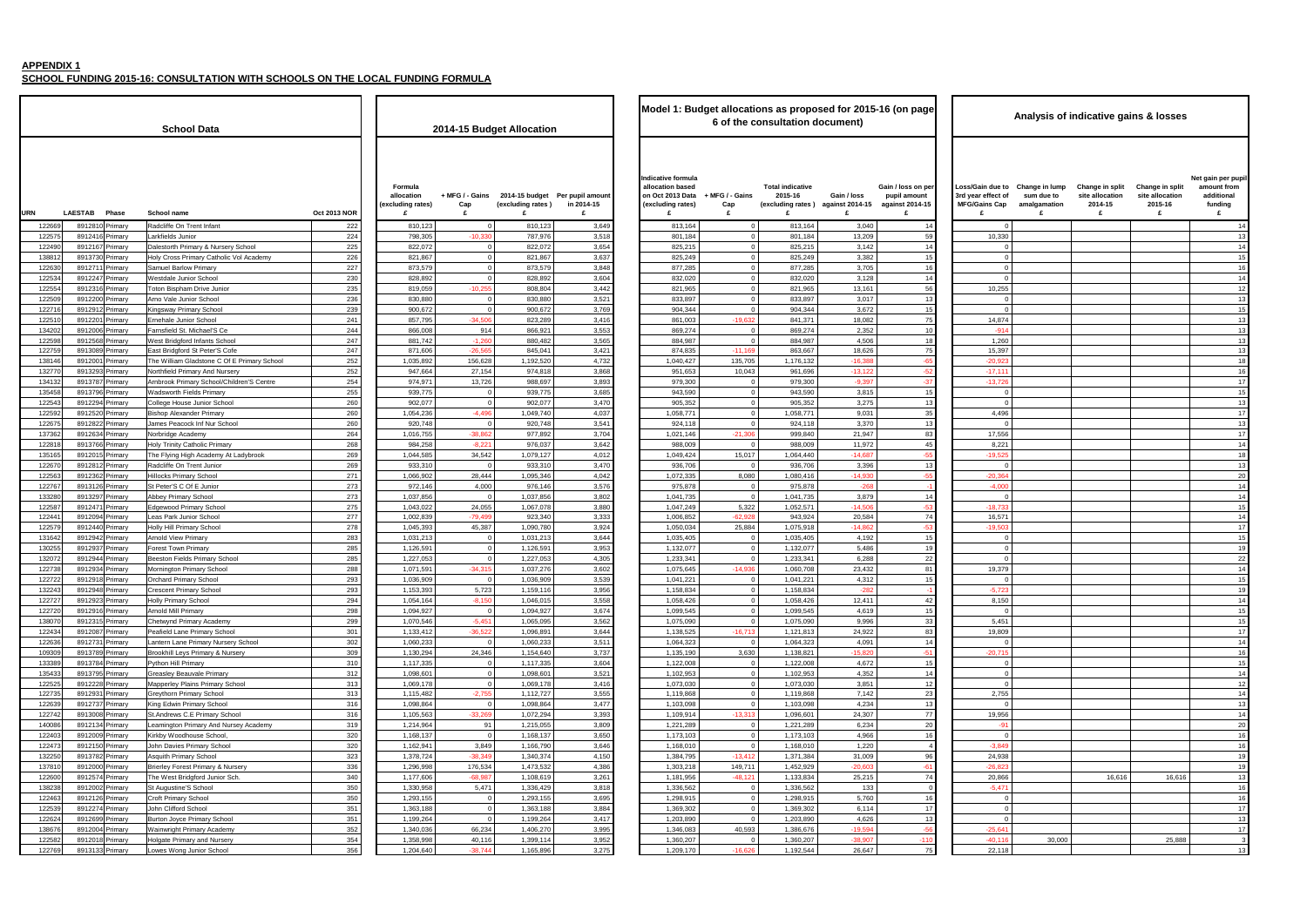**SCHOOL FUNDING 2015-16: CONSULTATION WITH SCHOOLS ON THE LOCAL FUNDING FORMULA**

|                                   | <b>Oct 2013 NOR</b> | Formula<br>allocation<br>(excluding rates)<br>£ | + MFG / - Gains<br>Cap<br>£ | (excluding rates)<br>£ | 2014-15 budget Per pupil amount<br>in 2014-15<br>£ | Indicative formula<br>allocation based<br>on Oct 2013 Data + MFG / - Gains<br>(excluding rates)<br>£ | Cap<br>£                   | <b>Total indicative</b><br>2015-16<br>(excluding rates) against 2014-15<br>£ | Gain / loss<br>£    |
|-----------------------------------|---------------------|-------------------------------------------------|-----------------------------|------------------------|----------------------------------------------------|------------------------------------------------------------------------------------------------------|----------------------------|------------------------------------------------------------------------------|---------------------|
| t Infant                          | 222                 | 810,123                                         | $\Omega$                    | 810,123                | 3,649                                              | 813,164                                                                                              | 0                          | 813,164                                                                      | 3,040               |
|                                   | 224                 | 798,305                                         | $-10,330$                   | 787,976                | 3,518                                              | 801,184                                                                                              | 0                          | 801,184                                                                      | 13,209              |
| <b>&amp; Nursery School</b>       | 225                 | 822,072                                         | 0                           | 822,072                | 3,654                                              | 825,215                                                                                              | 0                          | 825,215                                                                      | 3,142               |
| y Catholic Vol Academy            | 226                 | 821,867                                         | 0                           | 821,867                | 3,637                                              | 825,249                                                                                              | 0                          | 825,249                                                                      | 3,382               |
| imary                             | 227                 | 873,579                                         | $\Omega$                    | 873,579                | 3,848                                              | 877,285                                                                                              | $\mathbf 0$                | 877,285                                                                      | 3,705               |
| school                            | 230                 | 828,892                                         | $\Omega$                    | 828,892                | 3,604                                              | 832,020                                                                                              | $\mathbf 0$                | 832,020                                                                      | 3,128               |
| ive Junior                        | 235                 | 819,059                                         | $-10,255$                   | 808,804                | 3,442                                              | 821,965                                                                                              | $\mathbf 0$                | 821,965                                                                      | 13,161              |
| School                            | 236                 | 830,880                                         | $\Omega$                    | 830,880                | 3,521                                              | 833,897                                                                                              | $\mathbf 0$                | 833,897                                                                      | 3,017               |
| School                            | 239                 | 900,672                                         | $\Omega$                    | 900,672                | 3,769                                              | 904,344                                                                                              | $\mathbf 0$                | 904,344                                                                      | 3,672               |
| chool                             | 241                 | 857,795                                         | $-34,506$                   | 823,289                | 3,416                                              | 861,003                                                                                              | $-19,632$                  | 841,371                                                                      | 18,082              |
| ael'S Ce                          | 244<br>247          | 866,008<br>881,742                              | 914<br>$-1,260$             | 866,921<br>880,482     | 3,553                                              | 869,274<br>884,987                                                                                   | $\mathbf 0$<br>$\mathbf 0$ | 869,274<br>884,987                                                           | 2,352<br>4,506      |
| ants School<br>Peter'S Cofe       | 247                 | 871,606                                         | $-26,565$                   | 845,041                | 3,565<br>3,421                                     | 874,835                                                                                              | $-11,169$                  | 863,667                                                                      | 18,626              |
| stone C Of E Primary School       | 252                 | 1,035,892                                       | 156,628                     | 1,192,520              | 4,732                                              | 1,040,427                                                                                            | 135,705                    | 1,176,132                                                                    | $-16,388$           |
| And Nursery                       | 252                 | 947,664                                         | 27,154                      | 974,818                | 3,868                                              | 951,653                                                                                              | 10,043                     | 961,696                                                                      | $-13,122$           |
| School/Children'S Centre          | 254                 | 974,971                                         | 13,726                      | 988,697                | 3,893                                              | 979,300                                                                                              | 0                          | 979,300                                                                      | $-9,397$            |
| Primary                           | 255                 | 939,775                                         | $\mathbf 0$                 | 939,775                | 3,685                                              | 943,590                                                                                              | $\mathbf 0$                | 943,590                                                                      | 3,815               |
| nior School                       | 260                 | 902,077                                         | $\mathbf 0$                 | 902,077                | 3,470                                              | 905,352                                                                                              | $\mathbf 0$                | 905,352                                                                      | 3,275               |
| Primary                           | 260                 | 1,054,236                                       | $-4,496$                    | 1,049,740              | 4,037                                              | 1,058,771                                                                                            | $\mathbf 0$                | 1,058,771                                                                    | 9,031               |
| if Nur School                     | 260                 | 920,748                                         | $\Omega$                    | 920,748                | 3,541                                              | 924,118                                                                                              | $\mathbf 0$                | 924,118                                                                      | 3,370               |
| nу                                | 264                 | 1,016,755                                       | $-38,862$                   | 977,892                | 3,704                                              | 1,021,146                                                                                            | $-21,306$                  | 999,840                                                                      | 21,947              |
| lic Primary                       | 268                 | 984,258                                         | $-8,221$                    | 976,037                | 3,642                                              | 988,009                                                                                              | $\mathbf 0$                | 988,009                                                                      | 11,972              |
| cademy At Ladybrook               | 269                 | 1,044,585                                       | 34,542                      | 1,079,127              | 4,012                                              | 1,049,424                                                                                            | 15,017                     | 1,064,440                                                                    | $-14,687$           |
| t Junior                          | 269                 | 933,310                                         | $\Omega$                    | 933,310                | 3,470                                              | 936,706                                                                                              | 0                          | 936,706                                                                      | 3,396               |
| ichool                            | 271                 | 1,066,902                                       | 28,444                      | 1,095,346              | 4,042                                              | 1,072,335                                                                                            | 8,080                      | 1,080,416                                                                    | $-14,930$           |
| Junior                            | 273                 | 972,146                                         | 4,000                       | 976,146                | 3,576                                              | 975,878                                                                                              | $\mathbf 0$                | 975,878                                                                      | $-268$              |
| hool                              | 273                 | 1,037,856                                       | $\Omega$                    | 1,037,856              | 3,802                                              | 1,041,735                                                                                            | $\mathbf 0$                | 1,041,735                                                                    | 3,879               |
| y School                          | 275                 | 1,043,022                                       | 24,055                      | 1,067,078              | 3,880                                              | 1,047,249                                                                                            | 5,322                      | 1,052,571                                                                    | $-14,506$           |
| School                            | 277<br>278          | 1,002,839<br>1,045,393                          | $-79,499$<br>45,387         | 923,340<br>1,090,780   | 3,333<br>3,924                                     | 1,006,852<br>1,050,034                                                                               | $-62,928$<br>25,884        | 943,924<br>1,075,918                                                         | 20,584<br>$-14,862$ |
| School<br>ıry                     | 283                 | 1,031,213                                       | $\Omega$                    | 1,031,213              | 3,644                                              | 1,035,405                                                                                            | 0                          | 1,035,405                                                                    | 4,192               |
| ary                               | 285                 | 1,126,591                                       | $\mathbf 0$                 | 1,126,591              | 3,953                                              | 1,132,077                                                                                            | 0                          | 1,132,077                                                                    | 5,486               |
| imary School                      | 285                 | 1,227,053                                       | 0                           | 1,227,053              | 4,305                                              | 1,233,341                                                                                            | $\mathbf 0$                | 1,233,341                                                                    | 6,288               |
| ry School                         | 288                 | 1,071,591                                       | $-34,315$                   | 1,037,276              | 3,602                                              | 1,075,645                                                                                            | $-14,936$                  | 1,060,708                                                                    | 23,432              |
| School                            | 293                 | 1,036,909                                       | 0                           | 1,036,909              | 3,539                                              | 1,041,221                                                                                            | 0                          | 1,041,221                                                                    | 4,312               |
| School                            | 293                 | 1,153,393                                       | 5,723                       | 1,159,116              | 3,956                                              | 1,158,834                                                                                            | $\mathbf 0$                | 1,158,834                                                                    | $-282$              |
| ool                               | 294                 | 1,054,164                                       | $-8,150$                    | 1.046.015              | 3,558                                              | 1,058,426                                                                                            | $\mathbf 0$                | 1,058,426                                                                    | 12,411              |
|                                   | 298                 | 1,094,927                                       | $\Omega$                    | 1,094,927              | 3,674                                              | 1,099,545                                                                                            | $\mathbf 0$                | 1,099,545                                                                    | 4,619               |
| Academy                           | 299                 | 1,070,546                                       | $-5,451$                    | 1,065,095              | 3,562                                              | 1,075,090                                                                                            | $\mathbf 0$                | 1,075,090                                                                    | 9,996               |
| nary School                       | 301                 | 1,133,412                                       | $-36,522$                   | 1,096,891              | 3,644                                              | 1,138,525                                                                                            | $-16,713$                  | 1,121,813                                                                    | 24,922              |
| ary Nursery School                | 302                 | 1,060,233                                       | $\mathbf 0$                 | 1,060,233              | 3,511                                              | 1,064,323                                                                                            | $\pmb{0}$                  | 1,064,323                                                                    | 4,091               |
| mary & Nursery                    | 309                 | 1,130,294                                       | 24,346                      | 1,154,640              | 3,737                                              | 1,135,190                                                                                            | 3,630                      | 1,138,821                                                                    | $-15,820$           |
| y                                 | 310                 | 1,117,335                                       | $\mathbf 0$                 | 1,117,335              | 3,604                                              | 1,122,008                                                                                            | 0                          | 1,122,008                                                                    | 4,672               |
| e Primary                         | 312<br>313          | 1,098,601<br>1,069,178                          | 0<br>$\mathbf 0$            | 1,098,601<br>1,069,178 | 3,521                                              | 1,102,953                                                                                            | $\mathbf 0$<br>0           | 1,102,953                                                                    | 4,352               |
| <b>Primary School</b><br>/ School | 313                 | 1,115,482                                       | $-2,755$                    | 1,112,727              | 3,416<br>3,555                                     | 1,073,030<br>1,119,868                                                                               | $\mathbf 0$                | 1,073,030<br>1,119,868                                                       | 3,851<br>7,142      |
| ry School                         | 316                 | 1,098,864                                       | 0                           | 1,098,864              | 3,477                                              | 1,103,098                                                                                            | $\mathsf 0$                | 1,103,098                                                                    | 4,234               |
| rimary School                     | 316                 | 1,105,563                                       | $-33,269$                   | 1,072,294              | 3,393                                              | 1,109,914                                                                                            | $-13,313$                  | 1,096,601                                                                    | 24,307              |
| ry And Nursey Academy             | 319                 | 1,214,964                                       | 91                          | 1,215,055              | 3,809                                              | 1,221,289                                                                                            | 0                          | 1,221,289                                                                    | 6,234               |
| e School,                         | 320                 | 1,168,137                                       | $\mathbf 0$                 | 1,168,137              | 3,650                                              | 1,173,103                                                                                            | 0                          | 1,173,103                                                                    | 4,966               |
| ary School                        | 320                 | 1,162,941                                       | 3,849                       | 1,166,790              | 3,646                                              | 1,168,010                                                                                            | $\mathbf 0$                | 1,168,010                                                                    | 1,220               |
| chool                             | 323                 | 1,378,724                                       | $-38,349$                   | 1,340,374              | 4,150                                              | 1,384,795                                                                                            | $-13,412$                  | 1,371,384                                                                    | 31,009              |
| mary & Nursery                    | 336                 | 1,296,998                                       | 176,534                     | 1,473,532              | 4,386                                              | 1,303,218                                                                                            | 149,711                    | 1,452,929                                                                    | $-20,603$           |
| rd Junior Sch.                    | 340                 | 1,177,606                                       | $-68,987$                   | 1,108,619              | 3,261                                              | 1,181,956                                                                                            | $-48,121$                  | 1,133,834                                                                    | 25,215              |
| hool                              | 350                 | 1,330,958                                       | 5,471                       | 1,336,429              | 3,818                                              | 1,336,562                                                                                            | 0                          | 1,336,562                                                                    | 133                 |
| loo                               | 350                 | 1,293,155                                       | 0                           | 1,293,155              | 3,695                                              | 1,298,915                                                                                            | $\mathbf 0$                | 1,298,915                                                                    | 5,760               |
| loo                               | 351                 | 1,363,188                                       | 0                           | 1,363,188              | 3,884                                              | 1,369,302                                                                                            | 0                          | 1,369,302                                                                    | 6,114               |
| ary School                        | 351                 | 1,199,264                                       | 0                           | 1,199,264              | 3,417                                              | 1,203,890                                                                                            | $\mathbf 0$                | 1,203,890                                                                    | 4,626               |
| ry Academy                        | 352                 | 1,340,036                                       | 66,234                      | 1,406,270              | 3,995                                              | 1,346,083                                                                                            | 40,593                     | 1,386,676                                                                    | $-19,594$           |
| nd Nursery                        | 354                 | 1,358,998                                       | 40,116                      | 1,399,114              | 3,952                                              | 1,360,207                                                                                            | 0                          | 1,360,207                                                                    | $-38,907$           |
| or School                         | 356                 | 1,204,640                                       | $-38,744$                   | 1,165,896              | 3,275                                              | 1,209,170                                                                                            | $-16,626$                  | 1,192,544                                                                    | 26,647              |

| а                                        |                     |                                                 |                             | 2014-15 Budget Allocation |                                               | Model 1: Budget allocations as proposed for 2015-16 (on page<br>6 of the consultation document) |                               |                                    |                                                       |                                                            |                                                                     | Analysis of indicative gains & losses             |                                                    |                                                    |                                                                |
|------------------------------------------|---------------------|-------------------------------------------------|-----------------------------|---------------------------|-----------------------------------------------|-------------------------------------------------------------------------------------------------|-------------------------------|------------------------------------|-------------------------------------------------------|------------------------------------------------------------|---------------------------------------------------------------------|---------------------------------------------------|----------------------------------------------------|----------------------------------------------------|----------------------------------------------------------------|
|                                          | <b>Oct 2013 NOR</b> | Formula<br>allocation<br>(excluding rates)<br>£ | + MFG / - Gains<br>Cap<br>£ | (excluding rates)<br>£    | 2014-15 budget Per pupil amount<br>in 2014-15 | Indicative formula<br>allocation based<br>on Oct 2013 Data<br>(excluding rates)                 | + MFG / - Gains<br>Cap<br>£   | <b>Total indicative</b><br>2015-16 | Gain / loss<br>(excluding rates) against 2014-15<br>£ | Gain / loss on per<br>pupil amount<br>against 2014-15<br>£ | Loss/Gain due to<br>3rd year effect of<br><b>MFG/Gains Cap</b><br>£ | Change in lump<br>sum due to<br>amalgamation<br>£ | Change in split<br>site allocation<br>2014-15<br>£ | Change in split<br>site allocation<br>2015-16<br>£ | Net gain per pupi<br>amount from<br>additional<br>funding<br>£ |
| ınt                                      | 222                 | 810,123                                         | $\Omega$                    | 810,123                   | 3,649                                         | 813,164                                                                                         | $\mathbf 0$                   | 813,164                            | 3,040                                                 | 14                                                         | $\mathbf{0}$                                                        |                                                   |                                                    |                                                    | 14                                                             |
|                                          | 224                 | 798,305                                         | $-10.33$                    | 787,976                   | 3,518                                         | 801,184                                                                                         |                               | 801,184                            | 13,209                                                | 59                                                         | 10,330                                                              |                                                   |                                                    |                                                    | 13                                                             |
| <b>Jursery School</b>                    | 225                 | 822,072                                         |                             | 822,072                   | 3,654                                         | 825,215                                                                                         |                               | 825,215                            | 3,142                                                 | 14                                                         | $\Omega$                                                            |                                                   |                                                    |                                                    | 14                                                             |
| atholic Vol Academy                      | 226                 | 821,867                                         |                             | 821,867                   | 3,637                                         | 825,249                                                                                         |                               | 825,249                            | 3,382                                                 | 15                                                         | $\mathbf 0$                                                         |                                                   |                                                    |                                                    | 15                                                             |
| ol                                       | 227<br>230          | 873,579<br>828,892                              |                             | 873,579<br>828,892        | 3,848<br>3,604                                | 877,285                                                                                         | $\Omega$                      | 877,285                            | 3,705<br>3,128                                        | 16<br>14                                                   | $\Omega$<br>$\Omega$                                                |                                                   |                                                    |                                                    | 16                                                             |
| Junior                                   | 235                 | 819,059                                         | $-10,25$                    | 808,804                   | 3,442                                         | 832,020<br>821,965                                                                              | $\mathbf 0$                   | 832,020<br>821,965                 | 13,161                                                | 56                                                         | 10,255                                                              |                                                   |                                                    |                                                    | 14<br>12                                                       |
| ol                                       | 236                 | 830,880                                         |                             | 830,880                   | 3,521                                         | 833,897                                                                                         |                               | 833,897                            | 3,017                                                 | 13                                                         | $\Omega$                                                            |                                                   |                                                    |                                                    | 13                                                             |
| loo                                      | 239                 | 900,672                                         |                             | 900,672                   | 3,769                                         | 904,344                                                                                         | $\Omega$                      | 904,344                            | 3,672                                                 | 15                                                         | $\Omega$                                                            |                                                   |                                                    |                                                    | 15                                                             |
| ٦l                                       | 241                 | 857,795                                         | $-34,50$                    | 823,289                   | 3,416                                         | 861,003                                                                                         | $-19,632$                     | 841,371                            | 18,082                                                | 75                                                         | 14,874                                                              |                                                   |                                                    |                                                    | 13                                                             |
| S Ce                                     | 244                 | 866,008                                         | 914                         | 866,921                   | 3,553                                         | 869,274                                                                                         | $\Omega$                      | 869,274                            | 2,352                                                 | 10                                                         | $-914$                                                              |                                                   |                                                    |                                                    | 13                                                             |
| School                                   | 247                 | 881,742                                         | $-1,26$                     | 880,482                   | 3,565                                         | 884,987                                                                                         | $\Omega$                      | 884,987                            | 4,506                                                 | 18                                                         | 1,260                                                               |                                                   |                                                    |                                                    | 13                                                             |
| r'S Cofe<br><b>C Of E Primary School</b> | 247<br>252          | 871,606<br>1,035,892                            | $-26,56$<br>156,628         | 845,041<br>1,192,520      | 3,421<br>4,732                                | 874,835<br>1,040,427                                                                            | $-11,169$<br>135,705          | 863,667<br>1,176,132               | 18,626<br>$-16,38$                                    | 75<br>$-65$                                                | 15,397<br>$-20,92$                                                  |                                                   |                                                    |                                                    | 13<br>18                                                       |
| <b>Nursery</b>                           | 252                 | 947,664                                         | 27,154                      | 974,818                   | 3,868                                         | 951,653                                                                                         | 10,043                        | 961,696                            | $-13, 122$                                            | $-5$                                                       | $-17,111$                                                           |                                                   |                                                    |                                                    | 16                                                             |
| pol/Children'S Centre                    | 254                 | 974,971                                         | 13,726                      | 988,697                   | 3,893                                         | 979,300                                                                                         |                               | 979,300                            | $-9,397$                                              | $-37$                                                      | $-13,726$                                                           |                                                   |                                                    |                                                    | 17                                                             |
| nary                                     | 255                 | 939,775                                         |                             | 939,775                   | 3,685                                         | 943,590                                                                                         |                               | 943,590                            | 3,815                                                 | 15                                                         | $\Omega$                                                            |                                                   |                                                    |                                                    | 15                                                             |
| School                                   | 260                 | 902,077                                         | $\Omega$                    | 902,077                   | 3,470                                         | 905,352                                                                                         | $\Omega$                      | 905,352                            | 3,275                                                 | 13                                                         | $\Omega$                                                            |                                                   |                                                    |                                                    | 13                                                             |
| ary                                      | 260                 | 1,054,236                                       | $-4,496$                    | 1,049,740                 | 4,037                                         | 1,058,771                                                                                       | $\Omega$                      | 1,058,771                          | 9,031                                                 | 35                                                         | 4,496                                                               |                                                   |                                                    |                                                    | 17                                                             |
| r School                                 | 260                 | 920,748                                         |                             | 920,748                   | 3,541                                         | 924,118                                                                                         | $\Omega$                      | 924,118                            | 3,370                                                 | 13                                                         | $\Omega$                                                            |                                                   |                                                    |                                                    | 13                                                             |
|                                          | 264<br>268          | 1,016,755<br>984,258                            | $-38,86$<br>$-8,22$         | 977,892<br>976,037        | 3,704                                         | 1,021,146<br>988,009                                                                            | $-21,306$                     | 999,840<br>988,009                 | 21,947<br>11,972                                      | 83<br>45                                                   | 17,556<br>8,221                                                     |                                                   |                                                    |                                                    | 17<br>14                                                       |
| rimary<br>emy At Ladybrook               | 269                 | 1,044,585                                       | 34,542                      | 1,079,127                 | 3,642<br>4,012                                | 1,049,424                                                                                       | 15,017                        | 1,064,440                          | $-14,687$                                             | $-55$                                                      | $-19,525$                                                           |                                                   |                                                    |                                                    | 18                                                             |
| ıior                                     | 269                 | 933,310                                         |                             | 933,310                   | 3,470                                         | 936,706                                                                                         | $\Omega$                      | 936,706                            | 3,396                                                 | 13                                                         | $\Omega$                                                            |                                                   |                                                    |                                                    | 13                                                             |
| Jc                                       | 271                 | 1,066,902                                       | 28,444                      | 1,095,346                 | 4,042                                         | 1,072,335                                                                                       | 8,080                         | 1,080,416                          | $-14,930$                                             | $-55$                                                      | $-20,364$                                                           |                                                   |                                                    |                                                    | 20                                                             |
| or                                       | 273                 | 972,146                                         | 4,000                       | 976,146                   | 3,576                                         | 975,878                                                                                         |                               | 975,878                            | $-268$                                                |                                                            | $-4,000$                                                            |                                                   |                                                    |                                                    | 14                                                             |
|                                          | 273                 | 1,037,856                                       |                             | 1,037,856                 | 3,802                                         | 1,041,735                                                                                       |                               | 1,041,735                          | 3,879                                                 | 14                                                         | $\Omega$                                                            |                                                   |                                                    |                                                    | 14                                                             |
| hool                                     | 275                 | 1,043,022                                       | 24,055                      | 1,067,078                 | 3,880                                         | 1,047,249                                                                                       | 5,322                         | 1,052,571                          | $-14,50$                                              | $-53$                                                      | $-18,733$                                                           |                                                   |                                                    |                                                    | 15                                                             |
| lo<br>loc                                | 277<br>278          | 1,002,839<br>1,045,393                          | $-79,49$<br>45,387          | 923,340<br>1,090,780      | 3,333<br>3,924                                | 1,006,852<br>1,050,034                                                                          | $-62,928$<br>25,884           | 943,924<br>1,075,918               | 20,584<br>$-14.862$                                   | 74<br>$-53$                                                | 16,571<br>$-19,503$                                                 |                                                   |                                                    |                                                    | 14<br>17                                                       |
|                                          | 283                 | 1,031,213                                       |                             | 1,031,213                 | 3,644                                         | 1,035,405                                                                                       | $\Omega$                      | 1,035,405                          | 4,192                                                 | 15                                                         | $\mathbf 0$                                                         |                                                   |                                                    |                                                    | 15                                                             |
|                                          | 285                 | 1,126,591                                       | $\Omega$                    | 1,126,591                 | 3,953                                         | 1,132,077                                                                                       | $\Omega$                      | 1,132,077                          | 5,486                                                 | 19                                                         | $\overline{0}$                                                      |                                                   |                                                    |                                                    | 1 <sup>5</sup>                                                 |
| y School                                 | 285                 | 1,227,053                                       |                             | 1,227,053                 | 4,305                                         | 1,233,341                                                                                       | $\Omega$                      | 1,233,341                          | 6,288                                                 | 22                                                         | $\Omega$                                                            |                                                   |                                                    |                                                    | 22                                                             |
| chool                                    | 288                 | 1,071,591                                       | $-34,31!$                   | 1,037,276                 | 3,602                                         | 1,075,645                                                                                       | $-14,936$                     | 1,060,708                          | 23,432                                                | 81                                                         | 19,379                                                              |                                                   |                                                    |                                                    | 14                                                             |
| ol                                       | 293                 | 1,036,909                                       |                             | 1,036,909                 | 3,539                                         | 1,041,221                                                                                       |                               | 1,041,221                          | 4,312                                                 | 15                                                         | $\Omega$                                                            |                                                   |                                                    |                                                    | 15                                                             |
| loc                                      | 293                 | 1,153,393                                       | 5,723                       | 1,159,116                 | 3,956                                         | 1,158,834                                                                                       | $\mathbf 0$                   | 1,158,834                          | $-282$                                                |                                                            | $-5,723$                                                            |                                                   |                                                    |                                                    | 1 <sup>5</sup>                                                 |
|                                          | 294<br>298          | 1,054,164<br>1,094,927                          | $-8,150$<br>$\Omega$        | 1,046,015<br>1,094,927    | 3,558<br>3,674                                | 1,058,426<br>1,099,545                                                                          | $\overline{0}$<br>$\mathbf 0$ | 1,058,426<br>1,099,545             | 12,411<br>4,619                                       | 42<br>15                                                   | 8,150<br>$\circ$                                                    |                                                   |                                                    |                                                    | 14<br>15                                                       |
| ademy                                    | 299                 | 1,070,546                                       | $-5,451$                    | 1,065,095                 | 3,562                                         | 1,075,090                                                                                       | $\Omega$                      | 1,075,090                          | 9,996                                                 | 33                                                         | 5,451                                                               |                                                   |                                                    |                                                    | 15                                                             |
| School                                   | 301                 | 1,133,412                                       | $-36,522$                   | 1,096,891                 | 3,644                                         | 1,138,525                                                                                       | $-16,713$                     | 1,121,813                          | 24,922                                                | 83                                                         | 19,809                                                              |                                                   |                                                    |                                                    | 17                                                             |
| Nursery School                           | 302                 | 1,060,233                                       | $\overline{0}$              | 1,060,233                 | 3,511                                         | 1,064,323                                                                                       | $\mathbf 0$                   | 1,064,323                          | 4,091                                                 | 14                                                         | $\overline{0}$                                                      |                                                   |                                                    |                                                    | 14                                                             |
| & Nursery                                | 309                 | 1,130,294                                       | 24,346                      | 1,154,640                 | 3,737                                         | 1,135,190                                                                                       | 3,630                         | 1,138,821                          | $-15,820$                                             | $-51$                                                      | $-20,715$                                                           |                                                   |                                                    |                                                    | 16                                                             |
|                                          | 310                 | 1,117,335                                       | $\Omega$                    | 1,117,335                 | 3,604                                         | 1,122,008                                                                                       | $\mathbf 0$                   | 1,122,008                          | 4,672                                                 | 15                                                         | $\mathbf{0}$                                                        |                                                   |                                                    |                                                    | 15                                                             |
| imary<br>ary School                      | 312<br>313          | 1,098,601<br>1,069,178                          | $\Omega$<br>$\Omega$        | 1,098,601<br>1,069,178    | 3,521<br>3,416                                | 1,102,953<br>1,073,030                                                                          | $\overline{0}$<br>$\mathbf 0$ | 1,102,953<br>1,073,030             | 4,352<br>3,851                                        | 14<br>12                                                   | $\overline{0}$<br>$\overline{0}$                                    |                                                   |                                                    |                                                    | 14<br>12                                                       |
| loor                                     | 313                 | 1,115,482                                       | $-2,755$                    | 1,112,727                 | 3,555                                         | 1,119,868                                                                                       | $\Omega$                      | 1,119,868                          | 7,142                                                 | 23                                                         | 2,755                                                               |                                                   |                                                    |                                                    | 14                                                             |
| hool                                     | 316                 | 1,098,864                                       |                             | 1,098,864                 | 3,477                                         | 1,103,098                                                                                       | $\Omega$                      | 1,103,098                          | 4,234                                                 | 13                                                         | $\Omega$                                                            |                                                   |                                                    |                                                    | 13                                                             |
| ry School                                | 316                 | 1,105,563                                       | $-33,269$                   | 1,072,294                 | 3,393                                         | 1,109,914                                                                                       | $-13,313$                     | 1,096,601                          | 24,307                                                | 77                                                         | 19,956                                                              |                                                   |                                                    |                                                    | 14                                                             |
| nd Nursey Academy                        | 319                 | 1,214,964                                       | 91                          | 1,215,055                 | 3,809                                         | 1,221,289                                                                                       | $\overline{0}$                | 1,221,289                          | 6,234                                                 | 20                                                         | $-91$                                                               |                                                   |                                                    |                                                    | 20                                                             |
| hool,                                    | 320                 | 1,168,137                                       | $\overline{0}$              | 1,168,137                 | 3,650                                         | 1,173,103                                                                                       | $\overline{0}$                | 1,173,103                          | 4,966                                                 | 16                                                         | $\overline{\mathbf{0}}$                                             |                                                   |                                                    |                                                    | 16                                                             |
| <b>School</b><br>۱L                      | 320                 | 1,162,941                                       | 3,849                       | 1,166,790                 | 3,646                                         | 1,168,010                                                                                       | $\overline{0}$                | 1,168,010                          | 1,220                                                 | $\overline{4}$                                             | $-3,849$                                                            |                                                   |                                                    |                                                    | 16                                                             |
| y & Nursery                              | 323<br>336          | 1,378,724<br>1,296,998                          | $-38,349$<br>176,534        | 1,340,374<br>1,473,532    | 4,150<br>4,386                                | 1,384,795<br>1,303,218                                                                          | $-13,412$<br>149,711          | 1,371,384<br>1,452,929             | 31,009<br>$-20,603$                                   | 96<br>$-61$                                                | 24,938<br>$-26,823$                                                 |                                                   |                                                    |                                                    | 19<br>19                                                       |
| inior Sch.                               | 340                 | 1,177,606                                       | $-68,987$                   | 1,108,619                 | 3,261                                         | 1,181,956                                                                                       | $-48,121$                     | 1,133,834                          | 25,215                                                | 74                                                         | 20,866                                                              |                                                   | 16,616                                             | 16,616                                             | 13                                                             |
|                                          | 350                 | 1,330,958                                       | 5,471                       | 1,336,429                 | 3,818                                         | 1,336,562                                                                                       | $\mathbf 0$                   | 1,336,562                          | 133                                                   | $\Omega$                                                   | $-5,471$                                                            |                                                   |                                                    |                                                    | 16                                                             |
|                                          | 350                 | 1,293,155                                       | $\Omega$                    | 1,293,155                 | 3,695                                         | 1,298,915                                                                                       | $\mathbf 0$                   | 1,298,915                          | 5,760                                                 | 16                                                         | $\circ$                                                             |                                                   |                                                    |                                                    | 16                                                             |
|                                          | 351                 | 1,363,188                                       | $\Omega$                    | 1,363,188                 | 3,884                                         | 1,369,302                                                                                       | $\mathbf 0$                   | 1,369,302                          | 6,114                                                 | 17                                                         | $\overline{0}$                                                      |                                                   |                                                    |                                                    | 17                                                             |
| School                                   | 351                 | 1,199,264                                       | $\Omega$                    | 1,199,264                 | 3,417                                         | 1,203,890                                                                                       | $\Omega$                      | 1,203,890                          | 4,626                                                 | 13                                                         | $\circ$                                                             |                                                   |                                                    |                                                    | 13                                                             |
| cademy                                   | 352<br>354          | 1,340,036<br>1,358,998                          | 66,234<br>40,116            | 1,406,270<br>1,399,114    | 3,995<br>3,952                                | 1,346,083<br>1,360,207                                                                          | 40,593<br>$\Omega$            | 1,386,676<br>1,360,207             | $-19,594$<br>$-38,907$                                | $-56$<br>$-110$                                            | $-25,641$<br>$-40,116$                                              | 30,000                                            |                                                    | 25,888                                             | 17                                                             |
| lursery<br>chool                         | 356                 | 1,204,640                                       | $-38,744$                   | 1,165,896                 | 3,275                                         | 1,209,170                                                                                       | $-16,626$                     | 1,192,544                          | 26,647                                                | 75                                                         | 22,118                                                              |                                                   |                                                    |                                                    | 13                                                             |
|                                          |                     |                                                 |                             |                           |                                               |                                                                                                 |                               |                                    |                                                       |                                                            |                                                                     |                                                   |                                                    |                                                    |                                                                |

|                                                                                                                                                                                       | document)                             | osed for 2015-16 (on page                                  | Analysis of indicative gains & losses                               |                                                   |                                                    |                                                    |                                                                 |  |  |  |  |  |  |
|---------------------------------------------------------------------------------------------------------------------------------------------------------------------------------------|---------------------------------------|------------------------------------------------------------|---------------------------------------------------------------------|---------------------------------------------------|----------------------------------------------------|----------------------------------------------------|-----------------------------------------------------------------|--|--|--|--|--|--|
|                                                                                                                                                                                       | Gain / loss<br>) against 2014-15<br>£ | Gain / loss on per<br>pupil amount<br>against 2014-15<br>£ | Loss/Gain due to<br>3rd year effect of<br><b>MFG/Gains Cap</b><br>£ | Change in lump<br>sum due to<br>amalgamation<br>£ | Change in split<br>site allocation<br>2014-15<br>£ | Change in split<br>site allocation<br>2015-16<br>£ | Net gain per pupil<br>amount from<br>additional<br>funding<br>£ |  |  |  |  |  |  |
| 4                                                                                                                                                                                     | 3,040                                 | 14                                                         | 0                                                                   |                                                   |                                                    |                                                    | 14                                                              |  |  |  |  |  |  |
|                                                                                                                                                                                       | 13,209                                | 59                                                         | 10,330                                                              |                                                   |                                                    |                                                    | 13                                                              |  |  |  |  |  |  |
|                                                                                                                                                                                       | 3,142                                 | 14                                                         | 0                                                                   |                                                   |                                                    |                                                    | 14                                                              |  |  |  |  |  |  |
|                                                                                                                                                                                       | 3,382                                 | 15                                                         | $\pmb{0}$                                                           |                                                   |                                                    |                                                    | 15                                                              |  |  |  |  |  |  |
|                                                                                                                                                                                       | 3,705<br>3,128                        | 16<br>14                                                   | $\mathbf 0$<br>0                                                    |                                                   |                                                    |                                                    | 16<br>14                                                        |  |  |  |  |  |  |
|                                                                                                                                                                                       | 13,161                                | 56                                                         | 10,255                                                              |                                                   |                                                    |                                                    | 12                                                              |  |  |  |  |  |  |
| $\frac{4}{5}$ $\frac{9}{5}$ $\frac{9}{5}$ $\frac{0}{7}$ $\frac{1}{4}$                                                                                                                 | 3,017                                 | 13                                                         | 0                                                                   |                                                   |                                                    |                                                    | 13                                                              |  |  |  |  |  |  |
|                                                                                                                                                                                       | 3,672                                 | 15                                                         | $\pmb{0}$                                                           |                                                   |                                                    |                                                    | 15                                                              |  |  |  |  |  |  |
|                                                                                                                                                                                       | 18,082                                | 75                                                         | 14,874                                                              |                                                   |                                                    |                                                    | 13                                                              |  |  |  |  |  |  |
| $\frac{1}{4}$ $\frac{4}{7}$ $\frac{7}{7}$ $\frac{2}{6}$ $\frac{6}{7}$                                                                                                                 | 2,352                                 | 10                                                         | $-914$                                                              |                                                   |                                                    |                                                    | 13                                                              |  |  |  |  |  |  |
|                                                                                                                                                                                       | 4,506<br>18,626                       | 18<br>75                                                   | 1,260<br>15,397                                                     |                                                   |                                                    |                                                    | 13                                                              |  |  |  |  |  |  |
|                                                                                                                                                                                       | $-16,388$                             | -65                                                        | $-20,923$                                                           |                                                   |                                                    |                                                    | 13<br>18                                                        |  |  |  |  |  |  |
|                                                                                                                                                                                       | $-13,122$                             | $-52$                                                      | $-17,111$                                                           |                                                   |                                                    |                                                    | $16\,$                                                          |  |  |  |  |  |  |
|                                                                                                                                                                                       | $-9,397$                              | $-37$                                                      | $-13,726$                                                           |                                                   |                                                    |                                                    | 17                                                              |  |  |  |  |  |  |
| $\frac{0}{2}$                                                                                                                                                                         | 3,815                                 | 15                                                         | 0                                                                   |                                                   |                                                    |                                                    | 15                                                              |  |  |  |  |  |  |
|                                                                                                                                                                                       | 3,275                                 | 13                                                         | 0                                                                   |                                                   |                                                    |                                                    | 13                                                              |  |  |  |  |  |  |
| $\overline{1}$                                                                                                                                                                        | 9,031<br>3,370                        | 35<br>13                                                   | 4,496<br>0                                                          |                                                   |                                                    |                                                    | 17<br>13                                                        |  |  |  |  |  |  |
|                                                                                                                                                                                       | 21,947                                | 83                                                         | 17,556                                                              |                                                   |                                                    |                                                    | 17                                                              |  |  |  |  |  |  |
| $\begin{array}{c}\n8 \\ 0 \\ 9 \\ 0\n\end{array}$                                                                                                                                     | 11,972                                | 45                                                         | 8,221                                                               |                                                   |                                                    |                                                    | 14                                                              |  |  |  |  |  |  |
|                                                                                                                                                                                       | $-14,687$                             | -55                                                        | $-19,525$                                                           |                                                   |                                                    |                                                    | 18                                                              |  |  |  |  |  |  |
| 6                                                                                                                                                                                     | 3,396                                 | 13                                                         | 0                                                                   |                                                   |                                                    |                                                    | 13                                                              |  |  |  |  |  |  |
| $\overline{6}$                                                                                                                                                                        | $-14,930$                             | $-55$                                                      | $-20,364$                                                           |                                                   |                                                    |                                                    | 20                                                              |  |  |  |  |  |  |
|                                                                                                                                                                                       | $-268$                                | $-1$<br>14                                                 | $-4,000$                                                            |                                                   |                                                    |                                                    | 14<br>14                                                        |  |  |  |  |  |  |
|                                                                                                                                                                                       | 3,879<br>$-14,506$                    | $-53$                                                      | $\pmb{0}$<br>$-18,733$                                              |                                                   |                                                    |                                                    | 15                                                              |  |  |  |  |  |  |
|                                                                                                                                                                                       | 20,584                                | 74                                                         | 16,571                                                              |                                                   |                                                    |                                                    | 14                                                              |  |  |  |  |  |  |
| $\frac{8}{5}$ $\frac{5}{1}$ $\frac{4}{8}$ $\frac{5}{5}$ $\frac{7}{7}$ $\frac{1}{1}$ $\frac{8}{4}$                                                                                     | $-14,862$                             | $-53$                                                      | $-19,503$                                                           |                                                   |                                                    |                                                    | 17                                                              |  |  |  |  |  |  |
|                                                                                                                                                                                       | 4,192                                 | 15                                                         | 0                                                                   |                                                   |                                                    |                                                    | 15                                                              |  |  |  |  |  |  |
|                                                                                                                                                                                       | 5,486                                 | 19                                                         | 0                                                                   |                                                   |                                                    |                                                    | 19                                                              |  |  |  |  |  |  |
|                                                                                                                                                                                       | 6,288<br>23,432                       | 22<br>81                                                   | $\mathbf 0$<br>19,379                                               |                                                   |                                                    |                                                    | 22<br>14                                                        |  |  |  |  |  |  |
|                                                                                                                                                                                       | 4,312                                 | 15                                                         | 0                                                                   |                                                   |                                                    |                                                    | 15                                                              |  |  |  |  |  |  |
|                                                                                                                                                                                       | $-282$                                | $-1$                                                       | $-5,723$                                                            |                                                   |                                                    |                                                    | 19                                                              |  |  |  |  |  |  |
|                                                                                                                                                                                       | 12,411                                | 42                                                         | 8,150                                                               |                                                   |                                                    |                                                    | 14                                                              |  |  |  |  |  |  |
|                                                                                                                                                                                       | 4,619                                 | 15                                                         | $\pmb{0}$                                                           |                                                   |                                                    |                                                    | 15                                                              |  |  |  |  |  |  |
| $\frac{6}{5}$ $\frac{5}{0}$ $\frac{3}{3}$ $\frac{3}{1}$                                                                                                                               | 9,996                                 | 33                                                         | 5,451                                                               |                                                   |                                                    |                                                    | $15\,$                                                          |  |  |  |  |  |  |
|                                                                                                                                                                                       | 24,922<br>4,091                       | 83<br>14                                                   | 19,809<br>$\pmb{0}$                                                 |                                                   |                                                    |                                                    | $17\,$<br>$14$                                                  |  |  |  |  |  |  |
|                                                                                                                                                                                       | $-15,820$                             | $-51$                                                      | $-20,715$                                                           |                                                   |                                                    |                                                    | 16                                                              |  |  |  |  |  |  |
| $\overline{8}$                                                                                                                                                                        | 4,672                                 | 15                                                         | $\mathbf 0$                                                         |                                                   |                                                    |                                                    | 15                                                              |  |  |  |  |  |  |
|                                                                                                                                                                                       | 4,352                                 | 14                                                         | $\pmb{0}$                                                           |                                                   |                                                    |                                                    | 14                                                              |  |  |  |  |  |  |
|                                                                                                                                                                                       | 3,851                                 | 12                                                         | $\pmb{0}$                                                           |                                                   |                                                    |                                                    | 12                                                              |  |  |  |  |  |  |
|                                                                                                                                                                                       | 7,142<br>4,234                        | 23<br>13                                                   | 2,755<br>$\pmb{0}$                                                  |                                                   |                                                    |                                                    | $14$<br>13                                                      |  |  |  |  |  |  |
|                                                                                                                                                                                       | 24,307                                | 77                                                         | 19,956                                                              |                                                   |                                                    |                                                    | 14                                                              |  |  |  |  |  |  |
|                                                                                                                                                                                       | 6,234                                 | 20                                                         | $-91$                                                               |                                                   |                                                    |                                                    | 20                                                              |  |  |  |  |  |  |
| $\frac{3}{0} \frac{0}{8} \frac{8}{8} \frac{1}{1} \frac{9}{9} \frac{3}{3} \frac{0}{0} \frac{4}{4} \frac{9}{2} \frac{4}{5} \frac{2}{2} \frac{1}{0} \frac{6}{6} \frac{7}{7} \frac{4}{4}$ | 4,966                                 | 16                                                         | $\mathbf 0$                                                         |                                                   |                                                    |                                                    | 16                                                              |  |  |  |  |  |  |
|                                                                                                                                                                                       | 1,220                                 | 4                                                          | $-3,849$                                                            |                                                   |                                                    |                                                    | 16                                                              |  |  |  |  |  |  |
|                                                                                                                                                                                       | 31,009                                | 96                                                         | 24,938                                                              |                                                   |                                                    |                                                    | 19                                                              |  |  |  |  |  |  |
|                                                                                                                                                                                       | $-20,603$<br>25,215                   | $-61$<br>74                                                | $-26,823$<br>20,866                                                 |                                                   | 16,616                                             | 16,616                                             | $19$<br>$13\,$                                                  |  |  |  |  |  |  |
|                                                                                                                                                                                       | 133                                   | $\pmb{0}$                                                  | $-5,471$                                                            |                                                   |                                                    |                                                    | 16                                                              |  |  |  |  |  |  |
|                                                                                                                                                                                       | 5,760                                 | 16                                                         | $\pmb{0}$                                                           |                                                   |                                                    |                                                    | 16                                                              |  |  |  |  |  |  |
|                                                                                                                                                                                       | 6,114                                 | 17                                                         | $\pmb{0}$                                                           |                                                   |                                                    |                                                    | $17\,$                                                          |  |  |  |  |  |  |
|                                                                                                                                                                                       | 4,626                                 | 13                                                         | $\pmb{0}$                                                           |                                                   |                                                    |                                                    | 13                                                              |  |  |  |  |  |  |
|                                                                                                                                                                                       | $-19,594$                             | $-56$                                                      | $-25,641$                                                           |                                                   |                                                    |                                                    | $17\,$                                                          |  |  |  |  |  |  |
|                                                                                                                                                                                       | $-38,907$<br>26,647                   | $-110$<br>75                                               | $-40,116$<br>22,118                                                 | 30,000                                            |                                                    | 25,888                                             | $\overline{\mathbf{3}}$<br>13                                   |  |  |  |  |  |  |
|                                                                                                                                                                                       |                                       |                                                            |                                                                     |                                                   |                                                    |                                                    |                                                                 |  |  |  |  |  |  |

| <b>School Data</b>           |                                    |                    |                                                                             |                     |                                                 | 2014-15 Budget Allocation        |                        |                                                    | Model 1: Budget allocations as proposed for 2015-16 (on page<br>6 of the consultation document) |                                  |                                         |                                                       |                                                            |                                                                     |
|------------------------------|------------------------------------|--------------------|-----------------------------------------------------------------------------|---------------------|-------------------------------------------------|----------------------------------|------------------------|----------------------------------------------------|-------------------------------------------------------------------------------------------------|----------------------------------|-----------------------------------------|-------------------------------------------------------|------------------------------------------------------------|---------------------------------------------------------------------|
| <b>URN</b>                   | <b>LAESTAB</b>                     | Phase              | School name                                                                 | <b>Oct 2013 NOR</b> | Formula<br>allocation<br>(excluding rates)<br>f | + MFG / - Gains<br>Cap<br>£      | (excluding rates)      | 2014-15 budget Per pupil amount<br>in 2014-15<br>£ | Indicative formula<br>allocation based<br>on Oct 2013 Data<br>(excluding rates)<br>£            | + MFG / - Gains<br>Cap<br>£      | <b>Total indicative</b><br>2015-16<br>£ | Gain / loss<br>(excluding rates) against 2014-15<br>£ | Gain / loss on per<br>pupil amount<br>against 2014-15<br>£ | Loss/Gain due to<br>3rd year effect of<br><b>MFG/Gains Cap</b><br>£ |
| 122669                       | 8912810 Primary                    |                    | Radcliffe On Trent Infant                                                   | 222                 | 810,123                                         | $\Omega$                         | 810,123                | 3,649                                              | 813,164                                                                                         | $\mathbf 0$                      | 813,164                                 | 3,040                                                 | 14                                                         | $\mathbf 0$                                                         |
| 12257                        | 8912416 Primary                    |                    | arkfields Junior                                                            | 224                 | 798,305                                         | $-10.330$                        | 787,976                | 3,518                                              | 801,184                                                                                         | $\Omega$                         | 801,184                                 | 13,209                                                | 59                                                         | 10,330                                                              |
| 122490                       | 8912167 Primary                    |                    | Dalestorth Primary & Nursery School                                         | 225                 | 822,072                                         | $\Omega$                         | 822,072                | 3,654                                              | 825,215                                                                                         | $\mathbf 0$                      | 825,215                                 | 3,142                                                 | 14                                                         | 0                                                                   |
| 13881<br>12263               | 8913730 Primary<br>891271          | Primary            | Holy Cross Primary Catholic Vol Academy<br>Samuel Barlow Primary            | 226<br>227          | 821,867<br>873,579                              | $\Omega$<br>$\Omega$             | 821,867<br>873,579     | 3,637<br>3,848                                     | 825,249<br>877,285                                                                              | $\mathbf 0$<br>$\mathbf 0$       | 825,249<br>877,285                      | 3,382<br>3,705                                        | 15<br>16                                                   | $\mathbf 0$<br>$\mathbf 0$                                          |
| 12253                        | 8912247 Primary                    |                    | Westdale Junior School                                                      | 230                 | 828,892                                         |                                  | 828,892                | 3,604                                              | 832,020                                                                                         | $\Omega$                         | 832,020                                 | 3,128                                                 | 14                                                         | $\mathbf 0$                                                         |
| 12255                        | 8912316 Primary                    |                    | Toton Bispham Drive Junior                                                  | 235                 | 819,059                                         | $-10,255$                        | 808,804                | 3,442                                              | 821,965                                                                                         | $\mathbf 0$                      | 821,965                                 | 13,161                                                | 56                                                         | 10,255                                                              |
| 12250                        |                                    | 8912200 Primary    | Arno Vale Junior School                                                     | 236                 | 830,880                                         | $\Omega$                         | 830,880                | 3,521                                              | 833,897                                                                                         | $\Omega$                         | 833,897                                 | 3,017                                                 | 13                                                         | $\mathbf 0$                                                         |
| 122716<br>122510             | 8912912<br>8912201 Primary         | Primary            | Kingsway Primary School<br><b>Ernehale Junior School</b>                    | 239<br>241          | 900,672<br>857,795                              | $\Omega$<br>$-34,506$            | 900,672<br>823,289     | 3,769<br>3,416                                     | 904,344<br>861,003                                                                              | $\Omega$<br>$-19,632$            | 904,344<br>841,371                      | 3,672<br>18,082                                       | 15<br>75                                                   | $\overline{0}$<br>14,874                                            |
| 13420                        | 8912006                            | Primary            | Farnsfield St. Michael'S Ce                                                 | 244                 | 866,008                                         | 914                              | 866,921                | 3,553                                              | 869,274                                                                                         | $\overline{0}$                   | 869,274                                 | 2,352                                                 | 10                                                         | $-914$                                                              |
| 12259                        | 8912568                            | Primary            | <b>Nest Bridgford Infants School</b>                                        | 247                 | 881,742                                         | $-1,260$                         | 880,482                | 3,565                                              | 884,987                                                                                         | $\Omega$                         | 884,987                                 | 4,506                                                 | 18                                                         | 1,260                                                               |
| 12275                        | 8913089 Primary                    |                    | East Bridgford St Peter'S Cofe                                              | 247                 | 871,606                                         | $-26,565$                        | 845,041                | 3,421                                              | 874,835                                                                                         | $-11,169$                        | 863,667                                 | 18,626                                                | 75                                                         | 15,397                                                              |
| 138146                       | 8912001                            | Primary            | The William Gladstone C Of E Primary School                                 | 252                 | 1,035,892                                       | 156,628                          | 1,192,520              | 4,732                                              | 1,040,427                                                                                       | 135,705                          | 1,176,132                               | $-16,38$                                              | $-65$                                                      | $-20,923$                                                           |
| 13277<br>13413               | 8913293<br>8913787                 | Primary<br>Primary | Northfield Primary And Nursery<br>Arnbrook Primary School/Children'S Centre | 252<br>254          | 947,664<br>974,971                              | 27,154<br>13,726                 | 974,818<br>988,697     | 3,868<br>3,893                                     | 951,653<br>979,300                                                                              | 10,043<br>$\mathbf 0$            | 961,696<br>979,300                      | $-13,12$<br>$-9,397$                                  | $-52$<br>$-37$                                             | $-17,111$<br>$-13,726$                                              |
| 135458                       | 8913796 Primary                    |                    | Wadsworth Fields Primary                                                    | 255                 | 939,775                                         | $\Omega$                         | 939,775                | 3,685                                              | 943,590                                                                                         | $\mathbf 0$                      | 943,590                                 | 3,815                                                 | 15                                                         | $\mathbf 0$                                                         |
| 12254                        | 8912294                            | Primary            | College House Junior School                                                 | 260                 | 902,077                                         | $\Omega$                         | 902,077                | 3,470                                              | 905,352                                                                                         | $\Omega$                         | 905,352                                 | 3,275                                                 | 13                                                         | $\overline{0}$                                                      |
| 12259                        | 8912520                            | Primary            | <b>Bishop Alexander Primary</b>                                             | 260                 | 1,054,236                                       | $-4,496$                         | 1,049,740              | 4,037                                              | 1,058,771                                                                                       | $\Omega$                         | 1,058,771                               | 9,031                                                 | 35                                                         | 4,496                                                               |
| 12267                        | 8912822 Primary                    |                    | James Peacock Inf Nur School                                                | 260                 | 920,748                                         | - 0                              | 920,748                | 3,541                                              | 924,118                                                                                         | $\Omega$                         | 924,118                                 | 3,370                                                 | 13                                                         | $\Omega$                                                            |
| 137362<br>12281              | 8912634<br>8913766 Primary         | Primary            | Norbridge Academy<br><b>Holy Trinity Catholic Primary</b>                   | 264<br>268          | 1,016,755<br>984,258                            | $-38.862$<br>$-8,221$            | 977,892<br>976,037     | 3,704<br>3,642                                     | 1,021,146<br>988,009                                                                            | $-21,306$<br>$\mathbf 0$         | 999,840<br>988,009                      | 21,947<br>11,972                                      | 83<br>45                                                   | 17,556<br>8,221                                                     |
| 135165                       | 8912015 Primary                    |                    | The Flying High Academy At Ladybrook                                        | 269                 | 1,044,585                                       | 34,542                           | 1,079,127              | 4,012                                              | 1,049,424                                                                                       | 15,017                           | 1,064,440                               | $-14,68$                                              | $-55$                                                      | $-19,525$                                                           |
| 12267                        | 8912812                            | Primary            | Radcliffe On Trent Junior                                                   | 269                 | 933,310                                         |                                  | 933,310                | 3,470                                              | 936,706                                                                                         | $\Omega$                         | 936,706                                 | 3,396                                                 | 13                                                         | $\mathbf 0$                                                         |
| 12256                        | 8912362                            | Primary            | Hillocks Primary School                                                     | 271                 | 1,066,902                                       | 28,444                           | 1,095,346              | 4,042                                              | 1,072,335                                                                                       | 8,080                            | 1,080,416                               | $-14,93$                                              | -55                                                        | $-20,364$                                                           |
| 122767                       | 8913126 Primary                    |                    | St Peter'S C Of E Junior                                                    | 273                 | 972,146                                         | 4,000                            | 976,146                | 3,576                                              | 975,878                                                                                         | $\Omega$                         | 975,878                                 | $-268$                                                |                                                            | $-4,000$                                                            |
| 13328                        | 8913297 Primary                    |                    | <b>Abbey Primary School</b>                                                 | 273                 | 1,037,856                                       | $\Omega$                         | 1,037,856              | 3,802                                              | 1,041,735                                                                                       | $\mathbf{0}$                     | 1,041,735                               | 3,879                                                 | 14                                                         | $\mathbf 0$                                                         |
| 122587<br>12244 <sup>-</sup> | 8912471<br>8912094 Primary         | Primary            | Edgewood Primary School<br>Leas Park Junior School                          | 275<br>277          | 1,043,022<br>1,002,839                          | 24,055<br>$-79,499$              | 1,067,078<br>923,340   | 3,880<br>3,333                                     | 1,047,249<br>1,006,852                                                                          | 5,322<br>$-62,928$               | 1,052,571<br>943,924                    | $-14,506$<br>20,584                                   | $-53$<br>74                                                | $-18,733$<br>16,571                                                 |
| 12257                        | 8912440                            | Primary            | Holly Hill Primary School                                                   | 278                 | 1,045,393                                       | 45,387                           | 1,090,780              | 3,924                                              | 1,050,034                                                                                       | 25,884                           | 1,075,918                               | $-14,86$                                              | $-53$                                                      | $-19,503$                                                           |
| 131642                       | 8912942 Primary                    |                    | <b>Arnold View Primary</b>                                                  | 283                 | 1,031,213                                       |                                  | 1,031,213              | 3,644                                              | 1,035,405                                                                                       | $\Omega$                         | 1,035,405                               | 4,192                                                 | 15                                                         | $\mathbf 0$                                                         |
| 130255                       |                                    | 8912937 Primary    | Forest Town Primary                                                         | 285                 | 1,126,591                                       | $\overline{0}$                   | 1,126,591              | 3,953                                              | 1,132,077                                                                                       | $\mathbf 0$                      | 1,132,077                               | 5,486                                                 | 19                                                         | $\mathbf 0$                                                         |
| 13207                        | 8912944                            | Primary            | Beeston Fields Primary School                                               | 285                 | 1,227,053                                       | - 0<br>$-34,315$                 | 1,227,053              | 4,305<br>3,602                                     | 1,233,341                                                                                       | $\Omega$<br>$-14,936$            | 1,233,341                               | 6,288<br>23,432                                       | 22                                                         | $\mathbf 0$                                                         |
| 12273<br>122722              | 8912934<br>8912918 Primary         | Primary            | Mornington Primary School<br>Orchard Primary School                         | 288<br>293          | 1,071,591<br>1,036,909                          | $\Omega$                         | 1,037,276<br>1,036,909 | 3,539                                              | 1,075,645<br>1,041,221                                                                          | $\mathbf 0$                      | 1,060,708<br>1,041,221                  | 4,312                                                 | 81<br>15                                                   | 19,379<br>$\mathbf 0$                                               |
| 132243                       | 8912948 Primary                    |                    | <b>Crescent Primary School</b>                                              | 293                 | 1,153,393                                       | 5,723                            | 1,159,116              | 3,956                                              | 1,158,834                                                                                       | $\overline{0}$                   | 1,158,834                               | $-282$                                                |                                                            | $-5,723$                                                            |
| 122727                       | 8912923 Primary                    |                    | <b>Holly Primary School</b>                                                 | 294                 | 1,054,164                                       | $-8,150$                         | 1,046,015              | 3,558                                              | 1,058,426                                                                                       | $\Omega$                         | 1,058,426                               | 12,411                                                | 42                                                         | 8,150                                                               |
| 122720                       | 8912916 Primary                    |                    | Arnold Mill Primary                                                         | 298                 | 1,094,927                                       | $\overline{0}$                   | 1,094,927              | 3,674                                              | 1,099,545                                                                                       | $\overline{0}$                   | 1,099,545                               | 4,619                                                 | 15                                                         | $\overline{0}$                                                      |
| 138070<br>122434             | 8912315 Primary<br>8912087 Primary |                    | Chetwynd Primary Academy<br>Peafield Lane Primary School                    | 299<br>301          | 1,070,546<br>1,133,412                          | $-5,451$<br>$-36,522$            | 1,065,095<br>1,096,891 | 3,562<br>3,644                                     | 1,075,090<br>1,138,525                                                                          | $\overline{0}$<br>$-16,713$      | 1,075,090<br>1,121,813                  | 9,996<br>24,922                                       | 33<br>83                                                   | 5,451<br>19,809                                                     |
| 122636                       | 8912731 Primary                    |                    | Lantern Lane Primary Nursery School                                         | 302                 | 1,060,233                                       | $\overline{0}$                   | 1,060,233              | 3,511                                              | 1,064,323                                                                                       | $\overline{0}$                   | 1,064,323                               | 4,091                                                 | 14                                                         | 0                                                                   |
| 10930                        | 8913789 Primary                    |                    | Brookhill Leys Primary & Nursery                                            | 309                 | 1,130,294                                       | 24,346                           | 1,154,640              | 3,737                                              | 1,135,190                                                                                       | 3,630                            | 1,138,821                               | $-15,820$                                             | $-51$                                                      | $-20,715$                                                           |
| 13338                        | 8913784 Primary                    |                    | Python Hill Primary                                                         | 310                 | 1,117,335                                       | $\Omega$                         | 1,117,335              | 3,604                                              | 1,122,008                                                                                       | $\mathbf 0$                      | 1,122,008                               | 4,672                                                 | 15                                                         | $\mathbf 0$                                                         |
| 13543                        | 8913795 Primary                    |                    | <b>Greasley Beauvale Primary</b>                                            | 312                 | 1,098,601                                       | $\Omega$                         | 1,098,601              | 3,521                                              | 1,102,953                                                                                       | $\mathbf 0$                      | 1,102,953                               | 4,352                                                 | 14                                                         | 0                                                                   |
| 12252<br>12273               | 8912228 Primary<br>8912931 Primary |                    | Mapperley Plains Primary School<br>Greythorn Primary School                 | 313<br>313          | 1,069,178<br>1,115,482                          | $\overline{0}$<br>$-2,755$       | 1,069,178<br>1,112,727 | 3,416<br>3,555                                     | 1,073,030<br>1,119,868                                                                          | $\overline{0}$<br>$\overline{0}$ | 1,073,030<br>1,119,868                  | 3,851<br>7,142                                        | 12<br>23                                                   | $\mathbf 0$<br>2,755                                                |
| 12263                        | 8912737 Primary                    |                    | King Edwin Primary School                                                   | 316                 | 1,098,864                                       | $\overline{0}$                   | 1,098,864              | 3,477                                              | 1,103,098                                                                                       | $\overline{0}$                   | 1,103,098                               | 4,234                                                 | 13                                                         | $\overline{0}$                                                      |
| 122742                       | 8913008 Primary                    |                    | St.Andrews C.E Primary School                                               | 316                 | 1,105,563                                       | $-33,269$                        | 1,072,294              | 3,393                                              | 1,109,914                                                                                       | $-13,313$                        | 1,096,601                               | 24,307                                                | 77                                                         | 19,956                                                              |
| 140086                       | 8912134 Primary                    |                    | Leamington Primary And Nursey Academy                                       | 319                 | 1,214,964                                       | 91                               | 1,215,055              | 3,809                                              | 1,221,289                                                                                       | $\mathbf 0$                      | 1,221,289                               | 6,234                                                 | 20                                                         | $-91$                                                               |
| 12240                        | 8912009 Primary                    |                    | Kirkby Woodhouse School                                                     | 320                 | 1,168,137                                       | $\Omega$                         | 1,168,137              | 3,650                                              | 1,173,103                                                                                       | $\mathbf 0$                      | 1,173,103                               | 4,966                                                 | 16                                                         | $\overline{0}$                                                      |
| 12247<br>132250              | 8912150 Primary<br>8913782 Primary |                    | John Davies Primary School<br>Asquith Primary School                        | 320<br>323          | 1,162,941<br>1,378,724                          | 3,849<br>$-38.349$               | 1,166,790<br>1,340,374 | 3,646<br>4,150                                     | 1,168,010<br>1,384,795                                                                          | $\overline{0}$<br>$-13,412$      | 1,168,010<br>1,371,384                  | 1,220<br>31,009                                       | 96                                                         | $-3,849$<br>24,938                                                  |
| 137810                       | 8912000 Primary                    |                    | Brierley Forest Primary & Nursery                                           | 336                 | 1,296,998                                       | 176,534                          | 1,473,532              | 4,386                                              | 1,303,218                                                                                       | 149,711                          | 1,452,929                               | $-20,60$                                              | $-61$                                                      | $-26,823$                                                           |
| 122600                       | 8912574 Primary                    |                    | The West Bridgford Junior Sch.                                              | 340                 | 1,177,606                                       | $-68,987$                        | 1,108,619              | 3,261                                              | 1,181,956                                                                                       | $-48,121$                        | 1,133,834                               | 25,215                                                | 74                                                         | 20,866                                                              |
| 138238                       | 8912002 Primary                    |                    | St Augustine'S School                                                       | 350                 | 1,330,958                                       | 5,471                            | 1,336,429              | 3,818                                              | 1,336,562                                                                                       | $\mathbf 0$                      | 1,336,562                               | 133                                                   |                                                            | $-5,471$                                                            |
| 12246                        | 8912126 Primary                    |                    | Croft Primary School                                                        | 350                 | 1,293,155                                       | $\Omega$                         | 1,293,155              | 3,695                                              | 1,298,915                                                                                       | $\mathbf 0$                      | 1,298,915                               | 5,760                                                 | 16                                                         | $\mathbf 0$                                                         |
| 122539<br>122624             | 8912274 Primary<br>8912699 Primary |                    | John Clifford School<br>Burton Joyce Primary School                         | 351<br>351          | 1,363,188<br>1,199,264                          | $\overline{0}$<br>$\overline{0}$ | 1,363,188<br>1,199,264 | 3,884<br>3,417                                     | 1,369,302<br>1,203,890                                                                          | $\overline{0}$<br>$\overline{0}$ | 1,369,302<br>1,203,890                  | 6,114<br>4,626                                        | 17<br>13                                                   | $\overline{0}$<br>$\overline{0}$                                    |
| 138676                       | 8912004 Primary                    |                    | Wainwright Primary Academy                                                  | 352                 | 1,340,036                                       | 66,234                           | 1,406,270              | 3,995                                              | 1,346,083                                                                                       | 40,593                           | 1,386,676                               | $-19,594$                                             | $-56$                                                      | $-25,641$                                                           |
| 122582                       | 8912018 Primary                    |                    | Holgate Primary and Nursery                                                 | 354                 | 1,358,998                                       | 40,116                           | 1,399,114              | 3,952                                              | 1,360,207                                                                                       | $\mathbf{0}$                     | 1,360,207                               | $-38,907$                                             | $-110$                                                     | $-40,116$                                                           |
| 122769                       | 8913133 Primary                    |                    | Lowes Wong Junior School                                                    | 356                 | 1,204,640                                       | $-38,744$                        | 1,165,896              | 3,275                                              | 1,209,170                                                                                       | $-16,626$                        | 1,192,544                               | 26,647                                                | 75                                                         | 22,118                                                              |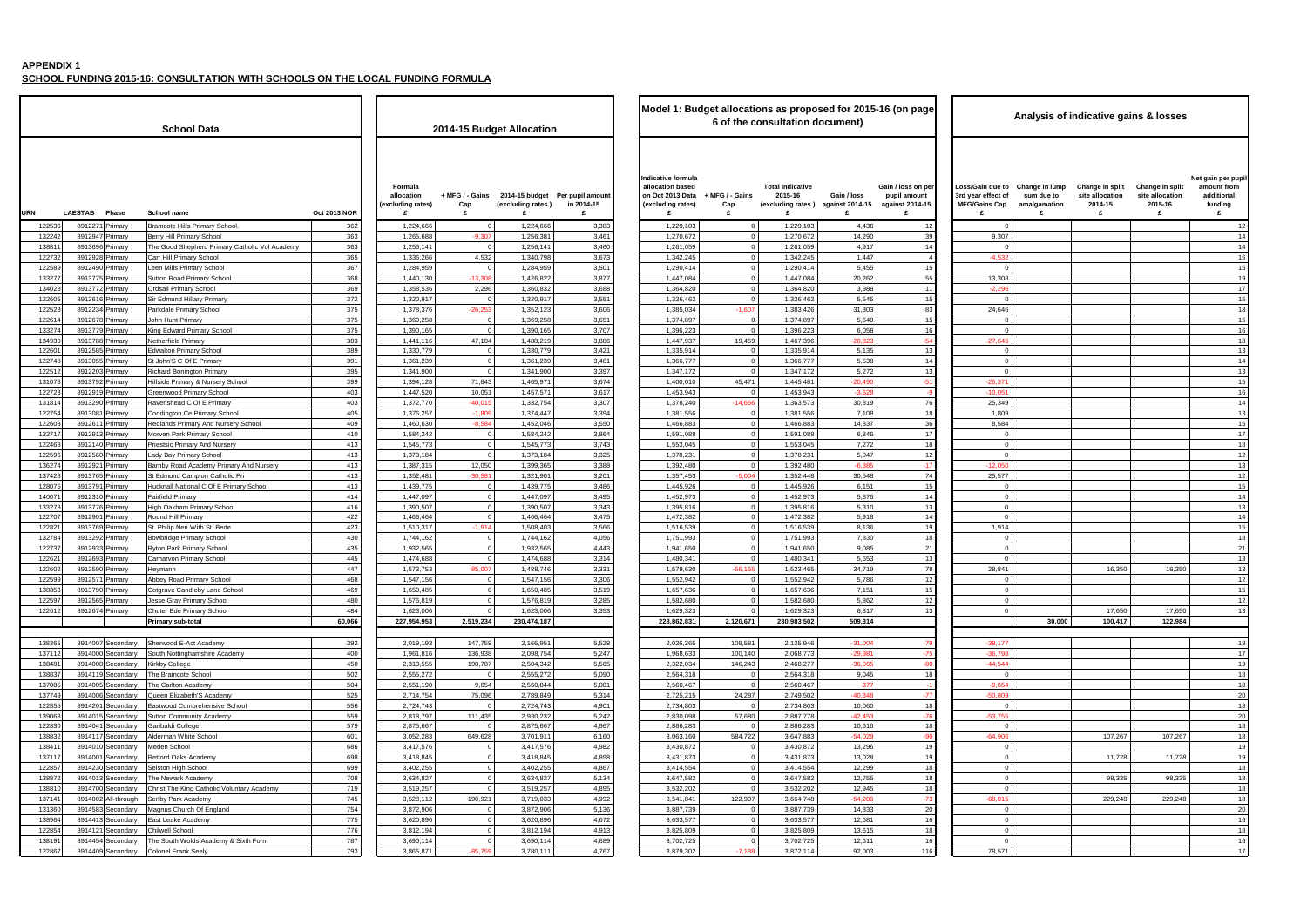**SCHOOL FUNDING 2015-16: CONSULTATION WITH SCHOOLS ON THE LOCAL FUNDING FORMULA**

| name                                               | <b>Oct 2013 NOR</b> | Formula<br>allocation<br>(excluding rates)<br>£ | + MFG / - Gains<br>Cap<br>£ | (excluding rates)<br>£ | 2014-15 budget Per pupil amount<br>in 2014-15<br>£ | Indicative formula<br>allocation based<br>on Oct 2013 Data<br>(excluding rates)<br>£ | + MFG / - Gains<br>Cap<br>£ | <b>Total indicative</b><br>2015-16<br>(excluding rates) against 2014-15<br>£ | Gain / loss<br>£    |
|----------------------------------------------------|---------------------|-------------------------------------------------|-----------------------------|------------------------|----------------------------------------------------|--------------------------------------------------------------------------------------|-----------------------------|------------------------------------------------------------------------------|---------------------|
| e Hills Primary School.                            | 362                 | 1,224,666                                       | $\mathbf{0}$                | 1,224,666              | 3,383                                              | 1,229,103                                                                            | 0                           | 1,229,103                                                                    | 4,438               |
| Il Primary School                                  | 363                 | 1,265,688                                       | $-9,307$                    | 1,256,381              | 3,461                                              | 1,270,672                                                                            | 0                           | 1,270,672                                                                    | 14,290              |
| d Shepherd Primary Catholic Vol Academy            | 363                 | 1,256,141                                       | $\mathbf 0$                 | 1,256,141              | 3,460                                              | 1,261,059                                                                            | 0                           | 1,261,059                                                                    | 4,917               |
| <b>Primary School</b>                              | 365                 | 1,336,266                                       | 4,532                       | 1,340,798              | 3,673                                              | 1,342,245                                                                            | 0                           | 1,342,245                                                                    | 1,447               |
| Ils Primary School                                 | 367                 | 1,284,959                                       | 0                           | 1,284,959              | 3,501                                              | 1,290,414                                                                            | 0                           | 1,290,414                                                                    | 5,455               |
| toad Primary School                                | 368                 | 1,440,130                                       | $-13,308$                   | 1,426,822              | 3,877                                              | 1,447,084                                                                            | $\mathbf 0$                 | 1,447,084                                                                    | 20,262              |
| Primary School                                     | 369                 | 1,358,536                                       | 2,296                       | 1,360,832              | 3,688                                              | 1,364,820                                                                            | 0                           | 1,364,820                                                                    | 3,988               |
| und Hillary Primary                                | 372                 | 1,320,917                                       | $\mathbf 0$                 | 1,320,917              | 3,551                                              | 1,326,462                                                                            | $^{\circ}$                  | 1,326,462                                                                    | 5,545               |
| <b>Primary School</b>                              | 375                 | 1,378,376                                       | $-26,253$                   | 1,352,123              | 3,606                                              | 1,385,034                                                                            | $-1,607$                    | 1,383,426                                                                    | 31,303              |
| nt Primary                                         | 375                 | 1,369,258                                       | 0                           | 1,369,258              | 3,651                                              | 1,374,897                                                                            | 0                           | 1,374,897                                                                    | 5,640               |
| ward Primary School                                | 375                 | 1,390,165                                       | $\mathbf 0$                 | 1,390,165              | 3,707                                              | 1,396,223                                                                            | $\Omega$                    | 1,396,223                                                                    | 6,058               |
| eld Primary                                        | 383                 | 1,441,116                                       | 47,104                      | 1,488,219              | 3,886                                              | 1,447,937                                                                            | 19,459                      | 1,467,396                                                                    | $-20,823$           |
| n Primary School                                   | 389                 | 1,330,779                                       | 0                           | 1,330,779              | 3,421                                              | 1,335,914                                                                            | 0                           | 1,335,914                                                                    | 5,135               |
| S C Of E Primary                                   | 391                 | 1,361,239                                       | $\mathbf 0$                 | 1,361,239              | 3,481                                              | 1,366,777                                                                            | 0                           | 1,366,777                                                                    | 5,538               |
| <b>Bonington Primary</b>                           | 395                 | 1,341,900                                       | $\mathbf 0$                 | 1,341,900              | 3,397                                              | 1,347,172                                                                            | $\mathbf 0$                 | 1,347,172                                                                    | 5,272               |
| Primary & Nursery School                           | 399                 | 1,394,128                                       | 71,843                      | 1,465,971              | 3,674                                              | 1,400,010                                                                            | 45,471                      | 1,445,481                                                                    | $-20,490$           |
| bod Primary School                                 | 403                 | 1,447,520                                       | 10,051                      | 1,457,571              | 3,617                                              | 1,453,943                                                                            | $\Omega$                    | 1,453,943                                                                    | $-3,628$            |
| ead C Of E Primary                                 | 403                 | 1,372,770                                       | $-40,015$                   | 1,332,754              | 3,307                                              | 1,378,240                                                                            | $-14,666$                   | 1,363,573                                                                    | 30,819              |
| ton Ce Primary School                              | 405                 | 1,376,257                                       | $-1,809$                    | 1,374,447              | 3,394                                              | 1,381,556                                                                            | 0                           | 1,381,556                                                                    | 7,108               |
| s Primary And Nursery School                       | 409                 | 1,460,630                                       | $-8,584$                    | 1,452,046              | 3,550                                              | 1,466,883                                                                            | 0                           | 1,466,883                                                                    | 14,837              |
| Park Primary School                                | 410                 | 1,584,242                                       | 0                           | 1,584,242              | 3,864                                              | 1,591,088                                                                            | $\mathbf 0$                 | 1,591,088                                                                    | 6,846               |
| : Primary And Nursery                              | 413                 | 1,545,773                                       | $\mathbf 0$                 | 1,545,773              | 3,743                                              | 1,553,045                                                                            | 0                           | 1,553,045                                                                    | 7,272               |
| y Primary School                                   | 413                 | 1,373,184                                       | $\mathbf 0$                 | 1,373,184              | 3,325                                              | 1,378,231                                                                            | $\mathbf 0$                 | 1,378,231                                                                    | 5,047               |
| Road Academy Primary And Nursery                   | 413                 | 1,387,315                                       | 12,050                      | 1,399,365              | 3,388                                              | 1.392.480                                                                            | $\Omega$                    | 1,392,480                                                                    | $-6,885$            |
| Ind Campion Catholic Pri                           | 413                 | 1,352,481                                       | $-30,581$                   | 1,321,901              | 3,201                                              | 1,357,453                                                                            | $-5,004$                    | 1,352,448                                                                    | 30,548              |
| National C Of E Primary School                     | 413                 | 1,439,775                                       | 0                           | 1,439,775              | 3,486                                              | 1,445,926                                                                            | 0                           | 1,445,926                                                                    | 6,151               |
| Primary                                            | 414                 | 1,447,097                                       | $\mathbf 0$                 | 1,447,097              | 3,495                                              | 1,452,973                                                                            | $\mathbf 0$                 | 1,452,973                                                                    | 5,876               |
| kham Primary School                                | 416                 | 1,390,507                                       | 0                           | 1,390,507              | 3,343                                              | 1,395,816                                                                            | 0                           | 1,395,816                                                                    | 5,310               |
| <b>Iill Primary</b>                                | 422                 | 1,466,464                                       | $\mathbf 0$                 | 1,466,464              | 3,475                                              | 1,472,382                                                                            | 0                           | 1,472,382                                                                    | 5,918               |
| Neri With St. Bede                                 | 423                 | 1,510,317                                       | $-1,914$                    | 1,508,403              | 3,566                                              | 1,516,539                                                                            | $\Omega$                    | 1,516,539                                                                    | 8,136               |
| ge Primary School                                  | 430                 | 1,744,162                                       | 0                           | 1,744,162              | 4,056                                              | 1,751,993                                                                            | $\mathbf 0$                 | 1,751,993                                                                    | 7,830               |
| ark Primary School                                 | 435                 | 1,932,565                                       | 0                           | 1,932,565              | 4,443                                              | 1,941,650                                                                            | 0                           | 1,941,650                                                                    | 9,085               |
| on Primary School                                  | 445                 | 1,474,688                                       | 0                           | 1,474,688              | 3,314                                              | 1,480,341                                                                            | $\mathbf 0$                 | 1,480,341                                                                    | 5,653               |
|                                                    | 447                 | 1,573,753                                       | $-85,007$                   | 1,488,746              | 3,331                                              | 1,579,630                                                                            | $-56,165$                   | 1,523,465                                                                    | 34,719              |
| oad Primary School                                 | 468                 | 1,547,156                                       | 0                           | 1,547,156              | 3,306                                              | 1,552,942                                                                            | 0                           | 1,552,942                                                                    | 5,786               |
| <b>Candleby Lane School</b>                        | 469                 | 1,650,485                                       | $\mathbf 0$                 | 1,650,485              | 3,519                                              | 1,657,636                                                                            | 0                           | 1,657,636                                                                    | 7,151               |
| ray Primary School                                 | 480                 | 1,576,819                                       | 0                           | 1,576,819              | 3,285                                              | 1,582,680                                                                            | $\mathbf 0$                 | 1,582,680                                                                    | 5,862               |
| de Primary School                                  | 484                 | 1,623,006                                       | 0                           | 1,623,006              | 3,353                                              | 1,629,323                                                                            | 0                           | 1,629,323                                                                    | 6,317               |
| sub-total                                          | 60,066              | 227.954.953                                     | 2,519,234                   | 230,474,187            |                                                    | 228,862,831                                                                          | 2,120,671                   | 230,983,502                                                                  | 509,314             |
|                                                    |                     |                                                 |                             |                        |                                                    |                                                                                      |                             |                                                                              |                     |
| od E-Act Academy                                   | 392                 | 2,019,193                                       | 147,758                     | 2,166,951              | 5.528                                              | 2,026,365                                                                            | 109,581                     | 2,135,946                                                                    | -31,004             |
| ottinghamshire Academy                             | 400                 | 1,961,816                                       | 136,938                     | 2,098,754              | 5,247                                              | 1,968,633                                                                            | 100,140                     | 2,068,773                                                                    | $-29,981$           |
| ollege                                             | 450                 | 2,313,555                                       | 190,787                     | 2,504,342              | 5,565                                              | 2,322,034                                                                            | 146,243                     | 2,468,277                                                                    | $-36,065$           |
| mcote School                                       | 502                 | 2,555,272                                       | $\mathbf 0$                 | 2,555,272              | 5,090                                              | 2,564,318                                                                            | 0                           | 2,564,318                                                                    | 9,045               |
| lton Academy                                       | 504                 | 2,551,190                                       | 9,654                       | 2,560,844              | 5,081                                              | 2,560,467                                                                            | $\Omega$                    | 2,560,467                                                                    | $-377$              |
| <b>Elizabeth'S Academy</b>                         | 525                 | 2,714,754<br>2,724,743                          | 75,096<br>0                 | 2,789,849              | 5,314                                              | 2,725,215<br>2,734,803                                                               | 24,287<br>$\Omega$          | 2,749,502<br>2,734,803                                                       | $-40,348$           |
| d Comprehensive School<br><b>Community Academy</b> | 556<br>559          | 2,818,797                                       | 111,435                     | 2,724,743<br>2,930,232 | 4,901<br>5,242                                     | 2,830,098                                                                            | 57,680                      | 2,887,778                                                                    | 10,060<br>$-42,453$ |
|                                                    | 579                 |                                                 | 0                           |                        |                                                    |                                                                                      | $\Omega$                    | 2,886,283                                                                    |                     |
| li College                                         | 601                 | 2,875,667                                       |                             | 2,875,667<br>3,701,911 | 4,967                                              | 2,886,283                                                                            |                             |                                                                              | 10,616<br>$-54,029$ |
| n White School                                     |                     | 3,052,283                                       | 649,628                     |                        | 6,160                                              | 3,063,160<br>3,430,872                                                               | 584,722                     | 3,647,883                                                                    |                     |
| School<br>Oaks Academy                             | 686<br>698          | 3,417,576<br>3,418,845                          | 0<br>$\mathbf 0$            | 3,417,576<br>3,418,845 | 4,982<br>4,898                                     | 3,431,873                                                                            | 0<br>0                      | 3,430,872<br>3,431,873                                                       | 13,296<br>13,028    |
| High School                                        | 699                 | 3,402,255                                       | 0                           | 3,402,255              | 4,867                                              | 3,414,554                                                                            | 0                           | 3,414,554                                                                    | 12,299              |
| vark Academy                                       | 708                 | 3,634,827                                       | 0                           | 3,634,827              | 5,134                                              | 3,647,582                                                                            | 0                           | 3,647,582                                                                    | 12,755              |
| he King Catholic Voluntary Academy                 | 719                 | 3,519,257                                       | 0                           | 3,519,257              | 4,895                                              | 3,532,202                                                                            | 0                           | 3,532,202                                                                    | 12,945              |
| 'ark Academy                                       | 745                 | 3,528,112                                       | 190,921                     | 3,719,033              | 4,992                                              | 3,541,841                                                                            | 122,907                     | 3,664,748                                                                    | $-54,286$           |
| Church Of England                                  | 754                 | 3,872,906                                       | 0                           | 3,872,906              | 5,136                                              | 3,887,739                                                                            | 0                           | 3,887,739                                                                    | 14,833              |
| ake Academy                                        | 775                 | 3,620,896                                       | 0                           | 3,620,896              | 4,672                                              | 3,633,577                                                                            | 0                           | 3,633,577                                                                    | 12,681              |
| School                                             | 776                 | 3,812,194                                       | 0                           | 3,812,194              | 4,913                                              | 3,825,809                                                                            | 0                           | 3,825,809                                                                    | 13,615              |
| th Wolds Academy & Sixth Form                      | 787                 | 3,690,114                                       | 0                           | 3,690,114              | 4,689                                              | 3,702,725                                                                            | 0                           | 3,702,725                                                                    | 12,611              |
| <b>Frank Seely</b>                                 | 793                 | 3,865,871                                       | $-85,759$                   | 3,780,111              | 4,767                                              | 3,879,302                                                                            | $-7,188$                    | 3,872,114                                                                    | 92,003              |
|                                                    |                     |                                                 |                             |                        |                                                    |                                                                                      |                             |                                                                              |                     |

|                  |                                                | <b>School Data</b>                                                          |                     |                                            |                            | 2014-15 Budget Allocation |                                               | Model 1: Budget allocations as proposed for 2015-16 (on page                    |                           | 6 of the consultation document)                         |                                |                                                       |                                                                |
|------------------|------------------------------------------------|-----------------------------------------------------------------------------|---------------------|--------------------------------------------|----------------------------|---------------------------|-----------------------------------------------|---------------------------------------------------------------------------------|---------------------------|---------------------------------------------------------|--------------------------------|-------------------------------------------------------|----------------------------------------------------------------|
|                  |                                                |                                                                             |                     | Formula<br>allocation<br>(excluding rates) | + MFG / - Gains<br>Cap     | (excluding rates)         | 2014-15 budget Per pupil amount<br>in 2014-15 | Indicative formula<br>allocation based<br>on Oct 2013 Data<br>(excluding rates) | + MFG / - Gains<br>Cap    | <b>Total indicative</b><br>2015-16<br>(excluding rates) | Gain / loss<br>against 2014-15 | Gain / loss on per<br>pupil amount<br>against 2014-15 | Loss/Gain due to<br>3rd year effect of<br><b>MFG/Gains Cap</b> |
| <b>URN</b>       | <b>LAESTAB</b><br>Phase                        | <b>School name</b>                                                          | <b>Oct 2013 NOR</b> |                                            | £                          |                           |                                               | £                                                                               | £                         |                                                         | £                              |                                                       | £                                                              |
| 12253            | 891227<br>Primary                              | <b>Bramcote Hills Primary School</b>                                        | 362                 | 1,224,666                                  | $\Omega$                   | 1,224,666                 | 3,383                                         | 1,229,103                                                                       | $\overline{0}$            | 1,229,103                                               | 4,438                          | 12                                                    | $\overline{0}$                                                 |
| 132242<br>13881  | 8912947<br>Primary<br>8913696<br>Primary       | Berry Hill Primary School<br>The Good Shepherd Primary Catholic Vol Academy | 363<br>363          | 1,265,688<br>1,256,141                     | $-9,307$<br>$\Omega$       | 1,256,381<br>1,256,141    | 3,461<br>3,460                                | 1,270,672<br>1,261,059                                                          | $\Omega$<br>$\Omega$      | 1,270,672<br>1,261,059                                  | 14,290<br>4,917                | 39<br>14                                              | 9,307<br>$\mathbf 0$                                           |
| 122732           | 8912928<br>Primary                             | Carr Hill Primary School                                                    | 365                 | 1,336,266                                  | 4,532                      | 1,340,798                 | 3,673                                         | 1,342,245                                                                       | $\overline{0}$            | 1,342,245                                               | 1,447                          |                                                       | $-4,532$                                                       |
| 122589           | 8912490<br>Primary                             | Leen Mills Primary School                                                   | 367                 | 1,284,959                                  | - 0                        | 1,284,959                 | 3,501                                         | 1,290,414                                                                       | $\mathbf 0$               | 1,290,414                                               | 5,455                          | 15                                                    | $\mathbf 0$                                                    |
| 13327            | 891377<br>Primary                              | Sutton Road Primary School                                                  | 368                 | 1,440,130                                  | $-13,308$                  | 1,426,822                 | 3,877                                         | 1,447,084                                                                       | $\mathbf{0}$              | 1,447,08                                                | 20,262                         | 55                                                    | 13,308                                                         |
| 134028           | 8913772<br>Primary                             | <b>Ordsall Primary School</b>                                               | 369                 | 1,358,536                                  | 2,296                      | 1,360,832                 | 3,688                                         | 1,364,820                                                                       | $\Omega$                  | 1,364,820                                               | 3,988                          | 11                                                    | $-2,296$                                                       |
| 12260            | 891261<br>Primary                              | Sir Edmund Hillary Primary                                                  | 372                 | 1,320,917                                  | - 0                        | 1,320,91                  | 3,551                                         | 1,326,462                                                                       | $\Omega$                  | 1,326,462                                               | 5,545                          | 15                                                    | $\overline{0}$                                                 |
| 122528<br>12261  | 8912234<br>Primary<br>8912678<br>Primary       | Parkdale Primary School<br>John Hunt Primary                                | 375<br>375          | 1,378,376<br>1,369,258                     | $-26,253$<br>- 0           | 1,352,123<br>1,369,258    | 3,606<br>3,651                                | 1,385,034<br>1,374,897                                                          | $-1,607$<br>$\mathbf{0}$  | 1,383,426<br>1,374,897                                  | 31,303<br>5,640                | 83<br>15                                              | 24,646<br>0                                                    |
| 13327            | 8913779<br>Primary                             | King Edward Primary School                                                  | 375                 | 1,390,165                                  | - 0                        | 1,390,165                 | 3,707                                         | 1,396,223                                                                       | $\Omega$                  | 1,396,223                                               | 6,058                          | 16                                                    | $\mathbf 0$                                                    |
| 134930           | 8913788<br>Primary                             | Netherfield Primary                                                         | 383                 | 1,441,116                                  | 47,104                     | 1,488,219                 | 3,886                                         | 1,447,937                                                                       | 19,459                    | 1,467,396                                               | $-20,82$                       | $-54$                                                 | $-27,645$                                                      |
| 12260            | 891258<br>Primary                              | <b>Edwalton Primary School</b>                                              | 389                 | 1,330,779                                  |                            | 1,330,779                 | 3,421                                         | 1,335,914                                                                       |                           | 1,335,91                                                | 5,135                          | 13                                                    | 0                                                              |
| 122748           | 891305<br>Primary                              | St John'S C Of E Primary                                                    | 391                 | 1,361,239                                  | $\Omega$                   | 1,361,239                 | 3,481                                         | 1,366,777                                                                       | $\Omega$                  | 1,366,777                                               | 5,538                          | 14                                                    | $\mathbf 0$                                                    |
| 122512           | 8912203<br>Primary                             | <b>Richard Bonington Primary</b>                                            | 395                 | 1,341,900                                  | $\Omega$                   | 1,341,900                 | 3,397                                         | 1,347,172                                                                       | $\mathbf{0}$              | 1,347,172                                               | 5,272                          | 13                                                    | $\overline{0}$                                                 |
| 131078<br>122723 | 8913792<br>Primary<br>8912919                  | Hillside Primary & Nursery School<br>Greenwood Primary School               | 399<br>403          | 1,394,128<br>1,447,520                     | 71,843<br>10,051           | 1,465,971<br>1,457,571    | 3,674<br>3,617                                | 1,400,010<br>1,453,943                                                          | 45,471<br>$\mathbf 0$     | 1,445,481<br>1,453,943                                  | $-20.490$<br>$-3,628$          | $-51$                                                 | $-26,371$                                                      |
| 131814           | Primary<br>8913290<br>Primary                  | Ravenshead C Of E Primary                                                   | 403                 | 1,372,770                                  | $-40,015$                  | 1,332,754                 | 3,307                                         | 1,378,240                                                                       | $-14,666$                 | 1,363,573                                               | 30,819                         | 76                                                    | $-10,051$<br>25,349                                            |
| 122754           | 891308<br>Primary                              | Coddington Ce Primary School                                                | 405                 | 1,376,257                                  | $-1,809$                   | 1,374,447                 | 3,394                                         | 1,381,556                                                                       | $\Omega$                  | 1,381,556                                               | 7,108                          | 18                                                    | 1,809                                                          |
| 12260            | 891261<br>Primary                              | Redlands Primary And Nursery School                                         | 409                 | 1,460,630                                  | $-8,584$                   | 1,452,046                 | 3,550                                         | 1,466,883                                                                       | $\Omega$                  | 1,466,883                                               | 14,837                         | 36                                                    | 8,584                                                          |
| 122717           | 8912913<br>Primary                             | Morven Park Primary School                                                  | 410                 | 1,584,242                                  | $\mathbf 0$                | 1,584,242                 | 3,864                                         | 1,591,088                                                                       | $\overline{0}$            | 1,591,088                                               | 6,846                          | 17                                                    | $\overline{0}$                                                 |
| 122468           | 891214<br>Primary                              | Priestsic Primary And Nursery                                               | 413                 | 1,545,773                                  | $\Omega$                   | 1,545,773                 | 3,743                                         | 1,553,045                                                                       | $\overline{0}$            | 1,553,045                                               | 7,272                          | 18                                                    | $\mathbf 0$                                                    |
| 122596           | 8912560<br>Primary                             | Lady Bay Primary School                                                     | 413                 | 1,373,184                                  | $\Omega$                   | 1,373,184                 | 3,325                                         | 1,378,231                                                                       | $\Omega$                  | 1,378,231                                               | 5,047                          | 12                                                    | $\mathbf 0$                                                    |
| 13627<br>13742   | 891292<br>Primary<br>8913765<br>Primary        | Barnby Road Academy Primary And Nursery<br>St Edmund Campion Catholic Pri   | 413<br>413          | 1,387,315<br>1,352,481                     | 12,050<br>$-30,58$         | 1,399,365<br>1,321,901    | 3,388<br>3,201                                | 1,392,480<br>1,357,453                                                          | $\mathbf 0$<br>$-5,004$   | 1,392,480<br>1,352,448                                  | $-6,885$<br>30,548             | $-17$<br>74                                           | $-12,050$<br>25,577                                            |
| 12807            | 891379<br>Primary                              | Hucknall National C Of E Primary School                                     | 413                 | 1,439,775                                  | $\Omega$                   | 1,439,775                 | 3,486                                         | 1,445,926                                                                       | $\Omega$                  | 1,445,926                                               | 6,151                          | 15                                                    | $\overline{0}$                                                 |
| 14007            | 8912310<br>Primary                             | <b>Fairfield Primary</b>                                                    | 414                 | 1,447,097                                  | $\Omega$                   | 1,447,097                 | 3,495                                         | 1,452,973                                                                       | $\mathbf{0}$              | 1,452,973                                               | 5,876                          | 14                                                    | $\mathbf 0$                                                    |
| 133278           | 8913776<br>Primary                             | High Oakham Primary School                                                  | 416                 | 1,390,507                                  | $\overline{0}$             | 1,390,507                 | 3,343                                         | 1,395,816                                                                       | $\overline{0}$            | 1,395,816                                               | 5,310                          | 13                                                    | 0                                                              |
| 12270            | 8912901<br>Primary                             | Round Hill Primary                                                          | 422                 | 1,466,464                                  | $\Omega$                   | 1,466,464                 | 3,475                                         | 1,472,382                                                                       | $\overline{0}$            | 1,472,382                                               | 5,918                          | 14                                                    | $\overline{0}$                                                 |
| 12282            | 891376<br>Primary                              | St. Philip Neri With St. Bede                                               | 423                 | 1,510,317                                  | $-1,914$                   | 1,508,403                 | 3,566                                         | 1,516,539                                                                       | $\mathbf 0$               | 1,516,53                                                | 8,136                          | 19                                                    | 1,914                                                          |
| 132784           | 8913292<br>Primary                             | <b>Bowbridge Primary School</b>                                             | 430                 | 1,744,162                                  | $\Omega$<br>$\Omega$       | 1,744,162                 | 4,056                                         | 1,751,993                                                                       | $\circ$<br>$\Omega$       | 1,751,993                                               | 7,830                          | 18                                                    | $\mathbf 0$                                                    |
| 12273<br>12262   | 8912933<br>Primary<br>8912693<br>Primary       | Ryton Park Primary School<br>Carnarvon Primary School                       | 435<br>445          | 1,932,565<br>1,474,688                     | $\Omega$                   | 1,932,565<br>1,474,688    | 4,443<br>3,314                                | 1,941,650<br>1,480,341                                                          | $\Omega$                  | 1,941,650<br>1,480,341                                  | 9,085<br>5,653                 | 21<br>13                                              | $\mathbf 0$<br>$\mathbf 0$                                     |
| 12260            | 8912590<br>Primary                             | Heymann                                                                     | 447                 | 1,573,753                                  | $-85,007$                  | 1,488,746                 | 3,331                                         | 1,579,630                                                                       | $-56,165$                 | 1,523,465                                               | 34,719                         | 78                                                    | 28,841                                                         |
| 122599           | 891257<br>Primary                              | Abbey Road Primary School                                                   | 468                 | 1,547,156                                  | $\Omega$                   | 1,547,156                 | 3,306                                         | 1,552,942                                                                       | $\Omega$                  | 1,552,942                                               | 5,786                          | 12                                                    | 0                                                              |
| 138353           | 8913790 Primary                                | Cotgrave Candleby Lane School                                               | 469                 | 1,650,485                                  | $\mathbf 0$                | 1,650,485                 | 3,519                                         | 1,657,636                                                                       | $\overline{0}$            | 1,657,636                                               | 7,151                          | 15                                                    | $\Omega$                                                       |
| 122597           | 8912565 Primary                                | Jesse Gray Primary School                                                   | 480                 | 1,576,819                                  | $\overline{\mathbf{0}}$    | 1,576,819                 | 3,285                                         | 1,582,680                                                                       | $\overline{0}$            | 1,582,680                                               | 5,862                          | 12                                                    | $\mathbf 0$                                                    |
| 122612           | 8912674 Primary                                | Chuter Ede Primary School                                                   | 484                 | 1,623,006                                  | $\Omega$                   | 1,623,006                 | 3,353                                         | 1,629,323                                                                       | $\Omega$                  | 1,629,323                                               | 6,317                          | 13                                                    | $\mathbf 0$                                                    |
|                  |                                                | <b>Primary sub-total</b>                                                    | 60,066              | 227,954,953                                | 2,519,234                  | 230,474,187               |                                               | 228,862,831                                                                     | 2,120,671                 | 230,983,502                                             | 509,314                        |                                                       |                                                                |
| 138365           | 8914007 Secondary                              | Sherwood E-Act Academy                                                      | 392                 | 2,019,193                                  | 147,758                    | 2,166,951                 | 5,528                                         | 2,026,365                                                                       | 109,581                   | 2,135,946                                               | $-31,004$                      | $-79$                                                 | $-38,177$                                                      |
| 137112           | 8914000<br>Secondary                           | South Nottinghamshire Academy                                               | 400                 | 1,961,816                                  | 136,938                    | 2,098,754                 | 5,247                                         | 1,968,633                                                                       | 100,140                   | 2,068,773                                               | $-29,98$                       | $-75$                                                 | $-36,798$                                                      |
| 13848            | 8914008 Secondary                              | <b>Kirkby College</b>                                                       | 450                 | 2,313,555                                  | 190,787                    | 2,504,342                 | 5,565                                         | 2,322,034                                                                       | 146,243                   | 2,468,277                                               | $-36,065$                      | $-80$                                                 | $-44,544$                                                      |
| 138837           | 8914119 Secondary                              | The Bramcote School                                                         | 502                 | 2,555,272                                  | $\mathbf 0$                | 2,555,272                 | 5,090                                         | 2,564,318                                                                       | $\overline{0}$            | 2,564,318                                               | 9,045                          | 18                                                    | $\overline{0}$                                                 |
| 137085           | 8914005<br>Secondary                           | The Carlton Academy                                                         | 504                 | 2,551,190                                  | 9,654                      | 2,560,844                 | 5,081                                         | 2,560,467                                                                       | $\overline{0}$            | 2,560,467                                               | $-377$                         | - 1                                                   | $-9,654$                                                       |
| 137749           | 8914006<br>Secondary                           | Queen Elizabeth'S Academy                                                   | 525                 | 2,714,754                                  | 75,096                     | 2,789,849                 | 5,314                                         | 2,725,215                                                                       | 24,287                    | 2,749,502                                               | $-40,348$                      | $-77$                                                 | $-50,809$                                                      |
| 122855<br>139063 | 8914201<br>Secondary<br>891401<br>Secondary    | Eastwood Comprehensive School<br>Sutton Community Academy                   | 556<br>559          | 2,724,743<br>2,818,797                     | $\overline{0}$<br>111,435  | 2,724,743<br>2,930,232    | 4,901<br>5,242                                | 2,734,803<br>2,830,098                                                          | $\overline{0}$<br>57,680  | 2,734,803<br>2,887,778                                  | 10,060<br>$-42,45$             | 18<br>$-76$                                           | $\overline{0}$<br>$-53,755$                                    |
| 122830           | 8914041<br>Secondary                           | Garibaldi College                                                           | 579                 | 2,875,667                                  | $\Omega$                   | 2,875,667                 | 4,967                                         | 2,886,283                                                                       | $\Omega$                  | 2,886,283                                               | 10,616                         | 18                                                    | $\overline{0}$                                                 |
| 138832           | 8914117<br>Secondary                           | Alderman White School                                                       | 601                 | 3,052,283                                  | 649,628                    | 3,701,911                 | 6,160                                         | 3,063,160                                                                       | 584,722                   | 3,647,883                                               | $-54,029$                      | $-90$                                                 | $-64,906$                                                      |
| 13841            | 8914010<br>Secondary                           | Meden School                                                                | 686                 | 3,417,576                                  | $\overline{0}$             | 3,417,576                 | 4,982                                         | 3,430,872                                                                       | $\overline{0}$            | 3,430,872                                               | 13,296                         | 19                                                    | $\mathbf 0$                                                    |
| 137117           | 8914001<br>Secondary                           | Retford Oaks Academy                                                        | 698                 | 3,418,845                                  | $\overline{\mathbf{0}}$    | 3,418,845                 | 4,898                                         | 3,431,873                                                                       | $\overline{0}$            | 3,431,873                                               | 13,028                         | 19                                                    | $\overline{0}$                                                 |
| 122857           | 8914230<br>Secondary                           | Selston High School                                                         | 699                 | 3,402,255                                  | $\mathbf 0$                | 3,402,255                 | 4,867                                         | 3,414,554                                                                       | $\overline{0}$            | 3,414,554                                               | 12,299                         | 18                                                    | 0                                                              |
| 13887            | 891401<br>Secondary                            | The Newark Academy                                                          | 708<br>719          | 3,634,827                                  | $\overline{0}$<br>$\Omega$ | 3,634,827                 | 5,134                                         | 3,647,582                                                                       | $\overline{0}$<br>$\circ$ | 3,647,582                                               | 12,755                         | 18                                                    | $\mathbf 0$                                                    |
| 13881<br>13714   | 8914700<br>Secondary<br>8914002<br>All-through | Christ The King Catholic Voluntary Academy<br>Serlby Park Academy           | 745                 | 3,519,257<br>3,528,112                     | 190,921                    | 3,519,257<br>3,719,033    | 4,895<br>4,992                                | 3,532,202<br>3,541,841                                                          | 122,907                   | 3,532,202<br>3,664,748                                  | 12,945<br>$-54,286$            | 18<br>$-73$                                           | $\overline{0}$<br>$-68,015$                                    |
| 131360           | 8914583<br>Secondary                           | Magnus Church Of England                                                    | 754                 | 3,872,906                                  | $\mathbf 0$                | 3,872,906                 | 5,136                                         | 3,887,739                                                                       | $\overline{0}$            | 3,887,739                                               | 14,833                         | 20                                                    | $\overline{0}$                                                 |
| 13896            | 8914413<br>Secondary                           | East Leake Academy                                                          | 775                 | 3,620,896                                  | $\overline{\mathbf{0}}$    | 3,620,896                 | 4,672                                         | 3,633,577                                                                       | $\overline{0}$            | 3,633,577                                               | 12,681                         | 16                                                    | $\mathbf 0$                                                    |
| 122854           | 891412<br>Secondary                            | Chilwell School                                                             | 776                 | 3,812,194                                  | $\overline{\mathbf{0}}$    | 3,812,194                 | 4,913                                         | 3,825,809                                                                       | $\overline{0}$            | 3,825,809                                               | 13,615                         | 18                                                    | $\mathbf 0$                                                    |
| 13819            | 8914454<br>Secondary                           | The South Wolds Academy & Sixth Form                                        | 787                 | 3,690,114                                  | $\overline{0}$             | 3,690,114                 | 4,689                                         | 3,702,725                                                                       | $\overline{0}$            | 3,702,725                                               | 12,611                         | 16                                                    | $\overline{0}$                                                 |
| 122867           | 8914409 Secondary                              | <b>Colonel Frank Seely</b>                                                  | 793                 | 3,865,871                                  | $-85,759$                  | 3,780,111                 | 4,767                                         | 3,879,302                                                                       | $-7,188$                  | 3,872,114                                               | 92,003                         | 116                                                   | 78,571                                                         |

|                                             |                     | Model 1: Budget allocations as proposed for 2015-16 (on page<br>6 of the consultation document) |                                  |                                                      |                 |                                                                                 | Analysis of indicative gains & losses |                                         |                                                       |                                                       |                                                                     |                                                   |                                                    |                                                           |                                                                |
|---------------------------------------------|---------------------|-------------------------------------------------------------------------------------------------|----------------------------------|------------------------------------------------------|-----------------|---------------------------------------------------------------------------------|---------------------------------------|-----------------------------------------|-------------------------------------------------------|-------------------------------------------------------|---------------------------------------------------------------------|---------------------------------------------------|----------------------------------------------------|-----------------------------------------------------------|----------------------------------------------------------------|
| ol Data                                     |                     |                                                                                                 | 2014-15 Budget Allocation        |                                                      |                 |                                                                                 |                                       |                                         |                                                       |                                                       |                                                                     |                                                   |                                                    |                                                           |                                                                |
|                                             | <b>Oct 2013 NOR</b> | Formula<br>allocation<br>(excluding rates)                                                      | + MFG / - Gains<br>Cap<br>£      | 2014-15 budget Per pupil amount<br>(excluding rates) | in 2014-15<br>£ | Indicative formula<br>allocation based<br>on Oct 2013 Data<br>(excluding rates) | + MFG / - Gains<br>Cap<br>£           | <b>Total indicative</b><br>2015-16<br>£ | Gain / loss<br>(excluding rates) against 2014-15<br>£ | Gain / loss on per<br>pupil amount<br>against 2014-15 | Loss/Gain due to<br>3rd year effect of<br><b>MFG/Gains Cap</b><br>£ | Change in lump<br>sum due to<br>amalgamation<br>£ | Change in split<br>site allocation<br>2014-15<br>£ | <b>Change in split</b><br>site allocation<br>2015-16<br>£ | Net gain per pupi<br>amount from<br>additional<br>funding<br>£ |
| s Primary School.                           | 362                 | 1,224,666                                                                                       | $\Omega$                         | 1,224,666                                            | 3,383           | 1,229,103                                                                       | $\Omega$                              | 1,229,103                               | 4,438                                                 | -12                                                   | $\Omega$                                                            |                                                   |                                                    |                                                           | 12                                                             |
| nary School                                 | 363                 | 1,265,688                                                                                       | $-9,307$                         | 1,256,381                                            | 3,461           | 1,270,672                                                                       | $\Omega$                              | 1,270,672                               | 14,290                                                | 39                                                    | 9,307                                                               |                                                   |                                                    |                                                           | 14                                                             |
| epherd Primary Catholic Vol Academy         | 363                 | 1,256,141                                                                                       | $\Omega$                         | 1,256,141                                            | 3,460           | 1,261,059                                                                       |                                       | 1,261,059                               | 4,917                                                 | 14                                                    |                                                                     |                                                   |                                                    |                                                           | 14                                                             |
| ary School                                  | 365                 | 1,336,266                                                                                       | 4,532                            | 1,340,798                                            | 3,673           | 1,342,245                                                                       |                                       | 1,342,245                               | 1,447                                                 |                                                       | $-4,532$                                                            |                                                   |                                                    |                                                           | 16                                                             |
| mary School<br>Primary School               | 367<br>368          | 1,284,959<br>1,440,130                                                                          | $\Omega$<br>$-13,308$            | 1,284,959<br>1,426,822                               | 3,501<br>3,877  | 1,290,414<br>1,447,084                                                          |                                       | 1,290,414<br>1,447,084                  | 5,455<br>20,262                                       | 15<br>55                                              | 13,308                                                              |                                                   |                                                    |                                                           | 15<br>15                                                       |
| ry School                                   | 369                 | 1,358,536                                                                                       | 2,296                            | 1,360,832                                            | 3,688           | 1,364,820                                                                       |                                       | 1,364,820                               | 3,988                                                 | 11                                                    | $-2,296$                                                            |                                                   |                                                    |                                                           | 17                                                             |
| lillary Primary                             | 372                 | 1,320,917                                                                                       | $\Omega$                         | 1,320,917                                            | 3,551           | 1,326,462                                                                       |                                       | 1,326,462                               | 5,545                                                 | 15                                                    |                                                                     |                                                   |                                                    |                                                           | 15                                                             |
| ary School                                  | 375                 | 1,378,376                                                                                       | $-26,253$                        | 1,352,123                                            | 3,606           | 1,385,034                                                                       | $-1,607$                              | 1,383,426                               | 31,303                                                | 83                                                    | 24,646                                                              |                                                   |                                                    |                                                           | 18                                                             |
| imary                                       | 375                 | 1,369,258                                                                                       | $\Omega$                         | 1,369,258                                            | 3,651           | 1,374,897                                                                       |                                       | 1,374,897                               | 5,640                                                 | 15                                                    |                                                                     |                                                   |                                                    |                                                           | 15                                                             |
| <b>Primary School</b>                       | 375                 | 1,390,165                                                                                       | - 0                              | 1,390,165                                            | 3,707           | 1,396,223                                                                       |                                       | 1,396,223                               | 6,058                                                 | 16                                                    |                                                                     |                                                   |                                                    |                                                           | 16                                                             |
| rimary<br>nary School                       | 383<br>389          | 1,441,116<br>1,330,779                                                                          | 47,104<br>$\Omega$               | 1,488,219<br>1,330,779                               | 3,886<br>3,421  | 1,447,937<br>1,335,914                                                          | 19,459                                | 1,467,396<br>1,335,914                  | $-20,823$<br>5,135                                    | $-54$<br>13                                           | $-27,645$                                                           |                                                   |                                                    |                                                           | 18<br>13                                                       |
| Of E Primary                                | 391                 | 1,361,239                                                                                       | $\overline{0}$                   | 1,361,239                                            | 3,481           | 1,366,777                                                                       |                                       | 1,366,777                               | 5,538                                                 | 14                                                    | $\Omega$                                                            |                                                   |                                                    |                                                           | 14                                                             |
| ngton Primary                               | 395                 | 1,341,900                                                                                       | $\mathbf 0$                      | 1,341,900                                            | 3,397           | 1,347,172                                                                       | $\Omega$                              | 1,347,172                               | 5,272                                                 | 13                                                    | $\Omega$                                                            |                                                   |                                                    |                                                           | 13                                                             |
| iry & Nursery School                        | 399                 | 1,394,128                                                                                       | 71,843                           | 1,465,971                                            | 3,674           | 1,400,010                                                                       | 45,471                                | 1,445,481                               | $-20,490$                                             | $-51$                                                 | $-26,37'$                                                           |                                                   |                                                    |                                                           | 15                                                             |
| rimary School                               | 403                 | 1,447,520                                                                                       | 10,051                           | 1,457,571                                            | 3,617           | 1,453,943                                                                       |                                       | 1,453,943                               | $-3,628$                                              |                                                       | $-10,05$                                                            |                                                   |                                                    |                                                           | 16                                                             |
| C Of E Primary                              | 403                 | 1,372,770                                                                                       | $-40,015$                        | 1,332,754                                            | 3,307           | 1,378,240                                                                       | $-14,66$                              | 1,363,573                               | 30,819                                                | 76                                                    | 25,349                                                              |                                                   |                                                    |                                                           | 14                                                             |
| e Primary School<br>nary And Nursery School | 405<br>409          | 1,376,257<br>1,460,630                                                                          | $-1,809$<br>$-8,584$             | 1,374,447<br>1,452,046                               | 3,394<br>3,550  | 1,381,556<br>1,466,883                                                          |                                       | 1,381,556<br>1,466,883                  | 7,108<br>14,837                                       | 18<br>36                                              | 1,809<br>8,584                                                      |                                                   |                                                    |                                                           | 13<br>15                                                       |
| <b>Primary School</b>                       | 410                 | 1,584,242                                                                                       | $\mathbf 0$                      | 1,584,242                                            | 3,864           | 1,591,088                                                                       | $\Omega$                              | 1,591,088                               | 6,846                                                 | 17                                                    | $\Omega$                                                            |                                                   |                                                    |                                                           | 17                                                             |
| ary And Nursery                             | 413                 | 1,545,773                                                                                       | $\mathbf 0$                      | 1,545,773                                            | 3,743           | 1,553,045                                                                       | $\Omega$                              | 1,553,045                               | 7,272                                                 | 18                                                    | $\Omega$                                                            |                                                   |                                                    |                                                           | 18                                                             |
| nary School                                 | 413                 | 1,373,184                                                                                       | $\Omega$                         | 1,373,184                                            | 3,325           | 1,378,231                                                                       |                                       | 1,378,231                               | 5,047                                                 | 12                                                    |                                                                     |                                                   |                                                    |                                                           | 12                                                             |
| Academy Primary And Nursery                 | 413                 | 1,387,315                                                                                       | 12,050                           | 1,399,365                                            | 3,388           | 1,392,480                                                                       |                                       | 1,392,480                               | $-6,885$                                              | $-17$                                                 | $-12,050$                                                           |                                                   |                                                    |                                                           | 13                                                             |
| ampion Catholic Pri                         | 413                 | 1,352,481                                                                                       | $-30.581$                        | 1,321,901                                            | 3,201           | 1,357,453                                                                       | $-5,004$                              | 1,352,448                               | 30,548                                                | 74                                                    | 25,577                                                              |                                                   |                                                    |                                                           | 12                                                             |
| onal C Of E Primary School<br>ary           | 413<br>414          | 1,439,775<br>1,447,097                                                                          | $\overline{0}$<br>$\mathbf 0$    | 1,439,775<br>1,447,097                               | 3,486<br>3,495  | 1,445,926<br>1,452,973                                                          |                                       | 1,445,926<br>1,452,973                  | 6,151<br>5,876                                        | 15<br>14                                              | $\Omega$<br>$\Omega$                                                |                                                   |                                                    |                                                           | 15<br>14                                                       |
| Primary School                              | 416                 | 1,390,507                                                                                       | $\Omega$                         | 1,390,507                                            | 3,343           | 1,395,816                                                                       | $\Omega$                              | 1,395,816                               | 5,310                                                 | 13                                                    | $\Omega$                                                            |                                                   |                                                    |                                                           | 13                                                             |
| imary                                       | 422                 | 1,466,464                                                                                       | $\Omega$                         | 1,466,464                                            | 3,475           | 1,472,382                                                                       |                                       | 1,472,382                               | 5,918                                                 | 14                                                    |                                                                     |                                                   |                                                    |                                                           | 14                                                             |
| i With St. Bede                             | 423                 | 1,510,317                                                                                       | $-1,914$                         | 1,508,403                                            | 3,566           | 1,516,539                                                                       |                                       | 1,516,539                               | 8,136                                                 | 19                                                    | 1,914                                                               |                                                   |                                                    |                                                           | 15                                                             |
| imary School                                | 430                 | 1,744,162                                                                                       | $\overline{0}$                   | 1,744,162                                            | 4,056           | 1,751,993                                                                       |                                       | 1,751,993                               | 7,830                                                 | 18                                                    | $\Omega$                                                            |                                                   |                                                    |                                                           | 18                                                             |
| rimary School                               | 435                 | 1,932,565                                                                                       | $\mathbf 0$<br>$\Omega$          | 1,932,565                                            | 4,443           | 1,941,650                                                                       |                                       | 1,941,650                               | 9,085                                                 | 21                                                    | $\Omega$                                                            |                                                   |                                                    |                                                           | 21                                                             |
| imary School                                | 445<br>447          | 1,474,688<br>1,573,753                                                                          | $-85,007$                        | 1,474,688<br>1,488,746                               | 3,314<br>3,331  | 1,480,341<br>1,579,630                                                          | $-56,16$                              | 1,480,341<br>1,523,465                  | 5,653<br>34,719                                       | 13<br>78                                              | 28,841                                                              |                                                   | 16,350                                             | 16,350                                                    | 13<br>13                                                       |
| Primary School                              | 468                 | 1,547,156                                                                                       | $\Omega$                         | 1,547,156                                            | 3,306           | 1,552,942                                                                       |                                       | 1,552,942                               | 5,786                                                 | 12                                                    |                                                                     |                                                   |                                                    |                                                           | 12                                                             |
| dleby Lane School                           | 469                 | 1,650,485                                                                                       | $\Omega$                         | 1,650,485                                            | 3,519           | 1,657,636                                                                       |                                       | 1,657,636                               | 7,151                                                 | 15                                                    |                                                                     |                                                   |                                                    |                                                           | 15                                                             |
| rimary School                               | 480                 | 1,576,819                                                                                       | $\overline{0}$                   | 1,576,819                                            | 3,285           | 1,582,680                                                                       | $\overline{0}$                        | 1,582,680                               | 5,862                                                 | 12                                                    | $\overline{0}$                                                      |                                                   |                                                    |                                                           |                                                                |
| rimary School                               | 484                 | 1,623,006                                                                                       | $\Omega$                         | 1,623,006                                            | 3,353           | 1,629,323                                                                       |                                       | 1,629,323                               | 6,317                                                 | 13                                                    | $\overline{0}$                                                      |                                                   | 17,650                                             | 17,650                                                    | 13                                                             |
| total                                       | 60,066              | 227,954,953                                                                                     | 2,519,234                        | 230,474,187                                          |                 | 228,862,831                                                                     | 2,120,671                             | 230,983,502                             | 509,314                                               |                                                       |                                                                     | 30,000                                            | 100,417                                            | 122,984                                                   |                                                                |
| Act Academy                                 | 392                 | 2,019,193                                                                                       | 147,758                          | 2,166,951                                            | 5,528           | 2,026,365                                                                       | 109,581                               | 2,135,946                               | $-31,004$                                             | -79                                                   | $-38,177$                                                           |                                                   |                                                    |                                                           | 18                                                             |
| hamshire Academy                            | 400                 | 1,961,816                                                                                       | 136,938                          | 2,098,754                                            | 5,247           | 1,968,633                                                                       | 100,140                               | 2,068,773                               | $-29.981$                                             | -75                                                   | $-36.798$                                                           |                                                   |                                                    |                                                           | 17                                                             |
| e                                           | 450                 | 2,313,555                                                                                       | 190,787                          | 2,504,342                                            | 5,565           | 2,322,034                                                                       | 146,243                               | 2,468,277                               | $-36,065$                                             | $-80$                                                 | $-44,544$                                                           |                                                   |                                                    |                                                           | 19                                                             |
| School                                      | 502                 | 2,555,272                                                                                       | $\overline{\mathbf{0}}$          | 2,555,272                                            | 5,090           | 2,564,318                                                                       | $\Omega$                              | 2,564,318                               | 9,045                                                 | 18                                                    | - 0                                                                 |                                                   |                                                    |                                                           | 18                                                             |
| <b>cademy</b>                               | 504                 | 2,551,190                                                                                       | 9,654                            | 2,560,844                                            | 5,081           | 2,560,467                                                                       | $\Omega$                              | 2,560,467                               | $-377$                                                |                                                       | $-9.654$                                                            |                                                   |                                                    |                                                           | 18                                                             |
| eth'S Academy<br>mprehensive School         | 525<br>556          | 2,714,754<br>2,724,743                                                                          | 75,096<br>$\overline{0}$         | 2,789,849<br>2,724,743                               | 5,314<br>4,901  | 2,725,215<br>2,734,803                                                          | 24,287<br>$\Omega$                    | 2,749,502<br>2,734,803                  | $-40,348$<br>10,060                                   | $-77$<br>18                                           | $-50,80$<br>$\Omega$                                                |                                                   |                                                    |                                                           | 20<br>18                                                       |
| unity Academy                               | 559                 | 2,818,797                                                                                       | 111,435                          | 2,930,232                                            | 5,242           | 2,830,098                                                                       | 57,680                                | 2,887,778                               | $-42,453$                                             | $-76$                                                 | $-53,755$                                                           |                                                   |                                                    |                                                           | 20                                                             |
| lege                                        | 579                 | 2,875,667                                                                                       | $\overline{0}$                   | 2,875,667                                            | 4,967           | 2,886,283                                                                       | $\Omega$                              | 2,886,283                               | 10,616                                                | 18                                                    | $\Omega$                                                            |                                                   |                                                    |                                                           | 18                                                             |
| ite School                                  | 601                 | 3,052,283                                                                                       | 649,628                          | 3,701,911                                            | 6,160           | 3,063,160                                                                       | 584,722                               | 3,647,883                               | $-54,029$                                             | $-90$                                                 | $-64,906$                                                           |                                                   | 107,267                                            | 107,267                                                   | 18                                                             |
| λI.                                         | 686                 | 3,417,576                                                                                       | $\mathbf 0$                      | 3,417,576                                            | 4,982           | 3,430,872                                                                       | $\Omega$                              | 3,430,872                               | 13,296                                                | 19                                                    | $\Omega$                                                            |                                                   |                                                    |                                                           | 15                                                             |
| Academy<br>School                           | 698<br>699          | 3,418,845<br>3,402,255                                                                          | $\overline{0}$<br>$\overline{0}$ | 3,418,845<br>3,402,255                               | 4,898<br>4,867  | 3,431,873<br>3,414,554                                                          | $\Omega$<br>$\Omega$                  | 3,431,873<br>3,414,554                  | 13,028<br>12,299                                      | 19<br>18                                              | $\Omega$<br>$\Omega$                                                |                                                   | 11,728                                             | 11,728                                                    | 15<br>18                                                       |
| Academy                                     | 708                 | 3,634,827                                                                                       | $\overline{0}$                   | 3,634,827                                            | 5,134           | 3,647,582                                                                       | $\Omega$                              | 3,647,582                               | 12,755                                                | 18                                                    | $\overline{0}$                                                      |                                                   | 98,335                                             | 98,335                                                    | 18                                                             |
| ng Catholic Voluntary Academy               | 719                 | 3,519,257                                                                                       | $\overline{0}$                   | 3,519,257                                            | 4,895           | 3,532,202                                                                       | $\Omega$                              | 3,532,202                               | 12,945                                                | 18                                                    | $\Omega$                                                            |                                                   |                                                    |                                                           | 18                                                             |
| cademy،                                     | 745                 | 3,528,112                                                                                       | 190,921                          | 3,719,033                                            | 4,992           | 3,541,841                                                                       | 122,907                               | 3,664,748                               | $-54,286$                                             | $-73$                                                 | $-68,015$                                                           |                                                   | 229,248                                            | 229,248                                                   | 18                                                             |
| ch Of England                               | 754                 | 3,872,906                                                                                       | $\overline{\mathbf{0}}$          | 3,872,906                                            | 5,136           | 3,887,739                                                                       | $\Omega$                              | 3,887,739                               | 14,833                                                | 20                                                    | $\Omega$                                                            |                                                   |                                                    |                                                           | 20                                                             |
| cademy                                      | 775                 | 3,620,896                                                                                       | $\mathbf 0$                      | 3,620,896                                            | 4,672           | 3,633,577                                                                       | $\Omega$                              | 3,633,577                               | 12,681                                                | 16                                                    | $\Omega$<br>$\Omega$                                                |                                                   |                                                    |                                                           | 16                                                             |
| ol<br>olds Academy & Sixth Form             | 776<br>787          | 3,812,194<br>3,690,114                                                                          | $\mathbf 0$<br>$\mathbf 0$       | 3,812,194<br>3,690,114                               | 4,913<br>4,689  | 3,825,809<br>3,702,725                                                          |                                       | 3,825,809<br>3,702,725                  | 13,615<br>12,611                                      | 18<br>16                                              | $\Omega$                                                            |                                                   |                                                    |                                                           | 18<br>16                                                       |
| s Seely)                                    | 793                 | 3,865,871                                                                                       | $-85,759$                        | 3,780,111                                            | 4,767           | 3,879,302                                                                       | $-7,188$                              | 3,872,114                               | 92,003                                                | 116                                                   | 78,571                                                              |                                                   |                                                    |                                                           | 17                                                             |
|                                             |                     |                                                                                                 |                                  |                                                      |                 |                                                                                 |                                       |                                         |                                                       |                                                       |                                                                     |                                                   |                                                    |                                                           |                                                                |

|                                                                                                                                                                                                                                 | document)                             | osed for 2015-16 (on page                                  | Analysis of indicative gains & losses                               |                                                   |                                                    |                                                    |                                                                 |  |  |  |  |  |  |
|---------------------------------------------------------------------------------------------------------------------------------------------------------------------------------------------------------------------------------|---------------------------------------|------------------------------------------------------------|---------------------------------------------------------------------|---------------------------------------------------|----------------------------------------------------|----------------------------------------------------|-----------------------------------------------------------------|--|--|--|--|--|--|
|                                                                                                                                                                                                                                 | Gain / loss<br>) against 2014-15<br>£ | Gain / loss on per<br>pupil amount<br>against 2014-15<br>£ | Loss/Gain due to<br>3rd year effect of<br><b>MFG/Gains Cap</b><br>£ | Change in lump<br>sum due to<br>amalgamation<br>£ | Change in split<br>site allocation<br>2014-15<br>£ | Change in split<br>site allocation<br>2015-16<br>£ | Net gain per pupil<br>amount from<br>additional<br>funding<br>£ |  |  |  |  |  |  |
|                                                                                                                                                                                                                                 | 4,438                                 | 12                                                         | 0                                                                   |                                                   |                                                    |                                                    | 12                                                              |  |  |  |  |  |  |
| $\frac{3}{2}$                                                                                                                                                                                                                   | 14,290                                | 39                                                         | 9,307                                                               |                                                   |                                                    |                                                    | 14                                                              |  |  |  |  |  |  |
| <u>9</u>                                                                                                                                                                                                                        | 4,917                                 | 14                                                         | 0                                                                   |                                                   |                                                    |                                                    | 14                                                              |  |  |  |  |  |  |
|                                                                                                                                                                                                                                 | 1,447                                 | $\overline{4}$<br>15                                       | $-4,532$<br>0                                                       |                                                   |                                                    |                                                    | 16<br>15                                                        |  |  |  |  |  |  |
|                                                                                                                                                                                                                                 | 5,455<br>20,262                       | 55                                                         | 13,308                                                              |                                                   |                                                    |                                                    | 19                                                              |  |  |  |  |  |  |
|                                                                                                                                                                                                                                 | 3,988                                 | 11                                                         | $-2,296$                                                            |                                                   |                                                    |                                                    | 17                                                              |  |  |  |  |  |  |
| $\frac{5}{4}$ $\frac{4}{8}$ $\frac{4}{8}$ $\frac{6}{8}$ $\frac{7}{7}$ $\frac{3}{3}$                                                                                                                                             | 5,545                                 | 15                                                         | 0                                                                   |                                                   |                                                    |                                                    | 15                                                              |  |  |  |  |  |  |
|                                                                                                                                                                                                                                 | 31,303                                | 83                                                         | 24,646                                                              |                                                   |                                                    |                                                    | 18                                                              |  |  |  |  |  |  |
|                                                                                                                                                                                                                                 | 5,640                                 | 15                                                         | 0                                                                   |                                                   |                                                    |                                                    | 15                                                              |  |  |  |  |  |  |
|                                                                                                                                                                                                                                 | 6,058                                 | 16                                                         | 0                                                                   |                                                   |                                                    |                                                    | 16                                                              |  |  |  |  |  |  |
| 6                                                                                                                                                                                                                               | $-20,823$<br>5,135                    | $-54$<br>13                                                | $-27,645$<br>0                                                      |                                                   |                                                    |                                                    | 18<br>13                                                        |  |  |  |  |  |  |
| $\frac{4}{7}$ $\frac{2}{1}$                                                                                                                                                                                                     | 5,538                                 | 14                                                         | 0                                                                   |                                                   |                                                    |                                                    | 14                                                              |  |  |  |  |  |  |
|                                                                                                                                                                                                                                 | 5,272                                 | 13                                                         | 0                                                                   |                                                   |                                                    |                                                    | 13                                                              |  |  |  |  |  |  |
|                                                                                                                                                                                                                                 | $-20,490$                             | $-51$                                                      | $-26,371$                                                           |                                                   |                                                    |                                                    | 15                                                              |  |  |  |  |  |  |
|                                                                                                                                                                                                                                 | $-3,628$                              | -9                                                         | $-10,051$                                                           |                                                   |                                                    |                                                    | 16                                                              |  |  |  |  |  |  |
|                                                                                                                                                                                                                                 | 30,819                                | 76                                                         | 25,349                                                              |                                                   |                                                    |                                                    | 14                                                              |  |  |  |  |  |  |
| $\frac{3}{6}$ $\frac{3}{3}$                                                                                                                                                                                                     | 7,108<br>14,837                       | 18<br>36                                                   | 1,809<br>8,584                                                      |                                                   |                                                    |                                                    | 13<br>15                                                        |  |  |  |  |  |  |
|                                                                                                                                                                                                                                 | 6,846                                 | 17                                                         | 0                                                                   |                                                   |                                                    |                                                    | 17                                                              |  |  |  |  |  |  |
| $\frac{8}{5}$                                                                                                                                                                                                                   | 7,272                                 | 18                                                         | 0                                                                   |                                                   |                                                    |                                                    | 18                                                              |  |  |  |  |  |  |
| 1                                                                                                                                                                                                                               | 5,047                                 | 12                                                         | $\pmb{0}$                                                           |                                                   |                                                    |                                                    | 12                                                              |  |  |  |  |  |  |
| $\overline{0}$                                                                                                                                                                                                                  | $-6,885$                              | $-17$                                                      | $-12,050$                                                           |                                                   |                                                    |                                                    | 13                                                              |  |  |  |  |  |  |
|                                                                                                                                                                                                                                 | 30,548                                | 74                                                         | 25,577                                                              |                                                   |                                                    |                                                    | 12                                                              |  |  |  |  |  |  |
|                                                                                                                                                                                                                                 | 6,151                                 | 15                                                         | 0                                                                   |                                                   |                                                    |                                                    | 15                                                              |  |  |  |  |  |  |
|                                                                                                                                                                                                                                 | 5,876<br>5,310                        | 14<br>13                                                   | 0<br>0                                                              |                                                   |                                                    |                                                    | 14<br>13                                                        |  |  |  |  |  |  |
|                                                                                                                                                                                                                                 | 5,918                                 | 14                                                         | $\pmb{0}$                                                           |                                                   |                                                    |                                                    | 14                                                              |  |  |  |  |  |  |
| $\frac{8}{6}$ $\frac{6}{3}$ $\frac{6}{3}$ $\frac{2}{3}$ $\frac{9}{3}$                                                                                                                                                           | 8,136                                 | 19                                                         | 1,914                                                               |                                                   |                                                    |                                                    | 15                                                              |  |  |  |  |  |  |
|                                                                                                                                                                                                                                 | 7,830                                 | 18                                                         | 0                                                                   |                                                   |                                                    |                                                    | 18                                                              |  |  |  |  |  |  |
| $\overline{0}$                                                                                                                                                                                                                  | 9,085                                 | 21                                                         | 0                                                                   |                                                   |                                                    |                                                    | 21                                                              |  |  |  |  |  |  |
| $\frac{1}{2}$                                                                                                                                                                                                                   | 5,653                                 | 13                                                         | 0                                                                   |                                                   |                                                    |                                                    | 13                                                              |  |  |  |  |  |  |
| $\frac{5}{2}$                                                                                                                                                                                                                   | 34,719<br>5,786                       | 78<br>12                                                   | 28,841<br>0                                                         |                                                   | 16,350                                             | 16,350                                             | 13<br>12                                                        |  |  |  |  |  |  |
|                                                                                                                                                                                                                                 | 7,151                                 | 15                                                         | 0                                                                   |                                                   |                                                    |                                                    | 15                                                              |  |  |  |  |  |  |
|                                                                                                                                                                                                                                 | 5,862                                 | 12                                                         | 0                                                                   |                                                   |                                                    |                                                    | 12                                                              |  |  |  |  |  |  |
| $\frac{0}{2}$                                                                                                                                                                                                                   | 6,317                                 | 13                                                         | 0                                                                   |                                                   | 17,650                                             | 17,650                                             | 13                                                              |  |  |  |  |  |  |
|                                                                                                                                                                                                                                 | 509,314                               |                                                            |                                                                     | 30,000                                            | 100,417                                            | 122,984                                            |                                                                 |  |  |  |  |  |  |
|                                                                                                                                                                                                                                 |                                       |                                                            |                                                                     |                                                   |                                                    |                                                    |                                                                 |  |  |  |  |  |  |
| $\frac{6}{3}$ $\frac{3}{7}$ $\frac{7}{8}$ $\frac{8}{7}$ $\frac{2}{3}$ $\frac{3}{8}$ $\frac{3}{3}$ $\frac{3}{2}$ $\frac{2}{3}$ $\frac{4}{4}$ $\frac{2}{2}$ $\frac{2}{8}$ $\frac{9}{9}$ $\frac{7}{7}$ $\frac{9}{9}$ $\frac{5}{4}$ | $-31,004$                             | $-79$                                                      | $-38,177$                                                           |                                                   |                                                    |                                                    | 18                                                              |  |  |  |  |  |  |
|                                                                                                                                                                                                                                 | $-29,981$<br>$-36,065$                | $-75$<br>$-80$                                             | $-36,798$<br>$-44,544$                                              |                                                   |                                                    |                                                    | $17\,$<br>19                                                    |  |  |  |  |  |  |
|                                                                                                                                                                                                                                 | 9,045                                 | 18                                                         | $\pmb{0}$                                                           |                                                   |                                                    |                                                    | $18\,$                                                          |  |  |  |  |  |  |
|                                                                                                                                                                                                                                 | $-377$                                | $-1$                                                       | $-9,654$                                                            |                                                   |                                                    |                                                    | 18                                                              |  |  |  |  |  |  |
|                                                                                                                                                                                                                                 | $-40,348$                             | -77                                                        | $-50,809$                                                           |                                                   |                                                    |                                                    | 20                                                              |  |  |  |  |  |  |
|                                                                                                                                                                                                                                 | 10,060                                | 18                                                         | 0                                                                   |                                                   |                                                    |                                                    | 18                                                              |  |  |  |  |  |  |
|                                                                                                                                                                                                                                 | $-42,453$                             | $-76$                                                      | $-53,755$                                                           |                                                   |                                                    |                                                    | 20                                                              |  |  |  |  |  |  |
|                                                                                                                                                                                                                                 | 10,616<br>$-54,029$                   | 18<br>$-90$                                                | 0<br>$-64,906$                                                      |                                                   | 107,267                                            | 107,267                                            | 18<br>18                                                        |  |  |  |  |  |  |
|                                                                                                                                                                                                                                 | 13,296                                | 19                                                         | 0                                                                   |                                                   |                                                    |                                                    | 19                                                              |  |  |  |  |  |  |
|                                                                                                                                                                                                                                 | 13,028                                | 19                                                         | 0                                                                   |                                                   | 11,728                                             | 11,728                                             | 19                                                              |  |  |  |  |  |  |
|                                                                                                                                                                                                                                 | 12,299                                | 18                                                         | 0                                                                   |                                                   |                                                    |                                                    | 18                                                              |  |  |  |  |  |  |
|                                                                                                                                                                                                                                 | 12,755                                | 18                                                         | 0                                                                   |                                                   | 98,335                                             | 98,335                                             | $18\,$                                                          |  |  |  |  |  |  |
|                                                                                                                                                                                                                                 | 12,945                                | 18                                                         | 0                                                                   |                                                   |                                                    |                                                    | 18                                                              |  |  |  |  |  |  |
|                                                                                                                                                                                                                                 | $-54,286$<br>14,833                   | $-73$<br>20                                                | $-68,015$<br>0                                                      |                                                   | 229,248                                            | 229,248                                            | $18\,$<br>20                                                    |  |  |  |  |  |  |
|                                                                                                                                                                                                                                 | 12,681                                | 16                                                         | 0                                                                   |                                                   |                                                    |                                                    | 16                                                              |  |  |  |  |  |  |
|                                                                                                                                                                                                                                 | 13,615                                | 18                                                         | 0                                                                   |                                                   |                                                    |                                                    | $18\,$                                                          |  |  |  |  |  |  |
|                                                                                                                                                                                                                                 | 12,611                                | 16                                                         | $\pmb{0}$                                                           |                                                   |                                                    |                                                    | 16                                                              |  |  |  |  |  |  |
|                                                                                                                                                                                                                                 | 92,003                                | 116                                                        | 78,571                                                              |                                                   |                                                    |                                                    | $17\,$                                                          |  |  |  |  |  |  |